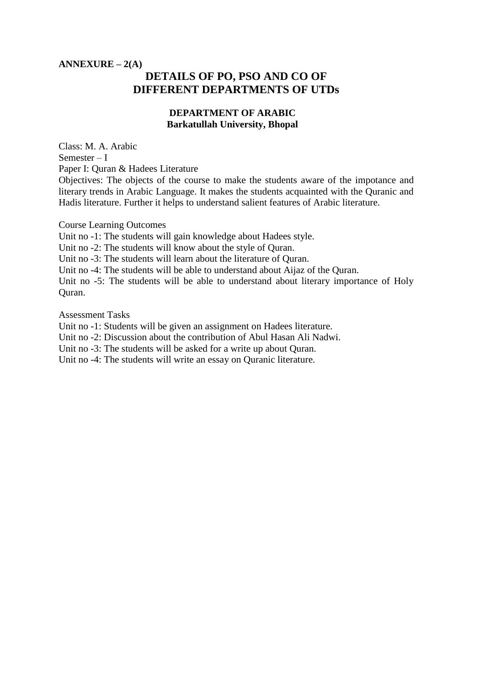## **ANNEXURE – 2(A) DETAILS OF PO, PSO AND CO OF DIFFERENT DEPARTMENTS OF UTDs**

### **DEPARTMENT OF ARABIC Barkatullah University, Bhopal**

Class: M. A. Arabic Semester – I Paper I: Quran & Hadees Literature

Objectives: The objects of the course to make the students aware of the impotance and literary trends in Arabic Language. It makes the students acquainted with the Quranic and Hadis literature. Further it helps to understand salient features of Arabic literature.

Course Learning Outcomes

Unit no -1: The students will gain knowledge about Hadees style.

Unit no -2: The students will know about the style of Quran.

Unit no -3: The students will learn about the literature of Quran.

Unit no -4: The students will be able to understand about Aijaz of the Quran.

Unit no -5: The students will be able to understand about literary importance of Holy Quran.

Assessment Tasks

Unit no -1: Students will be given an assignment on Hadees literature.

Unit no -2: Discussion about the contribution of Abul Hasan Ali Nadwi.

Unit no -3: The students will be asked for a write up about Quran.

Unit no -4: The students will write an essay on Quranic literature.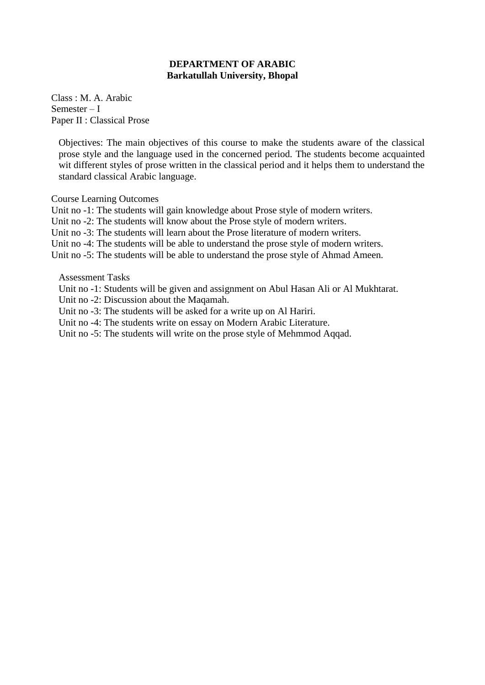Class : M. A. Arabic Semester – I Paper II : Classical Prose

Objectives: The main objectives of this course to make the students aware of the classical prose style and the language used in the concerned period. The students become acquainted wit different styles of prose written in the classical period and it helps them to understand the standard classical Arabic language.

Course Learning Outcomes

Unit no -1: The students will gain knowledge about Prose style of modern writers.

Unit no -2: The students will know about the Prose style of modern writers.

Unit no -3: The students will learn about the Prose literature of modern writers.

Unit no -4: The students will be able to understand the prose style of modern writers.

Unit no -5: The students will be able to understand the prose style of Ahmad Ameen.

Assessment Tasks

Unit no -1: Students will be given and assignment on Abul Hasan Ali or Al Mukhtarat.

Unit no -2: Discussion about the Maqamah.

Unit no -3: The students will be asked for a write up on Al Hariri.

Unit no -4: The students write on essay on Modern Arabic Literature.

Unit no -5: The students will write on the prose style of Mehmmod Aqqad.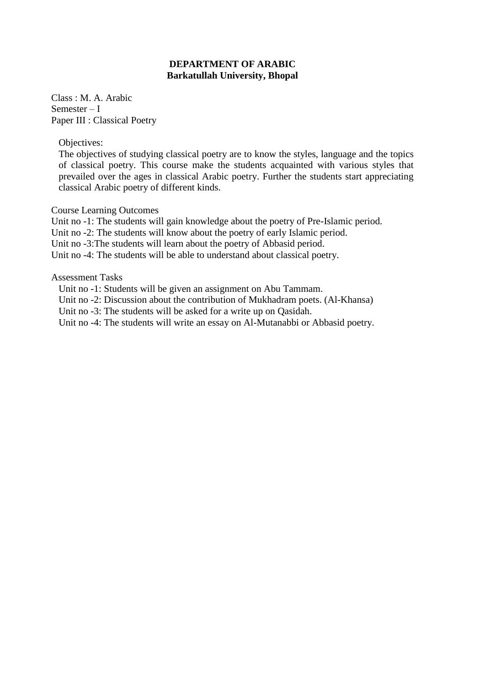Class : M. A. Arabic Semester – I Paper III : Classical Poetry

Objectives:

The objectives of studying classical poetry are to know the styles, language and the topics of classical poetry. This course make the students acquainted with various styles that prevailed over the ages in classical Arabic poetry. Further the students start appreciating classical Arabic poetry of different kinds.

Course Learning Outcomes

Unit no -1: The students will gain knowledge about the poetry of Pre-Islamic period.

Unit no -2: The students will know about the poetry of early Islamic period.

Unit no -3:The students will learn about the poetry of Abbasid period.

Unit no -4: The students will be able to understand about classical poetry.

Assessment Tasks

Unit no -1: Students will be given an assignment on Abu Tammam.

Unit no -2: Discussion about the contribution of Mukhadram poets. (Al-Khansa)

Unit no -3: The students will be asked for a write up on Qasidah.

Unit no -4: The students will write an essay on Al-Mutanabbi or Abbasid poetry.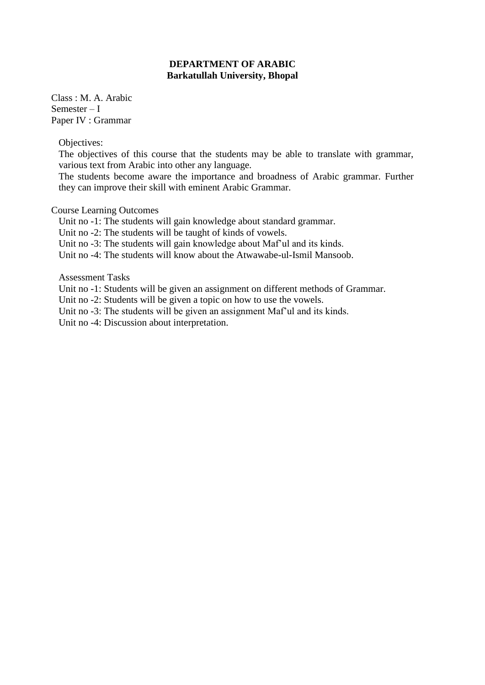Class : M. A. Arabic Semester – I Paper IV : Grammar

Objectives:

The objectives of this course that the students may be able to translate with grammar, various text from Arabic into other any language.

The students become aware the importance and broadness of Arabic grammar. Further they can improve their skill with eminent Arabic Grammar.

Course Learning Outcomes

Unit no -1: The students will gain knowledge about standard grammar.

Unit no -2: The students will be taught of kinds of vowels.

Unit no -3: The students will gain knowledge about Maf'ul and its kinds.

Unit no -4: The students will know about the Atwawabe-ul-Ismil Mansoob.

Assessment Tasks

Unit no -1: Students will be given an assignment on different methods of Grammar.

Unit no -2: Students will be given a topic on how to use the vowels.

Unit no -3: The students will be given an assignment Maf'ul and its kinds.

Unit no -4: Discussion about interpretation.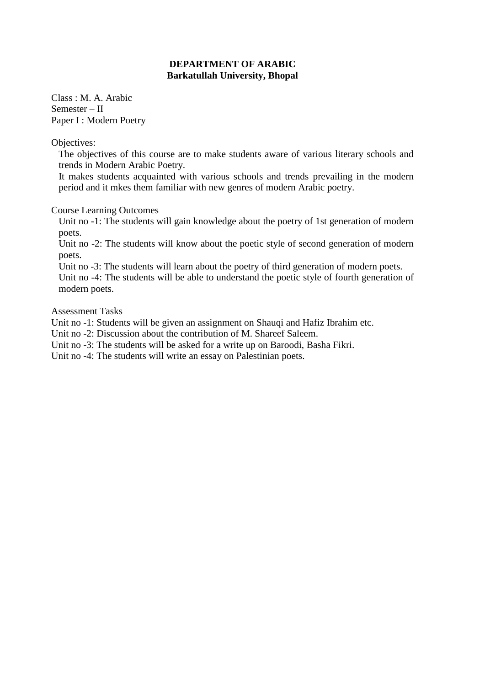Class : M. A. Arabic Semester – II Paper I : Modern Poetry

Objectives:

The objectives of this course are to make students aware of various literary schools and trends in Modern Arabic Poetry.

It makes students acquainted with various schools and trends prevailing in the modern period and it mkes them familiar with new genres of modern Arabic poetry.

Course Learning Outcomes

Unit no -1: The students will gain knowledge about the poetry of 1st generation of modern poets.

Unit no -2: The students will know about the poetic style of second generation of modern poets.

Unit no -3: The students will learn about the poetry of third generation of modern poets.

Unit no -4: The students will be able to understand the poetic style of fourth generation of modern poets.

Assessment Tasks

Unit no -1: Students will be given an assignment on Shauqi and Hafiz Ibrahim etc.

Unit no -2: Discussion about the contribution of M. Shareef Saleem.

Unit no -3: The students will be asked for a write up on Baroodi, Basha Fikri.

Unit no -4: The students will write an essay on Palestinian poets.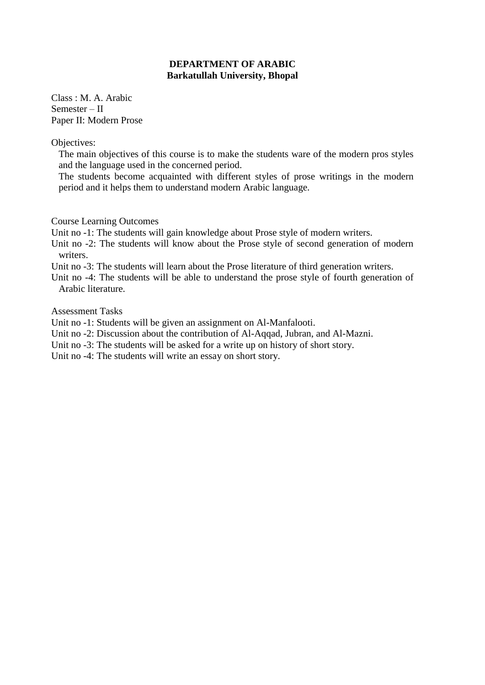Class : M. A. Arabic Semester – II Paper II: Modern Prose

Objectives:

The main objectives of this course is to make the students ware of the modern pros styles and the language used in the concerned period.

The students become acquainted with different styles of prose writings in the modern period and it helps them to understand modern Arabic language.

Course Learning Outcomes

Unit no -1: The students will gain knowledge about Prose style of modern writers.

Unit no -2: The students will know about the Prose style of second generation of modern writers.

Unit no -3: The students will learn about the Prose literature of third generation writers.

Unit no -4: The students will be able to understand the prose style of fourth generation of Arabic literature.

Assessment Tasks

Unit no -1: Students will be given an assignment on Al-Manfalooti.

Unit no -2: Discussion about the contribution of Al-Aqqad, Jubran, and Al-Mazni.

Unit no -3: The students will be asked for a write up on history of short story.

Unit no -4: The students will write an essay on short story.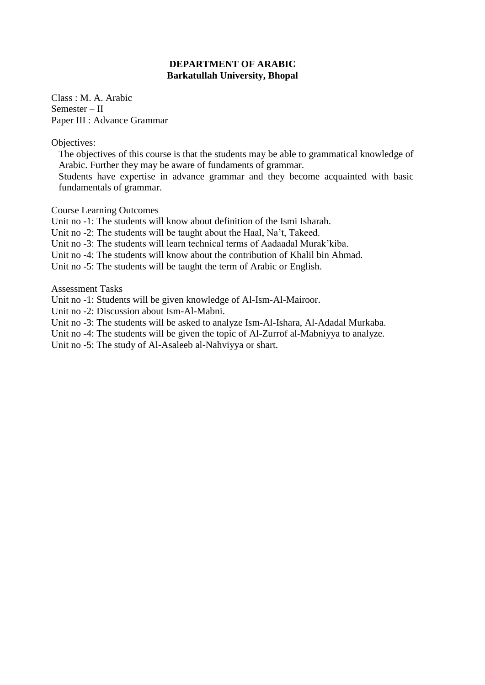Class : M. A. Arabic Semester – II Paper III : Advance Grammar

Objectives:

The objectives of this course is that the students may be able to grammatical knowledge of Arabic. Further they may be aware of fundaments of grammar.

Students have expertise in advance grammar and they become acquainted with basic fundamentals of grammar.

Course Learning Outcomes

Unit no -1: The students will know about definition of the Ismi Isharah.

Unit no -2: The students will be taught about the Haal, Na't, Takeed.

Unit no -3: The students will learn technical terms of Aadaadal Murak'kiba.

Unit no -4: The students will know about the contribution of Khalil bin Ahmad.

Unit no -5: The students will be taught the term of Arabic or English.

Assessment Tasks

Unit no -1: Students will be given knowledge of Al-Ism-Al-Mairoor.

Unit no -2: Discussion about Ism-Al-Mabni.

Unit no -3: The students will be asked to analyze Ism-Al-Ishara, Al-Adadal Murkaba.

Unit no -4: The students will be given the topic of Al-Zurrof al-Mabniyya to analyze.

Unit no -5: The study of Al-Asaleeb al-Nahviyya or shart.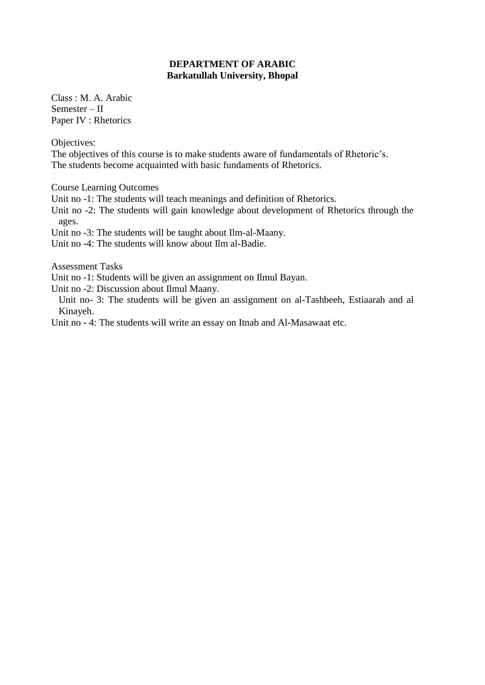Class : M. A. Arabic Semester – II Paper IV : Rhetorics

Objectives:

The objectives of this course is to make students aware of fundamentals of Rhetoric's. The students become acquainted with basic fundaments of Rhetorics.

Course Learning Outcomes

Unit no -1: The students will teach meanings and definition of Rhetorics.

Unit no -2: The students will gain knowledge about development of Rhetorics through the ages.

Unit no -3: The students will be taught about Ilm-al-Maany.

Unit no -4: The students will know about Ilm al-Badie.

Assessment Tasks

Unit no -1: Students will be given an assignment on Ilmul Bayan.

Unit no -2: Discussion about Ilmul Maany.

Unit no- 3: The students will be given an assignment on al-Tashbeeh, Estiaarah and al Kinayeh.

Unit no - 4: The students will write an essay on Itnab and Al-Masawaat etc.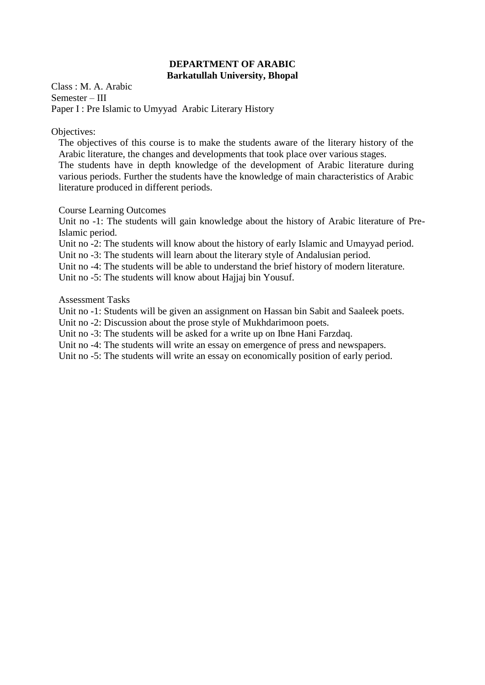Class : M. A. Arabic Semester – III Paper I : Pre Islamic to Umyyad Arabic Literary History

Objectives:

The objectives of this course is to make the students aware of the literary history of the Arabic literature, the changes and developments that took place over various stages. The students have in depth knowledge of the development of Arabic literature during various periods. Further the students have the knowledge of main characteristics of Arabic literature produced in different periods.

Course Learning Outcomes

Unit no -1: The students will gain knowledge about the history of Arabic literature of Pre-Islamic period.

Unit no -2: The students will know about the history of early Islamic and Umayyad period.

Unit no -3: The students will learn about the literary style of Andalusian period.

Unit no -4: The students will be able to understand the brief history of modern literature.

Unit no -5: The students will know about Hajjaj bin Yousuf.

Assessment Tasks

Unit no -1: Students will be given an assignment on Hassan bin Sabit and Saaleek poets.

Unit no -2: Discussion about the prose style of Mukhdarimoon poets.

Unit no -3: The students will be asked for a write up on Ibne Hani Farzdaq.

Unit no -4: The students will write an essay on emergence of press and newspapers.

Unit no -5: The students will write an essay on economically position of early period.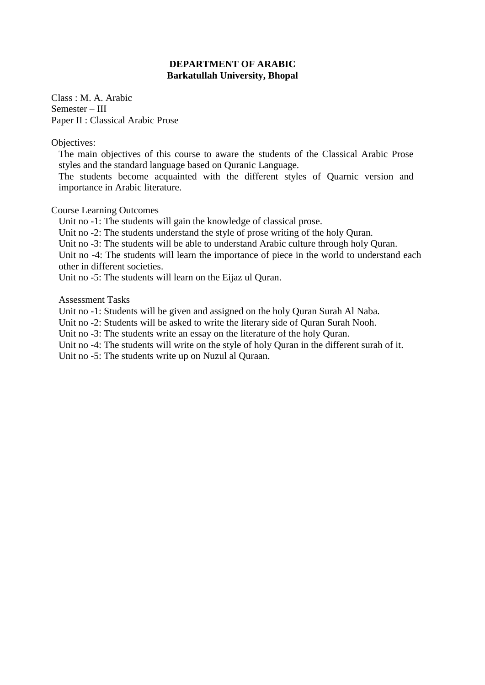Class : M. A. Arabic Semester – III Paper II : Classical Arabic Prose

Objectives:

The main objectives of this course to aware the students of the Classical Arabic Prose styles and the standard language based on Quranic Language.

The students become acquainted with the different styles of Quarnic version and importance in Arabic literature.

Course Learning Outcomes

Unit no -1: The students will gain the knowledge of classical prose.

Unit no -2: The students understand the style of prose writing of the holy Quran.

Unit no -3: The students will be able to understand Arabic culture through holy Quran.

Unit no -4: The students will learn the importance of piece in the world to understand each other in different societies.

Unit no -5: The students will learn on the Eijaz ul Quran.

Assessment Tasks

Unit no -1: Students will be given and assigned on the holy Quran Surah Al Naba.

Unit no -2: Students will be asked to write the literary side of Quran Surah Nooh.

Unit no -3: The students write an essay on the literature of the holy Quran.

Unit no -4: The students will write on the style of holy Quran in the different surah of it.

Unit no -5: The students write up on Nuzul al Quraan.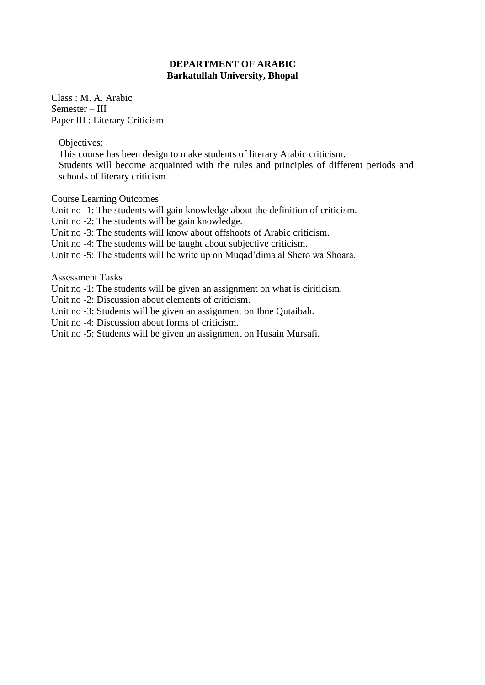Class : M. A. Arabic Semester – III Paper III : Literary Criticism

Objectives:

This course has been design to make students of literary Arabic criticism. Students will become acquainted with the rules and principles of different periods and schools of literary criticism.

Course Learning Outcomes

- Unit no -1: The students will gain knowledge about the definition of criticism.
- Unit no -2: The students will be gain knowledge.
- Unit no -3: The students will know about offshoots of Arabic criticism.
- Unit no -4: The students will be taught about subjective criticism.
- Unit no -5: The students will be write up on Muqad'dima al Shero wa Shoara.

Assessment Tasks

- Unit no -1: The students will be given an assignment on what is ciriticism.
- Unit no -2: Discussion about elements of criticism.
- Unit no -3: Students will be given an assignment on Ibne Qutaibah.
- Unit no -4: Discussion about forms of criticism.
- Unit no -5: Students will be given an assignment on Husain Mursafi.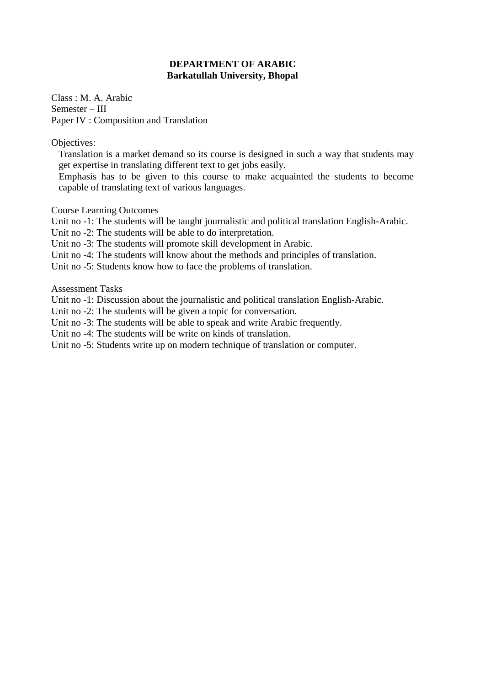Class : M. A. Arabic Semester – III Paper IV : Composition and Translation

Objectives:

Translation is a market demand so its course is designed in such a way that students may get expertise in translating different text to get jobs easily.

Emphasis has to be given to this course to make acquainted the students to become capable of translating text of various languages.

Course Learning Outcomes

Unit no -1: The students will be taught journalistic and political translation English-Arabic.

Unit no -2: The students will be able to do interpretation.

Unit no -3: The students will promote skill development in Arabic.

Unit no -4: The students will know about the methods and principles of translation.

Unit no -5: Students know how to face the problems of translation.

Assessment Tasks

Unit no -1: Discussion about the journalistic and political translation English-Arabic.

Unit no -2: The students will be given a topic for conversation.

Unit no -3: The students will be able to speak and write Arabic frequently.

Unit no -4: The students will be write on kinds of translation.

Unit no -5: Students write up on modern technique of translation or computer.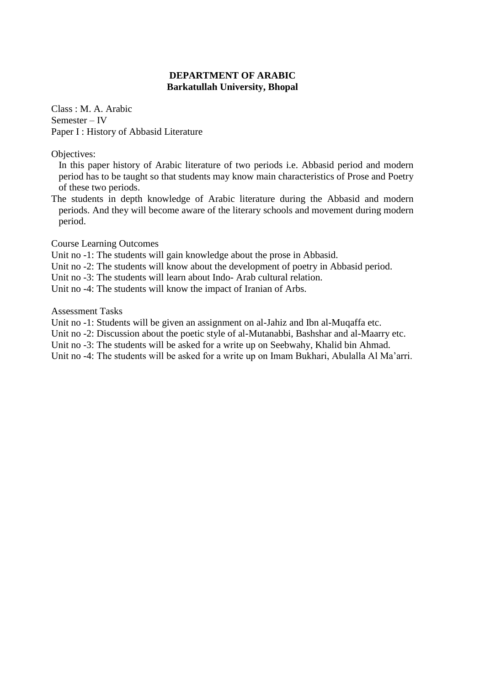Class : M. A. Arabic Semester – IV Paper I : History of Abbasid Literature

Objectives:

In this paper history of Arabic literature of two periods i.e. Abbasid period and modern period has to be taught so that students may know main characteristics of Prose and Poetry of these two periods.

The students in depth knowledge of Arabic literature during the Abbasid and modern periods. And they will become aware of the literary schools and movement during modern period.

Course Learning Outcomes

Unit no -1: The students will gain knowledge about the prose in Abbasid.

Unit no -2: The students will know about the development of poetry in Abbasid period.

Unit no -3: The students will learn about Indo- Arab cultural relation.

Unit no -4: The students will know the impact of Iranian of Arbs.

Assessment Tasks

Unit no -1: Students will be given an assignment on al-Jahiz and Ibn al-Muqaffa etc.

Unit no -2: Discussion about the poetic style of al-Mutanabbi, Bashshar and al-Maarry etc.

Unit no -3: The students will be asked for a write up on Seebwahy, Khalid bin Ahmad.

Unit no -4: The students will be asked for a write up on Imam Bukhari, Abulalla Al Ma'arri.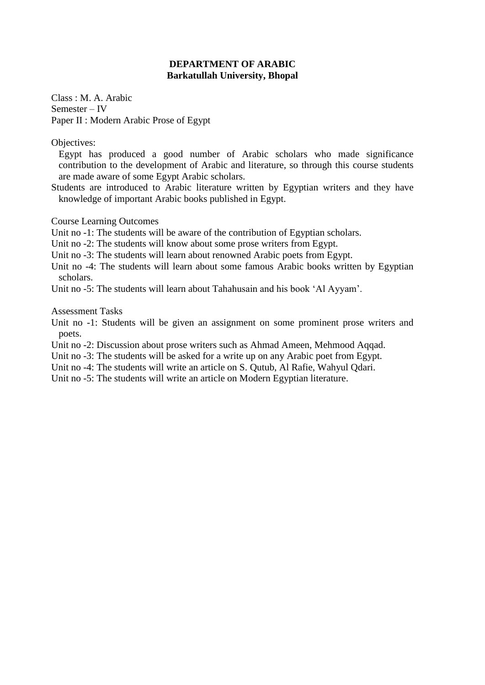Class : M. A. Arabic Semester – IV Paper II : Modern Arabic Prose of Egypt

Objectives:

Egypt has produced a good number of Arabic scholars who made significance contribution to the development of Arabic and literature, so through this course students are made aware of some Egypt Arabic scholars.

Students are introduced to Arabic literature written by Egyptian writers and they have knowledge of important Arabic books published in Egypt.

Course Learning Outcomes

Unit no -1: The students will be aware of the contribution of Egyptian scholars.

Unit no -2: The students will know about some prose writers from Egypt.

Unit no -3: The students will learn about renowned Arabic poets from Egypt.

Unit no -4: The students will learn about some famous Arabic books written by Egyptian scholars.

Unit no -5: The students will learn about Tahahusain and his book 'Al Ayyam'.

Assessment Tasks

Unit no -1: Students will be given an assignment on some prominent prose writers and poets.

Unit no -2: Discussion about prose writers such as Ahmad Ameen, Mehmood Aqqad.

Unit no -3: The students will be asked for a write up on any Arabic poet from Egypt.

Unit no -4: The students will write an article on S. Qutub, Al Rafie, Wahyul Qdari.

Unit no -5: The students will write an article on Modern Egyptian literature.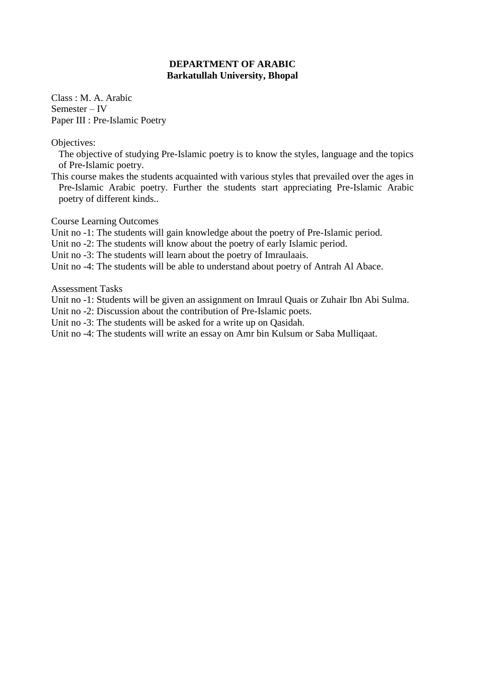Class : M. A. Arabic Semester – IV Paper III : Pre-Islamic Poetry

Objectives:

The objective of studying Pre-Islamic poetry is to know the styles, language and the topics of Pre-Islamic poetry.

This course makes the students acquainted with various styles that prevailed over the ages in Pre-Islamic Arabic poetry. Further the students start appreciating Pre-Islamic Arabic poetry of different kinds..

Course Learning Outcomes

Unit no -1: The students will gain knowledge about the poetry of Pre-Islamic period.

Unit no -2: The students will know about the poetry of early Islamic period.

Unit no -3: The students will learn about the poetry of Imraulaais.

Unit no -4: The students will be able to understand about poetry of Antrah Al Abace.

Assessment Tasks

Unit no -1: Students will be given an assignment on Imraul Quais or Zuhair Ibn Abi Sulma.

Unit no -2: Discussion about the contribution of Pre-Islamic poets.

Unit no -3: The students will be asked for a write up on Qasidah.

Unit no -4: The students will write an essay on Amr bin Kulsum or Saba Mulliqaat.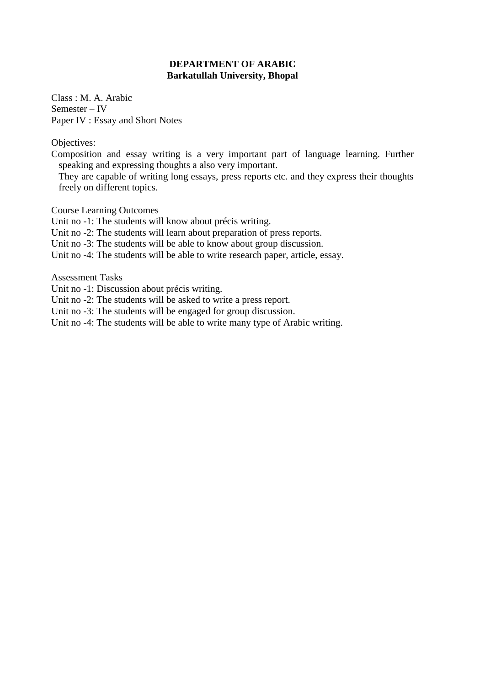Class : M. A. Arabic Semester – IV Paper IV : Essay and Short Notes

Objectives:

Composition and essay writing is a very important part of language learning. Further speaking and expressing thoughts a also very important.

They are capable of writing long essays, press reports etc. and they express their thoughts freely on different topics.

Course Learning Outcomes

Unit no -1: The students will know about précis writing.

Unit no -2: The students will learn about preparation of press reports.

Unit no -3: The students will be able to know about group discussion.

Unit no -4: The students will be able to write research paper, article, essay.

Assessment Tasks

Unit no -1: Discussion about précis writing.

Unit no -2: The students will be asked to write a press report.

Unit no -3: The students will be engaged for group discussion.

Unit no -4: The students will be able to write many type of Arabic writing.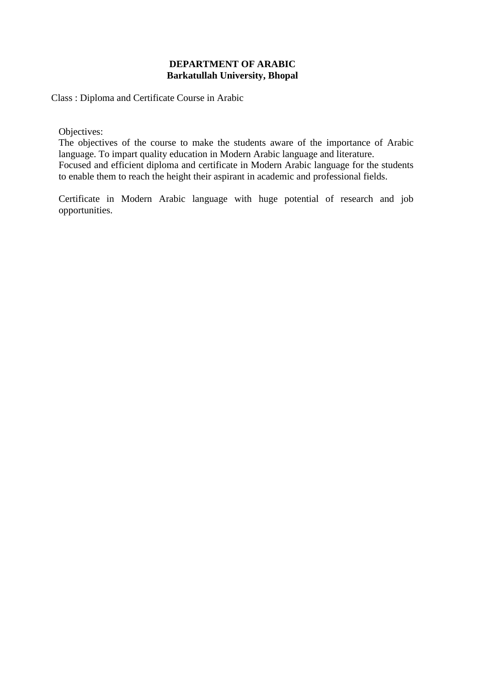Class : Diploma and Certificate Course in Arabic

Objectives:

The objectives of the course to make the students aware of the importance of Arabic language. To impart quality education in Modern Arabic language and literature. Focused and efficient diploma and certificate in Modern Arabic language for the students to enable them to reach the height their aspirant in academic and professional fields.

Certificate in Modern Arabic language with huge potential of research and job opportunities.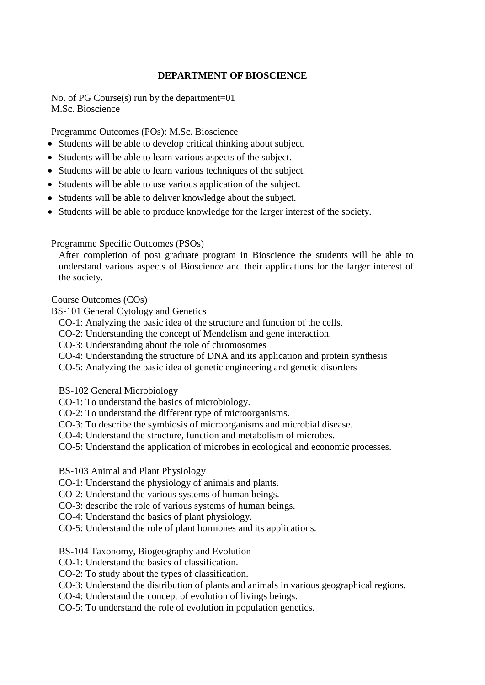### **DEPARTMENT OF BIOSCIENCE**

No. of PG Course(s) run by the department=01 M.Sc. Bioscience

Programme Outcomes (POs): M.Sc. Bioscience

- Students will be able to develop critical thinking about subject.
- Students will be able to learn various aspects of the subject.
- Students will be able to learn various techniques of the subject.
- Students will be able to use various application of the subject.
- Students will be able to deliver knowledge about the subject.
- Students will be able to produce knowledge for the larger interest of the society.

Programme Specific Outcomes (PSOs)

After completion of post graduate program in Bioscience the students will be able to understand various aspects of Bioscience and their applications for the larger interest of the society.

Course Outcomes (COs)

- BS-101 General Cytology and Genetics
	- CO-1: Analyzing the basic idea of the structure and function of the cells.
	- CO-2: Understanding the concept of Mendelism and gene interaction.
	- CO-3: Understanding about the role of chromosomes
	- CO-4: Understanding the structure of DNA and its application and protein synthesis
	- CO-5: Analyzing the basic idea of genetic engineering and genetic disorders
	- BS-102 General Microbiology
	- CO-1: To understand the basics of microbiology.
	- CO-2: To understand the different type of microorganisms.
	- CO-3: To describe the symbiosis of microorganisms and microbial disease.
	- CO-4: Understand the structure, function and metabolism of microbes.
	- CO-5: Understand the application of microbes in ecological and economic processes.

BS-103 Animal and Plant Physiology

- CO-1: Understand the physiology of animals and plants.
- CO-2: Understand the various systems of human beings.
- CO-3: describe the role of various systems of human beings.
- CO-4: Understand the basics of plant physiology.
- CO-5: Understand the role of plant hormones and its applications.

#### BS-104 Taxonomy, Biogeography and Evolution

- CO-1: Understand the basics of classification.
- CO-2: To study about the types of classification.
- CO-3: Understand the distribution of plants and animals in various geographical regions.
- CO-4: Understand the concept of evolution of livings beings.
- CO-5: To understand the role of evolution in population genetics.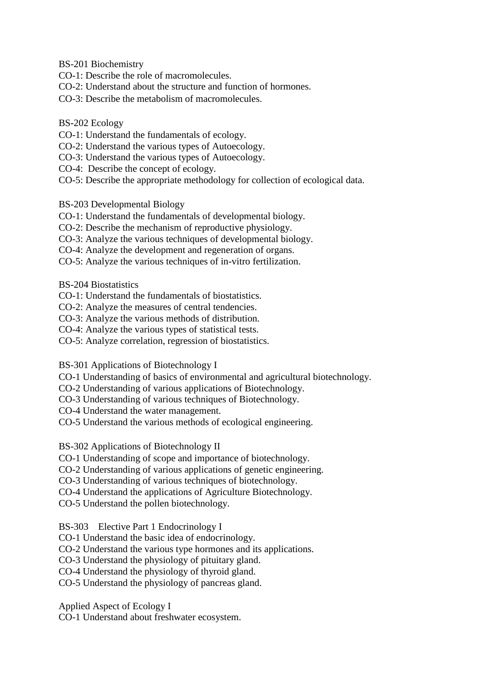- BS-201 Biochemistry
- CO-1: Describe the role of macromolecules.
- CO-2: Understand about the structure and function of hormones.
- CO-3: Describe the metabolism of macromolecules.
- BS-202 Ecology
- CO-1: Understand the fundamentals of ecology.
- CO-2: Understand the various types of Autoecology.
- CO-3: Understand the various types of Autoecology.
- CO-4: Describe the concept of ecology.
- CO-5: Describe the appropriate methodology for collection of ecological data.
- BS-203 Developmental Biology
- CO-1: Understand the fundamentals of developmental biology.
- CO-2: Describe the mechanism of reproductive physiology.
- CO-3: Analyze the various techniques of developmental biology.
- CO-4: Analyze the development and regeneration of organs.
- CO-5: Analyze the various techniques of in-vitro fertilization.

BS-204 Biostatistics

- CO-1: Understand the fundamentals of biostatistics.
- CO-2: Analyze the measures of central tendencies.
- CO-3: Analyze the various methods of distribution.
- CO-4: Analyze the various types of statistical tests.
- CO-5: Analyze correlation, regression of biostatistics.

BS-301 Applications of Biotechnology I

- CO-1 Understanding of basics of environmental and agricultural biotechnology.
- CO-2 Understanding of various applications of Biotechnology.
- CO-3 Understanding of various techniques of Biotechnology.
- CO-4 Understand the water management.
- CO-5 Understand the various methods of ecological engineering.

BS-302 Applications of Biotechnology II

- CO-1 Understanding of scope and importance of biotechnology.
- CO-2 Understanding of various applications of genetic engineering.
- CO-3 Understanding of various techniques of biotechnology.
- CO-4 Understand the applications of Agriculture Biotechnology.
- CO-5 Understand the pollen biotechnology.

BS-303 Elective Part 1 Endocrinology I

- CO-1 Understand the basic idea of endocrinology.
- CO-2 Understand the various type hormones and its applications.
- CO-3 Understand the physiology of pituitary gland.

CO-4 Understand the physiology of thyroid gland.

CO-5 Understand the physiology of pancreas gland.

Applied Aspect of Ecology I

CO-1 Understand about freshwater ecosystem.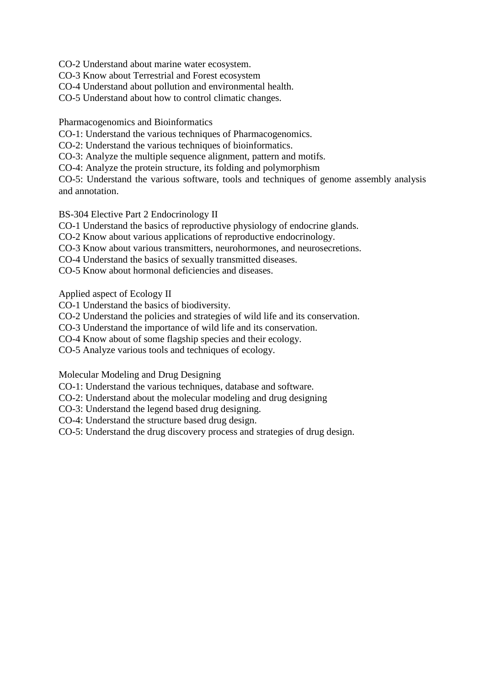CO-2 Understand about marine water ecosystem.

CO-3 Know about Terrestrial and Forest ecosystem

CO-4 Understand about pollution and environmental health.

CO-5 Understand about how to control climatic changes.

Pharmacogenomics and Bioinformatics

CO-1: Understand the various techniques of Pharmacogenomics.

CO-2: Understand the various techniques of bioinformatics.

CO-3: Analyze the multiple sequence alignment, pattern and motifs.

CO-4: Analyze the protein structure, its folding and polymorphism

CO-5: Understand the various software, tools and techniques of genome assembly analysis and annotation.

BS-304 Elective Part 2 Endocrinology II

CO-1 Understand the basics of reproductive physiology of endocrine glands.

CO-2 Know about various applications of reproductive endocrinology.

CO-3 Know about various transmitters, neurohormones, and neurosecretions.

CO-4 Understand the basics of sexually transmitted diseases.

CO-5 Know about hormonal deficiencies and diseases.

Applied aspect of Ecology II

CO-1 Understand the basics of biodiversity.

CO-2 Understand the policies and strategies of wild life and its conservation.

CO-3 Understand the importance of wild life and its conservation.

CO-4 Know about of some flagship species and their ecology.

CO-5 Analyze various tools and techniques of ecology.

Molecular Modeling and Drug Designing

CO-1: Understand the various techniques, database and software.

CO-2: Understand about the molecular modeling and drug designing

CO-3: Understand the legend based drug designing.

CO-4: Understand the structure based drug design.

CO-5: Understand the drug discovery process and strategies of drug design.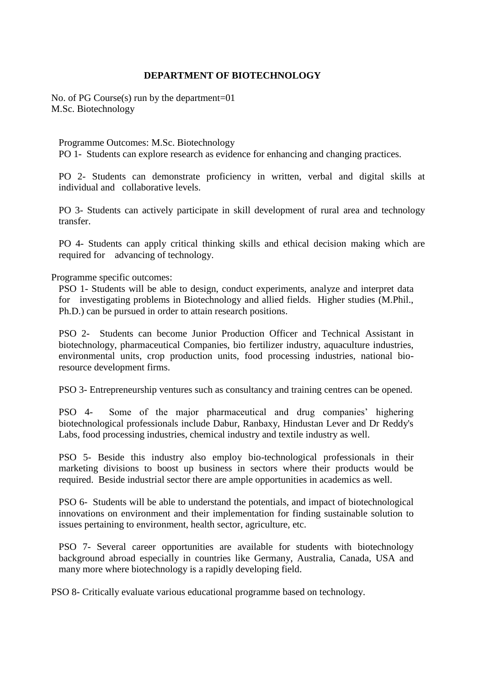#### **DEPARTMENT OF BIOTECHNOLOGY**

No. of PG Course(s) run by the department=01 M.Sc. Biotechnology

Programme Outcomes: M.Sc. Biotechnology PO 1- Students can explore research as evidence for enhancing and changing practices.

PO 2- Students can demonstrate proficiency in written, verbal and digital skills at individual and collaborative levels.

PO 3- Students can actively participate in skill development of rural area and technology transfer.

PO 4- Students can apply critical thinking skills and ethical decision making which are required for advancing of technology.

Programme specific outcomes:

PSO 1- Students will be able to design, conduct experiments, analyze and interpret data for investigating problems in Biotechnology and allied fields. Higher studies (M.Phil., Ph.D.) can be pursued in order to attain research positions.

PSO 2- Students can become Junior Production Officer and Technical Assistant in biotechnology, pharmaceutical Companies, bio fertilizer industry, aquaculture industries, environmental units, crop production units, food processing industries, national bioresource development firms.

PSO 3- Entrepreneurship ventures such as consultancy and training centres can be opened.

PSO 4- Some of the major pharmaceutical and drug companies' highering biotechnological professionals include Dabur, Ranbaxy, Hindustan Lever and Dr Reddy's Labs, food processing industries, chemical industry and textile industry as well.

PSO 5- Beside this industry also employ bio-technological professionals in their marketing divisions to boost up business in sectors where their products would be required. Beside industrial sector there are ample opportunities in academics as well.

PSO 6- Students will be able to understand the potentials, and impact of biotechnological innovations on environment and their implementation for finding sustainable solution to issues pertaining to environment, health sector, agriculture, etc.

PSO 7- Several career opportunities are available for students with biotechnology background abroad especially in countries like Germany, Australia, Canada, USA and many more where biotechnology is a rapidly developing field.

PSO 8- Critically evaluate various educational programme based on technology.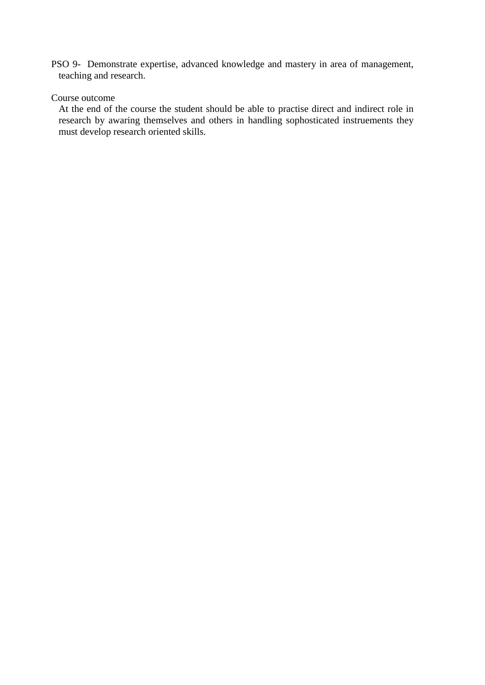PSO 9- Demonstrate expertise, advanced knowledge and mastery in area of management, teaching and research.

## Course outcome

At the end of the course the student should be able to practise direct and indirect role in research by awaring themselves and others in handling sophosticated instruements they must develop research oriented skills.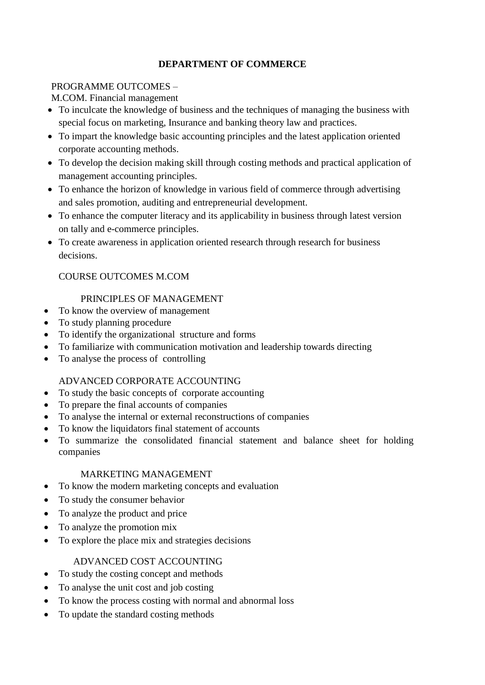## **DEPARTMENT OF COMMERCE**

## PROGRAMME OUTCOMES –

M.COM. Financial management

- To inculcate the knowledge of business and the techniques of managing the business with special focus on marketing, Insurance and banking theory law and practices.
- To impart the knowledge basic accounting principles and the latest application oriented corporate accounting methods.
- To develop the decision making skill through costing methods and practical application of management accounting principles.
- To enhance the horizon of knowledge in various field of commerce through advertising and sales promotion, auditing and entrepreneurial development.
- To enhance the computer literacy and its applicability in business through latest version on tally and e-commerce principles.
- To create awareness in application oriented research through research for business decisions.

## COURSE OUTCOMES M.COM

## PRINCIPLES OF MANAGEMENT

- To know the overview of management
- To study planning procedure
- To identify the organizational structure and forms
- To familiarize with communication motivation and leadership towards directing
- To analyse the process of controlling

## ADVANCED CORPORATE ACCOUNTING

- To study the basic concepts of corporate accounting
- To prepare the final accounts of companies
- To analyse the internal or external reconstructions of companies
- To know the liquidators final statement of accounts
- To summarize the consolidated financial statement and balance sheet for holding companies

## MARKETING MANAGEMENT

- To know the modern marketing concepts and evaluation
- To study the consumer behavior
- To analyze the product and price
- To analyze the promotion mix
- To explore the place mix and strategies decisions

## ADVANCED COST ACCOUNTING

- To study the costing concept and methods
- To analyse the unit cost and job costing
- To know the process costing with normal and abnormal loss
- To update the standard costing methods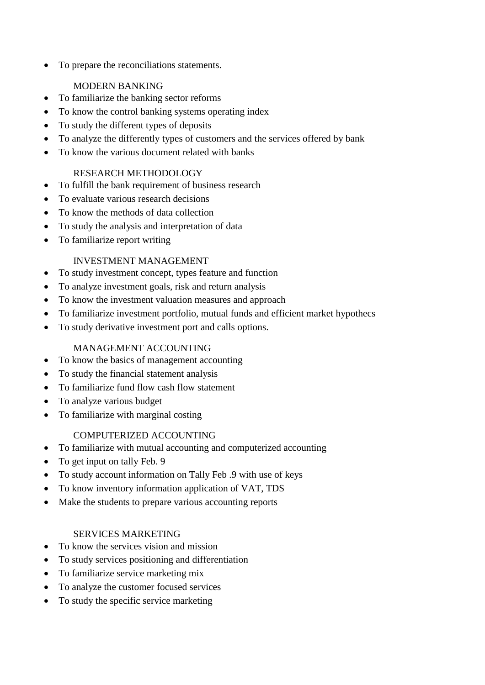To prepare the reconciliations statements.

# MODERN BANKING

- To familiarize the banking sector reforms
- To know the control banking systems operating index
- To study the different types of deposits
- To analyze the differently types of customers and the services offered by bank
- To know the various document related with banks

# RESEARCH METHODOLOGY

- To fulfill the bank requirement of business research
- To evaluate various research decisions
- To know the methods of data collection
- To study the analysis and interpretation of data
- To familiarize report writing

# INVESTMENT MANAGEMENT

- To study investment concept, types feature and function
- To analyze investment goals, risk and return analysis
- To know the investment valuation measures and approach
- To familiarize investment portfolio, mutual funds and efficient market hypothecs
- To study derivative investment port and calls options.

# MANAGEMENT ACCOUNTING

- To know the basics of management accounting
- To study the financial statement analysis
- To familiarize fund flow cash flow statement
- To analyze various budget
- To familiarize with marginal costing

# COMPUTERIZED ACCOUNTING

- To familiarize with mutual accounting and computerized accounting
- To get input on tally Feb. 9
- To study account information on Tally Feb .9 with use of keys
- To know inventory information application of VAT, TDS
- Make the students to prepare various accounting reports

## SERVICES MARKETING

- To know the services vision and mission
- To study services positioning and differentiation
- To familiarize service marketing mix
- To analyze the customer focused services
- To study the specific service marketing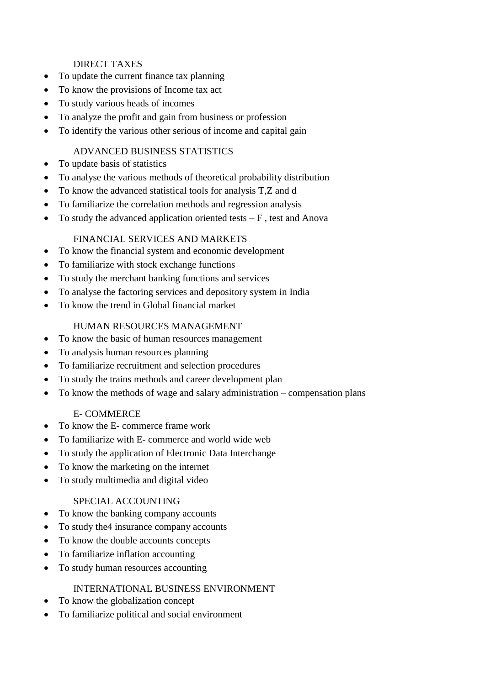## DIRECT TAXES

- To update the current finance tax planning
- To know the provisions of Income tax act
- To study various heads of incomes
- To analyze the profit and gain from business or profession
- To identify the various other serious of income and capital gain

## ADVANCED BUSINESS STATISTICS

- To update basis of statistics
- To analyse the various methods of theoretical probability distribution
- To know the advanced statistical tools for analysis T,Z and d
- To familiarize the correlation methods and regression analysis
- To study the advanced application oriented tests  $-F$ , test and Anova

## FINANCIAL SERVICES AND MARKETS

- To know the financial system and economic development
- To familiarize with stock exchange functions
- To study the merchant banking functions and services
- To analyse the factoring services and depository system in India
- To know the trend in Global financial market

## HUMAN RESOURCES MANAGEMENT

- To know the basic of human resources management
- To analysis human resources planning
- To familiarize recruitment and selection procedures
- To study the trains methods and career development plan
- To know the methods of wage and salary administration compensation plans

## E- COMMERCE

- To know the E- commerce frame work
- To familiarize with E- commerce and world wide web
- To study the application of Electronic Data Interchange
- To know the marketing on the internet
- To study multimedia and digital video

## SPECIAL ACCOUNTING

- To know the banking company accounts
- To study the 4 insurance company accounts
- To know the double accounts concepts
- To familiarize inflation accounting
- To study human resources accounting

## INTERNATIONAL BUSINESS ENVIRONMENT

- To know the globalization concept
- To familiarize political and social environment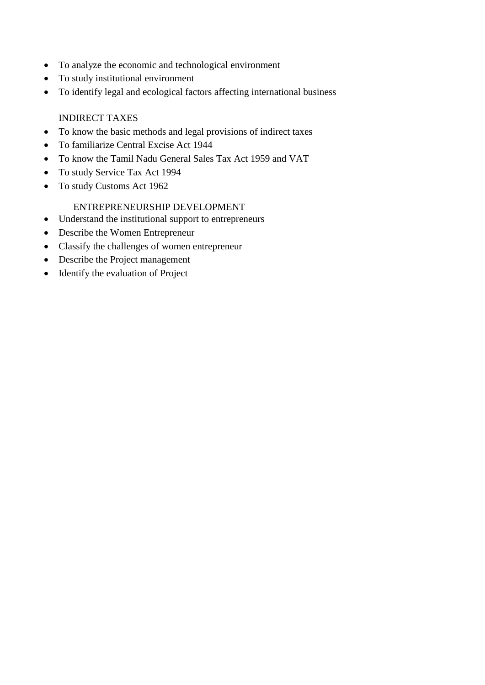- To analyze the economic and technological environment
- To study institutional environment
- To identify legal and ecological factors affecting international business

## INDIRECT TAXES

- To know the basic methods and legal provisions of indirect taxes
- To familiarize Central Excise Act 1944
- To know the Tamil Nadu General Sales Tax Act 1959 and VAT
- To study Service Tax Act 1994
- To study Customs Act 1962

## ENTREPRENEURSHIP DEVELOPMENT

- Understand the institutional support to entrepreneurs
- Describe the Women Entrepreneur
- Classify the challenges of women entrepreneur
- Describe the Project management
- Identify the evaluation of Project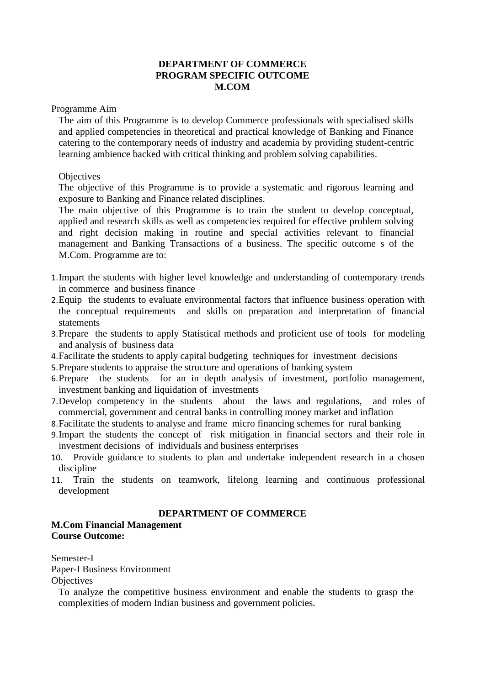### **DEPARTMENT OF COMMERCE PROGRAM SPECIFIC OUTCOME M.COM**

Programme Aim

The aim of this Programme is to develop Commerce professionals with specialised skills and applied competencies in theoretical and practical knowledge of Banking and Finance catering to the contemporary needs of industry and academia by providing student-centric learning ambience backed with critical thinking and problem solving capabilities.

#### **Objectives**

The objective of this Programme is to provide a systematic and rigorous learning and exposure to Banking and Finance related disciplines.

The main objective of this Programme is to train the student to develop conceptual, applied and research skills as well as competencies required for effective problem solving and right decision making in routine and special activities relevant to financial management and Banking Transactions of a business. The specific outcome s of the M.Com. Programme are to:

- 1.Impart the students with higher level knowledge and understanding of contemporary trends in commerce and business finance
- 2.Equip the students to evaluate environmental factors that influence business operation with the conceptual requirements and skills on preparation and interpretation of financial statements
- 3.Prepare the students to apply Statistical methods and proficient use of tools for modeling and analysis of business data
- 4.Facilitate the students to apply capital budgeting techniques for investment decisions
- 5.Prepare students to appraise the structure and operations of banking system
- 6.Prepare the students for an in depth analysis of investment, portfolio management, investment banking and liquidation of investments
- 7.Develop competency in the students about the laws and regulations, and roles of commercial, government and central banks in controlling money market and inflation
- 8.Facilitate the students to analyse and frame micro financing schemes for rural banking
- 9.Impart the students the concept of risk mitigation in financial sectors and their role in investment decisions of individuals and business enterprises
- 10. Provide guidance to students to plan and undertake independent research in a chosen discipline
- 11. Train the students on teamwork, lifelong learning and continuous professional development

## **DEPARTMENT OF COMMERCE**

#### **M.Com Financial Management Course Outcome:**

Semester-I Paper-I Business Environment **Objectives** 

To analyze the competitive business environment and enable the students to grasp the complexities of modern Indian business and government policies.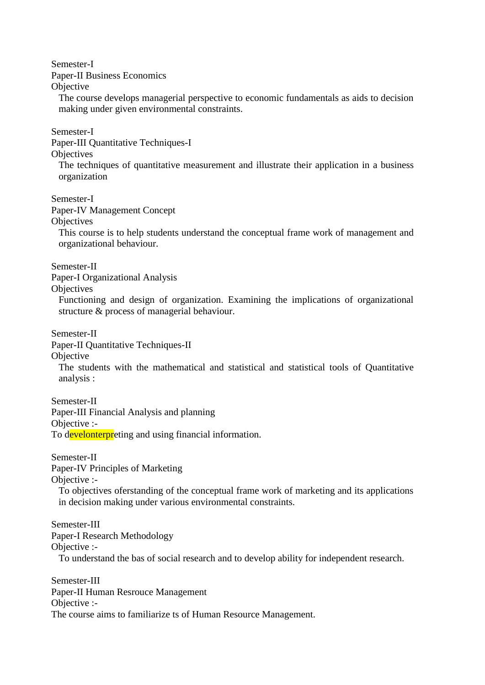Semester-I

Paper-II Business Economics

**Objective** 

The course develops managerial perspective to economic fundamentals as aids to decision making under given environmental constraints.

Semester-I

Paper-III Quantitative Techniques-I

**Objectives** 

The techniques of quantitative measurement and illustrate their application in a business organization

Semester-I

Paper-IV Management Concept

**Objectives** 

This course is to help students understand the conceptual frame work of management and organizational behaviour.

Semester-II

Paper-I Organizational Analysis

**Objectives** 

Functioning and design of organization. Examining the implications of organizational structure & process of managerial behaviour.

Semester-II

Paper-II Quantitative Techniques-II

**Objective** 

The students with the mathematical and statistical and statistical tools of Quantitative analysis :

Semester-II Paper-III Financial Analysis and planning Objective :- To develonterpreting and using financial information.

Semester-II

Paper-IV Principles of Marketing

Objective :-

To objectives oferstanding of the conceptual frame work of marketing and its applications in decision making under various environmental constraints.

Semester-III Paper-I Research Methodology Objective :- To understand the bas of social research and to develop ability for independent research.

Semester-III Paper-II Human Resrouce Management Objective :- The course aims to familiarize ts of Human Resource Management.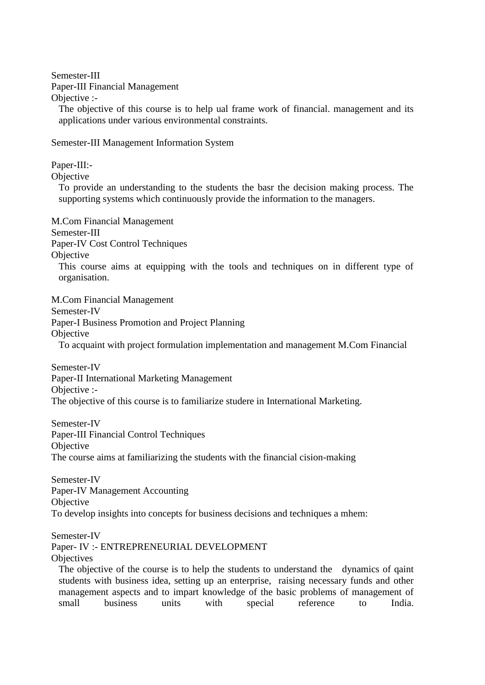Semester-III

Paper-III Financial Management

Objective :-

The objective of this course is to help ual frame work of financial. management and its applications under various environmental constraints.

Semester-III Management Information System

Paper-III:-

**Objective** 

To provide an understanding to the students the basr the decision making process. The supporting systems which continuously provide the information to the managers.

M.Com Financial Management

Semester-III

Paper-IV Cost Control Techniques

**Objective** 

This course aims at equipping with the tools and techniques on in different type of organisation.

M.Com Financial Management Semester-IV Paper-I Business Promotion and Project Planning **Objective** To acquaint with project formulation implementation and management M.Com Financial

Semester-IV Paper-II International Marketing Management Objective :- The objective of this course is to familiarize studere in International Marketing.

Semester-IV Paper-III Financial Control Techniques **Objective** The course aims at familiarizing the students with the financial cision-making

Semester-IV Paper-IV Management Accounting **Objective** To develop insights into concepts for business decisions and techniques a mhem:

Semester-IV

Paper- IV :- ENTREPRENEURIAL DEVELOPMENT

**Objectives** 

The objective of the course is to help the students to understand the dynamics of qaint students with business idea, setting up an enterprise, raising necessary funds and other management aspects and to impart knowledge of the basic problems of management of small business units with special reference to India.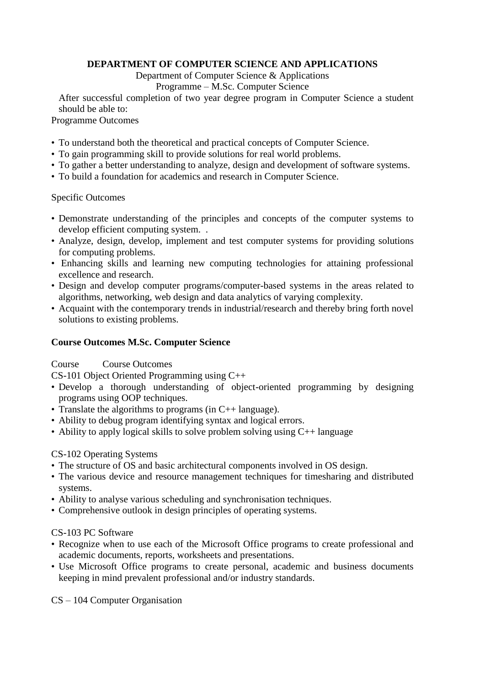## **DEPARTMENT OF COMPUTER SCIENCE AND APPLICATIONS**

#### Department of Computer Science & Applications

## Programme – M.Sc. Computer Science

After successful completion of two year degree program in Computer Science a student should be able to:

Programme Outcomes

- To understand both the theoretical and practical concepts of Computer Science.
- To gain programming skill to provide solutions for real world problems.
- To gather a better understanding to analyze, design and development of software systems.
- To build a foundation for academics and research in Computer Science.

## Specific Outcomes

- Demonstrate understanding of the principles and concepts of the computer systems to develop efficient computing system. .
- Analyze, design, develop, implement and test computer systems for providing solutions for computing problems.
- Enhancing skills and learning new computing technologies for attaining professional excellence and research.
- Design and develop computer programs/computer-based systems in the areas related to algorithms, networking, web design and data analytics of varying complexity.
- Acquaint with the contemporary trends in industrial/research and thereby bring forth novel solutions to existing problems.

## **Course Outcomes M.Sc. Computer Science**

## Course Course Outcomes

CS-101 Object Oriented Programming using C++

- Develop a thorough understanding of object-oriented programming by designing programs using OOP techniques.
- Translate the algorithms to programs (in C++ language).
- Ability to debug program identifying syntax and logical errors.
- Ability to apply logical skills to solve problem solving using  $C_{++}$  language

## CS-102 Operating Systems

- The structure of OS and basic architectural components involved in OS design.
- The various device and resource management techniques for timesharing and distributed systems.
- Ability to analyse various scheduling and synchronisation techniques.
- Comprehensive outlook in design principles of operating systems.

## CS-103 PC Software

- Recognize when to use each of the Microsoft Office programs to create professional and academic documents, reports, worksheets and presentations.
- Use Microsoft Office programs to create personal, academic and business documents keeping in mind prevalent professional and/or industry standards.

CS – 104 Computer Organisation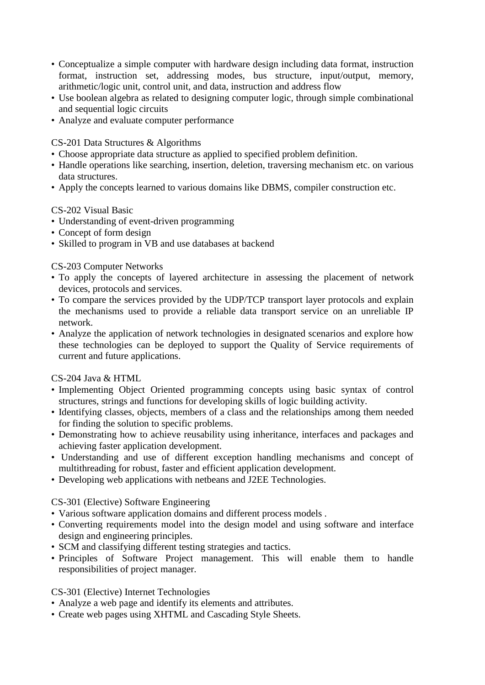- Conceptualize a simple computer with hardware design including data format, instruction format, instruction set, addressing modes, bus structure, input/output, memory, arithmetic/logic unit, control unit, and data, instruction and address flow
- Use boolean algebra as related to designing computer logic, through simple combinational and sequential logic circuits
- Analyze and evaluate computer performance

CS-201 Data Structures & Algorithms

- Choose appropriate data structure as applied to specified problem definition.
- Handle operations like searching, insertion, deletion, traversing mechanism etc. on various data structures.
- Apply the concepts learned to various domains like DBMS, compiler construction etc.

## CS-202 Visual Basic

- Understanding of event-driven programming
- Concept of form design
- Skilled to program in VB and use databases at backend

## CS-203 Computer Networks

- To apply the concepts of layered architecture in assessing the placement of network devices, protocols and services.
- To compare the services provided by the UDP/TCP transport layer protocols and explain the mechanisms used to provide a reliable data transport service on an unreliable IP network.
- Analyze the application of network technologies in designated scenarios and explore how these technologies can be deployed to support the Quality of Service requirements of current and future applications.

## CS-204 Java & HTML

- Implementing Object Oriented programming concepts using basic syntax of control structures, strings and functions for developing skills of logic building activity.
- Identifying classes, objects, members of a class and the relationships among them needed for finding the solution to specific problems.
- Demonstrating how to achieve reusability using inheritance, interfaces and packages and achieving faster application development.
- Understanding and use of different exception handling mechanisms and concept of multithreading for robust, faster and efficient application development.
- Developing web applications with netbeans and J2EE Technologies.

## CS-301 (Elective) Software Engineering

- Various software application domains and different process models .
- Converting requirements model into the design model and using software and interface design and engineering principles.
- SCM and classifying different testing strategies and tactics.
- Principles of Software Project management. This will enable them to handle responsibilities of project manager.

## CS-301 (Elective) Internet Technologies

- Analyze a web page and identify its elements and attributes.
- Create web pages using XHTML and Cascading Style Sheets.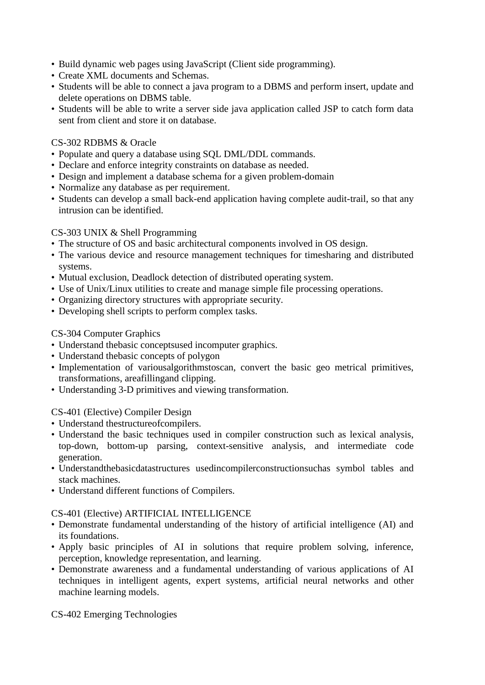- Build dynamic web pages using JavaScript (Client side programming).
- Create XML documents and Schemas.
- Students will be able to connect a java program to a DBMS and perform insert, update and delete operations on DBMS table.
- Students will be able to write a server side java application called JSP to catch form data sent from client and store it on database.

### CS-302 RDBMS & Oracle

- Populate and query a database using SQL DML/DDL commands.
- Declare and enforce integrity constraints on database as needed.
- Design and implement a database schema for a given problem-domain
- Normalize any database as per requirement.
- Students can develop a small back-end application having complete audit-trail, so that any intrusion can be identified.

### CS-303 UNIX & Shell Programming

- The structure of OS and basic architectural components involved in OS design.
- The various device and resource management techniques for timesharing and distributed systems.
- Mutual exclusion, Deadlock detection of distributed operating system.
- Use of Unix/Linux utilities to create and manage simple file processing operations.
- Organizing directory structures with appropriate security.
- Developing shell scripts to perform complex tasks.

### CS-304 Computer Graphics

- Understand thebasic conceptsused incomputer graphics.
- Understand thebasic concepts of polygon
- Implementation of variousalgorithmstoscan, convert the basic geo metrical primitives, transformations, areafillingand clipping.
- Understanding 3-D primitives and viewing transformation.

CS-401 (Elective) Compiler Design

- Understand thestructureofcompilers.
- Understand the basic techniques used in compiler construction such as lexical analysis, top-down, bottom-up parsing, context-sensitive analysis, and intermediate code generation.
- Understandthebasicdatastructures usedincompilerconstructionsuchas symbol tables and stack machines.
- Understand different functions of Compilers.

CS-401 (Elective) ARTIFICIAL INTELLIGENCE

- Demonstrate fundamental understanding of the history of artificial intelligence (AI) and its foundations.
- Apply basic principles of AI in solutions that require problem solving, inference, perception, knowledge representation, and learning.
- Demonstrate awareness and a fundamental understanding of various applications of AI techniques in intelligent agents, expert systems, artificial neural networks and other machine learning models.

CS-402 Emerging Technologies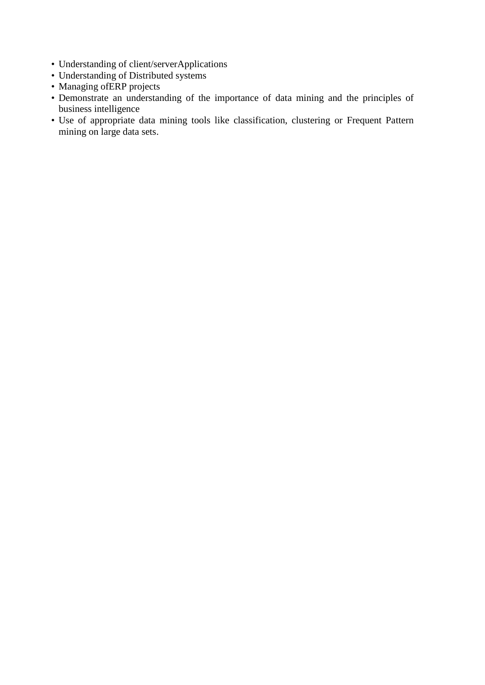- Understanding of client/serverApplications
- Understanding of Distributed systems
- Managing ofERP projects
- Demonstrate an understanding of the importance of data mining and the principles of business intelligence
- Use of appropriate data mining tools like classification, clustering or Frequent Pattern mining on large data sets.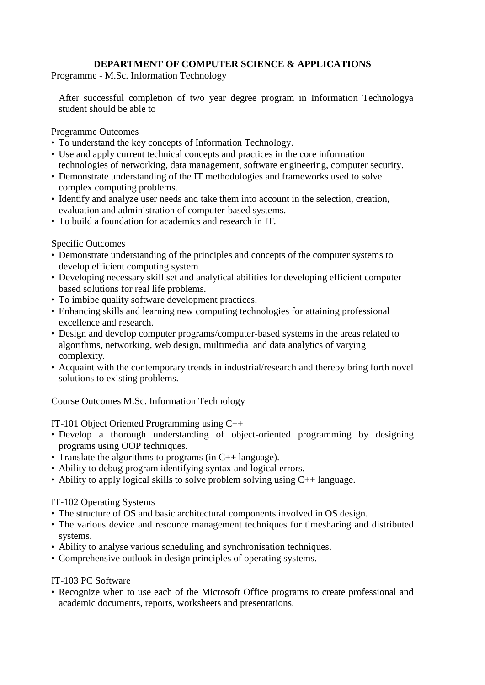## **DEPARTMENT OF COMPUTER SCIENCE & APPLICATIONS**

Programme - M.Sc. Information Technology

After successful completion of two year degree program in Information Technologya student should be able to

Programme Outcomes

- To understand the key concepts of Information Technology.
- Use and apply current technical concepts and practices in the core information technologies of networking, data management, software engineering, computer security.
- Demonstrate understanding of the IT methodologies and frameworks used to solve complex computing problems.
- Identify and analyze user needs and take them into account in the selection, creation, evaluation and administration of computer-based systems.
- To build a foundation for academics and research in IT.

Specific Outcomes

- Demonstrate understanding of the principles and concepts of the computer systems to develop efficient computing system
- Developing necessary skill set and analytical abilities for developing efficient computer based solutions for real life problems.
- To imbibe quality software development practices.
- Enhancing skills and learning new computing technologies for attaining professional excellence and research.
- Design and develop computer programs/computer-based systems in the areas related to algorithms, networking, web design, multimedia and data analytics of varying complexity.
- Acquaint with the contemporary trends in industrial/research and thereby bring forth novel solutions to existing problems.

Course Outcomes M.Sc. Information Technology

IT-101 Object Oriented Programming using C++

- Develop a thorough understanding of object-oriented programming by designing programs using OOP techniques.
- Translate the algorithms to programs (in C++ language).
- Ability to debug program identifying syntax and logical errors.
- Ability to apply logical skills to solve problem solving using C++ language.

## IT-102 Operating Systems

- The structure of OS and basic architectural components involved in OS design.
- The various device and resource management techniques for timesharing and distributed systems.
- Ability to analyse various scheduling and synchronisation techniques.
- Comprehensive outlook in design principles of operating systems.

## IT-103 PC Software

• Recognize when to use each of the Microsoft Office programs to create professional and academic documents, reports, worksheets and presentations.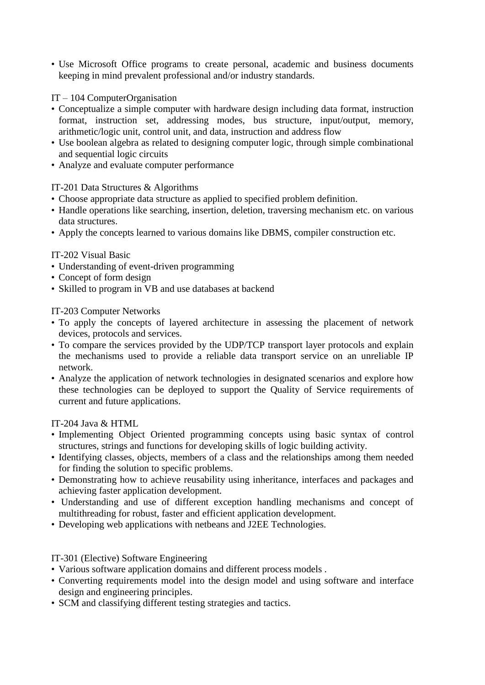• Use Microsoft Office programs to create personal, academic and business documents keeping in mind prevalent professional and/or industry standards.

## IT – 104 ComputerOrganisation

- Conceptualize a simple computer with hardware design including data format, instruction format, instruction set, addressing modes, bus structure, input/output, memory, arithmetic/logic unit, control unit, and data, instruction and address flow
- Use boolean algebra as related to designing computer logic, through simple combinational and sequential logic circuits
- Analyze and evaluate computer performance

### IT-201 Data Structures & Algorithms

- Choose appropriate data structure as applied to specified problem definition.
- Handle operations like searching, insertion, deletion, traversing mechanism etc. on various data structures.
- Apply the concepts learned to various domains like DBMS, compiler construction etc.

### IT-202 Visual Basic

- Understanding of event-driven programming
- Concept of form design
- Skilled to program in VB and use databases at backend

IT-203 Computer Networks

- To apply the concepts of layered architecture in assessing the placement of network devices, protocols and services.
- To compare the services provided by the UDP/TCP transport layer protocols and explain the mechanisms used to provide a reliable data transport service on an unreliable IP network.
- Analyze the application of network technologies in designated scenarios and explore how these technologies can be deployed to support the Quality of Service requirements of current and future applications.

IT-204 Java & HTML

- Implementing Object Oriented programming concepts using basic syntax of control structures, strings and functions for developing skills of logic building activity.
- Identifying classes, objects, members of a class and the relationships among them needed for finding the solution to specific problems.
- Demonstrating how to achieve reusability using inheritance, interfaces and packages and achieving faster application development.
- Understanding and use of different exception handling mechanisms and concept of multithreading for robust, faster and efficient application development.
- Developing web applications with netbeans and J2EE Technologies.

#### IT-301 (Elective) Software Engineering

- Various software application domains and different process models .
- Converting requirements model into the design model and using software and interface design and engineering principles.
- SCM and classifying different testing strategies and tactics.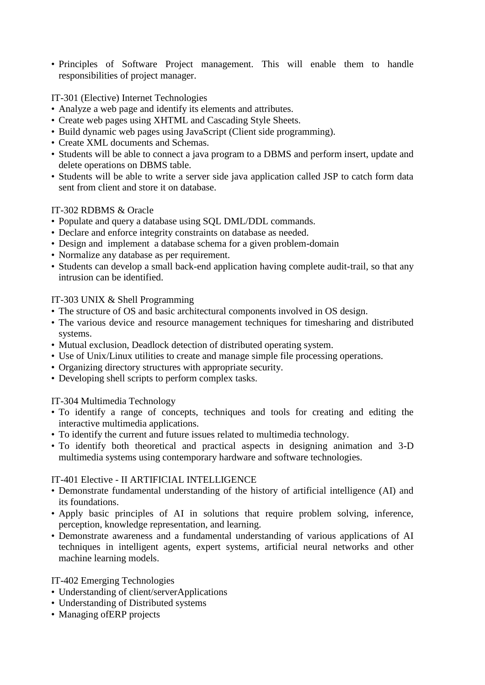• Principles of Software Project management. This will enable them to handle responsibilities of project manager.

IT-301 (Elective) Internet Technologies

- Analyze a web page and identify its elements and attributes.
- Create web pages using XHTML and Cascading Style Sheets.
- Build dynamic web pages using JavaScript (Client side programming).
- Create XML documents and Schemas.
- Students will be able to connect a java program to a DBMS and perform insert, update and delete operations on DBMS table.
- Students will be able to write a server side java application called JSP to catch form data sent from client and store it on database.

### IT-302 RDBMS & Oracle

- Populate and query a database using SQL DML/DDL commands.
- Declare and enforce integrity constraints on database as needed.
- Design and implement a database schema for a given problem-domain
- Normalize any database as per requirement.
- Students can develop a small back-end application having complete audit-trail, so that any intrusion can be identified.

### IT-303 UNIX & Shell Programming

- The structure of OS and basic architectural components involved in OS design.
- The various device and resource management techniques for timesharing and distributed systems.
- Mutual exclusion, Deadlock detection of distributed operating system.
- Use of Unix/Linux utilities to create and manage simple file processing operations.
- Organizing directory structures with appropriate security.
- Developing shell scripts to perform complex tasks.

IT-304 Multimedia Technology

- To identify a range of concepts, techniques and tools for creating and editing the interactive multimedia applications.
- To identify the current and future issues related to multimedia technology.
- To identify both theoretical and practical aspects in designing animation and 3-D multimedia systems using contemporary hardware and software technologies.

#### IT-401 Elective - II ARTIFICIAL INTELLIGENCE

- Demonstrate fundamental understanding of the history of artificial intelligence (AI) and its foundations.
- Apply basic principles of AI in solutions that require problem solving, inference, perception, knowledge representation, and learning.
- Demonstrate awareness and a fundamental understanding of various applications of AI techniques in intelligent agents, expert systems, artificial neural networks and other machine learning models.

## IT-402 Emerging Technologies

- Understanding of client/serverApplications
- Understanding of Distributed systems
- Managing ofERP projects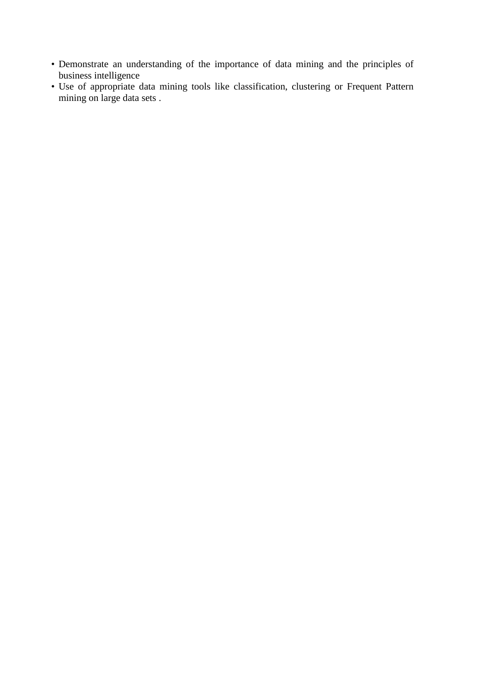- Demonstrate an understanding of the importance of data mining and the principles of business intelligence
- Use of appropriate data mining tools like classification, clustering or Frequent Pattern mining on large data sets.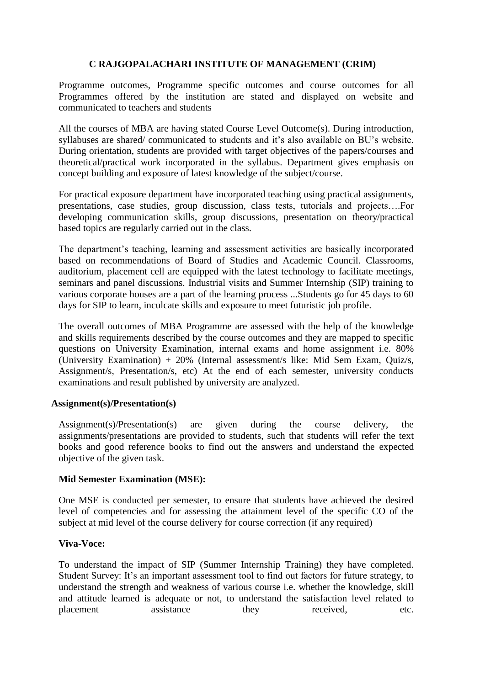### **C RAJGOPALACHARI INSTITUTE OF MANAGEMENT (CRIM)**

Programme outcomes, Programme specific outcomes and course outcomes for all Programmes offered by the institution are stated and displayed on website and communicated to teachers and students

All the courses of MBA are having stated Course Level Outcome(s). During introduction, syllabuses are shared/ communicated to students and it's also available on BU's website. During orientation, students are provided with target objectives of the papers/courses and theoretical/practical work incorporated in the syllabus. Department gives emphasis on concept building and exposure of latest knowledge of the subject/course.

For practical exposure department have incorporated teaching using practical assignments, presentations, case studies, group discussion, class tests, tutorials and projects….For developing communication skills, group discussions, presentation on theory/practical based topics are regularly carried out in the class.

The department's teaching, learning and assessment activities are basically incorporated based on recommendations of Board of Studies and Academic Council. Classrooms, auditorium, placement cell are equipped with the latest technology to facilitate meetings, seminars and panel discussions. Industrial visits and Summer Internship (SIP) training to various corporate houses are a part of the learning process ...Students go for 45 days to 60 days for SIP to learn, inculcate skills and exposure to meet futuristic job profile.

The overall outcomes of MBA Programme are assessed with the help of the knowledge and skills requirements described by the course outcomes and they are mapped to specific questions on University Examination, internal exams and home assignment i.e. 80% (University Examination) + 20% (Internal assessment/s like: Mid Sem Exam, Quiz/s, Assignment/s, Presentation/s, etc) At the end of each semester, university conducts examinations and result published by university are analyzed.

#### **Assignment(s)/Presentation(s)**

Assignment(s)/Presentation(s) are given during the course delivery, the assignments/presentations are provided to students, such that students will refer the text books and good reference books to find out the answers and understand the expected objective of the given task.

#### **Mid Semester Examination (MSE):**

One MSE is conducted per semester, to ensure that students have achieved the desired level of competencies and for assessing the attainment level of the specific CO of the subject at mid level of the course delivery for course correction (if any required)

#### **Viva-Voce:**

To understand the impact of SIP (Summer Internship Training) they have completed. Student Survey: It's an important assessment tool to find out factors for future strategy, to understand the strength and weakness of various course i.e. whether the knowledge, skill and attitude learned is adequate or not, to understand the satisfaction level related to placement assistance they received, etc.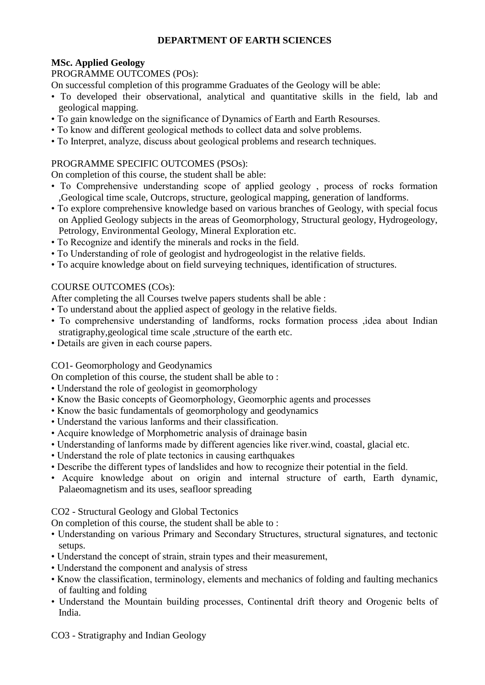### **DEPARTMENT OF EARTH SCIENCES**

# **MSc. Applied Geology**

### PROGRAMME OUTCOMES (POs):

On successful completion of this programme Graduates of the Geology will be able:

- To developed their observational, analytical and quantitative skills in the field, lab and geological mapping.
- To gain knowledge on the significance of Dynamics of Earth and Earth Resourses.
- To know and different geological methods to collect data and solve problems.
- To Interpret, analyze, discuss about geological problems and research techniques.

# PROGRAMME SPECIFIC OUTCOMES (PSOs):

On completion of this course, the student shall be able:

- To Comprehensive understanding scope of applied geology , process of rocks formation ,Geological time scale, Outcrops, structure, geological mapping, generation of landforms.
- To explore comprehensive knowledge based on various branches of Geology, with special focus on Applied Geology subjects in the areas of Geomorphology, Structural geology, Hydrogeology, Petrology, Environmental Geology, Mineral Exploration etc.
- To Recognize and identify the minerals and rocks in the field.
- To Understanding of role of geologist and hydrogeologist in the relative fields.
- To acquire knowledge about on field surveying techniques, identification of structures.

# COURSE OUTCOMES (COs):

After completing the all Courses twelve papers students shall be able :

- To understand about the applied aspect of geology in the relative fields.
- To comprehensive understanding of landforms, rocks formation process ,idea about Indian stratigraphy,geological time scale ,structure of the earth etc.
- Details are given in each course papers.

# CO1- Geomorphology and Geodynamics

On completion of this course, the student shall be able to :

- Understand the role of geologist in geomorphology
- Know the Basic concepts of Geomorphology, Geomorphic agents and processes
- Know the basic fundamentals of geomorphology and geodynamics
- Understand the various lanforms and their classification.
- Acquire knowledge of Morphometric analysis of drainage basin
- Understanding of lanforms made by different agencies like river.wind, coastal, glacial etc.
- Understand the role of plate tectonics in causing earthquakes
- Describe the different types of landslides and how to recognize their potential in the field.
- Acquire knowledge about on origin and internal structure of earth, Earth dynamic, Palaeomagnetism and its uses, seafloor spreading

# CO2 - Structural Geology and Global Tectonics

On completion of this course, the student shall be able to :

- Understanding on various Primary and Secondary Structures, structural signatures, and tectonic setups.
- Understand the concept of strain, strain types and their measurement,
- Understand the component and analysis of stress
- Know the classification, terminology, elements and mechanics of folding and faulting mechanics of faulting and folding
- Understand the Mountain building processes, Continental drift theory and Orogenic belts of India.

CO3 - Stratigraphy and Indian Geology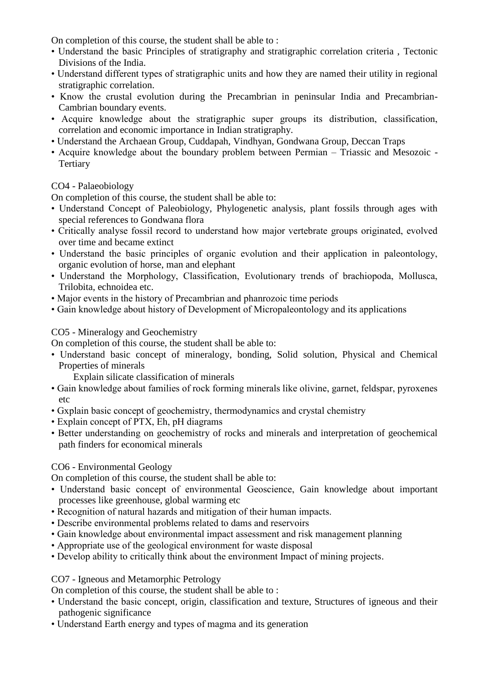On completion of this course, the student shall be able to :

- Understand the basic Principles of stratigraphy and stratigraphic correlation criteria , Tectonic Divisions of the India.
- Understand different types of stratigraphic units and how they are named their utility in regional stratigraphic correlation.
- Know the crustal evolution during the Precambrian in peninsular India and Precambrian-Cambrian boundary events.
- Acquire knowledge about the stratigraphic super groups its distribution, classification, correlation and economic importance in Indian stratigraphy.
- Understand the Archaean Group, Cuddapah, Vindhyan, Gondwana Group, Deccan Traps
- Acquire knowledge about the boundary problem between Permian Triassic and Mesozoic **Tertiary**

### CO4 - Palaeobiology

On completion of this course, the student shall be able to:

- Understand Concept of Paleobiology, Phylogenetic analysis, plant fossils through ages with special references to Gondwana flora
- Critically analyse fossil record to understand how major vertebrate groups originated, evolved over time and became extinct
- Understand the basic principles of organic evolution and their application in paleontology, organic evolution of horse, man and elephant
- Understand the Morphology, Classification, Evolutionary trends of brachiopoda, Mollusca, Trilobita, echnoidea etc.
- Major events in the history of Precambrian and phanrozoic time periods
- Gain knowledge about history of Development of Micropaleontology and its applications

### CO5 - Mineralogy and Geochemistry

On completion of this course, the student shall be able to:

- Understand basic concept of mineralogy, bonding, Solid solution, Physical and Chemical Properties of minerals
	- Explain silicate classification of minerals
- Gain knowledge about families of rock forming minerals like olivine, garnet, feldspar, pyroxenes etc
- Gxplain basic concept of geochemistry, thermodynamics and crystal chemistry
- Explain concept of PTX, Eh, pH diagrams
- Better understanding on geochemistry of rocks and minerals and interpretation of geochemical path finders for economical minerals

#### CO6 - Environmental Geology

On completion of this course, the student shall be able to:

- Understand basic concept of environmental Geoscience, Gain knowledge about important processes like greenhouse, global warming etc
- Recognition of natural hazards and mitigation of their human impacts.
- Describe environmental problems related to dams and reservoirs
- Gain knowledge about environmental impact assessment and risk management planning
- Appropriate use of the geological environment for waste disposal
- Develop ability to critically think about the environment Impact of mining projects.

#### CO7 - Igneous and Metamorphic Petrology

On completion of this course, the student shall be able to :

- Understand the basic concept, origin, classification and texture, Structures of igneous and their pathogenic significance
- Understand Earth energy and types of magma and its generation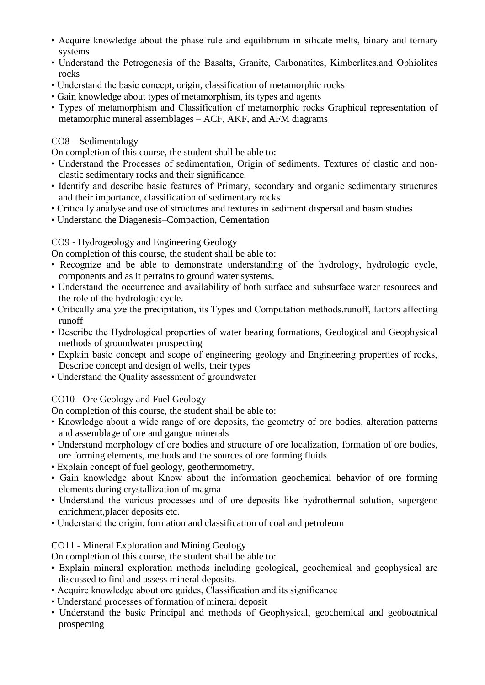- Acquire knowledge about the phase rule and equilibrium in silicate melts, binary and ternary systems
- Understand the Petrogenesis of the Basalts, Granite, Carbonatites, Kimberlites,and Ophiolites rocks
- Understand the basic concept, origin, classification of metamorphic rocks
- Gain knowledge about types of metamorphism, its types and agents
- Types of metamorphism and Classification of metamorphic rocks Graphical representation of metamorphic mineral assemblages – ACF, AKF, and AFM diagrams

### CO8 – Sedimentalogy

On completion of this course, the student shall be able to:

- Understand the Processes of sedimentation, Origin of sediments, Textures of clastic and nonclastic sedimentary rocks and their significance.
- Identify and describe basic features of Primary, secondary and organic sedimentary structures and their importance, classification of sedimentary rocks
- Critically analyse and use of structures and textures in sediment dispersal and basin studies
- Understand the Diagenesis–Compaction, Cementation

### CO9 - Hydrogeology and Engineering Geology

On completion of this course, the student shall be able to:

- Recognize and be able to demonstrate understanding of the hydrology, hydrologic cycle, components and as it pertains to ground water systems.
- Understand the occurrence and availability of both surface and subsurface water resources and the role of the hydrologic cycle.
- Critically analyze the precipitation, its Types and Computation methods.runoff, factors affecting runoff
- Describe the Hydrological properties of water bearing formations, Geological and Geophysical methods of groundwater prospecting
- Explain basic concept and scope of engineering geology and Engineering properties of rocks, Describe concept and design of wells, their types
- Understand the Quality assessment of groundwater

# CO10 - Ore Geology and Fuel Geology

On completion of this course, the student shall be able to:

- Knowledge about a wide range of ore deposits, the geometry of ore bodies, alteration patterns and assemblage of ore and gangue minerals
- Understand morphology of ore bodies and structure of ore localization, formation of ore bodies, ore forming elements, methods and the sources of ore forming fluids
- Explain concept of fuel geology, geothermometry,
- Gain knowledge about Know about the information geochemical behavior of ore forming elements during crystallization of magma
- Understand the various processes and of ore deposits like hydrothermal solution, supergene enrichment,placer deposits etc.
- Understand the origin, formation and classification of coal and petroleum

# CO11 - Mineral Exploration and Mining Geology

On completion of this course, the student shall be able to:

- Explain mineral exploration methods including geological, geochemical and geophysical are discussed to find and assess mineral deposits.
- Acquire knowledge about ore guides, Classification and its significance
- Understand processes of formation of mineral deposit
- Understand the basic Principal and methods of Geophysical, geochemical and geoboatnical prospecting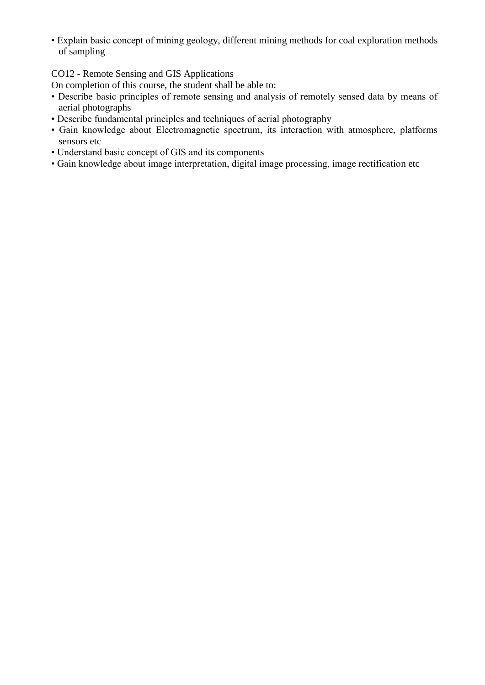• Explain basic concept of mining geology, different mining methods for coal exploration methods of sampling

CO12 - Remote Sensing and GIS Applications

On completion of this course, the student shall be able to:

- Describe basic principles of remote sensing and analysis of remotely sensed data by means of aerial photographs
- Describe fundamental principles and techniques of aerial photography
- Gain knowledge about Electromagnetic spectrum, its interaction with atmosphere, platforms sensors etc
- Understand basic concept of GIS and its components
- Gain knowledge about image interpretation, digital image processing, image rectification etc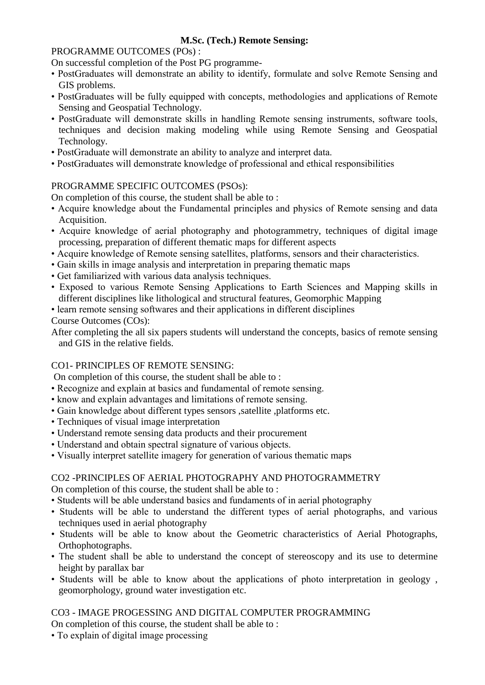# **M.Sc. (Tech.) Remote Sensing:**

### PROGRAMME OUTCOMES (POs) :

On successful completion of the Post PG programme-

- PostGraduates will demonstrate an ability to identify, formulate and solve Remote Sensing and GIS problems.
- PostGraduates will be fully equipped with concepts, methodologies and applications of Remote Sensing and Geospatial Technology.
- PostGraduate will demonstrate skills in handling Remote sensing instruments, software tools, techniques and decision making modeling while using Remote Sensing and Geospatial Technology.
- PostGraduate will demonstrate an ability to analyze and interpret data.
- PostGraduates will demonstrate knowledge of professional and ethical responsibilities

### PROGRAMME SPECIFIC OUTCOMES (PSOs):

On completion of this course, the student shall be able to :

- Acquire knowledge about the Fundamental principles and physics of Remote sensing and data Acquisition.
- Acquire knowledge of aerial photography and photogrammetry, techniques of digital image processing, preparation of different thematic maps for different aspects
- Acquire knowledge of Remote sensing satellites, platforms, sensors and their characteristics.
- Gain skills in image analysis and interpretation in preparing thematic maps
- Get familiarized with various data analysis techniques.
- Exposed to various Remote Sensing Applications to Earth Sciences and Mapping skills in different disciplines like lithological and structural features, Geomorphic Mapping
- learn remote sensing softwares and their applications in different disciplines

### Course Outcomes (COs):

After completing the all six papers students will understand the concepts, basics of remote sensing and GIS in the relative fields.

### CO1- PRINCIPLES OF REMOTE SENSING:

On completion of this course, the student shall be able to :

- Recognize and explain at basics and fundamental of remote sensing.
- know and explain advantages and limitations of remote sensing.
- Gain knowledge about different types sensors ,satellite ,platforms etc.
- Techniques of visual image interpretation
- Understand remote sensing data products and their procurement
- Understand and obtain spectral signature of various objects.
- Visually interpret satellite imagery for generation of various thematic maps

### CO2 -PRINCIPLES OF AERIAL PHOTOGRAPHY AND PHOTOGRAMMETRY

On completion of this course, the student shall be able to :

- Students will be able understand basics and fundaments of in aerial photography
- Students will be able to understand the different types of aerial photographs, and various techniques used in aerial photography
- Students will be able to know about the Geometric characteristics of Aerial Photographs, Orthophotographs.
- The student shall be able to understand the concept of stereoscopy and its use to determine height by parallax bar
- Students will be able to know about the applications of photo interpretation in geology , geomorphology, ground water investigation etc.

### CO3 - IMAGE PROGESSING AND DIGITAL COMPUTER PROGRAMMING

On completion of this course, the student shall be able to :

• To explain of digital image processing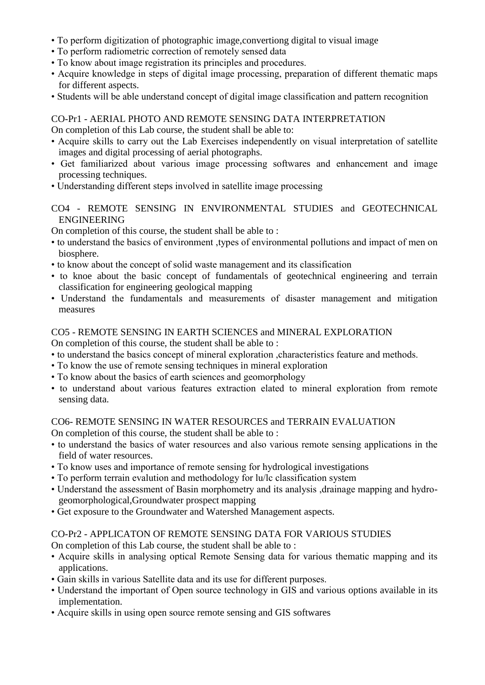- To perform digitization of photographic image,convertiong digital to visual image
- To perform radiometric correction of remotely sensed data
- To know about image registration its principles and procedures.
- Acquire knowledge in steps of digital image processing, preparation of different thematic maps for different aspects.
- Students will be able understand concept of digital image classification and pattern recognition

### CO-Pr1 - AERIAL PHOTO AND REMOTE SENSING DATA INTERPRETATION

On completion of this Lab course, the student shall be able to:

- Acquire skills to carry out the Lab Exercises independently on visual interpretation of satellite images and digital processing of aerial photographs.
- Get familiarized about various image processing softwares and enhancement and image processing techniques.
- Understanding different steps involved in satellite image processing

### CO4 - REMOTE SENSING IN ENVIRONMENTAL STUDIES and GEOTECHNICAL ENGINEERING

On completion of this course, the student shall be able to :

- to understand the basics of environment ,types of environmental pollutions and impact of men on biosphere.
- to know about the concept of solid waste management and its classification
- to knoe about the basic concept of fundamentals of geotechnical engineering and terrain classification for engineering geological mapping
- Understand the fundamentals and measurements of disaster management and mitigation measures

### CO5 - REMOTE SENSING IN EARTH SCIENCES and MINERAL EXPLORATION

On completion of this course, the student shall be able to :

- to understand the basics concept of mineral exploration ,characteristics feature and methods.
- To know the use of remote sensing techniques in mineral exploration
- To know about the basics of earth sciences and geomorphology
- to understand about various features extraction elated to mineral exploration from remote sensing data.

# CO6- REMOTE SENSING IN WATER RESOURCES and TERRAIN EVALUATION

On completion of this course, the student shall be able to :

- to understand the basics of water resources and also various remote sensing applications in the field of water resources.
- To know uses and importance of remote sensing for hydrological investigations
- To perform terrain evalution and methodology for lu/lc classification system
- Understand the assessment of Basin morphometry and its analysis ,drainage mapping and hydrogeomorphological,Groundwater prospect mapping
- Get exposure to the Groundwater and Watershed Management aspects.

# CO-Pr2 - APPLICATON OF REMOTE SENSING DATA FOR VARIOUS STUDIES

On completion of this Lab course, the student shall be able to :

- Acquire skills in analysing optical Remote Sensing data for various thematic mapping and its applications.
- Gain skills in various Satellite data and its use for different purposes.
- Understand the important of Open source technology in GIS and various options available in its implementation.
- Acquire skills in using open source remote sensing and GIS softwares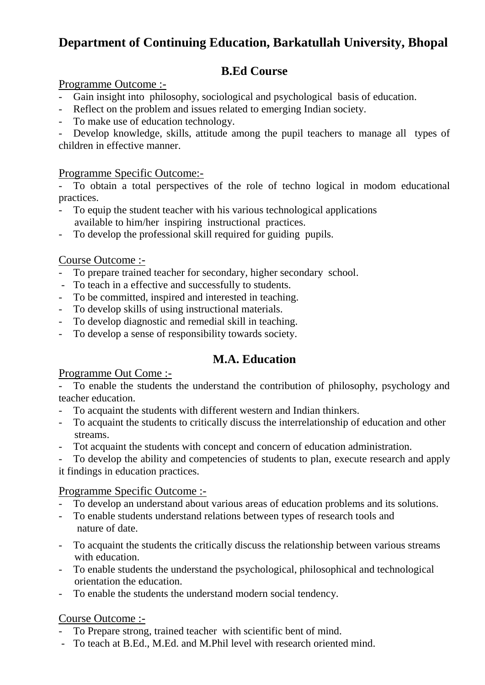# **Department of Continuing Education, Barkatullah University, Bhopal**

# **B.Ed Course**

# Programme Outcome :-

- Gain insight into philosophy, sociological and psychological basis of education.
- Reflect on the problem and issues related to emerging Indian society.
- To make use of education technology.

- Develop knowledge, skills, attitude among the pupil teachers to manage all types of children in effective manner.

# Programme Specific Outcome:-

- To obtain a total perspectives of the role of techno logical in modom educational practices.

- To equip the student teacher with his various technological applications available to him/her inspiring instructional practices.
- To develop the professional skill required for guiding pupils.

# Course Outcome :-

- To prepare trained teacher for secondary, higher secondary school.
- To teach in a effective and successfully to students.
- To be committed, inspired and interested in teaching.
- To develop skills of using instructional materials.
- To develop diagnostic and remedial skill in teaching.
- To develop a sense of responsibility towards society.

# **M.A. Education**

# Programme Out Come :-

To enable the students the understand the contribution of philosophy, psychology and teacher education.

- To acquaint the students with different western and Indian thinkers.
- To acquaint the students to critically discuss the interrelationship of education and other streams.
- Tot acquaint the students with concept and concern of education administration.
- To develop the ability and competencies of students to plan, execute research and apply it findings in education practices.

# Programme Specific Outcome :-

- To develop an understand about various areas of education problems and its solutions.
- To enable students understand relations between types of research tools and nature of date.
- To acquaint the students the critically discuss the relationship between various streams with education.
- To enable students the understand the psychological, philosophical and technological orientation the education.
- To enable the students the understand modern social tendency.

# Course Outcome :-

- To Prepare strong, trained teacher with scientific bent of mind.
- To teach at B.Ed., M.Ed. and M.Phil level with research oriented mind.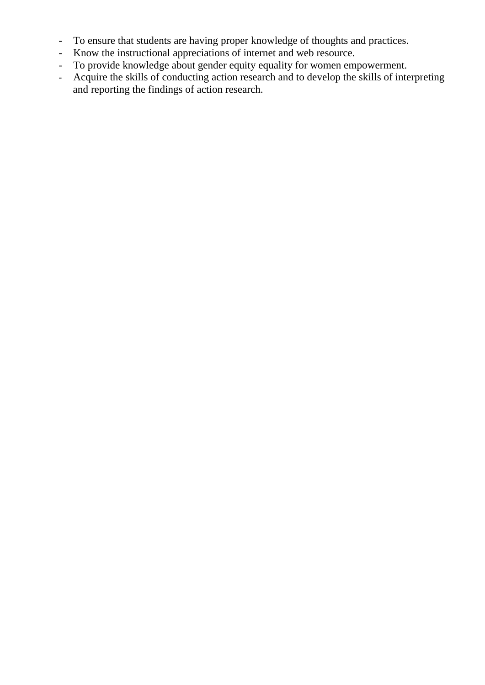- To ensure that students are having proper knowledge of thoughts and practices.
- Know the instructional appreciations of internet and web resource.
- To provide knowledge about gender equity equality for women empowerment.
- Acquire the skills of conducting action research and to develop the skills of interpreting and reporting the findings of action research.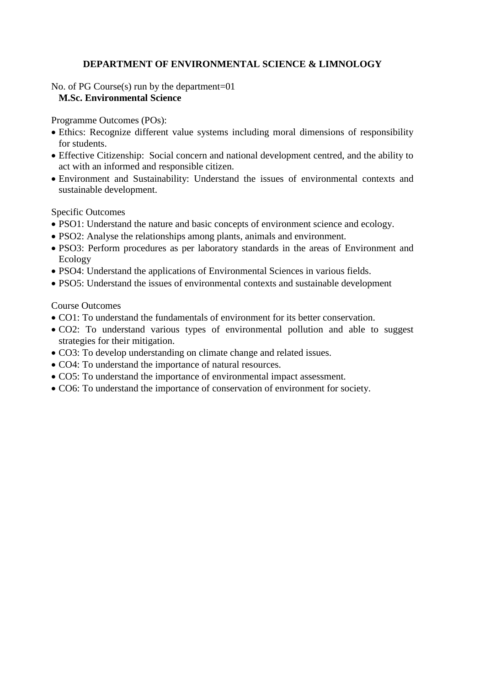### **DEPARTMENT OF ENVIRONMENTAL SCIENCE & LIMNOLOGY**

### No. of PG Course(s) run by the department=01 **M.Sc. Environmental Science**

Programme Outcomes (POs):

- Ethics: Recognize different value systems including moral dimensions of responsibility for students.
- Effective Citizenship: Social concern and national development centred, and the ability to act with an informed and responsible citizen.
- Environment and Sustainability: Understand the issues of environmental contexts and sustainable development.

Specific Outcomes

- PSO1: Understand the nature and basic concepts of environment science and ecology.
- PSO2: Analyse the relationships among plants, animals and environment.
- PSO3: Perform procedures as per laboratory standards in the areas of Environment and Ecology
- PSO4: Understand the applications of Environmental Sciences in various fields.
- PSO5: Understand the issues of environmental contexts and sustainable development

Course Outcomes

- CO1: To understand the fundamentals of environment for its better conservation.
- CO2: To understand various types of environmental pollution and able to suggest strategies for their mitigation.
- CO3: To develop understanding on climate change and related issues.
- CO4: To understand the importance of natural resources.
- CO5: To understand the importance of environmental impact assessment.
- CO6: To understand the importance of conservation of environment for society.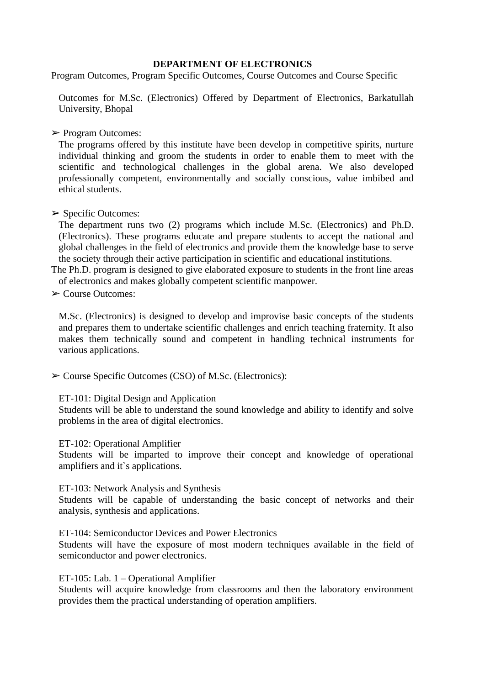#### **DEPARTMENT OF ELECTRONICS**

Program Outcomes, Program Specific Outcomes, Course Outcomes and Course Specific

Outcomes for M.Sc. (Electronics) Offered by Department of Electronics, Barkatullah University, Bhopal

➢ Program Outcomes:

The programs offered by this institute have been develop in competitive spirits, nurture individual thinking and groom the students in order to enable them to meet with the scientific and technological challenges in the global arena. We also developed professionally competent, environmentally and socially conscious, value imbibed and ethical students.

#### $\triangleright$  Specific Outcomes:

The department runs two (2) programs which include M.Sc. (Electronics) and Ph.D. (Electronics). These programs educate and prepare students to accept the national and global challenges in the field of electronics and provide them the knowledge base to serve the society through their active participation in scientific and educational institutions.

The Ph.D. program is designed to give elaborated exposure to students in the front line areas of electronics and makes globally competent scientific manpower.

➢ Course Outcomes:

M.Sc. (Electronics) is designed to develop and improvise basic concepts of the students and prepares them to undertake scientific challenges and enrich teaching fraternity. It also makes them technically sound and competent in handling technical instruments for various applications.

➢ Course Specific Outcomes (CSO) of M.Sc. (Electronics):

#### ET-101: Digital Design and Application

Students will be able to understand the sound knowledge and ability to identify and solve problems in the area of digital electronics.

#### ET-102: Operational Amplifier

Students will be imparted to improve their concept and knowledge of operational amplifiers and it`s applications.

ET-103: Network Analysis and Synthesis

Students will be capable of understanding the basic concept of networks and their analysis, synthesis and applications.

ET-104: Semiconductor Devices and Power Electronics

Students will have the exposure of most modern techniques available in the field of semiconductor and power electronics.

#### ET-105: Lab. 1 – Operational Amplifier

Students will acquire knowledge from classrooms and then the laboratory environment provides them the practical understanding of operation amplifiers.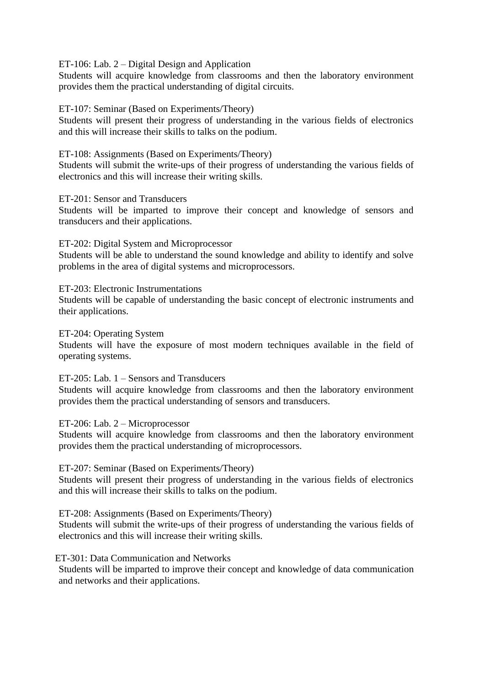ET-106: Lab. 2 – Digital Design and Application

Students will acquire knowledge from classrooms and then the laboratory environment provides them the practical understanding of digital circuits.

#### ET-107: Seminar (Based on Experiments/Theory)

Students will present their progress of understanding in the various fields of electronics and this will increase their skills to talks on the podium.

ET-108: Assignments (Based on Experiments/Theory)

Students will submit the write-ups of their progress of understanding the various fields of electronics and this will increase their writing skills.

ET-201: Sensor and Transducers

Students will be imparted to improve their concept and knowledge of sensors and transducers and their applications.

ET-202: Digital System and Microprocessor

Students will be able to understand the sound knowledge and ability to identify and solve problems in the area of digital systems and microprocessors.

ET-203: Electronic Instrumentations

Students will be capable of understanding the basic concept of electronic instruments and their applications.

ET-204: Operating System

Students will have the exposure of most modern techniques available in the field of operating systems.

ET-205: Lab. 1 – Sensors and Transducers

Students will acquire knowledge from classrooms and then the laboratory environment provides them the practical understanding of sensors and transducers.

ET-206: Lab. 2 – Microprocessor

Students will acquire knowledge from classrooms and then the laboratory environment provides them the practical understanding of microprocessors.

ET-207: Seminar (Based on Experiments/Theory)

Students will present their progress of understanding in the various fields of electronics and this will increase their skills to talks on the podium.

ET-208: Assignments (Based on Experiments/Theory)

Students will submit the write-ups of their progress of understanding the various fields of electronics and this will increase their writing skills.

ET-301: Data Communication and Networks

Students will be imparted to improve their concept and knowledge of data communication and networks and their applications.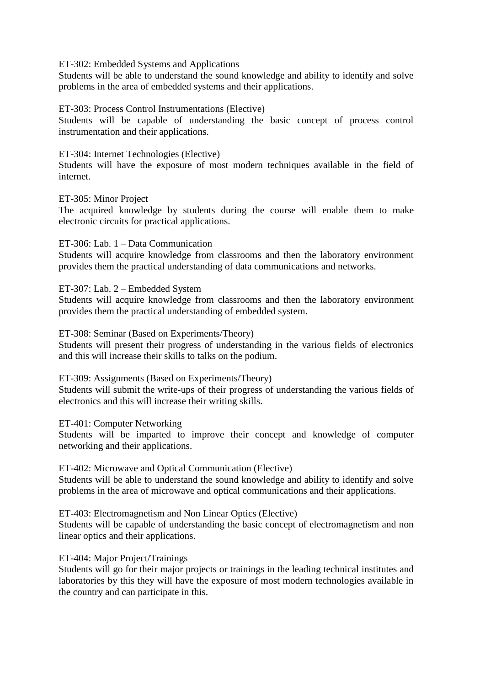ET-302: Embedded Systems and Applications

Students will be able to understand the sound knowledge and ability to identify and solve problems in the area of embedded systems and their applications.

#### ET-303: Process Control Instrumentations (Elective)

Students will be capable of understanding the basic concept of process control instrumentation and their applications.

#### ET-304: Internet Technologies (Elective)

Students will have the exposure of most modern techniques available in the field of internet.

#### ET-305: Minor Project

The acquired knowledge by students during the course will enable them to make electronic circuits for practical applications.

#### ET-306: Lab. 1 – Data Communication

Students will acquire knowledge from classrooms and then the laboratory environment provides them the practical understanding of data communications and networks.

#### ET-307: Lab. 2 – Embedded System

Students will acquire knowledge from classrooms and then the laboratory environment provides them the practical understanding of embedded system.

#### ET-308: Seminar (Based on Experiments/Theory)

Students will present their progress of understanding in the various fields of electronics and this will increase their skills to talks on the podium.

#### ET-309: Assignments (Based on Experiments/Theory)

Students will submit the write-ups of their progress of understanding the various fields of electronics and this will increase their writing skills.

#### ET-401: Computer Networking

Students will be imparted to improve their concept and knowledge of computer networking and their applications.

### ET-402: Microwave and Optical Communication (Elective)

Students will be able to understand the sound knowledge and ability to identify and solve problems in the area of microwave and optical communications and their applications.

#### ET-403: Electromagnetism and Non Linear Optics (Elective)

Students will be capable of understanding the basic concept of electromagnetism and non linear optics and their applications.

#### ET-404: Major Project/Trainings

Students will go for their major projects or trainings in the leading technical institutes and laboratories by this they will have the exposure of most modern technologies available in the country and can participate in this.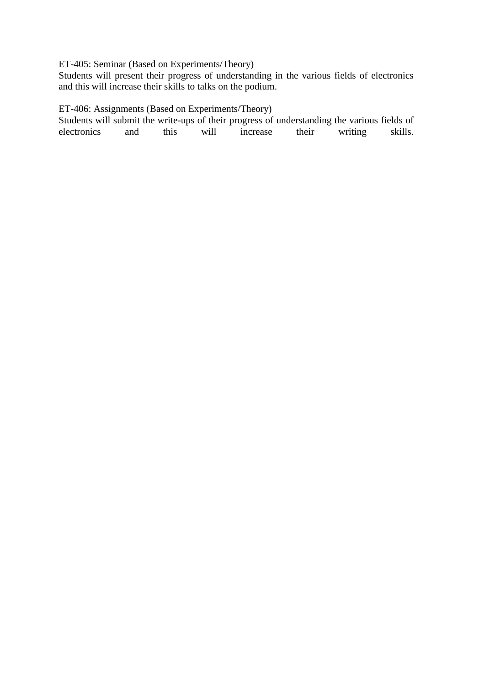# ET-405: Seminar (Based on Experiments/Theory)

Students will present their progress of understanding in the various fields of electronics and this will increase their skills to talks on the podium.

# ET-406: Assignments (Based on Experiments/Theory)

Students will submit the write-ups of their progress of understanding the various fields of electronics and this will increase their writing skills. electronics and this will increase their writing skills.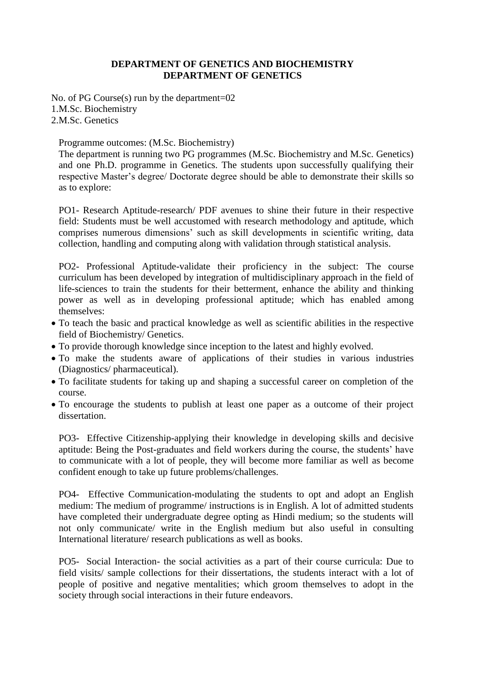#### **DEPARTMENT OF GENETICS AND BIOCHEMISTRY DEPARTMENT OF GENETICS**

No. of PG Course(s) run by the department=02 1.M.Sc. Biochemistry 2.M.Sc. Genetics

Programme outcomes: (M.Sc. Biochemistry)

The department is running two PG programmes (M.Sc. Biochemistry and M.Sc. Genetics) and one Ph.D. programme in Genetics. The students upon successfully qualifying their respective Master's degree/ Doctorate degree should be able to demonstrate their skills so as to explore:

PO1- Research Aptitude-research/ PDF avenues to shine their future in their respective field: Students must be well accustomed with research methodology and aptitude, which comprises numerous dimensions' such as skill developments in scientific writing, data collection, handling and computing along with validation through statistical analysis.

PO2- Professional Aptitude-validate their proficiency in the subject: The course curriculum has been developed by integration of multidisciplinary approach in the field of life-sciences to train the students for their betterment, enhance the ability and thinking power as well as in developing professional aptitude; which has enabled among themselves:

- To teach the basic and practical knowledge as well as scientific abilities in the respective field of Biochemistry/ Genetics.
- To provide thorough knowledge since inception to the latest and highly evolved.
- To make the students aware of applications of their studies in various industries (Diagnostics/ pharmaceutical).
- To facilitate students for taking up and shaping a successful career on completion of the course.
- To encourage the students to publish at least one paper as a outcome of their project dissertation.

PO3- Effective Citizenship-applying their knowledge in developing skills and decisive aptitude: Being the Post-graduates and field workers during the course, the students' have to communicate with a lot of people, they will become more familiar as well as become confident enough to take up future problems/challenges.

PO4- Effective Communication-modulating the students to opt and adopt an English medium: The medium of programme/ instructions is in English. A lot of admitted students have completed their undergraduate degree opting as Hindi medium; so the students will not only communicate/ write in the English medium but also useful in consulting International literature/ research publications as well as books.

PO5- Social Interaction- the social activities as a part of their course curricula: Due to field visits/ sample collections for their dissertations, the students interact with a lot of people of positive and negative mentalities; which groom themselves to adopt in the society through social interactions in their future endeavors.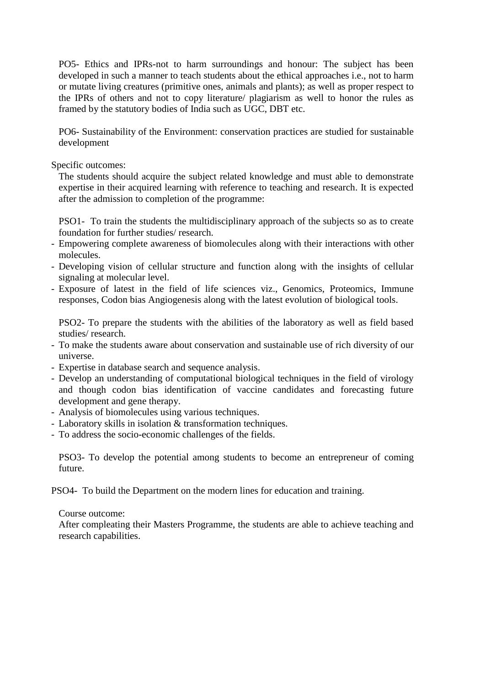PO5- Ethics and IPRs-not to harm surroundings and honour: The subject has been developed in such a manner to teach students about the ethical approaches i.e., not to harm or mutate living creatures (primitive ones, animals and plants); as well as proper respect to the IPRs of others and not to copy literature/ plagiarism as well to honor the rules as framed by the statutory bodies of India such as UGC, DBT etc.

PO6- Sustainability of the Environment: conservation practices are studied for sustainable development

Specific outcomes:

The students should acquire the subject related knowledge and must able to demonstrate expertise in their acquired learning with reference to teaching and research. It is expected after the admission to completion of the programme:

PSO1- To train the students the multidisciplinary approach of the subjects so as to create foundation for further studies/ research.

- Empowering complete awareness of biomolecules along with their interactions with other molecules.
- Developing vision of cellular structure and function along with the insights of cellular signaling at molecular level.
- Exposure of latest in the field of life sciences viz., Genomics, Proteomics, Immune responses, Codon bias Angiogenesis along with the latest evolution of biological tools.

PSO2- To prepare the students with the abilities of the laboratory as well as field based studies/ research.

- To make the students aware about conservation and sustainable use of rich diversity of our universe.
- Expertise in database search and sequence analysis.
- Develop an understanding of computational biological techniques in the field of virology and though codon bias identification of vaccine candidates and forecasting future development and gene therapy.
- Analysis of biomolecules using various techniques.
- Laboratory skills in isolation & transformation techniques.
- To address the socio-economic challenges of the fields.

PSO3- To develop the potential among students to become an entrepreneur of coming future.

PSO4- To build the Department on the modern lines for education and training.

#### Course outcome:

After compleating their Masters Programme, the students are able to achieve teaching and research capabilities.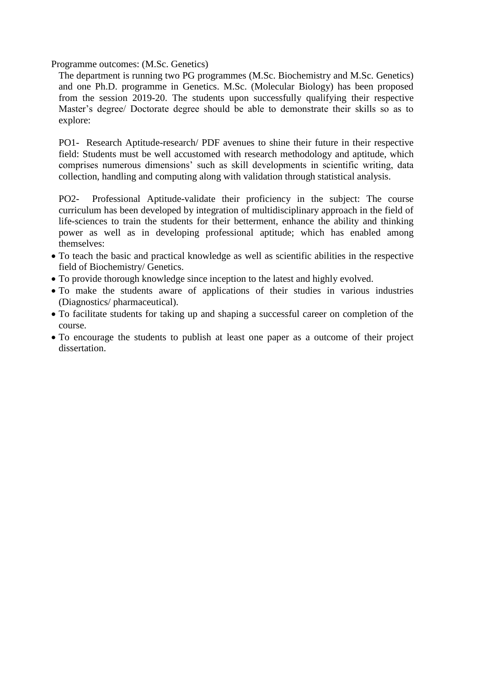Programme outcomes: (M.Sc. Genetics)

The department is running two PG programmes (M.Sc. Biochemistry and M.Sc. Genetics) and one Ph.D. programme in Genetics. M.Sc. (Molecular Biology) has been proposed from the session 2019-20. The students upon successfully qualifying their respective Master's degree/ Doctorate degree should be able to demonstrate their skills so as to explore:

PO1- Research Aptitude-research/ PDF avenues to shine their future in their respective field: Students must be well accustomed with research methodology and aptitude, which comprises numerous dimensions' such as skill developments in scientific writing, data collection, handling and computing along with validation through statistical analysis.

PO2- Professional Aptitude-validate their proficiency in the subject: The course curriculum has been developed by integration of multidisciplinary approach in the field of life-sciences to train the students for their betterment, enhance the ability and thinking power as well as in developing professional aptitude; which has enabled among themselves:

- To teach the basic and practical knowledge as well as scientific abilities in the respective field of Biochemistry/ Genetics.
- To provide thorough knowledge since inception to the latest and highly evolved.
- To make the students aware of applications of their studies in various industries (Diagnostics/ pharmaceutical).
- To facilitate students for taking up and shaping a successful career on completion of the course.
- To encourage the students to publish at least one paper as a outcome of their project dissertation.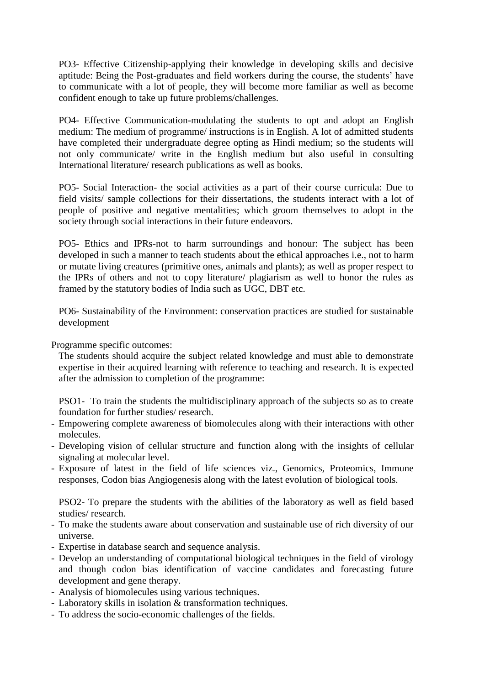PO3- Effective Citizenship-applying their knowledge in developing skills and decisive aptitude: Being the Post-graduates and field workers during the course, the students' have to communicate with a lot of people, they will become more familiar as well as become confident enough to take up future problems/challenges.

PO4- Effective Communication-modulating the students to opt and adopt an English medium: The medium of programme/ instructions is in English. A lot of admitted students have completed their undergraduate degree opting as Hindi medium; so the students will not only communicate/ write in the English medium but also useful in consulting International literature/ research publications as well as books.

PO5- Social Interaction- the social activities as a part of their course curricula: Due to field visits/ sample collections for their dissertations, the students interact with a lot of people of positive and negative mentalities; which groom themselves to adopt in the society through social interactions in their future endeavors.

PO5- Ethics and IPRs-not to harm surroundings and honour: The subject has been developed in such a manner to teach students about the ethical approaches i.e., not to harm or mutate living creatures (primitive ones, animals and plants); as well as proper respect to the IPRs of others and not to copy literature/ plagiarism as well to honor the rules as framed by the statutory bodies of India such as UGC, DBT etc.

PO6- Sustainability of the Environment: conservation practices are studied for sustainable development

Programme specific outcomes:

The students should acquire the subject related knowledge and must able to demonstrate expertise in their acquired learning with reference to teaching and research. It is expected after the admission to completion of the programme:

PSO1- To train the students the multidisciplinary approach of the subjects so as to create foundation for further studies/ research.

- Empowering complete awareness of biomolecules along with their interactions with other molecules.
- Developing vision of cellular structure and function along with the insights of cellular signaling at molecular level.
- Exposure of latest in the field of life sciences viz., Genomics, Proteomics, Immune responses, Codon bias Angiogenesis along with the latest evolution of biological tools.

PSO2- To prepare the students with the abilities of the laboratory as well as field based studies/ research.

- To make the students aware about conservation and sustainable use of rich diversity of our universe.
- Expertise in database search and sequence analysis.
- Develop an understanding of computational biological techniques in the field of virology and though codon bias identification of vaccine candidates and forecasting future development and gene therapy.
- Analysis of biomolecules using various techniques.
- Laboratory skills in isolation & transformation techniques.
- To address the socio-economic challenges of the fields.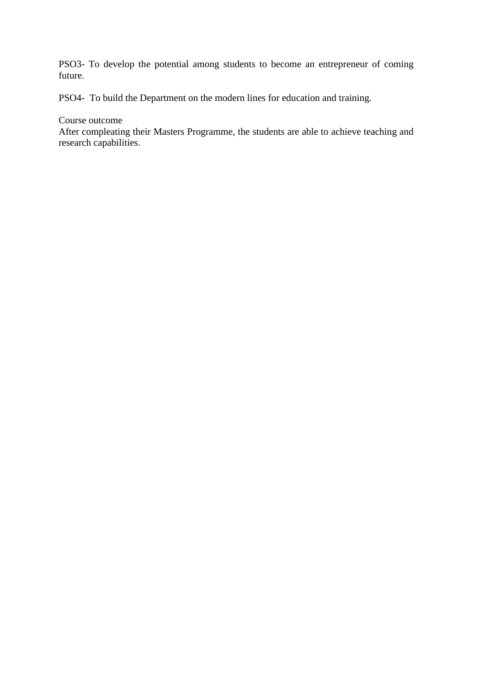PSO3- To develop the potential among students to become an entrepreneur of coming future.

PSO4- To build the Department on the modern lines for education and training.

#### Course outcome

After compleating their Masters Programme, the students are able to achieve teaching and research capabilities.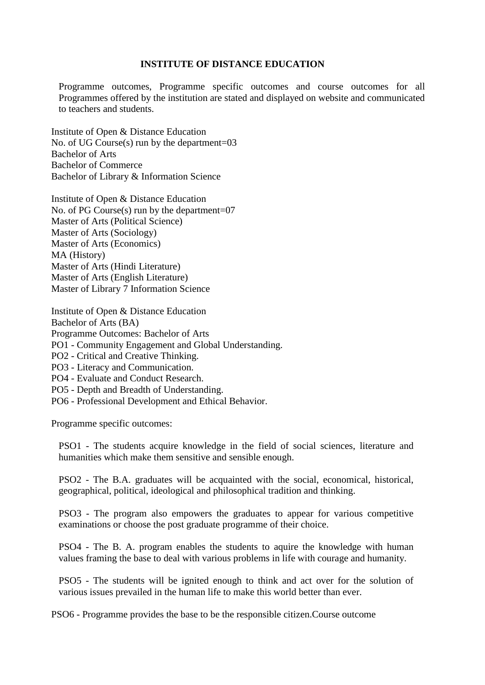### **INSTITUTE OF DISTANCE EDUCATION**

Programme outcomes, Programme specific outcomes and course outcomes for all Programmes offered by the institution are stated and displayed on website and communicated to teachers and students.

Institute of Open & Distance Education No. of UG Course(s) run by the department=03 Bachelor of Arts Bachelor of Commerce Bachelor of Library & Information Science

Institute of Open & Distance Education No. of PG Course(s) run by the department=07 Master of Arts (Political Science) Master of Arts (Sociology) Master of Arts (Economics) MA (History) Master of Arts (Hindi Literature) Master of Arts (English Literature) Master of Library 7 Information Science

Institute of Open & Distance Education Bachelor of Arts (BA) Programme Outcomes: Bachelor of Arts PO1 - Community Engagement and Global Understanding. PO2 - Critical and Creative Thinking. PO3 - Literacy and Communication. PO4 - Evaluate and Conduct Research. PO5 - Depth and Breadth of Understanding.

PO6 - Professional Development and Ethical Behavior.

Programme specific outcomes:

PSO1 - The students acquire knowledge in the field of social sciences, literature and humanities which make them sensitive and sensible enough.

PSO2 - The B.A. graduates will be acquainted with the social, economical, historical, geographical, political, ideological and philosophical tradition and thinking.

PSO3 - The program also empowers the graduates to appear for various competitive examinations or choose the post graduate programme of their choice.

PSO4 - The B. A. program enables the students to aquire the knowledge with human values framing the base to deal with various problems in life with courage and humanity.

PSO5 - The students will be ignited enough to think and act over for the solution of various issues prevailed in the human life to make this world better than ever.

PSO6 - Programme provides the base to be the responsible citizen.Course outcome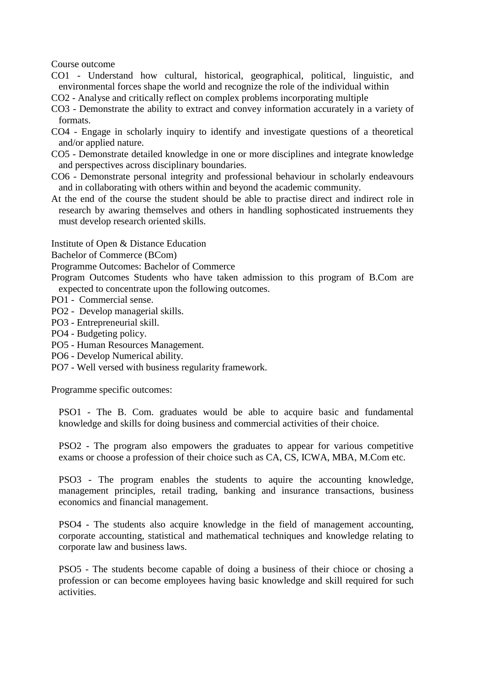Course outcome

- CO1 Understand how cultural, historical, geographical, political, linguistic, and environmental forces shape the world and recognize the role of the individual within
- CO2 Analyse and critically reflect on complex problems incorporating multiple
- CO3 Demonstrate the ability to extract and convey information accurately in a variety of formats.
- CO4 Engage in scholarly inquiry to identify and investigate questions of a theoretical and/or applied nature.
- CO5 Demonstrate detailed knowledge in one or more disciplines and integrate knowledge and perspectives across disciplinary boundaries.
- CO6 Demonstrate personal integrity and professional behaviour in scholarly endeavours and in collaborating with others within and beyond the academic community.
- At the end of the course the student should be able to practise direct and indirect role in research by awaring themselves and others in handling sophosticated instruements they must develop research oriented skills.

Institute of Open & Distance Education

Bachelor of Commerce (BCom)

Programme Outcomes: Bachelor of Commerce

Program Outcomes Students who have taken admission to this program of B.Com are expected to concentrate upon the following outcomes.

- PO1 Commercial sense.
- PO2 Develop managerial skills.
- PO3 Entrepreneurial skill.
- PO4 Budgeting policy.
- PO5 Human Resources Management.
- PO6 Develop Numerical ability.
- PO7 Well versed with business regularity framework.

Programme specific outcomes:

PSO1 - The B. Com. graduates would be able to acquire basic and fundamental knowledge and skills for doing business and commercial activities of their choice.

PSO2 - The program also empowers the graduates to appear for various competitive exams or choose a profession of their choice such as CA, CS, ICWA, MBA, M.Com etc.

PSO3 - The program enables the students to aquire the accounting knowledge, management principles, retail trading, banking and insurance transactions, business economics and financial management.

PSO4 - The students also acquire knowledge in the field of management accounting, corporate accounting, statistical and mathematical techniques and knowledge relating to corporate law and business laws.

PSO5 - The students become capable of doing a business of their chioce or chosing a profession or can become employees having basic knowledge and skill required for such activities.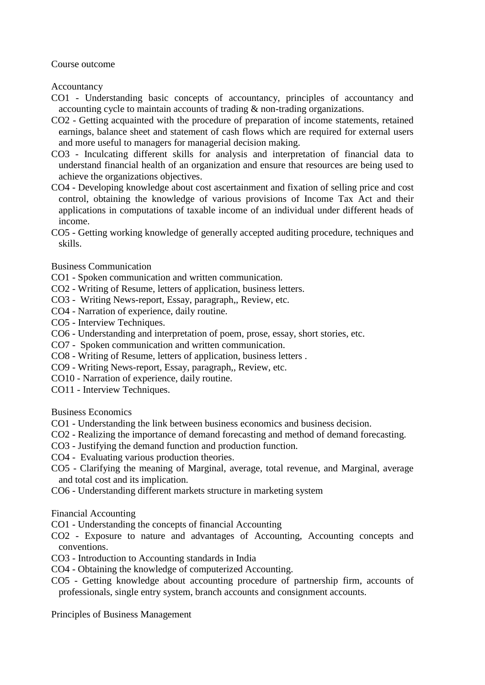Course outcome

**Accountancy** 

- CO1 Understanding basic concepts of accountancy, principles of accountancy and accounting cycle to maintain accounts of trading & non-trading organizations.
- CO2 Getting acquainted with the procedure of preparation of income statements, retained earnings, balance sheet and statement of cash flows which are required for external users and more useful to managers for managerial decision making.
- CO3 Inculcating different skills for analysis and interpretation of financial data to understand financial health of an organization and ensure that resources are being used to achieve the organizations objectives.
- CO4 Developing knowledge about cost ascertainment and fixation of selling price and cost control, obtaining the knowledge of various provisions of Income Tax Act and their applications in computations of taxable income of an individual under different heads of income.

CO5 - Getting working knowledge of generally accepted auditing procedure, techniques and skills.

#### Business Communication

- CO1 Spoken communication and written communication.
- CO2 Writing of Resume, letters of application, business letters.
- CO3 Writing News-report, Essay, paragraph,, Review, etc.
- CO4 Narration of experience, daily routine.
- CO5 Interview Techniques.
- CO6 Understanding and interpretation of poem, prose, essay, short stories, etc.
- CO7 Spoken communication and written communication.
- CO8 Writing of Resume, letters of application, business letters .
- CO9 Writing News-report, Essay, paragraph,, Review, etc.
- CO10 Narration of experience, daily routine.
- CO11 Interview Techniques.

Business Economics

- CO1 Understanding the link between business economics and business decision.
- CO2 Realizing the importance of demand forecasting and method of demand forecasting.
- CO3 Justifying the demand function and production function.
- CO4 Evaluating various production theories.
- CO5 Clarifying the meaning of Marginal, average, total revenue, and Marginal, average and total cost and its implication.
- CO6 Understanding different markets structure in marketing system

#### Financial Accounting

- CO1 Understanding the concepts of financial Accounting
- CO2 Exposure to nature and advantages of Accounting, Accounting concepts and conventions.
- CO3 Introduction to Accounting standards in India
- CO4 Obtaining the knowledge of computerized Accounting.
- CO5 Getting knowledge about accounting procedure of partnership firm, accounts of professionals, single entry system, branch accounts and consignment accounts.

Principles of Business Management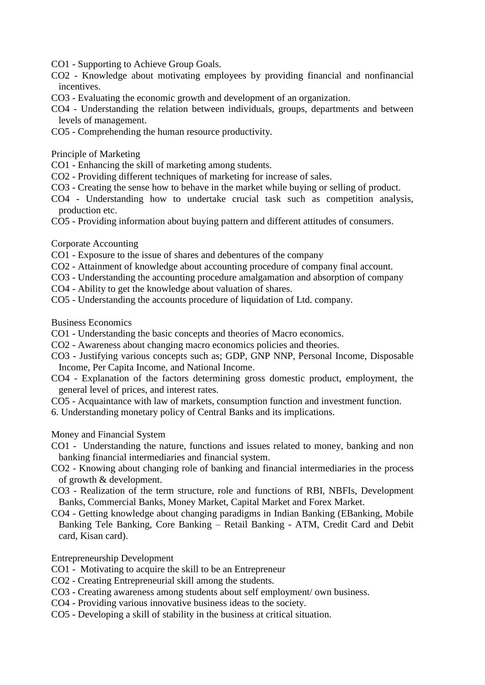- CO1 Supporting to Achieve Group Goals.
- CO2 Knowledge about motivating employees by providing financial and nonfinancial incentives.
- CO3 Evaluating the economic growth and development of an organization.
- CO4 Understanding the relation between individuals, groups, departments and between levels of management.
- CO5 Comprehending the human resource productivity.

Principle of Marketing

- CO1 Enhancing the skill of marketing among students.
- CO2 Providing different techniques of marketing for increase of sales.
- CO3 Creating the sense how to behave in the market while buying or selling of product.
- CO4 Understanding how to undertake crucial task such as competition analysis, production etc.
- CO5 Providing information about buying pattern and different attitudes of consumers.

Corporate Accounting

- CO1 Exposure to the issue of shares and debentures of the company
- CO2 Attainment of knowledge about accounting procedure of company final account.
- CO3 Understanding the accounting procedure amalgamation and absorption of company
- CO4 Ability to get the knowledge about valuation of shares.
- CO5 Understanding the accounts procedure of liquidation of Ltd. company.

Business Economics

- CO1 Understanding the basic concepts and theories of Macro economics.
- CO2 Awareness about changing macro economics policies and theories.
- CO3 Justifying various concepts such as; GDP, GNP NNP, Personal Income, Disposable Income, Per Capita Income, and National Income.
- CO4 Explanation of the factors determining gross domestic product, employment, the general level of prices, and interest rates.
- CO5 Acquaintance with law of markets, consumption function and investment function.
- 6. Understanding monetary policy of Central Banks and its implications.

Money and Financial System

- CO1 Understanding the nature, functions and issues related to money, banking and non banking financial intermediaries and financial system.
- CO2 Knowing about changing role of banking and financial intermediaries in the process of growth & development.
- CO3 Realization of the term structure, role and functions of RBI, NBFIs, Development Banks, Commercial Banks, Money Market, Capital Market and Forex Market.
- CO4 Getting knowledge about changing paradigms in Indian Banking (EBanking, Mobile Banking Tele Banking, Core Banking – Retail Banking - ATM, Credit Card and Debit card, Kisan card).

Entrepreneurship Development

- CO1 Motivating to acquire the skill to be an Entrepreneur
- CO2 Creating Entrepreneurial skill among the students.
- CO3 Creating awareness among students about self employment/ own business.
- CO4 Providing various innovative business ideas to the society.
- CO5 Developing a skill of stability in the business at critical situation.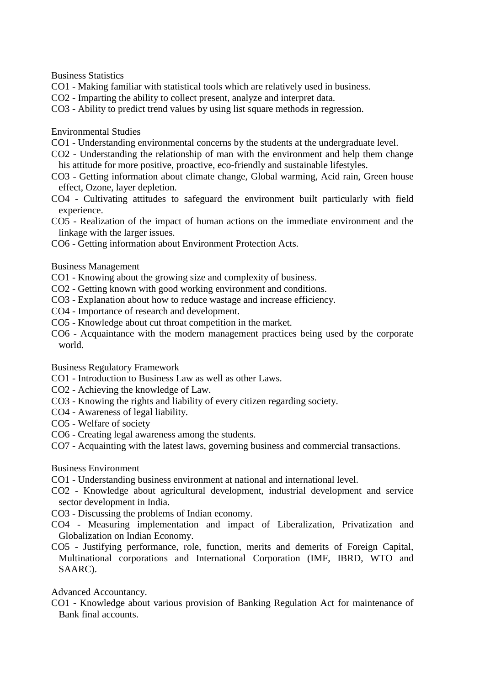Business Statistics

- CO1 Making familiar with statistical tools which are relatively used in business.
- CO2 Imparting the ability to collect present, analyze and interpret data.
- CO3 Ability to predict trend values by using list square methods in regression.

Environmental Studies

- CO1 Understanding environmental concerns by the students at the undergraduate level.
- CO2 Understanding the relationship of man with the environment and help them change his attitude for more positive, proactive, eco-friendly and sustainable lifestyles.
- CO3 Getting information about climate change, Global warming, Acid rain, Green house effect, Ozone, layer depletion.
- CO4 Cultivating attitudes to safeguard the environment built particularly with field experience.
- CO5 Realization of the impact of human actions on the immediate environment and the linkage with the larger issues.
- CO6 Getting information about Environment Protection Acts.

#### Business Management

- CO1 Knowing about the growing size and complexity of business.
- CO2 Getting known with good working environment and conditions.
- CO3 Explanation about how to reduce wastage and increase efficiency.
- CO4 Importance of research and development.
- CO5 Knowledge about cut throat competition in the market.
- CO6 Acquaintance with the modern management practices being used by the corporate world.

Business Regulatory Framework

- CO1 Introduction to Business Law as well as other Laws.
- CO2 Achieving the knowledge of Law.
- CO3 Knowing the rights and liability of every citizen regarding society.
- CO4 Awareness of legal liability.
- CO5 Welfare of society
- CO6 Creating legal awareness among the students.
- CO7 Acquainting with the latest laws, governing business and commercial transactions.

#### Business Environment

- CO1 Understanding business environment at national and international level.
- CO2 Knowledge about agricultural development, industrial development and service sector development in India.
- CO3 Discussing the problems of Indian economy.
- CO4 Measuring implementation and impact of Liberalization, Privatization and Globalization on Indian Economy.
- CO5 Justifying performance, role, function, merits and demerits of Foreign Capital, Multinational corporations and International Corporation (IMF, IBRD, WTO and SAARC).

Advanced Accountancy.

CO1 - Knowledge about various provision of Banking Regulation Act for maintenance of Bank final accounts.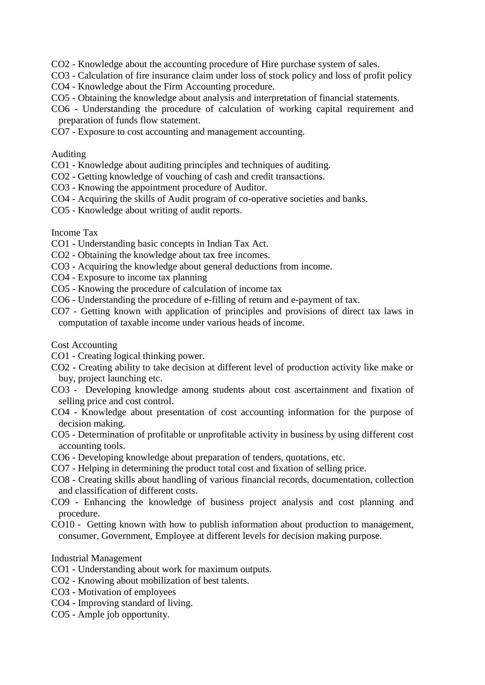CO2 - Knowledge about the accounting procedure of Hire purchase system of sales.

CO3 - Calculation of fire insurance claim under loss of stock policy and loss of profit policy

- CO4 Knowledge about the Firm Accounting procedure.
- CO5 Obtaining the knowledge about analysis and interpretation of financial statements.
- CO6 Understanding the procedure of calculation of working capital requirement and preparation of funds flow statement.
- CO7 Exposure to cost accounting and management accounting.

#### Auditing

- CO1 Knowledge about auditing principles and techniques of auditing.
- CO2 Getting knowledge of vouching of cash and credit transactions.
- CO3 Knowing the appointment procedure of Auditor.
- CO4 Acquiring the skills of Audit program of co-operative societies and banks.
- CO5 Knowledge about writing of audit reports.

#### Income Tax

- CO1 Understanding basic concepts in Indian Tax Act.
- CO2 Obtaining the knowledge about tax free incomes.
- CO3 Acquiring the knowledge about general deductions from income.
- CO4 Exposure to income tax planning
- CO5 Knowing the procedure of calculation of income tax
- CO6 Understanding the procedure of e-filling of return and e-payment of tax.
- CO7 Getting known with application of principles and provisions of direct tax laws in computation of taxable income under various heads of income.

Cost Accounting

- CO1 Creating logical thinking power.
- CO2 Creating ability to take decision at different level of production activity like make or buy, project launching etc.
- CO3 Developing knowledge among students about cost ascertainment and fixation of selling price and cost control.
- CO4 Knowledge about presentation of cost accounting information for the purpose of decision making.
- CO5 Determination of profitable or unprofitable activity in business by using different cost accounting tools.
- CO6 Developing knowledge about preparation of tenders, quotations, etc.
- CO7 Helping in determining the product total cost and fixation of selling price.
- CO8 Creating skills about handling of various financial records, documentation, collection and classification of different costs.
- CO9 Enhancing the knowledge of business project analysis and cost planning and procedure.
- CO10 Getting known with how to publish information about production to management, consumer, Government, Employee at different levels for decision making purpose.

#### Industrial Management

- CO1 Understanding about work for maximum outputs.
- CO2 Knowing about mobilization of best talents.
- CO3 Motivation of employees
- CO4 Improving standard of living.
- CO5 Ample job opportunity.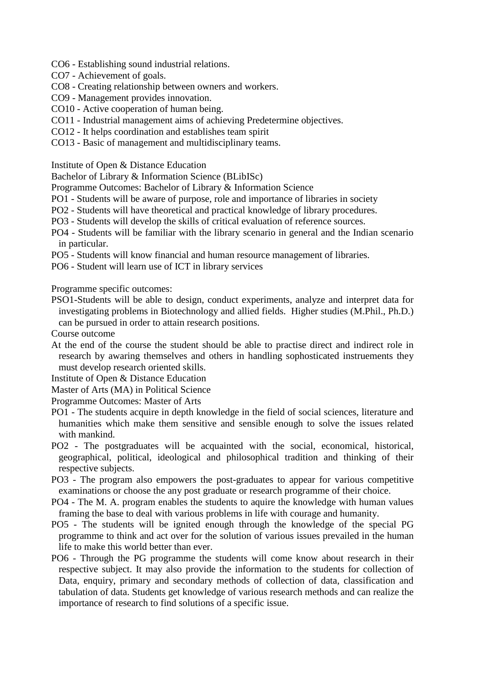- CO6 Establishing sound industrial relations.
- CO7 Achievement of goals.
- CO8 Creating relationship between owners and workers.
- CO9 Management provides innovation.
- CO10 Active cooperation of human being.
- CO11 Industrial management aims of achieving Predetermine objectives.
- CO12 It helps coordination and establishes team spirit
- CO13 Basic of management and multidisciplinary teams.

Institute of Open & Distance Education

Bachelor of Library & Information Science (BLibISc)

Programme Outcomes: Bachelor of Library & Information Science

- PO1 Students will be aware of purpose, role and importance of libraries in society
- PO2 Students will have theoretical and practical knowledge of library procedures.
- PO3 Students will develop the skills of critical evaluation of reference sources.

PO4 - Students will be familiar with the library scenario in general and the Indian scenario in particular.

- PO5 Students will know financial and human resource management of libraries.
- PO6 Student will learn use of ICT in library services

Programme specific outcomes:

PSO1-Students will be able to design, conduct experiments, analyze and interpret data for investigating problems in Biotechnology and allied fields. Higher studies (M.Phil., Ph.D.) can be pursued in order to attain research positions.

Course outcome

At the end of the course the student should be able to practise direct and indirect role in research by awaring themselves and others in handling sophosticated instruements they must develop research oriented skills.

Institute of Open & Distance Education

Master of Arts (MA) in Political Science

Programme Outcomes: Master of Arts

- PO1 The students acquire in depth knowledge in the field of social sciences, literature and humanities which make them sensitive and sensible enough to solve the issues related with mankind.
- PO2 The postgraduates will be acquainted with the social, economical, historical, geographical, political, ideological and philosophical tradition and thinking of their respective subjects.
- PO3 The program also empowers the post-graduates to appear for various competitive examinations or choose the any post graduate or research programme of their choice.
- PO4 The M. A. program enables the students to aquire the knowledge with human values framing the base to deal with various problems in life with courage and humanity.
- PO5 The students will be ignited enough through the knowledge of the special PG programme to think and act over for the solution of various issues prevailed in the human life to make this world better than ever.
- PO6 Through the PG programme the students will come know about research in their respective subject. It may also provide the information to the students for collection of Data, enquiry, primary and secondary methods of collection of data, classification and tabulation of data. Students get knowledge of various research methods and can realize the importance of research to find solutions of a specific issue.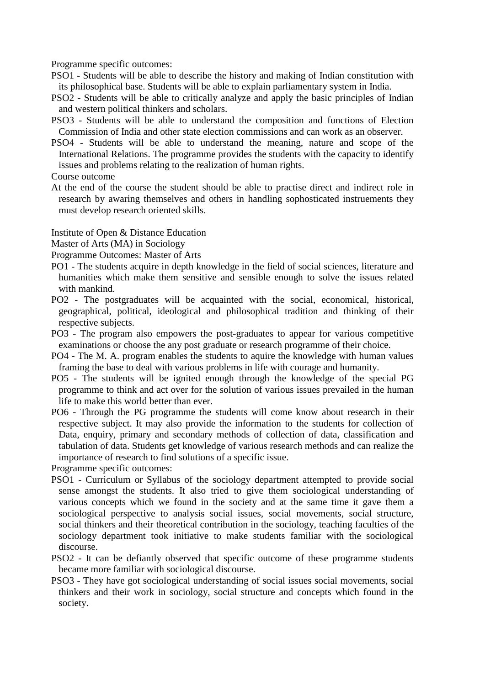Programme specific outcomes:

- PSO1 Students will be able to describe the history and making of Indian constitution with its philosophical base. Students will be able to explain parliamentary system in India.
- PSO2 Students will be able to critically analyze and apply the basic principles of Indian and western political thinkers and scholars.
- PSO3 Students will be able to understand the composition and functions of Election Commission of India and other state election commissions and can work as an observer.
- PSO4 Students will be able to understand the meaning, nature and scope of the International Relations. The programme provides the students with the capacity to identify issues and problems relating to the realization of human rights.

Course outcome

At the end of the course the student should be able to practise direct and indirect role in research by awaring themselves and others in handling sophosticated instruements they must develop research oriented skills.

Institute of Open & Distance Education

Master of Arts (MA) in Sociology

- Programme Outcomes: Master of Arts
- PO1 The students acquire in depth knowledge in the field of social sciences, literature and humanities which make them sensitive and sensible enough to solve the issues related with mankind.
- PO2 The postgraduates will be acquainted with the social, economical, historical, geographical, political, ideological and philosophical tradition and thinking of their respective subjects.
- PO3 The program also empowers the post-graduates to appear for various competitive examinations or choose the any post graduate or research programme of their choice.
- PO4 The M. A. program enables the students to aquire the knowledge with human values framing the base to deal with various problems in life with courage and humanity.
- PO5 The students will be ignited enough through the knowledge of the special PG programme to think and act over for the solution of various issues prevailed in the human life to make this world better than ever.
- PO6 Through the PG programme the students will come know about research in their respective subject. It may also provide the information to the students for collection of Data, enquiry, primary and secondary methods of collection of data, classification and tabulation of data. Students get knowledge of various research methods and can realize the importance of research to find solutions of a specific issue.

Programme specific outcomes:

- PSO1 Curriculum or Syllabus of the sociology department attempted to provide social sense amongst the students. It also tried to give them sociological understanding of various concepts which we found in the society and at the same time it gave them a sociological perspective to analysis social issues, social movements, social structure, social thinkers and their theoretical contribution in the sociology, teaching faculties of the sociology department took initiative to make students familiar with the sociological discourse.
- PSO2 It can be defiantly observed that specific outcome of these programme students became more familiar with sociological discourse.
- PSO3 They have got sociological understanding of social issues social movements, social thinkers and their work in sociology, social structure and concepts which found in the society.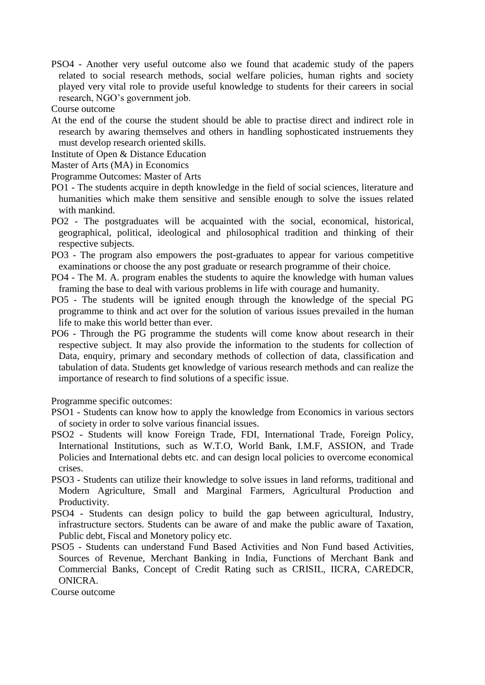PSO4 - Another very useful outcome also we found that academic study of the papers related to social research methods, social welfare policies, human rights and society played very vital role to provide useful knowledge to students for their careers in social research, NGO's government job.

Course outcome

- At the end of the course the student should be able to practise direct and indirect role in research by awaring themselves and others in handling sophosticated instruements they must develop research oriented skills.
- Institute of Open & Distance Education
- Master of Arts (MA) in Economics
- Programme Outcomes: Master of Arts
- PO1 The students acquire in depth knowledge in the field of social sciences, literature and humanities which make them sensitive and sensible enough to solve the issues related with mankind.
- PO2 The postgraduates will be acquainted with the social, economical, historical, geographical, political, ideological and philosophical tradition and thinking of their respective subjects.
- PO3 The program also empowers the post-graduates to appear for various competitive examinations or choose the any post graduate or research programme of their choice.
- PO4 The M. A. program enables the students to aquire the knowledge with human values framing the base to deal with various problems in life with courage and humanity.
- PO5 The students will be ignited enough through the knowledge of the special PG programme to think and act over for the solution of various issues prevailed in the human life to make this world better than ever.
- PO6 Through the PG programme the students will come know about research in their respective subject. It may also provide the information to the students for collection of Data, enquiry, primary and secondary methods of collection of data, classification and tabulation of data. Students get knowledge of various research methods and can realize the importance of research to find solutions of a specific issue.

Programme specific outcomes:

- PSO1 Students can know how to apply the knowledge from Economics in various sectors of society in order to solve various financial issues.
- PSO2 Students will know Foreign Trade, FDI, International Trade, Foreign Policy, International Institutions, such as W.T.O, World Bank, I.M.F, ASSION, and Trade Policies and International debts etc. and can design local policies to overcome economical crises.
- PSO3 Students can utilize their knowledge to solve issues in land reforms, traditional and Modern Agriculture, Small and Marginal Farmers, Agricultural Production and Productivity.
- PSO4 Students can design policy to build the gap between agricultural, Industry, infrastructure sectors. Students can be aware of and make the public aware of Taxation, Public debt, Fiscal and Monetory policy etc.
- PSO5 Students can understand Fund Based Activities and Non Fund based Activities, Sources of Revenue, Merchant Banking in India, Functions of Merchant Bank and Commercial Banks, Concept of Credit Rating such as CRISIL, IICRA, CAREDCR, ONICRA.

Course outcome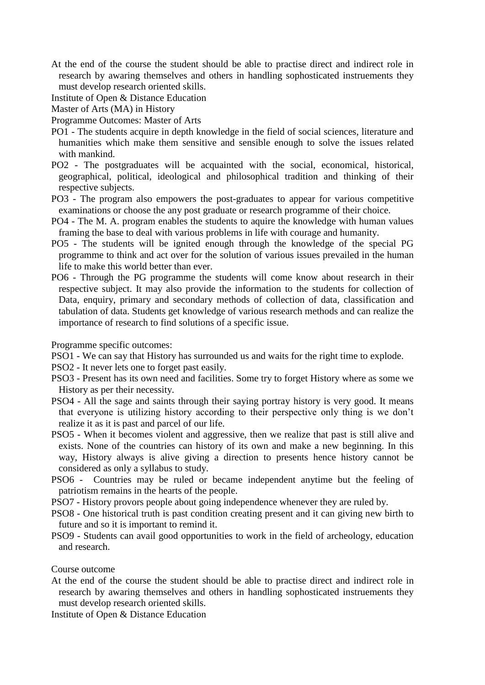- At the end of the course the student should be able to practise direct and indirect role in research by awaring themselves and others in handling sophosticated instruements they must develop research oriented skills.
- Institute of Open & Distance Education

Master of Arts (MA) in History

- Programme Outcomes: Master of Arts
- PO1 The students acquire in depth knowledge in the field of social sciences, literature and humanities which make them sensitive and sensible enough to solve the issues related with mankind.
- PO2 The postgraduates will be acquainted with the social, economical, historical, geographical, political, ideological and philosophical tradition and thinking of their respective subjects.
- PO3 The program also empowers the post-graduates to appear for various competitive examinations or choose the any post graduate or research programme of their choice.
- PO4 The M. A. program enables the students to aquire the knowledge with human values framing the base to deal with various problems in life with courage and humanity.
- PO5 The students will be ignited enough through the knowledge of the special PG programme to think and act over for the solution of various issues prevailed in the human life to make this world better than ever.
- PO6 Through the PG programme the students will come know about research in their respective subject. It may also provide the information to the students for collection of Data, enquiry, primary and secondary methods of collection of data, classification and tabulation of data. Students get knowledge of various research methods and can realize the importance of research to find solutions of a specific issue.

Programme specific outcomes:

PSO1 - We can say that History has surrounded us and waits for the right time to explode.

PSO2 - It never lets one to forget past easily.

- PSO3 Present has its own need and facilities. Some try to forget History where as some we History as per their necessity.
- PSO4 All the sage and saints through their saying portray history is very good. It means that everyone is utilizing history according to their perspective only thing is we don't realize it as it is past and parcel of our life.
- PSO5 When it becomes violent and aggressive, then we realize that past is still alive and exists. None of the countries can history of its own and make a new beginning. In this way, History always is alive giving a direction to presents hence history cannot be considered as only a syllabus to study.
- PSO6 Countries may be ruled or became independent anytime but the feeling of patriotism remains in the hearts of the people.
- PSO7 History provors people about going independence whenever they are ruled by.
- PSO8 One historical truth is past condition creating present and it can giving new birth to future and so it is important to remind it.
- PSO9 Students can avail good opportunities to work in the field of archeology, education and research.

Course outcome

At the end of the course the student should be able to practise direct and indirect role in research by awaring themselves and others in handling sophosticated instruements they must develop research oriented skills.

Institute of Open & Distance Education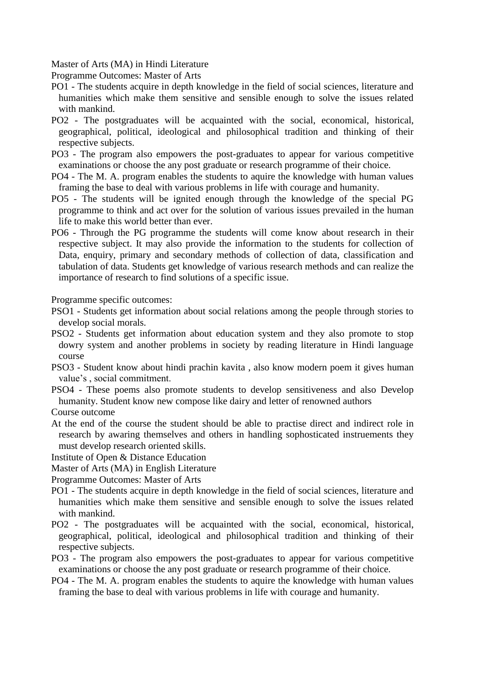Master of Arts (MA) in Hindi Literature

Programme Outcomes: Master of Arts

- PO1 The students acquire in depth knowledge in the field of social sciences, literature and humanities which make them sensitive and sensible enough to solve the issues related with mankind.
- PO2 The postgraduates will be acquainted with the social, economical, historical, geographical, political, ideological and philosophical tradition and thinking of their respective subjects.
- PO3 The program also empowers the post-graduates to appear for various competitive examinations or choose the any post graduate or research programme of their choice.
- PO4 The M. A. program enables the students to aquire the knowledge with human values framing the base to deal with various problems in life with courage and humanity.
- PO5 The students will be ignited enough through the knowledge of the special PG programme to think and act over for the solution of various issues prevailed in the human life to make this world better than ever.
- PO6 Through the PG programme the students will come know about research in their respective subject. It may also provide the information to the students for collection of Data, enquiry, primary and secondary methods of collection of data, classification and tabulation of data. Students get knowledge of various research methods and can realize the importance of research to find solutions of a specific issue.

Programme specific outcomes:

- PSO1 Students get information about social relations among the people through stories to develop social morals.
- PSO2 Students get information about education system and they also promote to stop dowry system and another problems in society by reading literature in Hindi language course
- PSO3 Student know about hindi prachin kavita , also know modern poem it gives human value's , social commitment.
- PSO4 These poems also promote students to develop sensitiveness and also Develop humanity. Student know new compose like dairy and letter of renowned authors

Course outcome

- At the end of the course the student should be able to practise direct and indirect role in research by awaring themselves and others in handling sophosticated instruements they must develop research oriented skills.
- Institute of Open & Distance Education

Master of Arts (MA) in English Literature

Programme Outcomes: Master of Arts

- PO1 The students acquire in depth knowledge in the field of social sciences, literature and humanities which make them sensitive and sensible enough to solve the issues related with mankind.
- PO2 The postgraduates will be acquainted with the social, economical, historical, geographical, political, ideological and philosophical tradition and thinking of their respective subjects.
- PO3 The program also empowers the post-graduates to appear for various competitive examinations or choose the any post graduate or research programme of their choice.
- PO4 The M. A. program enables the students to aquire the knowledge with human values framing the base to deal with various problems in life with courage and humanity.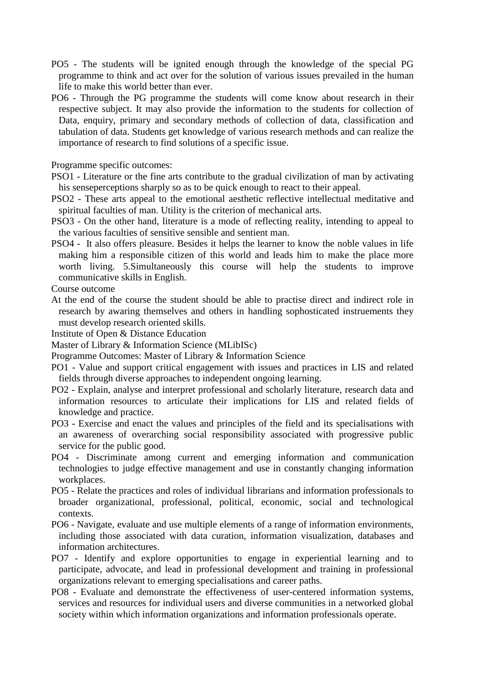- PO5 The students will be ignited enough through the knowledge of the special PG programme to think and act over for the solution of various issues prevailed in the human life to make this world better than ever.
- PO6 Through the PG programme the students will come know about research in their respective subject. It may also provide the information to the students for collection of Data, enquiry, primary and secondary methods of collection of data, classification and tabulation of data. Students get knowledge of various research methods and can realize the importance of research to find solutions of a specific issue.

Programme specific outcomes:

- PSO1 Literature or the fine arts contribute to the gradual civilization of man by activating his senseperceptions sharply so as to be quick enough to react to their appeal.
- PSO2 These arts appeal to the emotional aesthetic reflective intellectual meditative and spiritual faculties of man. Utility is the criterion of mechanical arts.
- PSO3 On the other hand, literature is a mode of reflecting reality, intending to appeal to the various faculties of sensitive sensible and sentient man.
- PSO4 It also offers pleasure. Besides it helps the learner to know the noble values in life making him a responsible citizen of this world and leads him to make the place more worth living. 5.Simultaneously this course will help the students to improve communicative skills in English.

Course outcome

At the end of the course the student should be able to practise direct and indirect role in research by awaring themselves and others in handling sophosticated instruements they must develop research oriented skills.

Institute of Open & Distance Education

Master of Library & Information Science (MLibISc)

Programme Outcomes: Master of Library & Information Science

- PO1 Value and support critical engagement with issues and practices in LIS and related fields through diverse approaches to independent ongoing learning.
- PO2 Explain, analyse and interpret professional and scholarly literature, research data and information resources to articulate their implications for LIS and related fields of knowledge and practice.
- PO3 Exercise and enact the values and principles of the field and its specialisations with an awareness of overarching social responsibility associated with progressive public service for the public good.
- PO4 Discriminate among current and emerging information and communication technologies to judge effective management and use in constantly changing information workplaces.
- PO5 Relate the practices and roles of individual librarians and information professionals to broader organizational, professional, political, economic, social and technological contexts.
- PO6 Navigate, evaluate and use multiple elements of a range of information environments, including those associated with data curation, information visualization, databases and information architectures.
- PO7 Identify and explore opportunities to engage in experiential learning and to participate, advocate, and lead in professional development and training in professional organizations relevant to emerging specialisations and career paths.
- PO8 Evaluate and demonstrate the effectiveness of user-centered information systems, services and resources for individual users and diverse communities in a networked global society within which information organizations and information professionals operate.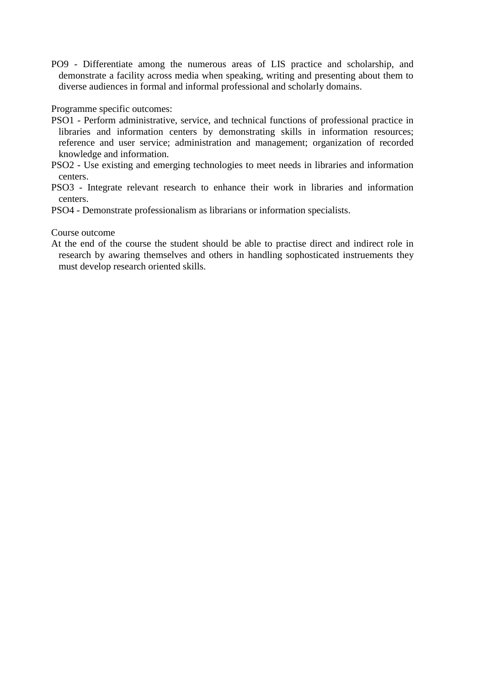PO9 - Differentiate among the numerous areas of LIS practice and scholarship, and demonstrate a facility across media when speaking, writing and presenting about them to diverse audiences in formal and informal professional and scholarly domains.

Programme specific outcomes:

- PSO1 Perform administrative, service, and technical functions of professional practice in libraries and information centers by demonstrating skills in information resources; reference and user service; administration and management; organization of recorded knowledge and information.
- PSO2 Use existing and emerging technologies to meet needs in libraries and information centers.
- PSO3 Integrate relevant research to enhance their work in libraries and information centers.
- PSO4 Demonstrate professionalism as librarians or information specialists.

Course outcome

At the end of the course the student should be able to practise direct and indirect role in research by awaring themselves and others in handling sophosticated instruements they must develop research oriented skills.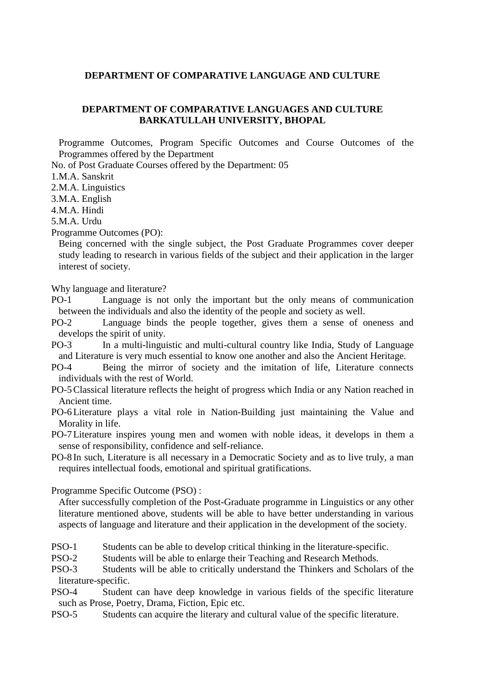#### **DEPARTMENT OF COMPARATIVE LANGUAGE AND CULTURE**

### **DEPARTMENT OF COMPARATIVE LANGUAGES AND CULTURE BARKATULLAH UNIVERSITY, BHOPAL**

Programme Outcomes, Program Specific Outcomes and Course Outcomes of the Programmes offered by the Department

No. of Post Graduate Courses offered by the Department: 05

1.M.A. Sanskrit

2.M.A. Linguistics

3.M.A. English

4.M.A. Hindi

5.M.A. Urdu

Programme Outcomes (PO):

Being concerned with the single subject, the Post Graduate Programmes cover deeper study leading to research in various fields of the subject and their application in the larger interest of society.

Why language and literature?

PO-1 Language is not only the important but the only means of communication between the individuals and also the identity of the people and society as well.

PO-2 Language binds the people together, gives them a sense of oneness and develops the spirit of unity.

PO-3 In a multi-linguistic and multi-cultural country like India, Study of Language and Literature is very much essential to know one another and also the Ancient Heritage.

- PO-4 Being the mirror of society and the imitation of life, Literature connects individuals with the rest of World.
- PO-5Classical literature reflects the height of progress which India or any Nation reached in Ancient time.
- PO-6Literature plays a vital role in Nation-Building just maintaining the Value and Morality in life.

PO-7Literature inspires young men and women with noble ideas, it develops in them a sense of responsibility, confidence and self-reliance.

PO-8 In such, Literature is all necessary in a Democratic Society and as to live truly, a man requires intellectual foods, emotional and spiritual gratifications.

Programme Specific Outcome (PSO) :

After successfully completion of the Post-Graduate programme in Linguistics or any other literature mentioned above, students will be able to have better understanding in various aspects of language and literature and their application in the development of the society.

PSO-1 Students can be able to develop critical thinking in the literature-specific.

PSO-2 Students will be able to enlarge their Teaching and Research Methods.

PSO-3 Students will be able to critically understand the Thinkers and Scholars of the literature-specific.

PSO-4 Student can have deep knowledge in various fields of the specific literature such as Prose, Poetry, Drama, Fiction, Epic etc.

PSO-5 Students can acquire the literary and cultural value of the specific literature.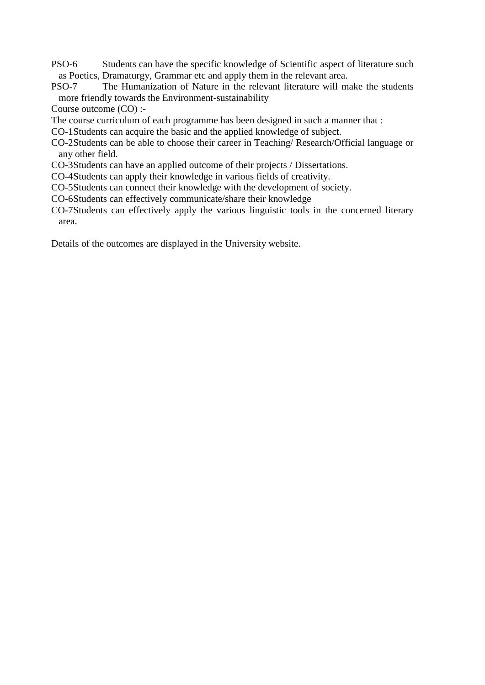- PSO-6 Students can have the specific knowledge of Scientific aspect of literature such as Poetics, Dramaturgy, Grammar etc and apply them in the relevant area.<br>PSO-7 The Humanization of Nature in the relevant literature will may
- The Humanization of Nature in the relevant literature will make the students more friendly towards the Environment-sustainability

Course outcome (CO) :-

- The course curriculum of each programme has been designed in such a manner that :
- CO-1Students can acquire the basic and the applied knowledge of subject.
- CO-2Students can be able to choose their career in Teaching/ Research/Official language or any other field.
- CO-3Students can have an applied outcome of their projects / Dissertations.
- CO-4Students can apply their knowledge in various fields of creativity.
- CO-5Students can connect their knowledge with the development of society.
- CO-6Students can effectively communicate/share their knowledge
- CO-7Students can effectively apply the various linguistic tools in the concerned literary area.

Details of the outcomes are displayed in the University website.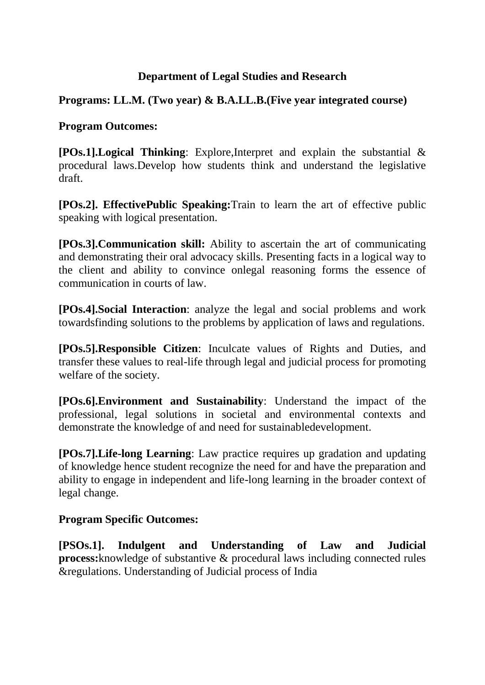# **Department of Legal Studies and Research**

# **Programs: LL.M. (Two year) & B.A.LL.B.(Five year integrated course)**

# **Program Outcomes:**

**[POs.1].Logical Thinking**: Explore,Interpret and explain the substantial & procedural laws.Develop how students think and understand the legislative draft.

**[POs.2]. EffectivePublic Speaking:**Train to learn the art of effective public speaking with logical presentation.

**[POs.3].Communication skill:** Ability to ascertain the art of communicating and demonstrating their oral advocacy skills. Presenting facts in a logical way to the client and ability to convince onlegal reasoning forms the essence of communication in courts of law.

**[POs.4].Social Interaction**: analyze the legal and social problems and work towardsfinding solutions to the problems by application of laws and regulations.

**[POs.5].Responsible Citizen**: Inculcate values of Rights and Duties, and transfer these values to real-life through legal and judicial process for promoting welfare of the society.

**[POs.6].Environment and Sustainability**: Understand the impact of the professional, legal solutions in societal and environmental contexts and demonstrate the knowledge of and need for sustainabledevelopment.

**[POs.7].Life-long Learning**: Law practice requires up gradation and updating of knowledge hence student recognize the need for and have the preparation and ability to engage in independent and life-long learning in the broader context of legal change.

# **Program Specific Outcomes:**

**[PSOs.1]. Indulgent and Understanding of Law and Judicial process:**knowledge of substantive & procedural laws including connected rules &regulations. Understanding of Judicial process of India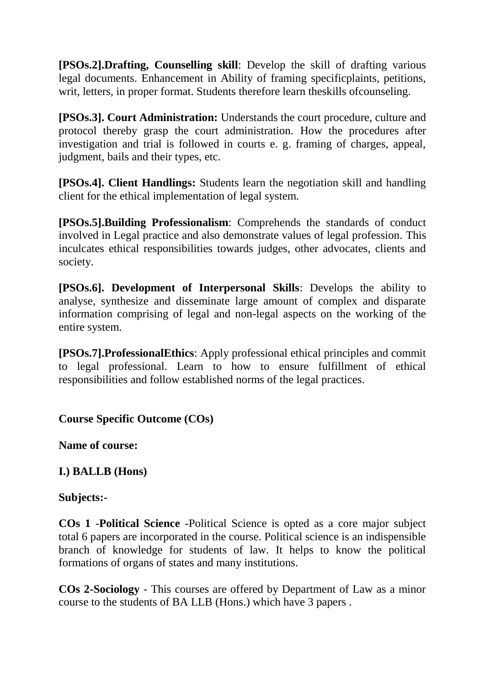**[PSOs.2].Drafting, Counselling skill**: Develop the skill of drafting various legal documents. Enhancement in Ability of framing specificplaints, petitions, writ, letters, in proper format. Students therefore learn theskills ofcounseling.

**[PSOs.3]. Court Administration:** Understands the court procedure, culture and protocol thereby grasp the court administration. How the procedures after investigation and trial is followed in courts e. g. framing of charges, appeal, judgment, bails and their types, etc.

**[PSOs.4]. Client Handlings:** Students learn the negotiation skill and handling client for the ethical implementation of legal system.

**[PSOs.5].Building Professionalism**: Comprehends the standards of conduct involved in Legal practice and also demonstrate values of legal profession. This inculcates ethical responsibilities towards judges, other advocates, clients and society.

**[PSOs.6]. Development of Interpersonal Skills**: Develops the ability to analyse, synthesize and disseminate large amount of complex and disparate information comprising of legal and non-legal aspects on the working of the entire system.

**[PSOs.7].ProfessionalEthics**: Apply professional ethical principles and commit to legal professional. Learn to how to ensure fulfillment of ethical responsibilities and follow established norms of the legal practices.

**Course Specific Outcome (COs)**

**Name of course:**

# **I.) BALLB (Hons)**

# **Subjects:-**

**COs 1** -**Political Science** -Political Science is opted as a core major subject total 6 papers are incorporated in the course. Political science is an indispensible branch of knowledge for students of law. It helps to know the political formations of organs of states and many institutions.

**COs 2-Sociology** - This courses are offered by Department of Law as a minor course to the students of BA LLB (Hons.) which have 3 papers .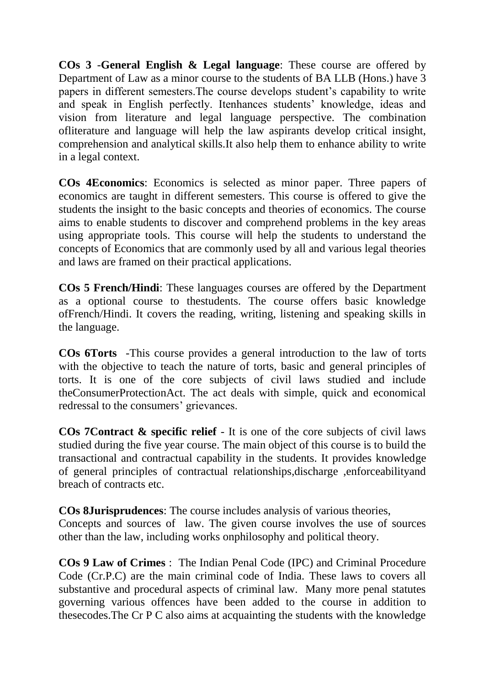**COs 3** -**General English & Legal language**: These course are offered by Department of Law as a minor course to the students of BA LLB (Hons.) have 3 papers in different semesters.The course develops student's capability to write and speak in English perfectly. Itenhances students' knowledge, ideas and vision from literature and legal language perspective. The combination ofliterature and language will help the law aspirants develop critical insight, comprehension and analytical skills.It also help them to enhance ability to write in a legal context.

**COs 4Economics**: Economics is selected as minor paper. Three papers of economics are taught in different semesters. This course is offered to give the students the insight to the basic concepts and theories of economics. The course aims to enable students to discover and comprehend problems in the key areas using appropriate tools. This course will help the students to understand the concepts of Economics that are commonly used by all and various legal theories and laws are framed on their practical applications.

**COs 5 French/Hindi**: These languages courses are offered by the Department as a optional course to thestudents. The course offers basic knowledge ofFrench/Hindi. It covers the reading, writing, listening and speaking skills in the language.

**COs 6Torts** -This course provides a general introduction to the law of torts with the objective to teach the nature of torts, basic and general principles of torts. It is one of the core subjects of civil laws studied and include theConsumerProtectionAct. The act deals with simple, quick and economical redressal to the consumers' grievances.

**COs 7Contract & specific relief** - It is one of the core subjects of civil laws studied during the five year course. The main object of this course is to build the transactional and contractual capability in the students. It provides knowledge of general principles of contractual relationships,discharge ,enforceabilityand breach of contracts etc.

**COs 8Jurisprudences**: The course includes analysis of various theories,

Concepts and sources of law. The given course involves the use of sources other than the law, including works onphilosophy and political theory.

**COs 9 Law of Crimes** : The Indian Penal Code (IPC) and Criminal Procedure Code (Cr.P.C) are the main criminal code of India. These laws to covers all substantive and procedural aspects of criminal law. Many more penal statutes governing various offences have been added to the course in addition to thesecodes.The Cr P C also aims at acquainting the students with the knowledge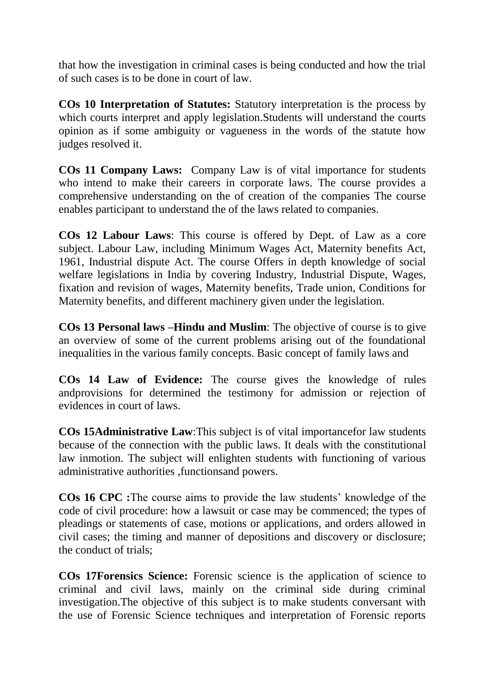that how the investigation in criminal cases is being conducted and how the trial of such cases is to be done in court of law.

**COs 10 Interpretation of Statutes:** Statutory interpretation is the process by which courts interpret and apply legislation.Students will understand the courts opinion as if some ambiguity or vagueness in the words of the statute how judges resolved it.

**COs 11 Company Laws:** Company Law is of vital importance for students who intend to make their careers in corporate laws. The course provides a comprehensive understanding on the of creation of the companies The course enables participant to understand the of the laws related to companies.

**COs 12 Labour Laws**: This course is offered by Dept. of Law as a core subject. Labour Law, including Minimum Wages Act, Maternity benefits Act, 1961, Industrial dispute Act. The course Offers in depth knowledge of social welfare legislations in India by covering Industry, Industrial Dispute, Wages, fixation and revision of wages, Maternity benefits, Trade union, Conditions for Maternity benefits, and different machinery given under the legislation.

**COs 13 Personal laws –Hindu and Muslim**: The objective of course is to give an overview of some of the current problems arising out of the foundational inequalities in the various family concepts. Basic concept of family laws and

**COs 14 Law of Evidence:** The course gives the knowledge of rules andprovisions for determined the testimony for admission or rejection of evidences in court of laws.

**COs 15Administrative Law**:This subject is of vital importancefor law students because of the connection with the public laws. It deals with the constitutional law inmotion. The subject will enlighten students with functioning of various administrative authorities ,functionsand powers.

**COs 16 CPC :**The course aims to provide the law students' knowledge of the code of civil procedure: how a lawsuit or case may be commenced; the types of pleadings or statements of case, motions or applications, and orders allowed in civil cases; the timing and manner of depositions and discovery or disclosure; the conduct of trials;

**COs 17Forensics Science:** Forensic science is the application of science to criminal and civil laws, mainly on the criminal side during criminal investigation.The objective of this subject is to make students conversant with the use of Forensic Science techniques and interpretation of Forensic reports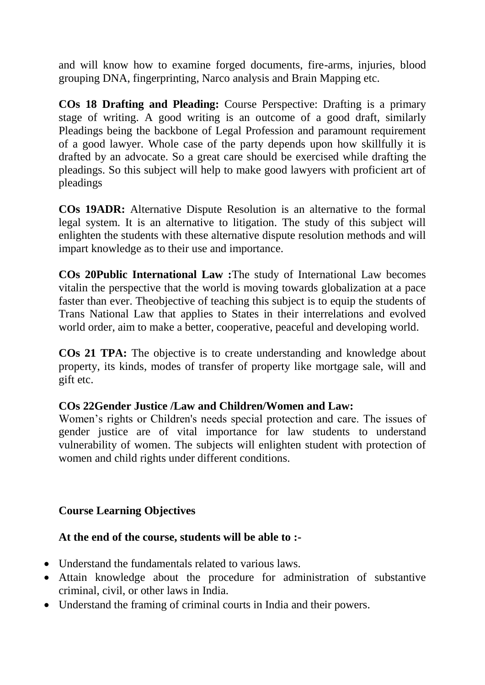and will know how to examine forged documents, fire-arms, injuries, blood grouping DNA, fingerprinting, Narco analysis and Brain Mapping etc.

**COs 18 Drafting and Pleading:** Course Perspective: Drafting is a primary stage of writing. A good writing is an outcome of a good draft, similarly Pleadings being the backbone of Legal Profession and paramount requirement of a good lawyer. Whole case of the party depends upon how skillfully it is drafted by an advocate. So a great care should be exercised while drafting the pleadings. So this subject will help to make good lawyers with proficient art of pleadings

**COs 19ADR:** Alternative Dispute Resolution is an alternative to the formal legal system. It is an alternative to litigation. The study of this subject will enlighten the students with these alternative dispute resolution methods and will impart knowledge as to their use and importance.

**COs 20Public International Law :**The study of International Law becomes vitalin the perspective that the world is moving towards globalization at a pace faster than ever. Theobjective of teaching this subject is to equip the students of Trans National Law that applies to States in their interrelations and evolved world order, aim to make a better, cooperative, peaceful and developing world.

**COs 21 TPA:** The objective is to create understanding and knowledge about property, its kinds, modes of transfer of property like mortgage sale, will and gift etc.

# **COs 22Gender Justice /Law and Children/Women and Law:**

Women's rights or Children's needs special protection and care. The issues of gender justice are of vital importance for law students to understand vulnerability of women. The subjects will enlighten student with protection of women and child rights under different conditions.

# **Course Learning Objectives**

# **At the end of the course, students will be able to :-**

- Understand the fundamentals related to various laws.
- Attain knowledge about the procedure for administration of substantive criminal, civil, or other laws in India.
- Understand the framing of criminal courts in India and their powers.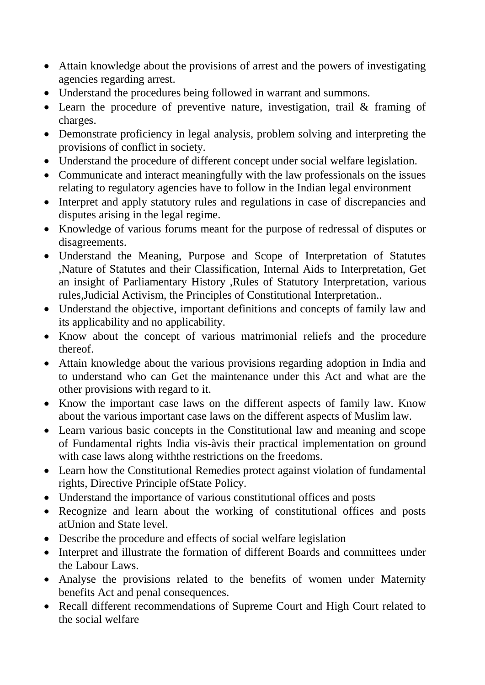- Attain knowledge about the provisions of arrest and the powers of investigating agencies regarding arrest.
- Understand the procedures being followed in warrant and summons.
- Learn the procedure of preventive nature, investigation, trail & framing of charges.
- Demonstrate proficiency in legal analysis, problem solving and interpreting the provisions of conflict in society.
- Understand the procedure of different concept under social welfare legislation.
- Communicate and interact meaningfully with the law professionals on the issues relating to regulatory agencies have to follow in the Indian legal environment
- Interpret and apply statutory rules and regulations in case of discrepancies and disputes arising in the legal regime.
- Knowledge of various forums meant for the purpose of redressal of disputes or disagreements.
- Understand the Meaning, Purpose and Scope of Interpretation of Statutes ,Nature of Statutes and their Classification, Internal Aids to Interpretation, Get an insight of Parliamentary History ,Rules of Statutory Interpretation, various rules,Judicial Activism, the Principles of Constitutional Interpretation..
- Understand the objective, important definitions and concepts of family law and its applicability and no applicability.
- Know about the concept of various matrimonial reliefs and the procedure thereof.
- Attain knowledge about the various provisions regarding adoption in India and to understand who can Get the maintenance under this Act and what are the other provisions with regard to it.
- Know the important case laws on the different aspects of family law. Know about the various important case laws on the different aspects of Muslim law.
- Learn various basic concepts in the Constitutional law and meaning and scope of Fundamental rights India vis-àvis their practical implementation on ground with case laws along withthe restrictions on the freedoms.
- Learn how the Constitutional Remedies protect against violation of fundamental rights, Directive Principle ofState Policy.
- Understand the importance of various constitutional offices and posts
- Recognize and learn about the working of constitutional offices and posts atUnion and State level.
- Describe the procedure and effects of social welfare legislation
- Interpret and illustrate the formation of different Boards and committees under the Labour Laws.
- Analyse the provisions related to the benefits of women under Maternity benefits Act and penal consequences.
- Recall different recommendations of Supreme Court and High Court related to the social welfare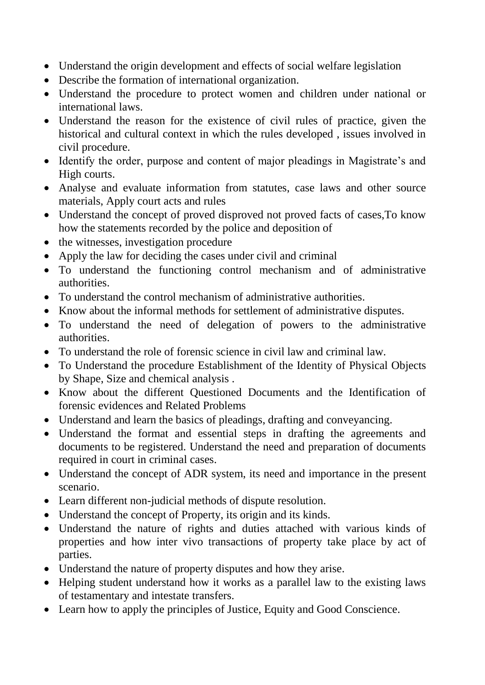- Understand the origin development and effects of social welfare legislation
- Describe the formation of international organization.
- Understand the procedure to protect women and children under national or international laws.
- Understand the reason for the existence of civil rules of practice, given the historical and cultural context in which the rules developed , issues involved in civil procedure.
- Identify the order, purpose and content of major pleadings in Magistrate's and High courts.
- Analyse and evaluate information from statutes, case laws and other source materials, Apply court acts and rules
- Understand the concept of proved disproved not proved facts of cases,To know how the statements recorded by the police and deposition of
- the witnesses, investigation procedure
- Apply the law for deciding the cases under civil and criminal
- To understand the functioning control mechanism and of administrative authorities.
- To understand the control mechanism of administrative authorities.
- Know about the informal methods for settlement of administrative disputes.
- To understand the need of delegation of powers to the administrative authorities.
- To understand the role of forensic science in civil law and criminal law.
- To Understand the procedure Establishment of the Identity of Physical Objects by Shape, Size and chemical analysis .
- Know about the different Questioned Documents and the Identification of forensic evidences and Related Problems
- Understand and learn the basics of pleadings, drafting and conveyancing.
- Understand the format and essential steps in drafting the agreements and documents to be registered. Understand the need and preparation of documents required in court in criminal cases.
- Understand the concept of ADR system, its need and importance in the present scenario.
- Learn different non-judicial methods of dispute resolution.
- Understand the concept of Property, its origin and its kinds.
- Understand the nature of rights and duties attached with various kinds of properties and how inter vivo transactions of property take place by act of parties.
- Understand the nature of property disputes and how they arise.
- Helping student understand how it works as a parallel law to the existing laws of testamentary and intestate transfers.
- Learn how to apply the principles of Justice, Equity and Good Conscience.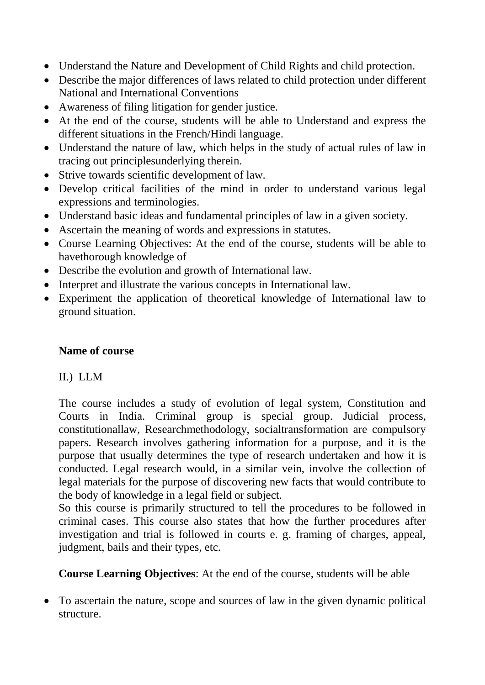- Understand the Nature and Development of Child Rights and child protection.
- Describe the major differences of laws related to child protection under different National and International Conventions
- Awareness of filing litigation for gender justice.
- At the end of the course, students will be able to Understand and express the different situations in the French/Hindi language.
- Understand the nature of law, which helps in the study of actual rules of law in tracing out principlesunderlying therein.
- Strive towards scientific development of law.
- Develop critical facilities of the mind in order to understand various legal expressions and terminologies.
- Understand basic ideas and fundamental principles of law in a given society.
- Ascertain the meaning of words and expressions in statutes.
- Course Learning Objectives: At the end of the course, students will be able to havethorough knowledge of
- Describe the evolution and growth of International law.
- Interpret and illustrate the various concepts in International law.
- Experiment the application of theoretical knowledge of International law to ground situation.

# **Name of course**

# II.) LLM

The course includes a study of evolution of legal system, Constitution and Courts in India. Criminal group is special group. Judicial process, constitutionallaw, Researchmethodology, socialtransformation are compulsory papers. Research involves gathering information for a purpose, and it is the purpose that usually determines the type of research undertaken and how it is conducted. Legal research would, in a similar vein, involve the collection of legal materials for the purpose of discovering new facts that would contribute to the body of knowledge in a legal field or subject.

So this course is primarily structured to tell the procedures to be followed in criminal cases. This course also states that how the further procedures after investigation and trial is followed in courts e. g. framing of charges, appeal, judgment, bails and their types, etc.

**Course Learning Objectives**: At the end of the course, students will be able

 To ascertain the nature, scope and sources of law in the given dynamic political structure.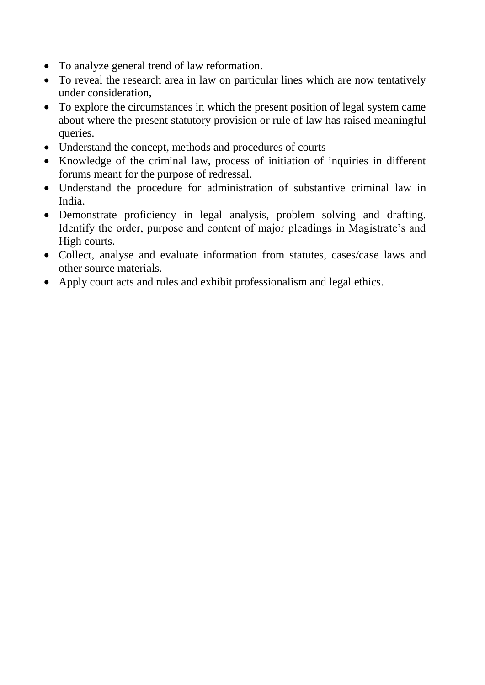- To analyze general trend of law reformation.
- To reveal the research area in law on particular lines which are now tentatively under consideration,
- To explore the circumstances in which the present position of legal system came about where the present statutory provision or rule of law has raised meaningful queries.
- Understand the concept, methods and procedures of courts
- Knowledge of the criminal law, process of initiation of inquiries in different forums meant for the purpose of redressal.
- Understand the procedure for administration of substantive criminal law in India.
- Demonstrate proficiency in legal analysis, problem solving and drafting. Identify the order, purpose and content of major pleadings in Magistrate's and High courts.
- Collect, analyse and evaluate information from statutes, cases/case laws and other source materials.
- Apply court acts and rules and exhibit professionalism and legal ethics.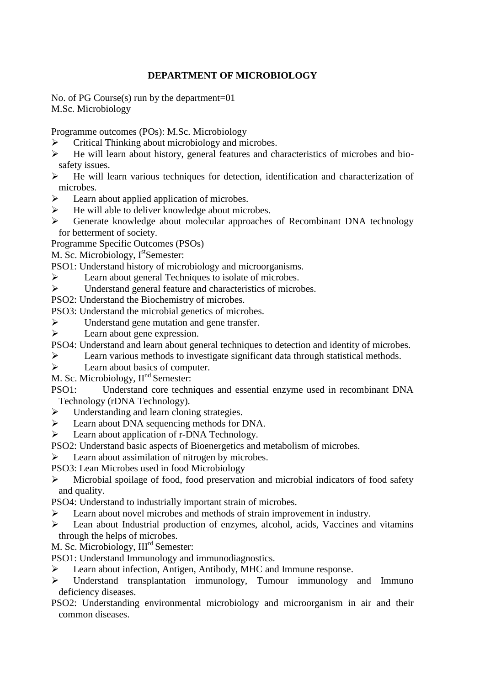#### **DEPARTMENT OF MICROBIOLOGY**

No. of PG Course(s) run by the department=01 M.Sc. Microbiology

Programme outcomes (POs): M.Sc. Microbiology

- $\triangleright$  Critical Thinking about microbiology and microbes.
- $\triangleright$  He will learn about history, general features and characteristics of microbes and biosafety issues.
- $\triangleright$  He will learn various techniques for detection, identification and characterization of microbes.
- $\triangleright$  Learn about applied application of microbes.
- $\triangleright$  He will able to deliver knowledge about microbes.
- Generate knowledge about molecular approaches of Recombinant DNA technology for betterment of society.
- Programme Specific Outcomes (PSOs)

M. Sc. Microbiology, I<sup>st</sup>Semester:

- PSO1: Understand history of microbiology and microorganisms.
- Eearn about general Techniques to isolate of microbes.
- Understand general feature and characteristics of microbes.
- PSO2: Understand the Biochemistry of microbes.
- PSO3: Understand the microbial genetics of microbes.
- $\triangleright$  Understand gene mutation and gene transfer.
- $\triangleright$  Learn about gene expression.
- PSO4: Understand and learn about general techniques to detection and identity of microbes.
- Learn various methods to investigate significant data through statistical methods.
- $\triangleright$  Learn about basics of computer.
- M. Sc. Microbiology,  $II<sup>nd</sup>$  Semester:
- PSO1: Understand core techniques and essential enzyme used in recombinant DNA Technology (rDNA Technology).
- $\triangleright$  Understanding and learn cloning strategies.
- Eearn about DNA sequencing methods for DNA.
- Eearn about application of r-DNA Technology.
- PSO2: Understand basic aspects of Bioenergetics and metabolism of microbes.
- $\triangleright$  Learn about assimilation of nitrogen by microbes.
- PSO3: Lean Microbes used in food Microbiology
- $\triangleright$  Microbial spoilage of food, food preservation and microbial indicators of food safety and quality.
- PSO4: Understand to industrially important strain of microbes.
- Eearn about novel microbes and methods of strain improvement in industry.
- Lean about Industrial production of enzymes, alcohol, acids, Vaccines and vitamins through the helps of microbes.
- M. Sc. Microbiology, III<sup>rd</sup> Semester:
- PSO1: Understand Immunology and immunodiagnostics.
- Learn about infection, Antigen, Antibody, MHC and Immune response.
- Understand transplantation immunology, Tumour immunology and Immuno deficiency diseases.
- PSO2: Understanding environmental microbiology and microorganism in air and their common diseases.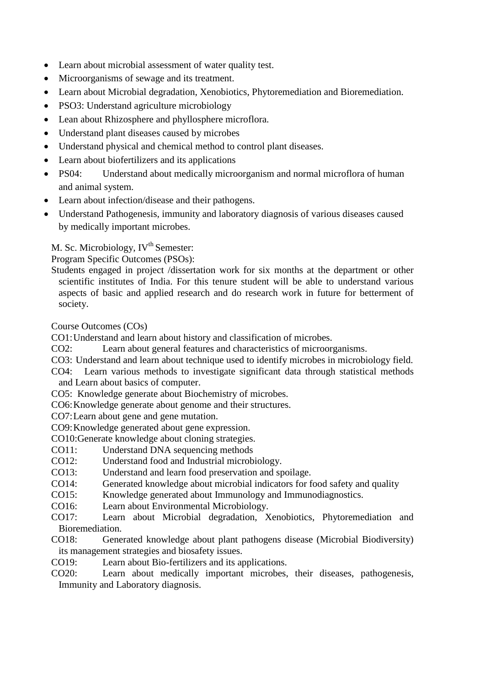- Learn about microbial assessment of water quality test.
- Microorganisms of sewage and its treatment.
- Learn about Microbial degradation, Xenobiotics, Phytoremediation and Bioremediation.
- PSO3: Understand agriculture microbiology
- Lean about Rhizosphere and phyllosphere microflora.
- Understand plant diseases caused by microbes
- Understand physical and chemical method to control plant diseases.
- Learn about biofertilizers and its applications
- PS04: Understand about medically microorganism and normal microflora of human and animal system.
- Learn about infection/disease and their pathogens.
- Understand Pathogenesis, immunity and laboratory diagnosis of various diseases caused by medically important microbes.

M. Sc. Microbiology, IV<sup>th</sup> Semester:

Program Specific Outcomes (PSOs):

Students engaged in project /dissertation work for six months at the department or other scientific institutes of India. For this tenure student will be able to understand various aspects of basic and applied research and do research work in future for betterment of society.

Course Outcomes (COs)

CO1:Understand and learn about history and classification of microbes.

CO2: Learn about general features and characteristics of microorganisms.

- CO3: Understand and learn about technique used to identify microbes in microbiology field.
- CO4: Learn various methods to investigate significant data through statistical methods and Learn about basics of computer.
- CO5: Knowledge generate about Biochemistry of microbes.
- CO6:Knowledge generate about genome and their structures.
- CO7:Learn about gene and gene mutation.
- CO9:Knowledge generated about gene expression.
- CO10:Generate knowledge about cloning strategies.
- CO11: Understand DNA sequencing methods<br>CO12: Understand food and Industrial microb
- Understand food and Industrial microbiology.
- CO13: Understand and learn food preservation and spoilage.
- CO14: Generated knowledge about microbial indicators for food safety and quality
- CO15: Knowledge generated about Immunology and Immunodiagnostics.
- CO16: Learn about Environmental Microbiology.
- CO17: Learn about Microbial degradation, Xenobiotics, Phytoremediation and Bioremediation.
- CO18: Generated knowledge about plant pathogens disease (Microbial Biodiversity) its management strategies and biosafety issues.
- CO19: Learn about Bio-fertilizers and its applications.
- CO20: Learn about medically important microbes, their diseases, pathogenesis, Immunity and Laboratory diagnosis.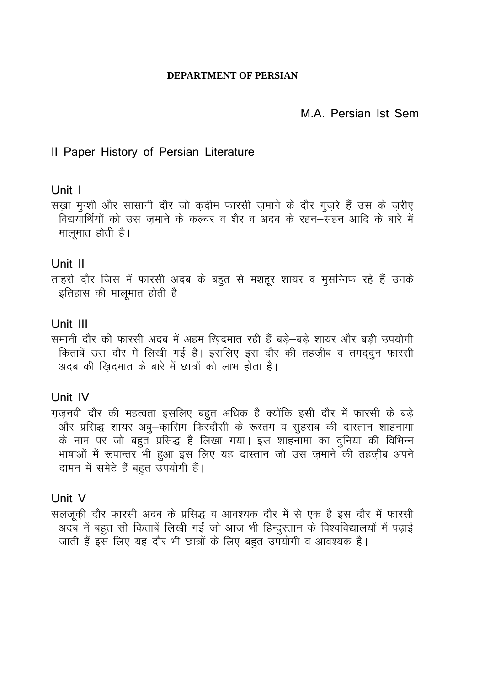#### **DEPARTMENT OF PERSIAN**

# M.A. Persian Ist Sem

### Il Paper History of Persian Literature

#### Unit 1

सख़ा मुन्शी और सासानी दौर जो क़दीम फारसी ज़माने के दौर गुज़रे हैं उस के ज़रीए विद्ययार्थियों को उस ज़माने के कल्चर व शैर व अदब के रहन–सहन आदि के बारे में मालूमात होती है।

#### Unit II

ताहरी दौर जिस में फारसी अदब के बहुत से मशहूर शायर व मुसन्निफ रहे हैं उनके इतिहास की मालुमात होती है।

# Unit III

समानी दौर की फारसी अदब में अहम खिदमात रही हैं बड़े-बड़े शायर और बड़ी उपयोगी किताबें उस दौर में लिखी गई हैं। इसलिए इस दौर की तहज़ीब व तमद्दुन फारसी अदब की खिदमात के बारे में छात्रों को लाभ होता है।

#### Unit IV

ग़ज़नवी दौर की महत्वता इसलिए बहुत अधिक है क्योंकि इसी दौर में फारसी के बड़े और प्रसिद्ध शायर अबु–कासिम फिरवौसी के रूस्तम व सुहराब की दास्तान शाहनामा के नाम पर जो बहुत प्रसिद्ध है लिखा गया। इस शाहनामा का दुनिया की विभिन्न भाषाओं में रूपान्तर भी हुआ इस लिए यह दास्तान जो उस ज़माने की तहज़ीब अपने दामन में समेटे हैं बहुत उपयोगी हैं।

#### Unit V

सलजूकी दौर फारसी अदब के प्रसिद्ध व आवश्यक दौर में से एक है इस दौर में फारसी अदब में बहुत सी किताबें लिखी गईं जो आज भी हिन्दुस्तान के विश्वविद्यालयों में पढ़ाई जाती हैं इस लिए यह दौर भी छात्रों के लिए बहुत उपयोगी व आवश्यक है।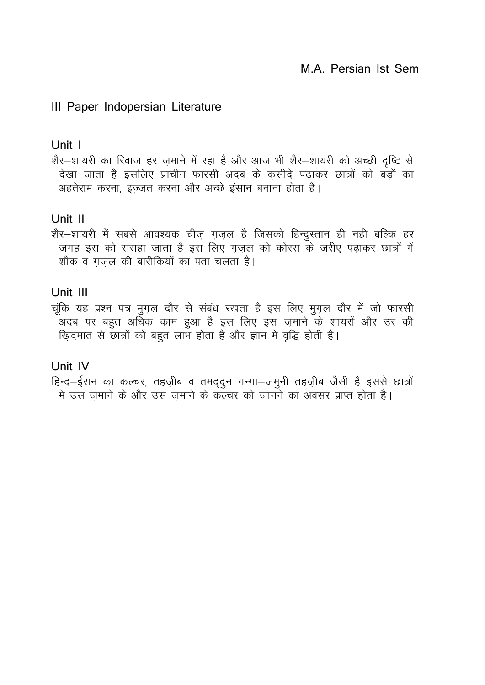# III Paper Indopersian Literature

#### Unit 1

शैर-शायरी का रिवाज हर ज़माने में रहा है और आज भी शैर-शायरी को अच्छी दृष्टि से देखा जाता है इसलिए प्राचीन फारसी अदब के कसीदे पढाकर छात्रों को बड़ों का अहतेराम करना, इज्जत करना और अच्छे इंसान बनाना होता है।

# Unit II

शैर–शायरी में सबसे आवश्यक चीज़ ग़ज़ल है जिसको हिन्दुस्तान ही नही बल्कि हर जगह इस को सराहा जाता है इस लिए ग़ज़ल को कोरस के ज़रीए पढ़ाकर छात्रों में शौक व गजल की बारीकियों का पता चलता है।

# Unit III

चूंकि यह प्रश्न पत्र मुगल दौर से संबंध रखता है इस लिए मुगल दौर में जो फारसी<br>अदब पर बहुत अधिक काम हुआ है इस लिए इस ज़माने के शायरों और उर की खिदमात से छात्रों को बहुत लाभ होता है और ज्ञान में वृद्धि होती है।

# Unit IV

हिन्द–ईरान का कल्चर, तहज़ीब व तमद्दुन गन्गा–जमुनी तहज़ीब जैसी है इससे छात्रों<br>में उस ज़माने के और उस ज़माने के कल्चर को जानने का अवसर प्राप्त होता है।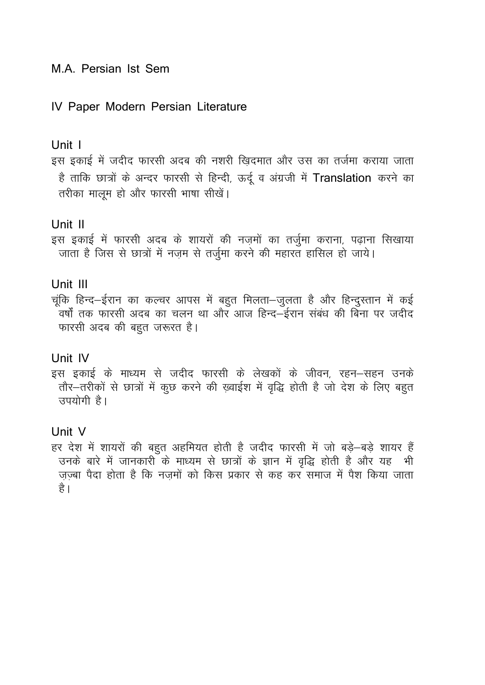# M.A. Persian Ist Sem

### IV Paper Modern Persian Literature

#### Unit 1

इस इकाई में जदीद फारसी अदब की नशरी ख़िदमात और उस का तर्जमा कराया जाता है ताकि छात्रों के अन्दर फारसी से हिन्दी, ऊर्दू व अंग्रजी में Translation करने का तरीका मालूम हो और फारसी भाषा सीखें।

#### Unit II

इस इकाई में फारसी अदब के शायरों की नज़मों का तर्जुमा कराना, पढ़ाना सिखाया जाता है जिस से छात्रों में नजम से तर्जुमा करने की महारत हासिल हो जाये।

#### Unit III

चूंकि हिन्द-ईरान का कल्चर आपस में बहुत मिलता-जुलता है और हिन्दुस्तान में कई .<br>वर्षों तक फारसी अदब का चलन था और आज हिन्द—ईरान संबंध की बिना पर जदीद फारसी अदब की बहुत जरूरत है।

#### Unit IV

इस इकाई के माध्यम से जदीद फारसी के लेखकों के जीवन, रहन-सहन उनके तौर-तरीकों से छात्रों में कुछ करने की ख़्वाईश में वृद्धि होती है जो देश के लिए बहुत उपयोगी है।

#### Unit V

हर देश में शायरों की बहुत अहमियत होती है जदीद फारसी में जो बड़े-बड़े शायर हैं उनके बारे में जानकारी के माध्यम से छात्रों के ज्ञान में वृद्धि होती है और यह भी जज्बा पैदा होता है कि नजमों को किस प्रकार से कह कर समाज में पैश किया जाता है ।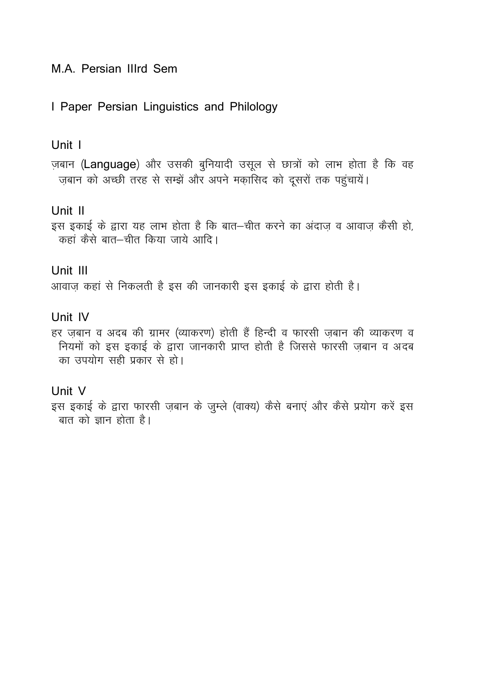I Paper Persian Linguistics and Philology

#### Unit I

ज़बान (Language) और उसकी बुनियादी उसूल से छात्रों को लाभ होता है कि वह ज़बान को अच्छी तरह से सम्झें और अपने मकासिद को दूसरों तक पहुंचायें।

#### Unit II

इस इकाई के द्वारा यह लाभ होता है कि बात–चीत करने का अंदाज़ व आवाज़ कैसी हो, कहां कैसे बात–चीत किया जाये आदि।

#### Unit III

आवाज कहां से निकलती है इस की जानकारी इस इकाई के द्वारा होती है।

# Unit IV

हर ज़बान व अदब की ग्रामर (व्याकरण) होती हैं हिन्दी व फारसी ज़बान की व्याकरण व नियमों को इस इकाई के द्वारा जानकारी प्राप्त होती है जिससे फारसी जबान व अदब का उपयोग सही प्रकार से हो।

#### Unit V

इस इकाई के द्वारा फारसी ज़बान के जुम्ले (वाक्य) कैसे बनाएं और कैसे प्रयोग करें इस बात को ज्ञान होता है।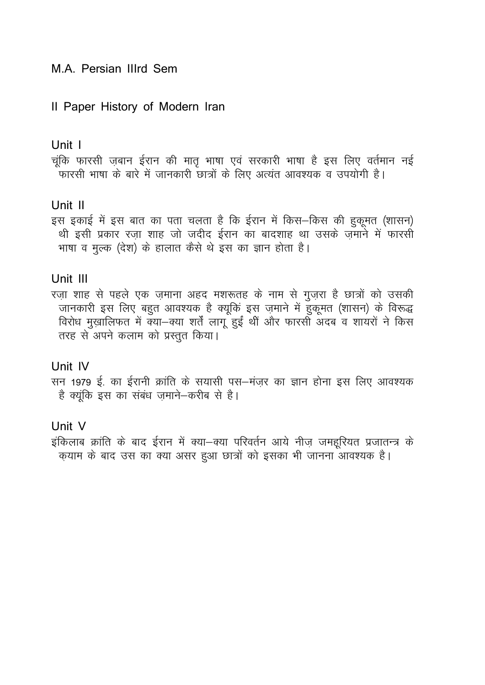# Il Paper History of Modern Iran

#### Unit 1

चूंकि फारसी ज़बान ईरान की मातृ भाषा एवं सरकारी भाषा है इस लिए वर्तमान नई .<br>फारसी भाषा के बारे में जानकारी छात्रों के लिए अत्यंत आवश्यक व उपयोगी है।

# Unit II

इस इकाई में इस बात का पता चलता है कि ईरान में किस-किस की हुकूमत (शासन) थी इसी प्रकार रजा शाह जो जदीद ईरान का बादशाह था उसके जमाने में फारसी भाषा व मुल्क (देश) के हालात कैसे थे इस का ज्ञान होता है।

# Unit III

रज़ा शाह से पहले एक ज़माना अहद मशरूतह के नाम से गुज़रा है छात्रों को उसकी जानकारी इस लिए बहुत आवश्यक है क्यूकिं इस ज़माने में हुकूमत (शासन) के विरूद्ध विरोध मुख़ालिफत में क्या-क्या शर्तें लागू हुईं थीं और फारसी अदब व शायरों ने किस तरह से अपने कलाम को प्रस्तुत किया।

# Unit IV

सन 1979 ई. का ईरानी क्रांति के सयासी पस-मंज़र का ज्ञान होना इस लिए आवश्यक है क्युंकि इस का संबंध जमाने-करीब से है।

# Unit V

इंकिलाब क्रांति के बाद ईरान में क्या-क्या परिवर्तन आये नीज़ जमहूरियत प्रजातन्त्र के क़याम के बाद उस का क्या असर हुआ छात्रों को इसका भी जानना आवश्यक है।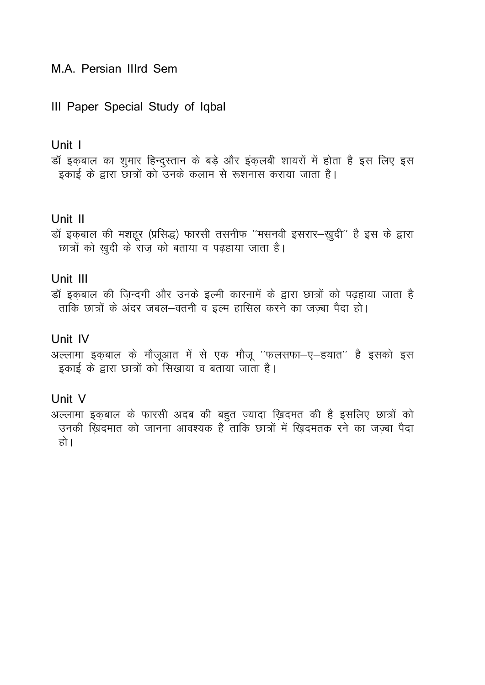# III Paper Special Study of Iqbal

#### Unit I

डॉ इक़बाल का शुमार हिन्दुस्तान के बड़े और इंक़लबी शायरों में होता है इस लिए इस इकाई के द्वारा छात्रों को उनके कलाम से रूशनास कराया जाता है।

#### Unit II

डॉ इक़बाल की मशहूर (प्रसिद्ध) फारसी तसनीफ "मसनवी इसरार-खुदी" है इस के द्वारा छात्रों को खुदी के राज को बताया व पढहाया जाता है।

# Unit III

डॉ इकबाल की जिन्दगी और उनके इल्मी कारनामें के द्वारा छात्रों को पढहाया जाता है ताकि छात्रों के अंदर जबल-वतनी व इल्म हासिल करने का जज्बा पैदा हो।

# Unit IV

अल्लामा इक़बाल के मौजूआत में से एक मौजू "फलसफा-ए-हयात" है इसको इस इकाई के द्वारा छात्रों को सिखाया व बताया जाता है।

#### Unit V

अल्लामा इकबाल के फारसी अदब की बहुत ज़्यादा खिदमत की है इसलिए छात्रों को उनकी खिदमात को जानना आवश्यक है ताकि छात्रों में खिदमतक रने का जज्बा पैदा हो ।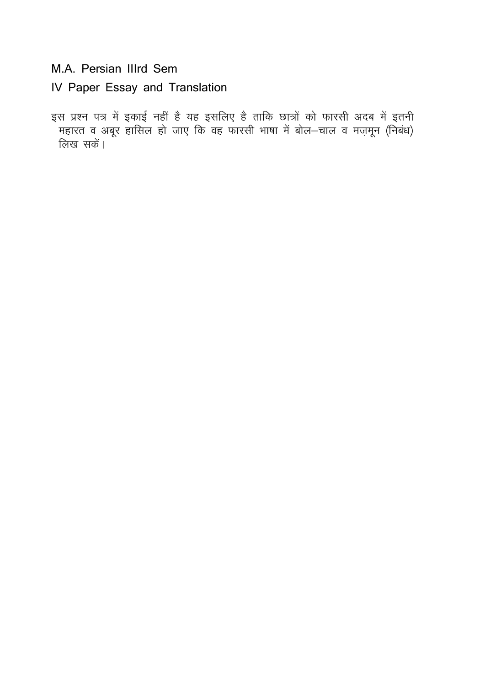IV Paper Essay and Translation

इस प्रश्न पत्र में इकाई नहीं है यह इसलिए है ताकि छात्रों को फारसी अदब में इतनी .<br>महारत व अबूर हासिल हो जाए कि वह फारसी भाषा में बोल—चाल व मज़मून (निबंध)<br>लिख सकें।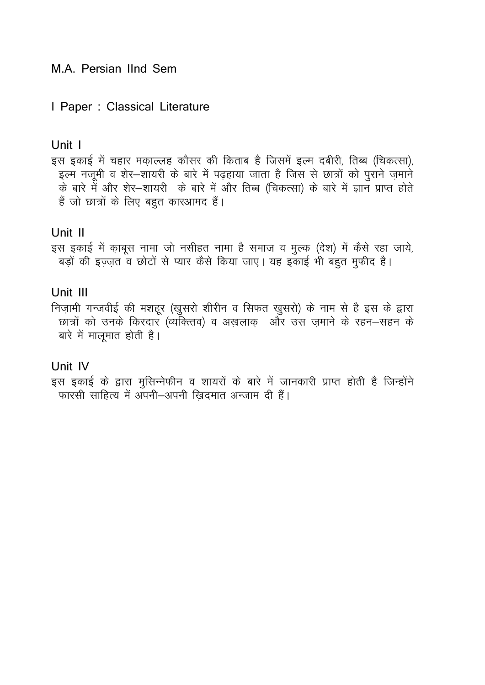#### I Paper : Classical Literature

#### Unit I

इस इकाई में चहार मकाल्लह कौसर की किताब है जिसमें इल्म दबीरी, तिब्ब (चिकत्सा), इल्म नज़मी व शेर-शायरी के बारे में पढहाया जाता है जिस से छात्रों को पुराने जमाने के बारे में और शेर–शायरी) के बारे में और तिब्ब (चिकत्सा) के बारे में ज्ञान प्राप्त होते हैं जो छात्रों के लिए बहुत कारआमद हैं।

#### Unit II

इस इकाई में क़ाबूस नामा जो नसीहत नामा है समाज व मुल्क (देश) में कैसे रहा जाये, बड़ों की इज़्ज़त व छोटों से प्यार कैसे किया जाए। यह इकाई भी बहुत मुफीद है।

# Unit III

निज़ामी गन्जवीई की मशहूर (खुसरो शीरीन व सिफत खुसरो) के नाम से है इस के द्वारा छात्रों को उनके किरदार (व्यक्तिव) व अख़लाक़ और उस ज़माने के रहन-सहन के बारे में मालूमात होती है।

#### Unit IV

इस इकाई के द्वारा मुसिन्नेफीन व शायरों के बारे में जानकारी प्राप्त होती है जिन्होंने फारसी साहित्य में अपनी-अपनी खिदमात अन्जाम दी हैं।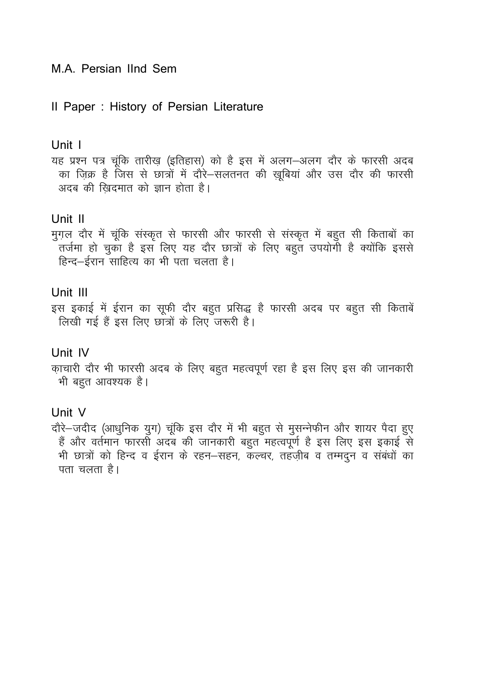# Il Paper: History of Persian Literature

#### Unit 1

यह प्रश्न पत्र चूंकि तारीख़ (इतिहास) को है इस में अलग-अलग दौर के फारसी अदब का जिक्र है जिस से छात्रों में दौरे–सलतनत की खुबियां और उस दौर की फारसी अदब की खिदमात को ज्ञान होता है।

# Unit II

मुग़ल दौर में चूंकि संस्कृत से फारसी और फारसी से संस्कृत में बहुत सी किताबों का .<br>तर्जमा हो चुका है इस लिए यह दौर छात्रों के लिए बहुत उपयोगी है क्योंकि इससे हिन्द–ईरान साहित्य का भी पता चलता है।

# Unit III

इस इकाई में ईरान का सूफी दौर बहुत प्रसिद्ध है फारसी अदब पर बहुत सी किताबें लिखी गई हैं इस लिए छात्रों के लिए जरूरी है।

# Unit IV

क़ाचारी दौर भी फारसी अदब के लिए बहुत महत्वपूर्ण रहा है इस लिए इस की जानकारी भी बहुत आवश्यक है।

# Unit V

दौरे-जदीद (आधुनिक युग) चूंकि इस दौर में भी बहुत से मुसन्नेफीन और शायर पैदा हुए हैं और वर्तमान फारसी अदब की जानकारी बहुत महत्वपूर्ण है इस लिए इस इकाई से भी छात्रों को हिन्द व ईरान के रहन-सहन, कल्चर, तहज़ीब व तम्मदुन व संबंधों का पता चलता है।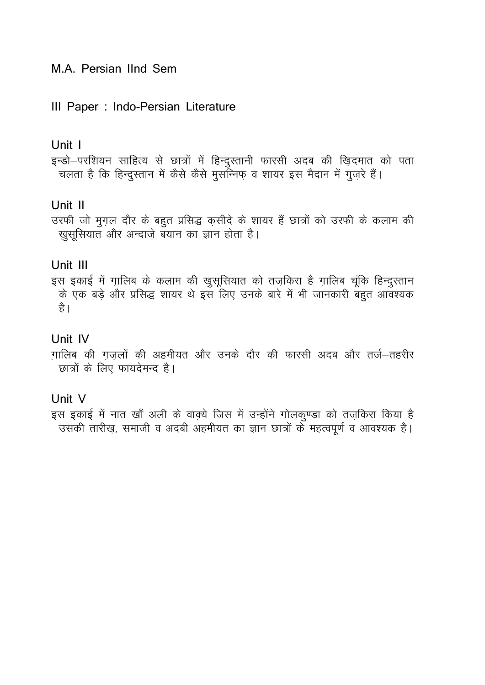# III Paper : Indo-Persian Literature

### Unit I

इन्डो-परशियन साहित्य से छात्रों में हिन्दुस्तानी फारसी अदब की ख़िदमात को पता चलता है कि हिन्दुस्तान में कैसे कैसे मुसन्निफ व शायर इस मैदान में गुजरे हैं।

# Unit II

उरफी जो मुग़ल दौर के बहुत प्रसिद्ध कसीदे के शायर हैं छात्रों को उरफी के कलाम की खुसूसियात और अन्दाज़े बयान का ज्ञान होता है।

# Unit III

इस इकाई में ग़ालिब के कलाम की खुसूसियात को तज़किरा है ग़ालिब चूंकि हिन्दुस्तान के एक बड़े और प्रसिद्ध शायर थे इस लिए उनके बारे में भी जानकारी बहुत आवश्यक है।

# Unit IV

ग़ालिब की ग़ज़लों की अहमीयत और उनके दौर की फारसी अदब और तर्ज-तहरीर छात्रों के लिए फायदेमन्द है।

# Unit V

इस इकाई में नात खाँ अली के वाक्ये जिस में उन्होंने गोलकुण्डा को तज़किरा किया है उसकी तारीख़, समाजी व अदबी अहमीयत का ज्ञान छात्रों के महत्वपूर्ण व आवश्यक है।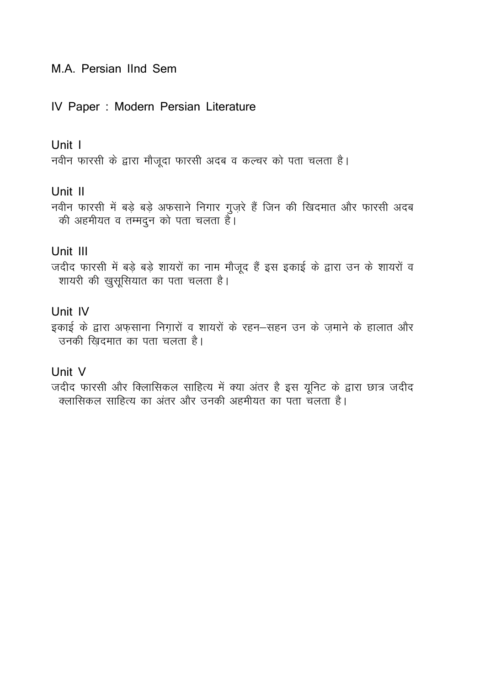# IV Paper : Modern Persian Literature

# Unit I

नवीन फारसी के द्वारा मौजूदा फारसी अदब व कल्चर को पता चलता है।

# Unit II

नवीन फारसी में बड़े बड़े अफसाने निगार गुज़रे हैं जिन की खिदमात और फारसी अदब की अहमीयत व तम्मदुन को पता चलता है।

# Unit III

जदीद फारसी में बड़े बड़े शायरों का नाम मौजूद हैं इस इकाई के द्वारा उन के शायरों व शायरी की खुसूसियात का पता चलता है।

# Unit IV

इकाई के द्वारा अफ़साना निग़ारों व शायरों के रहन–सहन उन के ज़माने के हालात और उनकी खिदमात का पता चलता है।

# Unit V

जदीद फारसी और क्लासिकल साहित्य में क्या अंतर है इस यूनिट के द्वारा छात्र जदीद |<br>| क्लासिकल साहित्य का अंतर और उनकी अहमीयत का पता चलता है।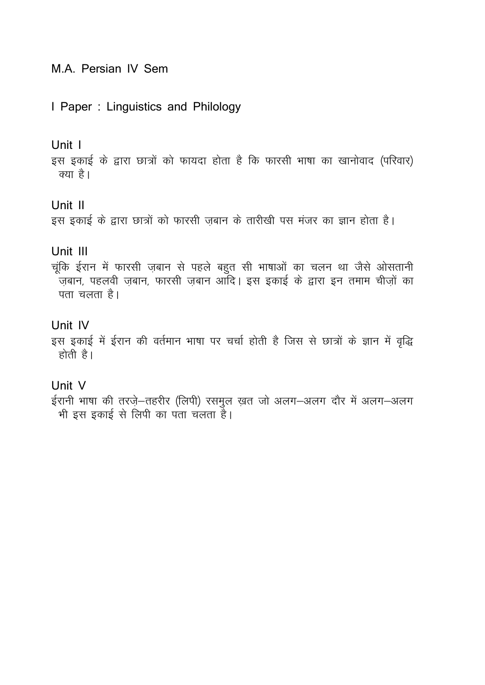# M.A. Persian IV Sem

#### I Paper: Linguistics and Philology

#### Unit I

इस इकाई के द्वारा छात्रों को फायदा होता है कि फारसी भाषा का खानोवाद (परिवार) क्या है।

# Unit II

इस इकाई के द्वारा छात्रों को फारसी जबान के तारीखी पस मंजर का ज्ञान होता है।

#### Unit III

चूंकि ईरान में फारसी ज़बान से पहले बहुत सी भाषाओं का चलन था जैसे ओसतानी .<br>जबान, पहलवी जबान, फारसी जबान आदि। इस इकाई के द्वारा इन तमाम चीजों का पता चलता है।

# Unit IV

इस इकाई में ईरान की वर्तमान भाषा पर चर्चा होती है जिस से छात्रों के ज्ञान में वृद्धि होती है।

## Unit V

ईरानी भाषा की तरज़े-तहरीर (लिपी) रसमुल ख़त जो अलग-अलग दौर में अलग-अलग भी इस इकाई से लिपी का पंता चलता है।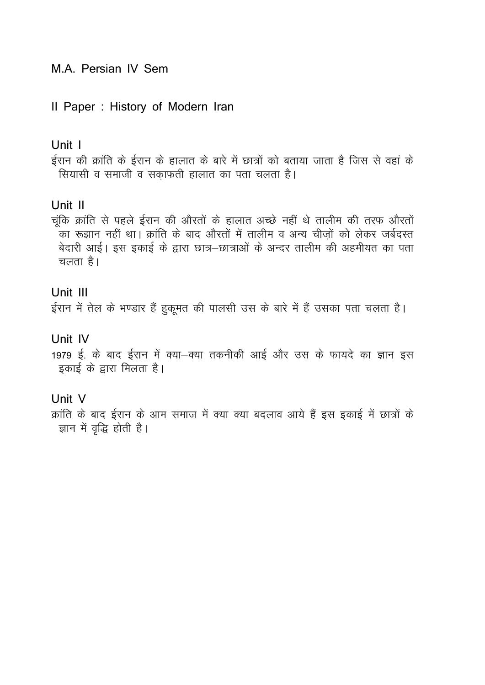# M.A. Persian IV Sem

# II Paper : History of Modern Iran

### Unit I

ईरान की क्रांति के ईरान के हालात के बारे में छात्रों को बताया जाता है जिस से वहां के सियासी व समाजी व सकाफती हालात का पता चलता है।

# Unit II

चंकि क्रांति से पहले ईरान की औरतों के हालात अच्छे नहीं थे तालीम की तरफ औरतों का रूझान नहीं था। क्रांति के बाद औरतों में तालीम व अन्य चीजों को लेकर जर्बदस्त बेदारी आई। इस इकाई के द्वारा छात्र–छात्राओं के अन्दर तालीम की अहमीयत का पता चलता है।

# Unit III

ईरान में तेल के भण्डार हैं हुकूमत की पालसी उस के बारे में हैं उसका पता चलता है।

# Unit IV

1979 ई. के बाद ईरान में क्या-क्या तकनीकी आई और उस के फायदे का ज्ञान इस इकाई के द्वारा मिलता है।

# Unit V

क्रांति के बाद ईरान के आम समाज में क्या क्या बदलाव आये हैं इस इकाई में छात्रों के ज्ञान में वृद्धि होती है।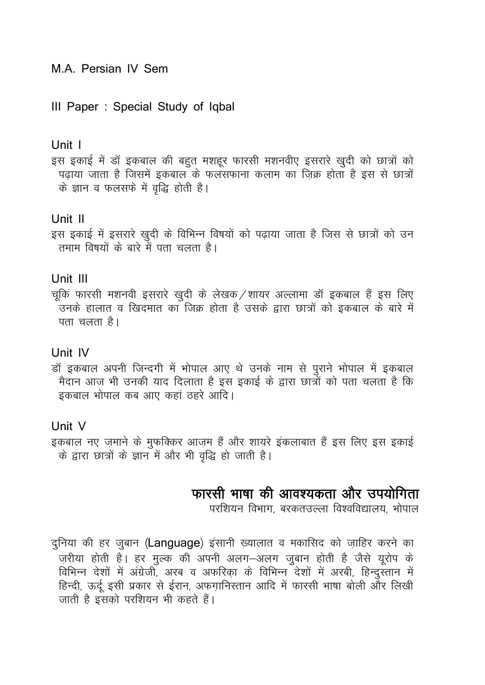# M.A. Persian IV Sem

# III Paper : Special Study of Iqbal

### Unit I

इस इकाई में डॉ इकबाल की बहुत मशहूर फारसी मशनवीए इसरारे खुदी को छात्रों को <u>पढाया जाता है जिसमें इकबाल के फलसफाना कलाम का जिक्र होता है इस से छात्रों</u> के ज्ञान व फलसफे में वृद्धि होती है।

# Unit II

इस इकाई में इसरारे खुदी के विभिन्न विषयों को पढ़ाया जाता है जिस से छात्रों को उन तमाम विषयों के बारे में पता चलता है।

# Unit III

चूकिं फारसी मशनवी इसरारे खुदी के लेखक /शायर अल्लामा डॉ इकबाल हैं इस लिए .<br>उनके हालात व खिदमात का जिक्र होता है उसके द्वारा छात्रों को इकबाल के बारे में पता चलता है।

# Unit IV

डॉ इकबाल अपनी जिन्दगी में भोपाल आए थे उनके नाम से पूराने भोपाल में इकबाल मैदान आज भी उनकी याद दिलाता है इस इकाई के द्वारा छात्रों को पता चलता है कि इकबाल भोपाल कब आए कहां ठहरे आदि।

# Unit V

इकबाल नए ज़माने के मुफक्किर आज़म हैं और शायरे इंकलाबात हैं इस लिए इस इकाई के द्वारा छात्रों के ज्ञान में और भी वृद्धि हो जाती है।

# फारसी भाषा की आवश्यकता और उपयोगिता

परशियन विभाग, बरकतउल्ला विश्वविद्यालय, भोपाल

दुनिया की हर जुबान (Language) इंसानी ख़्यालात व मकासिद को ज़ाहिर करने का ज़रीया होती है। हर मुल्क की अपनी अलग-अलग जुबान होती है जैसे यूरोप के विभिन्न देशों में अंग्रेजी, अरब व अफरिका के विभिन्न देशों में अरबी, हिन्दुस्तान में हिन्दी, ऊर्दू इसी प्रकार से ईरान, अफग़ानिस्तान आदि में फारसी भाषा बोली और लिखी जाती है इसको परशियन भी कहते हैं।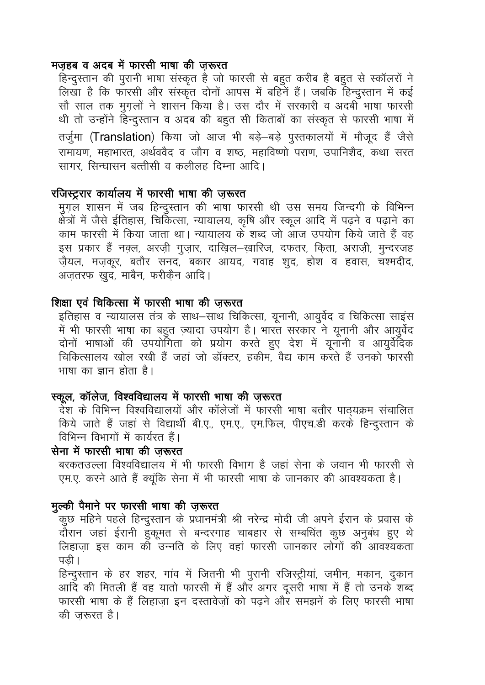#### मजहब व अदब में फारसी भाषा की जरूरत

हिन्दुस्तान की पूरानी भाषा संस्कृत है जो फारसी से बहुत करीब है बहुत से स्कॉलरों ने लिखा है कि फारसी और संस्कृत दोनों आपस में बहिनें हैं। जबकि हिन्दुस्तान में कई सौ साल तक मुग़लों ने शासन किया है। उस दौर में सरकारी व अदबी भाषा फारसी थी तो उन्होंने हिन्दुस्तान व अदब की बहुत सी किताबों का संस्कृत से फारसी भाषा में तर्जुमा (Translation) किया जो आज भी बड़े-बड़े पुस्तकालयों में मौजूद हैं जैसे रामायण, महाभारत, अर्थववैद व जौग व शष्ठ, महाविष्णो पराण, उपानिशैद, कथा सरत सागर, सिन्घासन बत्तीसी व कलीलह दिम्ना आदि।

# रजिस्ट्ररार कार्यालय में फारसी भाषा की जुरूरत

मुगल शासन में जब हिन्दुस्तान की भाषा फारसी थी उस समय जिन्दगी के विभिन्न क्षेत्रों में जैसे ईतिहास, चिकित्सा, न्यायालय, कृषि और स्कूल आदि में पढ़ने व पढ़ाने का काम फारसी में किया जाता था। न्यायालय के शब्द जो आज उपयोग किये जाते हैं वह इस प्रकार हैं नक्ल, अरजी गुजार, दाखिल–ख़ारिज, दफतर, किता, अराजी, मुन्दरजह जैयल, मजकूर, बतौर सनद, बकार आयद, गवाह शूद, होश व हवास, चश्मदीद, अजतरफ खुद, माबैन, फरीकैन आदि।

#### शिक्षा एवं चिकित्सा में फारसी भाषा की जरूरत

इतिहास व न्यायालस तंत्र के साथ–साथ चिकित्सा, यूनानी, आयुर्वेद व चिकित्सा साइंस में भी फारसी भाषा का बहुत ज़्यादा उपयोग है। भारत सरकार ने यूनानी और आयूर्वेद दोनों भाषाओं की उपयोगिता को प्रयोग करते हुए देश में यूनानी व आयुर्वेदिक चिकित्सालय खोल रखी हैं जहां जो डॉक्टर, हकीम, वैद्य काम करते हैं उनको फारसी भाषा का ज्ञान होता है।

#### स्कूल, कॉलेज, विश्वविद्यालय में फारसी भाषा की ज़रूरत

देश के विभिन्न विश्वविद्यालयों और कॉलेजों में फारसी भाषा बतौर पाठ्यक्रम संचालित किये जाते हैं जहां से विद्यार्थी बी.ए., एम.ए., एम.फिल, पीएच.डी करके हिन्दस्तान के विभिन्न विभागों में कार्यरत हैं।

#### सेना में फारसी भाषा की जरूरत

बरकतउल्ला विश्वविद्यालय में भी फारसी विभाग है जहां सेना के जवान भी फारसी से एम.ए. करने आते हैं क्यूंकि सेना में भी फारसी भाषा के जानकार की आवश्यकता है।

### मुल्की पैमाने पर फारसी भाषा की जरूरत

कूछ महिने पहले हिन्दुस्तान के प्रधानमंत्री श्री नरेन्द्र मोदी जी अपने ईरान के प्रवास के दौरान जहां ईरानी हुकूमत से बन्दरगाह चाबहार से सम्बधिंत कुछ अनुबंध हुए थे लिहाजा इस काम की उन्नति के लिए वहां फारसी जानकार लोगों की आवश्यकता पडी।

हिन्दुस्तान के हर शहर, गांव में जितनी भी पुरानी रजिस्ट्रीयां, जमीन, मकान, दुकान आदि की मितली हैं वह यातो फारसी में हैं और अगर दूसरी भाषा में हैं तो उनके शब्द फारसी भाषा के हैं लिहाजा इन दस्तावेजों को पढने और समझनें के लिए फारसी भाषा की जरूरत है।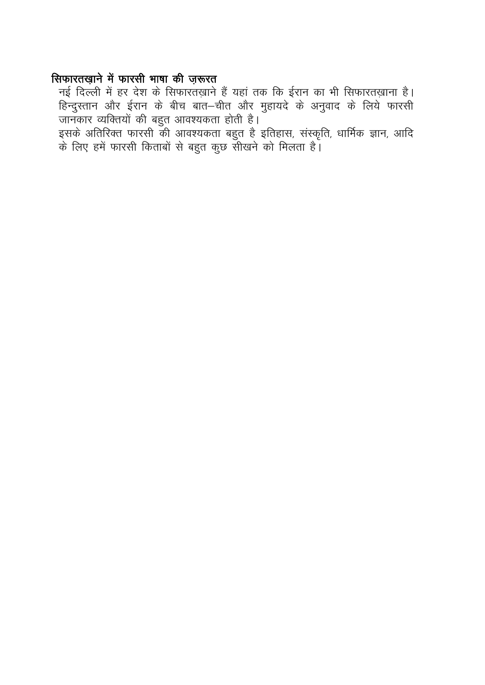# सिफारतख़ाने में फारसी भाषा की ज़रूरत

जानकार व्यक्तियों की बहुत आवश्यकता होती है।

.<br>इसके अतिरिक्त फारसी की आवश्यकता बहुत है इतिहास, संस्कृति, धार्मिक ज्ञान, आदि<br>के लिए हमें फारसी किताबों से बहुत कुछ सीखने को मिलता है।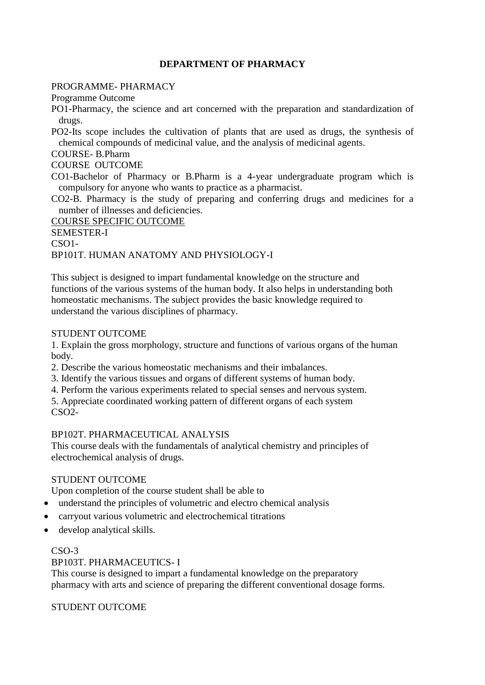#### **DEPARTMENT OF PHARMACY**

#### PROGRAMME- PHARMACY

Programme Outcome

PO1-Pharmacy, the science and art concerned with the preparation and standardization of drugs.

PO2-Its scope includes the cultivation of plants that are used as drugs, the synthesis of chemical compounds of medicinal value, and the analysis of medicinal agents.

COURSE- B.Pharm

COURSE OUTCOME

CO1-Bachelor of Pharmacy or B.Pharm is a 4-year undergraduate program which is compulsory for anyone who wants to practice as a pharmacist.

CO2-B. Pharmacy is the study of preparing and conferring drugs and medicines for a number of illnesses and deficiencies.

COURSE SPECIFIC OUTCOME

SEMESTER-I

CSO1-

BP101T. HUMAN ANATOMY AND PHYSIOLOGY-I

This subject is designed to impart fundamental knowledge on the structure and functions of the various systems of the human body. It also helps in understanding both homeostatic mechanisms. The subject provides the basic knowledge required to understand the various disciplines of pharmacy.

#### STUDENT OUTCOME

1. Explain the gross morphology, structure and functions of various organs of the human body.

2. Describe the various homeostatic mechanisms and their imbalances.

- 3. Identify the various tissues and organs of different systems of human body.
- 4. Perform the various experiments related to special senses and nervous system.

5. Appreciate coordinated working pattern of different organs of each system CSO2-

#### BP102T. PHARMACEUTICAL ANALYSIS

This course deals with the fundamentals of analytical chemistry and principles of electrochemical analysis of drugs.

#### STUDENT OUTCOME

Upon completion of the course student shall be able to

- understand the principles of volumetric and electro chemical analysis
- carryout various volumetric and electrochemical titrations
- develop analytical skills.

#### CSO-3

#### BP103T. PHARMACEUTICS- I

This course is designed to impart a fundamental knowledge on the preparatory pharmacy with arts and science of preparing the different conventional dosage forms.

STUDENT OUTCOME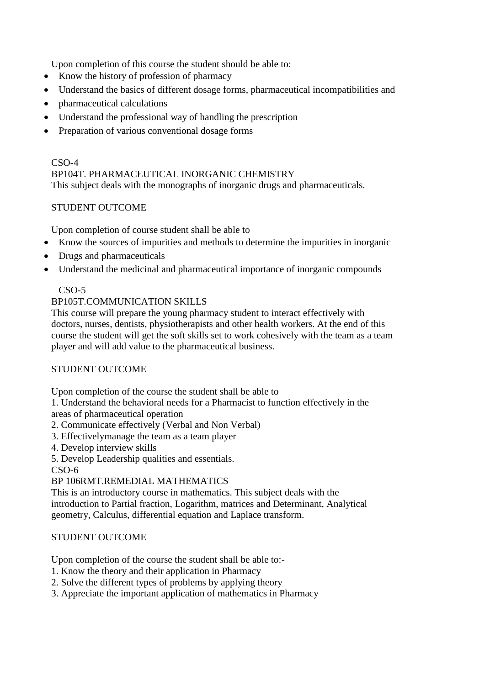Upon completion of this course the student should be able to:

- Know the history of profession of pharmacy
- Understand the basics of different dosage forms, pharmaceutical incompatibilities and
- pharmaceutical calculations
- Understand the professional way of handling the prescription
- Preparation of various conventional dosage forms

#### CSO-4 BP104T. PHARMACEUTICAL INORGANIC CHEMISTRY This subject deals with the monographs of inorganic drugs and pharmaceuticals.

#### STUDENT OUTCOME

Upon completion of course student shall be able to

- Know the sources of impurities and methods to determine the impurities in inorganic
- Drugs and pharmaceuticals
- Understand the medicinal and pharmaceutical importance of inorganic compounds

#### CSO-5

#### BP105T.COMMUNICATION SKILLS

This course will prepare the young pharmacy student to interact effectively with doctors, nurses, dentists, physiotherapists and other health workers. At the end of this course the student will get the soft skills set to work cohesively with the team as a team player and will add value to the pharmaceutical business.

#### STUDENT OUTCOME

Upon completion of the course the student shall be able to

1. Understand the behavioral needs for a Pharmacist to function effectively in the areas of pharmaceutical operation

- 2. Communicate effectively (Verbal and Non Verbal)
- 3. Effectivelymanage the team as a team player
- 4. Develop interview skills
- 5. Develop Leadership qualities and essentials.

CSO-6

#### BP 106RMT.REMEDIAL MATHEMATICS

This is an introductory course in mathematics. This subject deals with the introduction to Partial fraction, Logarithm, matrices and Determinant, Analytical geometry, Calculus, differential equation and Laplace transform.

#### STUDENT OUTCOME

Upon completion of the course the student shall be able to:-

- 1. Know the theory and their application in Pharmacy
- 2. Solve the different types of problems by applying theory
- 3. Appreciate the important application of mathematics in Pharmacy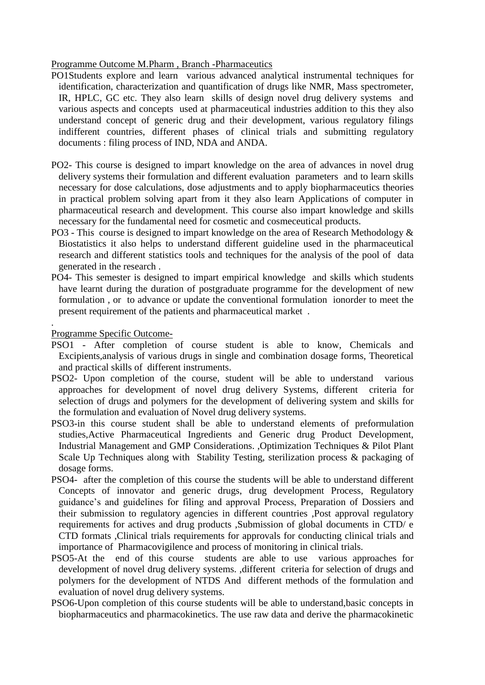Programme Outcome M.Pharm , Branch -Pharmaceutics

- PO1Students explore and learn various advanced analytical instrumental techniques for identification, characterization and quantification of drugs like NMR, Mass spectrometer, IR, HPLC, GC etc. They also learn skills of design novel drug delivery systems and various aspects and concepts used at pharmaceutical industries addition to this they also understand concept of generic drug and their development, various regulatory filings indifferent countries, different phases of clinical trials and submitting regulatory documents : filing process of IND, NDA and ANDA.
- PO2- This course is designed to impart knowledge on the area of advances in novel drug delivery systems their formulation and different evaluation parameters and to learn skills necessary for dose calculations, dose adjustments and to apply biopharmaceutics theories in practical problem solving apart from it they also learn Applications of computer in pharmaceutical research and development. This course also impart knowledge and skills necessary for the fundamental need for cosmetic and cosmeceutical products.
- PO3 This course is designed to impart knowledge on the area of Research Methodology  $\&$ Biostatistics it also helps to understand different guideline used in the pharmaceutical research and different statistics tools and techniques for the analysis of the pool of data generated in the research .
- PO4- This semester is designed to impart empirical knowledge and skills which students have learnt during the duration of postgraduate programme for the development of new formulation , or to advance or update the conventional formulation ionorder to meet the present requirement of the patients and pharmaceutical market .

Programme Specific Outcome-

.

- PSO1 After completion of course student is able to know, Chemicals and Excipients,analysis of various drugs in single and combination dosage forms, Theoretical and practical skills of different instruments.
- PSO2- Upon completion of the course, student will be able to understand various approaches for development of novel drug delivery Systems, different criteria for selection of drugs and polymers for the development of delivering system and skills for the formulation and evaluation of Novel drug delivery systems.
- PSO3-in this course student shall be able to understand elements of preformulation studies,Active Pharmaceutical Ingredients and Generic drug Product Development, Industrial Management and GMP Considerations. ,Optimization Techniques & Pilot Plant Scale Up Techniques along with Stability Testing, sterilization process & packaging of dosage forms.
- PSO4- after the completion of this course the students will be able to understand different Concepts of innovator and generic drugs, drug development Process, Regulatory guidance's and guidelines for filing and approval Process, Preparation of Dossiers and their submission to regulatory agencies in different countries ,Post approval regulatory requirements for actives and drug products ,Submission of global documents in CTD/ e CTD formats ,Clinical trials requirements for approvals for conducting clinical trials and importance of Pharmacovigilence and process of monitoring in clinical trials.
- PSO5-At the end of this course students are able to use various approaches for development of novel drug delivery systems. ,different criteria for selection of drugs and polymers for the development of NTDS And different methods of the formulation and evaluation of novel drug delivery systems.
- PSO6-Upon completion of this course students will be able to understand,basic concepts in biopharmaceutics and pharmacokinetics. The use raw data and derive the pharmacokinetic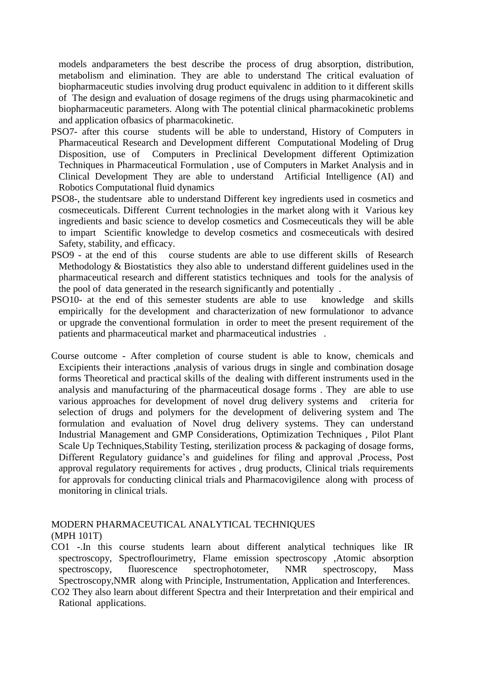models andparameters the best describe the process of drug absorption, distribution, metabolism and elimination. They are able to understand The critical evaluation of biopharmaceutic studies involving drug product equivalenc in addition to it different skills of The design and evaluation of dosage regimens of the drugs using pharmacokinetic and biopharmaceutic parameters. Along with The potential clinical pharmacokinetic problems and application ofbasics of pharmacokinetic.

- PSO7- after this course students will be able to understand, History of Computers in Pharmaceutical Research and Development different Computational Modeling of Drug Disposition, use of Computers in Preclinical Development different Optimization Techniques in Pharmaceutical Formulation , use of Computers in Market Analysis and in Clinical Development They are able to understand Artificial Intelligence (AI) and Robotics Computational fluid dynamics
- PSO8-, the studentsare able to understand Different key ingredients used in cosmetics and cosmeceuticals. Different Current technologies in the market along with it Various key ingredients and basic science to develop cosmetics and Cosmeceuticals they will be able to impart Scientific knowledge to develop cosmetics and cosmeceuticals with desired Safety, stability, and efficacy.
- PSO9 at the end of this course students are able to use different skills of Research Methodology & Biostatistics they also able to understand different guidelines used in the pharmaceutical research and different statistics techniques and tools for the analysis of the pool of data generated in the research significantly and potentially .
- PSO10- at the end of this semester students are able to use knowledge and skills empirically for the development and characterization of new formulationor to advance or upgrade the conventional formulation in order to meet the present requirement of the patients and pharmaceutical market and pharmaceutical industries .
- Course outcome After completion of course student is able to know, chemicals and Excipients their interactions ,analysis of various drugs in single and combination dosage forms Theoretical and practical skills of the dealing with different instruments used in the analysis and manufacturing of the pharmaceutical dosage forms . They are able to use various approaches for development of novel drug delivery systems and criteria for selection of drugs and polymers for the development of delivering system and The formulation and evaluation of Novel drug delivery systems. They can understand Industrial Management and GMP Considerations, Optimization Techniques , Pilot Plant Scale Up Techniques,Stability Testing, sterilization process & packaging of dosage forms, Different Regulatory guidance's and guidelines for filing and approval ,Process, Post approval regulatory requirements for actives , drug products, Clinical trials requirements for approvals for conducting clinical trials and Pharmacovigilence along with process of monitoring in clinical trials.

#### MODERN PHARMACEUTICAL ANALYTICAL TECHNIQUES (MPH 101T)

- CO1 -.In this course students learn about different analytical techniques like IR spectroscopy, Spectroflourimetry, Flame emission spectroscopy ,Atomic absorption spectroscopy, fluorescence spectrophotometer, NMR spectroscopy, Mass Spectroscopy,NMR along with Principle, Instrumentation, Application and Interferences.
- CO2 They also learn about different Spectra and their Interpretation and their empirical and Rational applications.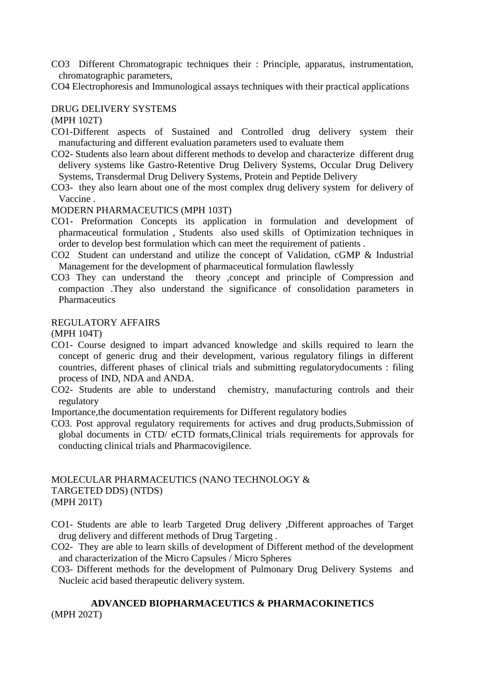CO3 Different Chromatograpic techniques their : Principle, apparatus, instrumentation, chromatographic parameters,

CO4 Electrophoresis and Immunological assays techniques with their practical applications

#### DRUG DELIVERY SYSTEMS

(MPH 102T)

- CO1-Different aspects of Sustained and Controlled drug delivery system their manufacturing and different evaluation parameters used to evaluate them
- CO2- Students also learn about different methods to develop and characterize different drug delivery systems like Gastro-Retentive Drug Delivery Systems, Occular Drug Delivery Systems, Transdermal Drug Delivery Systems, Protein and Peptide Delivery
- CO3- they also learn about one of the most complex drug delivery system for delivery of Vaccine .

#### MODERN PHARMACEUTICS (MPH 103T)

- CO1- Preformation Concepts its application in formulation and development of pharmaceutical formulation , Students also used skills of Optimization techniques in order to develop best formulation which can meet the requirement of patients .
- CO2 Student can understand and utilize the concept of Validation, cGMP & Industrial Management for the development of pharmaceutical formulation flawlessly
- CO3 They can understand the theory ,concept and principle of Compression and compaction .They also understand the significance of consolidation parameters in **Pharmaceutics**

#### REGULATORY AFFAIRS

(MPH 104T)

- CO1- Course designed to impart advanced knowledge and skills required to learn the concept of generic drug and their development, various regulatory filings in different countries, different phases of clinical trials and submitting regulatorydocuments : filing process of IND, NDA and ANDA.
- CO2- Students are able to understand chemistry, manufacturing controls and their regulatory
- Importance,the documentation requirements for Different regulatory bodies
- CO3. Post approval regulatory requirements for actives and drug products,Submission of global documents in CTD/ eCTD formats,Clinical trials requirements for approvals for conducting clinical trials and Pharmacovigilence.

#### MOLECULAR PHARMACEUTICS (NANO TECHNOLOGY & TARGETED DDS) (NTDS) (MPH 201T)

- CO1- Students are able to learb Targeted Drug delivery ,Different approaches of Target drug delivery and different methods of Drug Targeting .
- CO2- They are able to learn skills of development of Different method of the development and characterization of the Micro Capsules / Micro Spheres
- CO3- Different methods for the development of Pulmonary Drug Delivery Systems and Nucleic acid based therapeutic delivery system.

#### **ADVANCED BIOPHARMACEUTICS & PHARMACOKINETICS** (MPH 202T)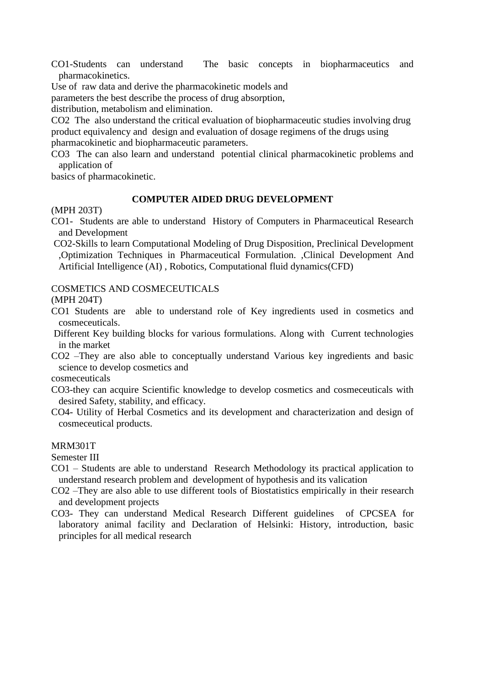CO1-Students can understand The basic concepts in biopharmaceutics and pharmacokinetics.

Use of raw data and derive the pharmacokinetic models and

parameters the best describe the process of drug absorption,

distribution, metabolism and elimination.

CO2 The also understand the critical evaluation of biopharmaceutic studies involving drug product equivalency and design and evaluation of dosage regimens of the drugs using pharmacokinetic and biopharmaceutic parameters.

CO3 The can also learn and understand potential clinical pharmacokinetic problems and application of

basics of pharmacokinetic.

#### **COMPUTER AIDED DRUG DEVELOPMENT**

(MPH 203T)

- CO1- Students are able to understand History of Computers in Pharmaceutical Research and Development
- CO2-Skills to learn Computational Modeling of Drug Disposition, Preclinical Development ,Optimization Techniques in Pharmaceutical Formulation. ,Clinical Development And Artificial Intelligence (AI) , Robotics, Computational fluid dynamics(CFD)

#### COSMETICS AND COSMECEUTICALS

(MPH 204T)

- CO1 Students are able to understand role of Key ingredients used in cosmetics and cosmeceuticals.
- Different Key building blocks for various formulations. Along with Current technologies in the market

CO2 –They are also able to conceptually understand Various key ingredients and basic science to develop cosmetics and

cosmeceuticals

- CO3-they can acquire Scientific knowledge to develop cosmetics and cosmeceuticals with desired Safety, stability, and efficacy.
- CO4- Utility of Herbal Cosmetics and its development and characterization and design of cosmeceutical products.

#### MRM301T

Semester III

- CO1 Students are able to understand Research Methodology its practical application to understand research problem and development of hypothesis and its valication
- CO2 –They are also able to use different tools of Biostatistics empirically in their research and development projects
- CO3- They can understand Medical Research Different guidelines of CPCSEA for laboratory animal facility and Declaration of Helsinki: History, introduction, basic principles for all medical research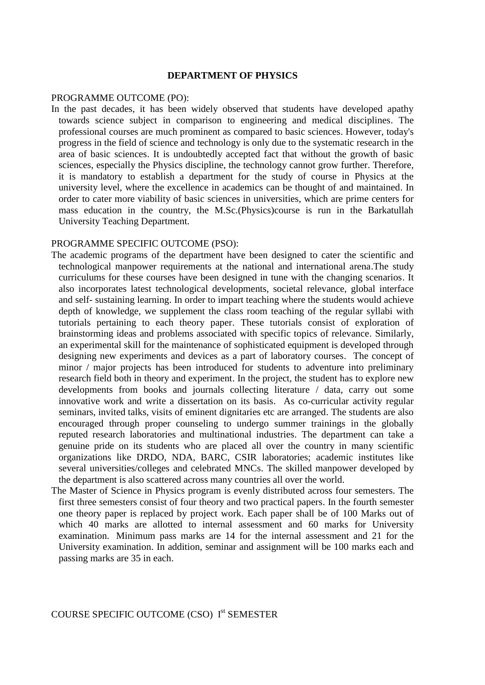#### **DEPARTMENT OF PHYSICS**

#### PROGRAMME OUTCOME (PO):

In the past decades, it has been widely observed that students have developed apathy towards science subject in comparison to engineering and medical disciplines. The professional courses are much prominent as compared to basic sciences. However, today's progress in the field of science and technology is only due to the systematic research in the area of basic sciences. It is undoubtedly accepted fact that without the growth of basic sciences, especially the Physics discipline, the technology cannot grow further. Therefore, it is mandatory to establish a department for the study of course in Physics at the university level, where the excellence in academics can be thought of and maintained. In order to cater more viability of basic sciences in universities, which are prime centers for mass education in the country, the M.Sc.(Physics)course is run in the Barkatullah University Teaching Department.

#### PROGRAMME SPECIFIC OUTCOME (PSO):

- The academic programs of the department have been designed to cater the scientific and technological manpower requirements at the national and international arena.The study curriculums for these courses have been designed in tune with the changing scenarios. It also incorporates latest technological developments, societal relevance, global interface and self- sustaining learning. In order to impart teaching where the students would achieve depth of knowledge, we supplement the class room teaching of the regular syllabi with tutorials pertaining to each theory paper. These tutorials consist of exploration of brainstorming ideas and problems associated with specific topics of relevance. Similarly, an experimental skill for the maintenance of sophisticated equipment is developed through designing new experiments and devices as a part of laboratory courses. The concept of minor / major projects has been introduced for students to adventure into preliminary research field both in theory and experiment. In the project, the student has to explore new developments from books and journals collecting literature / data, carry out some innovative work and write a dissertation on its basis. As co-curricular activity regular seminars, invited talks, visits of eminent dignitaries etc are arranged. The students are also encouraged through proper counseling to undergo summer trainings in the globally reputed research laboratories and multinational industries. The department can take a genuine pride on its students who are placed all over the country in many scientific organizations like DRDO, NDA, BARC, CSIR laboratories; academic institutes like several universities/colleges and celebrated MNCs. The skilled manpower developed by the department is also scattered across many countries all over the world.
- The Master of Science in Physics program is evenly distributed across four semesters. The first three semesters consist of four theory and two practical papers. In the fourth semester one theory paper is replaced by project work. Each paper shall be of 100 Marks out of which 40 marks are allotted to internal assessment and 60 marks for University examination. Minimum pass marks are 14 for the internal assessment and 21 for the University examination. In addition, seminar and assignment will be 100 marks each and passing marks are 35 in each.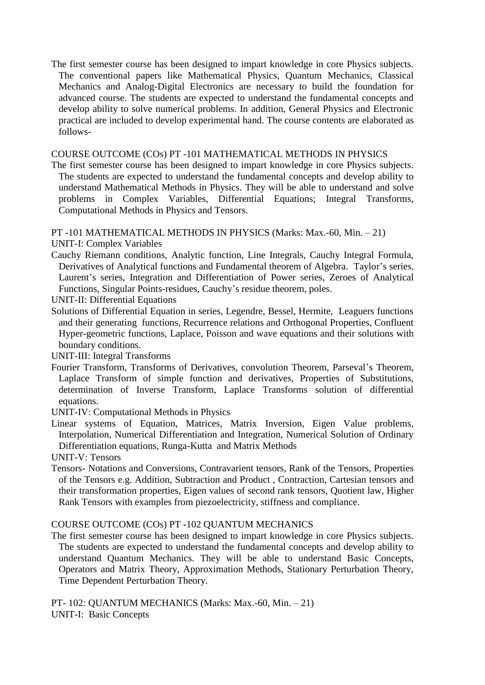The first semester course has been designed to impart knowledge in core Physics subjects. The conventional papers like Mathematical Physics, Quantum Mechanics, Classical Mechanics and Analog-Digital Electronics are necessary to build the foundation for advanced course. The students are expected to understand the fundamental concepts and develop ability to solve numerical problems. In addition, General Physics and Electronic practical are included to develop experimental hand. The course contents are elaborated as follows-

COURSE OUTCOME (COs) PT -101 MATHEMATICAL METHODS IN PHYSICS

The first semester course has been designed to impart knowledge in core Physics subjects. The students are expected to understand the fundamental concepts and develop ability to understand Mathematical Methods in Physics. They will be able to understand and solve problems in Complex Variables, Differential Equations; Integral Transforms, Computational Methods in Physics and Tensors.

PT -101 MATHEMATICAL METHODS IN PHYSICS (Marks: Max.-60, Min. – 21)

UNIT-I: Complex Variables

- Cauchy Riemann conditions, Analytic function, Line Integrals, Cauchy Integral Formula, Derivatives of Analytical functions and Fundamental theorem of Algebra. Taylor's series, Laurent's series, Integration and Differentiation of Power series, Zeroes of Analytical Functions, Singular Points-residues, Cauchy's residue theorem, poles.
- UNIT-II: Differential Equations
- Solutions of Differential Equation in series, Legendre, Bessel, Hermite, Leaguers functions and their generating functions, Recurrence relations and Orthogonal Properties, Confluent Hyper-geometric functions, Laplace, Poisson and wave equations and their solutions with boundary conditions.

UNIT-III: Integral Transforms

- Fourier Transform, Transforms of Derivatives, convolution Theorem, Parseval's Theorem, Laplace Transform of simple function and derivatives, Properties of Substitutions, determination of Inverse Transform, Laplace Transforms solution of differential equations.
- UNIT-IV: Computational Methods in Physics
- Linear systems of Equation, Matrices, Matrix Inversion, Eigen Value problems, Interpolation, Numerical Differentiation and Integration, Numerical Solution of Ordinary Differentiation equations, Runga-Kutta and Matrix Methods

UNIT-V: Tensors

Tensors- Notations and Conversions, Contravarient tensors, Rank of the Tensors, Properties of the Tensors e.g. Addition, Subtraction and Product , Contraction, Cartesian tensors and their transformation properties, Eigen values of second rank tensors, Quotient law, Higher Rank Tensors with examples from piezoelectricity, stiffness and compliance.

#### COURSE OUTCOME (COs) PT -102 QUANTUM MECHANICS

The first semester course has been designed to impart knowledge in core Physics subjects. The students are expected to understand the fundamental concepts and develop ability to understand Quantum Mechanics. They will be able to understand Basic Concepts, Operators and Matrix Theory, Approximation Methods, Stationary Perturbation Theory, Time Dependent Perturbation Theory.

PT- 102: QUANTUM MECHANICS (Marks: Max.-60, Min. – 21) UNIT-I: Basic Concepts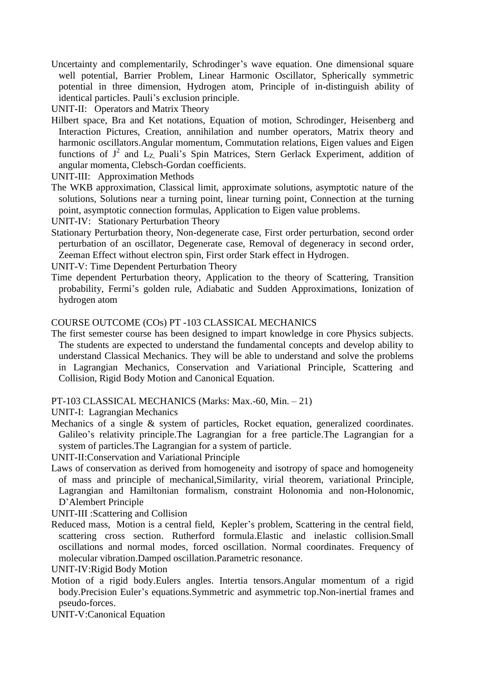Uncertainty and complementarily, Schrodinger's wave equation. One dimensional square well potential, Barrier Problem, Linear Harmonic Oscillator, Spherically symmetric potential in three dimension, Hydrogen atom, Principle of in-distinguish ability of identical particles. Pauli's exclusion principle.

UNIT-II: Operators and Matrix Theory

Hilbert space, Bra and Ket notations, Equation of motion, Schrodinger, Heisenberg and Interaction Pictures, Creation, annihilation and number operators, Matrix theory and harmonic oscillators.Angular momentum, Commutation relations, Eigen values and Eigen functions of  $J^2$  and  $L_{Z}$ , Puali's Spin Matrices, Stern Gerlack Experiment, addition of angular momenta, Clebsch-Gordan coefficients.

UNIT-III: Approximation Methods

- The WKB approximation, Classical limit, approximate solutions, asymptotic nature of the solutions, Solutions near a turning point, linear turning point, Connection at the turning point, asymptotic connection formulas, Application to Eigen value problems.
- UNIT-IV: Stationary Perturbation Theory
- Stationary Perturbation theory, Non-degenerate case, First order perturbation, second order perturbation of an oscillator, Degenerate case, Removal of degeneracy in second order, Zeeman Effect without electron spin, First order Stark effect in Hydrogen.

UNIT-V: Time Dependent Perturbation Theory

Time dependent Perturbation theory, Application to the theory of Scattering, Transition probability, Fermi's golden rule, Adiabatic and Sudden Approximations, Ionization of hydrogen atom

#### COURSE OUTCOME (COs) PT -103 CLASSICAL MECHANICS

The first semester course has been designed to impart knowledge in core Physics subjects. The students are expected to understand the fundamental concepts and develop ability to understand Classical Mechanics. They will be able to understand and solve the problems in Lagrangian Mechanics, Conservation and Variational Principle, Scattering and Collision, Rigid Body Motion and Canonical Equation.

PT-103 CLASSICAL MECHANICS (Marks: Max.-60, Min. – 21)

UNIT-I: Lagrangian Mechanics

Mechanics of a single & system of particles, Rocket equation, generalized coordinates. Galileo's relativity principle.The Lagrangian for a free particle.The Lagrangian for a system of particles.The Lagrangian for a system of particle.

UNIT-II:Conservation and Variational Principle

Laws of conservation as derived from homogeneity and isotropy of space and homogeneity of mass and principle of mechanical,Similarity, virial theorem, variational Principle, Lagrangian and Hamiltonian formalism, constraint Holonomia and non-Holonomic, D'Alembert Principle

UNIT-III :Scattering and Collision

Reduced mass, Motion is a central field, Kepler's problem, Scattering in the central field, scattering cross section. Rutherford formula.Elastic and inelastic collision.Small oscillations and normal modes, forced oscillation. Normal coordinates. Frequency of molecular vibration.Damped oscillation.Parametric resonance.

UNIT-IV:Rigid Body Motion

Motion of a rigid body.Eulers angles. Intertia tensors.Angular momentum of a rigid body.Precision Euler's equations.Symmetric and asymmetric top.Non-inertial frames and pseudo-forces.

UNIT-V:Canonical Equation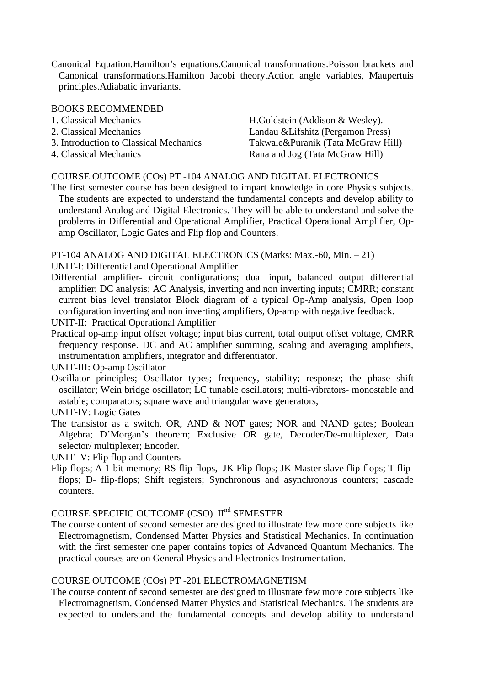Canonical Equation.Hamilton's equations.Canonical transformations.Poisson brackets and Canonical transformations.Hamilton Jacobi theory.Action angle variables, Maupertuis principles.Adiabatic invariants.

#### BOOKS RECOMMENDED

| 1. Classical Mechanics                                           | H.Goldstein (Addison & Wesley).                                          |
|------------------------------------------------------------------|--------------------------------------------------------------------------|
| 2. Classical Mechanics<br>3. Introduction to Classical Mechanics | Landau & Lifshitz (Pergamon Press)<br>Takwale&Puranik (Tata McGraw Hill) |
| 4. Classical Mechanics                                           | Rana and Jog (Tata McGraw Hill)                                          |

#### COURSE OUTCOME (COs) PT -104 ANALOG AND DIGITAL ELECTRONICS

The first semester course has been designed to impart knowledge in core Physics subjects. The students are expected to understand the fundamental concepts and develop ability to understand Analog and Digital Electronics. They will be able to understand and solve the problems in Differential and Operational Amplifier, Practical Operational Amplifier, Opamp Oscillator, Logic Gates and Flip flop and Counters.

PT-104 ANALOG AND DIGITAL ELECTRONICS (Marks: Max.-60, Min. – 21)

UNIT-I: Differential and Operational Amplifier

- Differential amplifier- circuit configurations; dual input, balanced output differential amplifier; DC analysis; AC Analysis, inverting and non inverting inputs; CMRR; constant current bias level translator Block diagram of a typical Op-Amp analysis, Open loop configuration inverting and non inverting amplifiers, Op-amp with negative feedback.
- UNIT-II: Practical Operational Amplifier
- Practical op-amp input offset voltage; input bias current, total output offset voltage, CMRR frequency response. DC and AC amplifier summing, scaling and averaging amplifiers, instrumentation amplifiers, integrator and differentiator.

UNIT-III: Op-amp Oscillator

- Oscillator principles; Oscillator types; frequency, stability; response; the phase shift oscillator; Wein bridge oscillator; LC tunable oscillators; multi-vibrators- monostable and astable; comparators; square wave and triangular wave generators,
- UNIT-IV: Logic Gates
- The transistor as a switch, OR, AND  $& NOT$  gates; NOR and NAND gates; Boolean Algebra; D'Morgan's theorem; Exclusive OR gate, Decoder/De-multiplexer, Data selector/ multiplexer; Encoder.

UNIT -V: Flip flop and Counters

Flip-flops; A 1-bit memory; RS flip-flops, JK Flip-flops; JK Master slave flip-flops; T flipflops; D- flip-flops; Shift registers; Synchronous and asynchronous counters; cascade counters.

#### COURSE SPECIFIC OUTCOME (CSO) II<sup>nd</sup> SEMESTER

The course content of second semester are designed to illustrate few more core subjects like Electromagnetism, Condensed Matter Physics and Statistical Mechanics. In continuation with the first semester one paper contains topics of Advanced Quantum Mechanics. The practical courses are on General Physics and Electronics Instrumentation.

#### COURSE OUTCOME (COs) PT -201 ELECTROMAGNETISM

The course content of second semester are designed to illustrate few more core subjects like Electromagnetism, Condensed Matter Physics and Statistical Mechanics. The students are expected to understand the fundamental concepts and develop ability to understand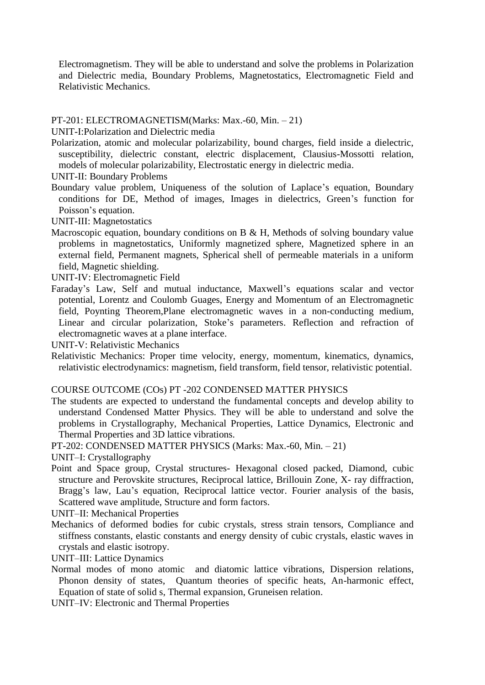Electromagnetism. They will be able to understand and solve the problems in Polarization and Dielectric media, Boundary Problems, Magnetostatics, Electromagnetic Field and Relativistic Mechanics.

#### PT-201: ELECTROMAGNETISM(Marks: Max.-60, Min. – 21)

UNIT-I:Polarization and Dielectric media

Polarization, atomic and molecular polarizability, bound charges, field inside a dielectric, susceptibility, dielectric constant, electric displacement, Clausius-Mossotti relation, models of molecular polarizability, Electrostatic energy in dielectric media.

UNIT-II: Boundary Problems

Boundary value problem, Uniqueness of the solution of Laplace's equation, Boundary conditions for DE, Method of images, Images in dielectrics, Green's function for Poisson's equation.

UNIT-III: Magnetostatics

Macroscopic equation, boundary conditions on B  $\&$  H, Methods of solving boundary value problems in magnetostatics, Uniformly magnetized sphere, Magnetized sphere in an external field, Permanent magnets, Spherical shell of permeable materials in a uniform field, Magnetic shielding.

UNIT-IV: Electromagnetic Field

Faraday's Law, Self and mutual inductance, Maxwell's equations scalar and vector potential, Lorentz and Coulomb Guages, Energy and Momentum of an Electromagnetic field, Poynting Theorem,Plane electromagnetic waves in a non-conducting medium, Linear and circular polarization, Stoke's parameters. Reflection and refraction of electromagnetic waves at a plane interface.

UNIT-V: Relativistic Mechanics

Relativistic Mechanics: Proper time velocity, energy, momentum, kinematics, dynamics, relativistic electrodynamics: magnetism, field transform, field tensor, relativistic potential.

#### COURSE OUTCOME (COs) PT -202 CONDENSED MATTER PHYSICS

The students are expected to understand the fundamental concepts and develop ability to understand Condensed Matter Physics. They will be able to understand and solve the problems in Crystallography, Mechanical Properties, Lattice Dynamics, Electronic and Thermal Properties and 3D lattice vibrations.

PT-202: CONDENSED MATTER PHYSICS (Marks: Max.-60, Min. – 21)

UNIT–I: Crystallography

Point and Space group, Crystal structures- Hexagonal closed packed, Diamond, cubic structure and Perovskite structures, Reciprocal lattice, Brillouin Zone, X- ray diffraction, Bragg's law, Lau's equation, Reciprocal lattice vector. Fourier analysis of the basis, Scattered wave amplitude, Structure and form factors.

UNIT–II: Mechanical Properties

Mechanics of deformed bodies for cubic crystals, stress strain tensors, Compliance and stiffness constants, elastic constants and energy density of cubic crystals, elastic waves in crystals and elastic isotropy.

UNIT–III: Lattice Dynamics

Normal modes of mono atomic and diatomic lattice vibrations, Dispersion relations, Phonon density of states, Quantum theories of specific heats, An-harmonic effect, Equation of state of solid s, Thermal expansion, Gruneisen relation.

UNIT–IV: Electronic and Thermal Properties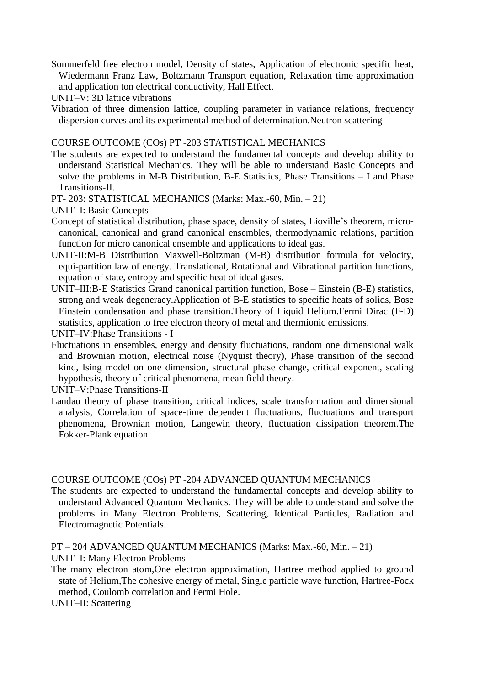Sommerfeld free electron model, Density of states, Application of electronic specific heat, Wiedermann Franz Law, Boltzmann Transport equation, Relaxation time approximation and application ton electrical conductivity, Hall Effect.

UNIT–V: 3D lattice vibrations

Vibration of three dimension lattice, coupling parameter in variance relations, frequency dispersion curves and its experimental method of determination.Neutron scattering

COURSE OUTCOME (COs) PT -203 STATISTICAL MECHANICS

The students are expected to understand the fundamental concepts and develop ability to understand Statistical Mechanics. They will be able to understand Basic Concepts and solve the problems in M-B Distribution, B-E Statistics, Phase Transitions – I and Phase Transitions-II.

PT- 203: STATISTICAL MECHANICS (Marks: Max.-60, Min. – 21)

UNIT–I: Basic Concepts

- Concept of statistical distribution, phase space, density of states, Lioville's theorem, microcanonical, canonical and grand canonical ensembles, thermodynamic relations, partition function for micro canonical ensemble and applications to ideal gas.
- UNIT-II:M-B Distribution Maxwell-Boltzman (M-B) distribution formula for velocity, equi-partition law of energy. Translational, Rotational and Vibrational partition functions, equation of state, entropy and specific heat of ideal gases.
- UNIT–III:B-E Statistics Grand canonical partition function, Bose Einstein (B-E) statistics, strong and weak degeneracy.Application of B-E statistics to specific heats of solids, Bose Einstein condensation and phase transition.Theory of Liquid Helium.Fermi Dirac (F-D) statistics, application to free electron theory of metal and thermionic emissions.

UNIT–IV:Phase Transitions - I

Fluctuations in ensembles, energy and density fluctuations, random one dimensional walk and Brownian motion, electrical noise (Nyquist theory), Phase transition of the second kind, Ising model on one dimension, structural phase change, critical exponent, scaling hypothesis, theory of critical phenomena, mean field theory.

UNIT–V:Phase Transitions-II

Landau theory of phase transition, critical indices, scale transformation and dimensional analysis, Correlation of space-time dependent fluctuations, fluctuations and transport phenomena, Brownian motion, Langewin theory, fluctuation dissipation theorem.The Fokker-Plank equation

### COURSE OUTCOME (COs) PT -204 ADVANCED QUANTUM MECHANICS

The students are expected to understand the fundamental concepts and develop ability to understand Advanced Quantum Mechanics. They will be able to understand and solve the problems in Many Electron Problems, Scattering, Identical Particles, Radiation and Electromagnetic Potentials.

PT – 204 ADVANCED QUANTUM MECHANICS (Marks: Max.-60, Min. – 21) UNIT–I: Many Electron Problems

The many electron atom,One electron approximation, Hartree method applied to ground state of Helium,The cohesive energy of metal, Single particle wave function, Hartree-Fock method, Coulomb correlation and Fermi Hole.

UNIT–II: Scattering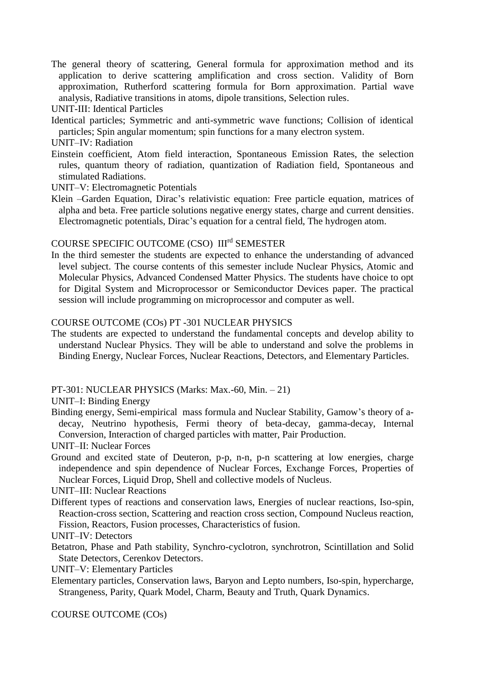The general theory of scattering, General formula for approximation method and its application to derive scattering amplification and cross section. Validity of Born approximation, Rutherford scattering formula for Born approximation. Partial wave analysis, Radiative transitions in atoms, dipole transitions, Selection rules.

UNIT-III: Identical Particles

- Identical particles; Symmetric and anti-symmetric wave functions; Collision of identical particles; Spin angular momentum; spin functions for a many electron system.
- UNIT–IV: Radiation
- Einstein coefficient, Atom field interaction, Spontaneous Emission Rates, the selection rules, quantum theory of radiation, quantization of Radiation field, Spontaneous and stimulated Radiations.
- UNIT–V: Electromagnetic Potentials
- Klein –Garden Equation, Dirac's relativistic equation: Free particle equation, matrices of alpha and beta. Free particle solutions negative energy states, charge and current densities. Electromagnetic potentials, Dirac's equation for a central field, The hydrogen atom.

## COURSE SPECIFIC OUTCOME (CSO) IIIrd SEMESTER

In the third semester the students are expected to enhance the understanding of advanced level subject. The course contents of this semester include Nuclear Physics, Atomic and Molecular Physics, Advanced Condensed Matter Physics. The students have choice to opt for Digital System and Microprocessor or Semiconductor Devices paper. The practical session will include programming on microprocessor and computer as well.

#### COURSE OUTCOME (COs) PT -301 NUCLEAR PHYSICS

The students are expected to understand the fundamental concepts and develop ability to understand Nuclear Physics. They will be able to understand and solve the problems in Binding Energy, Nuclear Forces, Nuclear Reactions, Detectors, and Elementary Particles.

### PT-301: NUCLEAR PHYSICS (Marks: Max.-60, Min. – 21)

UNIT–I: Binding Energy

Binding energy, Semi-empirical mass formula and Nuclear Stability, Gamow's theory of adecay, Neutrino hypothesis, Fermi theory of beta-decay, gamma-decay, Internal Conversion, Interaction of charged particles with matter, Pair Production.

UNIT–II: Nuclear Forces

Ground and excited state of Deuteron, p-p, n-n, p-n scattering at low energies, charge independence and spin dependence of Nuclear Forces, Exchange Forces, Properties of Nuclear Forces, Liquid Drop, Shell and collective models of Nucleus.

UNIT–III: Nuclear Reactions

- Different types of reactions and conservation laws, Energies of nuclear reactions, Iso-spin, Reaction-cross section, Scattering and reaction cross section, Compound Nucleus reaction, Fission, Reactors, Fusion processes, Characteristics of fusion.
- UNIT–IV: Detectors
- Betatron, Phase and Path stability, Synchro-cyclotron, synchrotron, Scintillation and Solid State Detectors, Cerenkov Detectors.

UNIT–V: Elementary Particles

Elementary particles, Conservation laws, Baryon and Lepto numbers, Iso-spin, hypercharge, Strangeness, Parity, Quark Model, Charm, Beauty and Truth, Quark Dynamics.

COURSE OUTCOME (COs)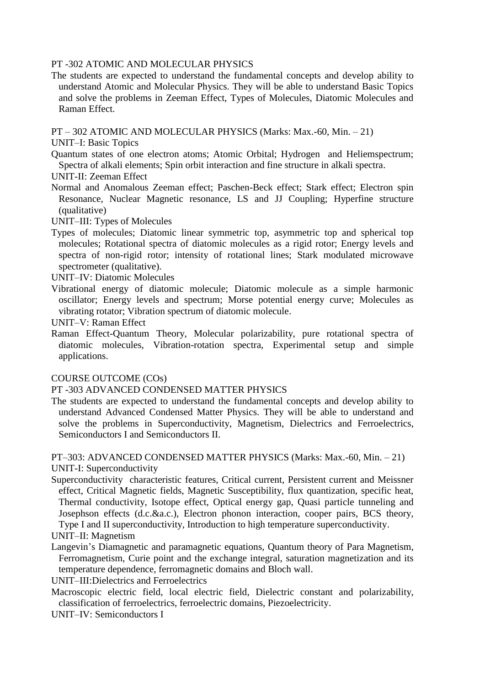#### PT -302 ATOMIC AND MOLECULAR PHYSICS

The students are expected to understand the fundamental concepts and develop ability to understand Atomic and Molecular Physics. They will be able to understand Basic Topics and solve the problems in Zeeman Effect, Types of Molecules, Diatomic Molecules and Raman Effect.

PT – 302 ATOMIC AND MOLECULAR PHYSICS (Marks: Max.-60, Min. – 21)

UNIT–I: Basic Topics

- Quantum states of one electron atoms; Atomic Orbital; Hydrogen and Heliemspectrum; Spectra of alkali elements; Spin orbit interaction and fine structure in alkali spectra.
- UNIT-II: Zeeman Effect
- Normal and Anomalous Zeeman effect; Paschen-Beck effect; Stark effect; Electron spin Resonance, Nuclear Magnetic resonance, LS and JJ Coupling; Hyperfine structure (qualitative)

UNIT–III: Types of Molecules

Types of molecules; Diatomic linear symmetric top, asymmetric top and spherical top molecules; Rotational spectra of diatomic molecules as a rigid rotor; Energy levels and spectra of non-rigid rotor; intensity of rotational lines; Stark modulated microwave spectrometer (qualitative).

UNIT–IV: Diatomic Molecules

Vibrational energy of diatomic molecule; Diatomic molecule as a simple harmonic oscillator; Energy levels and spectrum; Morse potential energy curve; Molecules as vibrating rotator; Vibration spectrum of diatomic molecule.

UNIT–V: Raman Effect

Raman Effect-Quantum Theory, Molecular polarizability, pure rotational spectra of diatomic molecules, Vibration-rotation spectra, Experimental setup and simple applications.

### COURSE OUTCOME (COs)

### PT -303 ADVANCED CONDENSED MATTER PHYSICS

The students are expected to understand the fundamental concepts and develop ability to understand Advanced Condensed Matter Physics. They will be able to understand and solve the problems in Superconductivity, Magnetism, Dielectrics and Ferroelectrics, Semiconductors I and Semiconductors II.

PT–303: ADVANCED CONDENSED MATTER PHYSICS (Marks: Max.-60, Min. – 21) UNIT-I: Superconductivity

Superconductivity characteristic features, Critical current, Persistent current and Meissner effect, Critical Magnetic fields, Magnetic Susceptibility, flux quantization, specific heat, Thermal conductivity, Isotope effect, Optical energy gap, Quasi particle tunneling and Josephson effects (d.c.&a.c.), Electron phonon interaction, cooper pairs, BCS theory, Type I and II superconductivity, Introduction to high temperature superconductivity.

UNIT–II: Magnetism

- Langevin's Diamagnetic and paramagnetic equations, Quantum theory of Para Magnetism, Ferromagnetism, Curie point and the exchange integral, saturation magnetization and its temperature dependence, ferromagnetic domains and Bloch wall.
- UNIT–III:Dielectrics and Ferroelectrics
- Macroscopic electric field, local electric field, Dielectric constant and polarizability, classification of ferroelectrics, ferroelectric domains, Piezoelectricity.
- UNIT–IV: Semiconductors I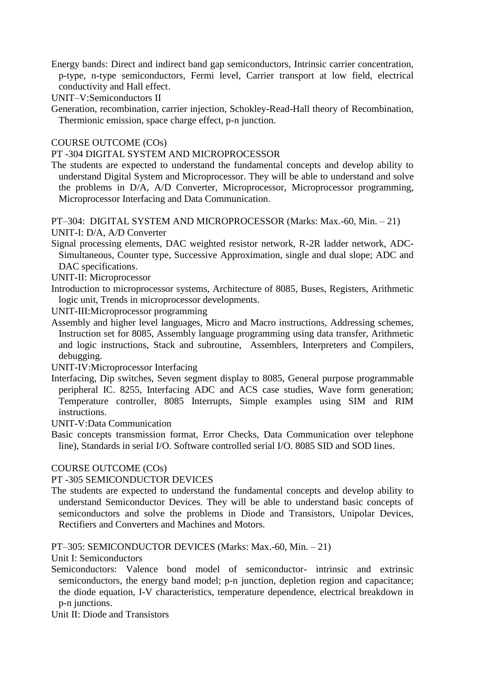Energy bands: Direct and indirect band gap semiconductors, Intrinsic carrier concentration, p-type, n-type semiconductors, Fermi level, Carrier transport at low field, electrical conductivity and Hall effect.

UNIT–V:Semiconductors II

Generation, recombination, carrier injection, Schokley-Read-Hall theory of Recombination, Thermionic emission, space charge effect, p-n junction.

## COURSE OUTCOME (COs)

#### PT -304 DIGITAL SYSTEM AND MICROPROCESSOR

The students are expected to understand the fundamental concepts and develop ability to understand Digital System and Microprocessor. They will be able to understand and solve the problems in D/A, A/D Converter, Microprocessor, Microprocessor programming, Microprocessor Interfacing and Data Communication.

PT–304: DIGITAL SYSTEM AND MICROPROCESSOR (Marks: Max.-60, Min. – 21) UNIT-I: D/A, A/D Converter

- Signal processing elements, DAC weighted resistor network, R-2R ladder network, ADC-Simultaneous, Counter type, Successive Approximation, single and dual slope; ADC and DAC specifications.
- UNIT-II: Microprocessor
- Introduction to microprocessor systems, Architecture of 8085, Buses, Registers, Arithmetic logic unit, Trends in microprocessor developments.
- UNIT-III:Microprocessor programming
- Assembly and higher level languages, Micro and Macro instructions, Addressing schemes, Instruction set for 8085, Assembly language programming using data transfer, Arithmetic and logic instructions, Stack and subroutine, Assemblers, Interpreters and Compilers, debugging.

UNIT-IV:Microprocessor Interfacing

- Interfacing, Dip switches, Seven segment display to 8085, General purpose programmable peripheral IC. 8255, Interfacing ADC and ACS case studies, Wave form generation; Temperature controller, 8085 Interrupts, Simple examples using SIM and RIM instructions.
- UNIT-V:Data Communication
- Basic concepts transmission format, Error Checks, Data Communication over telephone line), Standards in serial I/O. Software controlled serial I/O. 8085 SID and SOD lines.

## COURSE OUTCOME (COs)

#### PT -305 SEMICONDUCTOR DEVICES

The students are expected to understand the fundamental concepts and develop ability to understand Semiconductor Devices. They will be able to understand basic concepts of semiconductors and solve the problems in Diode and Transistors, Unipolar Devices, Rectifiers and Converters and Machines and Motors.

### PT–305: SEMICONDUCTOR DEVICES (Marks: Max.-60, Min. – 21)

Unit I: Semiconductors

Semiconductors: Valence bond model of semiconductor- intrinsic and extrinsic semiconductors, the energy band model; p-n junction, depletion region and capacitance; the diode equation, I-V characteristics, temperature dependence, electrical breakdown in p-n junctions.

Unit II: Diode and Transistors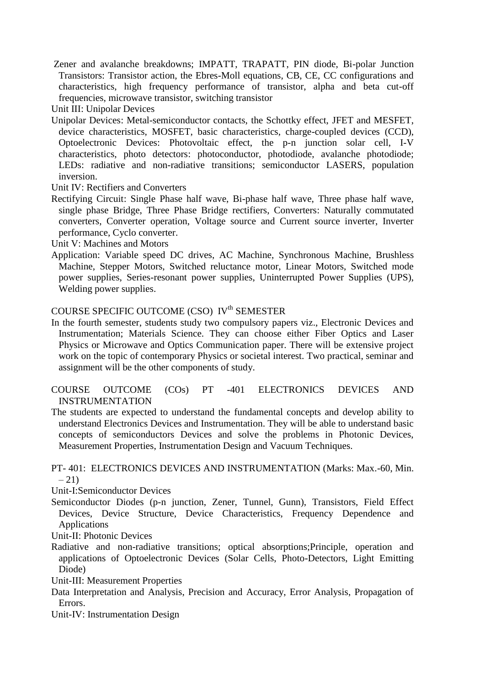Zener and avalanche breakdowns; IMPATT, TRAPATT, PIN diode, Bi-polar Junction Transistors: Transistor action, the Ebres-Moll equations, CB, CE, CC configurations and characteristics, high frequency performance of transistor, alpha and beta cut-off frequencies, microwave transistor, switching transistor

Unit III: Unipolar Devices

Unipolar Devices: Metal-semiconductor contacts, the Schottky effect, JFET and MESFET, device characteristics, MOSFET, basic characteristics, charge-coupled devices (CCD), Optoelectronic Devices: Photovoltaic effect, the p-n junction solar cell, I-V characteristics, photo detectors: photoconductor, photodiode, avalanche photodiode; LEDs: radiative and non-radiative transitions; semiconductor LASERS, population inversion.

Unit IV: Rectifiers and Converters

Rectifying Circuit: Single Phase half wave, Bi-phase half wave, Three phase half wave, single phase Bridge, Three Phase Bridge rectifiers, Converters: Naturally commutated converters, Converter operation, Voltage source and Current source inverter, Inverter performance, Cyclo converter.

Unit V: Machines and Motors

Application: Variable speed DC drives, AC Machine, Synchronous Machine, Brushless Machine, Stepper Motors, Switched reluctance motor, Linear Motors, Switched mode power supplies, Series-resonant power supplies, Uninterrupted Power Supplies (UPS), Welding power supplies.

# COURSE SPECIFIC OUTCOME (CSO) IV<sup>th</sup> SEMESTER

- In the fourth semester, students study two compulsory papers viz., Electronic Devices and Instrumentation; Materials Science. They can choose either Fiber Optics and Laser Physics or Microwave and Optics Communication paper. There will be extensive project work on the topic of contemporary Physics or societal interest. Two practical, seminar and assignment will be the other components of study.
- COURSE OUTCOME (COs) PT -401 ELECTRONICS DEVICES AND INSTRUMENTATION
- The students are expected to understand the fundamental concepts and develop ability to understand Electronics Devices and Instrumentation. They will be able to understand basic concepts of semiconductors Devices and solve the problems in Photonic Devices, Measurement Properties, Instrumentation Design and Vacuum Techniques.

## PT- 401: ELECTRONICS DEVICES AND INSTRUMENTATION (Marks: Max.-60, Min.  $-21$

Unit-I:Semiconductor Devices

Semiconductor Diodes (p-n junction, Zener, Tunnel, Gunn), Transistors, Field Effect Devices, Device Structure, Device Characteristics, Frequency Dependence and Applications

Unit-II: Photonic Devices

Radiative and non-radiative transitions; optical absorptions;Principle, operation and applications of Optoelectronic Devices (Solar Cells, Photo-Detectors, Light Emitting Diode)

Unit-III: Measurement Properties

Data Interpretation and Analysis, Precision and Accuracy, Error Analysis, Propagation of Errors.

Unit-IV: Instrumentation Design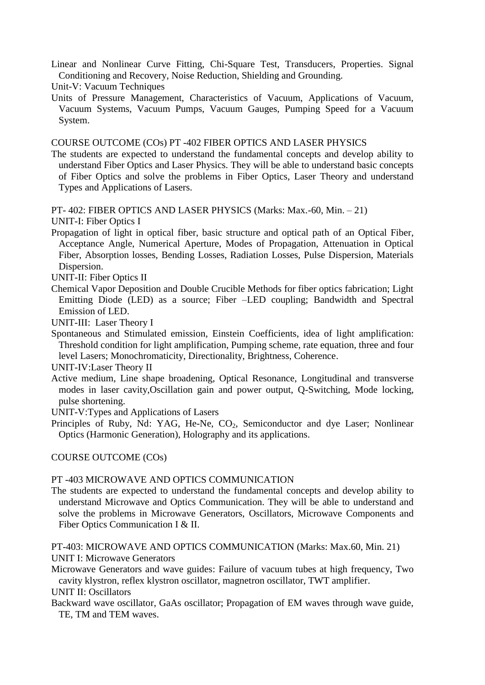- Linear and Nonlinear Curve Fitting, Chi-Square Test, Transducers, Properties. Signal Conditioning and Recovery, Noise Reduction, Shielding and Grounding.
- Unit-V: Vacuum Techniques
- Units of Pressure Management, Characteristics of Vacuum, Applications of Vacuum, Vacuum Systems, Vacuum Pumps, Vacuum Gauges, Pumping Speed for a Vacuum System.

COURSE OUTCOME (COs) PT -402 FIBER OPTICS AND LASER PHYSICS

The students are expected to understand the fundamental concepts and develop ability to understand Fiber Optics and Laser Physics. They will be able to understand basic concepts of Fiber Optics and solve the problems in Fiber Optics, Laser Theory and understand Types and Applications of Lasers.

PT- 402: FIBER OPTICS AND LASER PHYSICS (Marks: Max.-60, Min. – 21) UNIT-I: Fiber Optics I

- Propagation of light in optical fiber, basic structure and optical path of an Optical Fiber, Acceptance Angle, Numerical Aperture, Modes of Propagation, Attenuation in Optical Fiber, Absorption losses, Bending Losses, Radiation Losses, Pulse Dispersion, Materials Dispersion.
- UNIT-II: Fiber Optics II
- Chemical Vapor Deposition and Double Crucible Methods for fiber optics fabrication; Light Emitting Diode (LED) as a source; Fiber –LED coupling; Bandwidth and Spectral Emission of LED.

UNIT-III: Laser Theory I

Spontaneous and Stimulated emission, Einstein Coefficients, idea of light amplification: Threshold condition for light amplification, Pumping scheme, rate equation, three and four level Lasers; Monochromaticity, Directionality, Brightness, Coherence.

UNIT-IV:Laser Theory II

Active medium, Line shape broadening, Optical Resonance, Longitudinal and transverse modes in laser cavity,Oscillation gain and power output, Q-Switching, Mode locking, pulse shortening.

UNIT-V:Types and Applications of Lasers

Principles of Ruby, Nd: YAG, He-Ne, CO<sub>2</sub>, Semiconductor and dye Laser; Nonlinear Optics (Harmonic Generation), Holography and its applications.

### COURSE OUTCOME (COs)

### PT -403 MICROWAVE AND OPTICS COMMUNICATION

The students are expected to understand the fundamental concepts and develop ability to understand Microwave and Optics Communication. They will be able to understand and solve the problems in Microwave Generators, Oscillators, Microwave Components and Fiber Optics Communication I & II.

PT-403: MICROWAVE AND OPTICS COMMUNICATION (Marks: Max.60, Min. 21) UNIT I: Microwave Generators

Microwave Generators and wave guides: Failure of vacuum tubes at high frequency, Two cavity klystron, reflex klystron oscillator, magnetron oscillator, TWT amplifier.

UNIT II: Oscillators

Backward wave oscillator, GaAs oscillator; Propagation of EM waves through wave guide, TE, TM and TEM waves.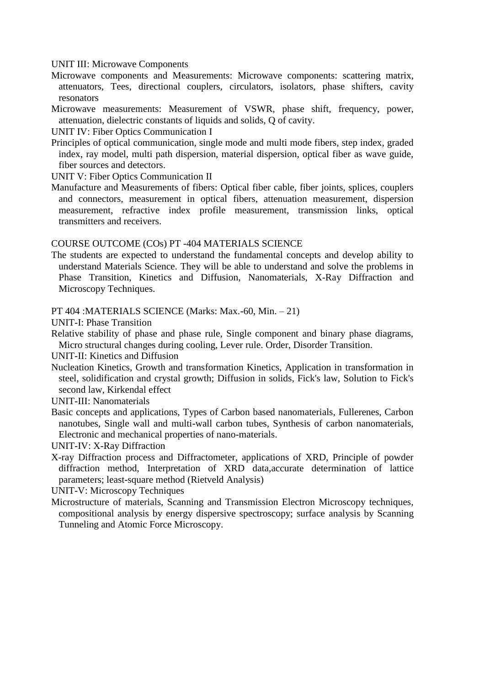UNIT III: Microwave Components

- Microwave components and Measurements: Microwave components: scattering matrix, attenuators, Tees, directional couplers, circulators, isolators, phase shifters, cavity resonators
- Microwave measurements: Measurement of VSWR, phase shift, frequency, power, attenuation, dielectric constants of liquids and solids, Q of cavity.

UNIT IV: Fiber Optics Communication I

Principles of optical communication, single mode and multi mode fibers, step index, graded index, ray model, multi path dispersion, material dispersion, optical fiber as wave guide, fiber sources and detectors.

UNIT V: Fiber Optics Communication II

Manufacture and Measurements of fibers: Optical fiber cable, fiber joints, splices, couplers and connectors, measurement in optical fibers, attenuation measurement, dispersion measurement, refractive index profile measurement, transmission links, optical transmitters and receivers.

#### COURSE OUTCOME (COs) PT -404 MATERIALS SCIENCE

The students are expected to understand the fundamental concepts and develop ability to understand Materials Science. They will be able to understand and solve the problems in Phase Transition, Kinetics and Diffusion, Nanomaterials, X-Ray Diffraction and Microscopy Techniques.

PT 404 :MATERIALS SCIENCE (Marks: Max.-60, Min. – 21)

UNIT-I: Phase Transition

Relative stability of phase and phase rule, Single component and binary phase diagrams, Micro structural changes during cooling, Lever rule. Order, Disorder Transition.

UNIT-II: Kinetics and Diffusion

Nucleation Kinetics, Growth and transformation Kinetics, Application in transformation in steel, solidification and crystal growth; Diffusion in solids, Fick's law, Solution to Fick's second law, Kirkendal effect

UNIT-III: Nanomaterials

Basic concepts and applications, Types of Carbon based nanomaterials, Fullerenes, Carbon nanotubes, Single wall and multi-wall carbon tubes, Synthesis of carbon nanomaterials, Electronic and mechanical properties of nano-materials.

UNIT-IV: X-Ray Diffraction

X-ray Diffraction process and Diffractometer, applications of XRD, Principle of powder diffraction method, Interpretation of XRD data,accurate determination of lattice parameters; least-square method (Rietveld Analysis)

UNIT-V: Microscopy Techniques

Microstructure of materials, Scanning and Transmission Electron Microscopy techniques, compositional analysis by energy dispersive spectroscopy; surface analysis by Scanning Tunneling and Atomic Force Microscopy.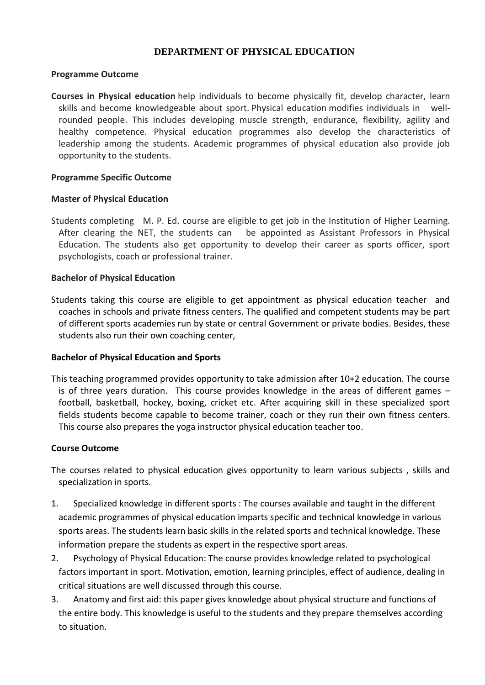## **DEPARTMENT OF PHYSICAL EDUCATION**

### **Programme Outcome**

**Courses in Physical education** help individuals to become physically fit, develop character, learn skills and become knowledgeable about sport. Physical education modifies individuals in wellrounded people. This includes developing muscle strength, endurance, flexibility, agility and healthy competence. Physical education programmes also develop the characteristics of leadership among the students. Academic programmes of physical education also provide job opportunity to the students.

## **Programme Specific Outcome**

## **Master of Physical Education**

Students completing M. P. Ed. course are eligible to get job in the Institution of Higher Learning. After clearing the NET, the students can be appointed as Assistant Professors in Physical Education. The students also get opportunity to develop their career as sports officer, sport psychologists, coach or professional trainer.

## **Bachelor of Physical Education**

Students taking this course are eligible to get appointment as physical education teacher and coaches in schools and private fitness centers. The qualified and competent students may be part of different sports academies run by state or central Government or private bodies. Besides, these students also run their own coaching center,

### **Bachelor of Physical Education and Sports**

This teaching programmed provides opportunity to take admission after 10+2 education. The course is of three years duration. This course provides knowledge in the areas of different games – football, basketball, hockey, boxing, cricket etc. After acquiring skill in these specialized sport fields students become capable to become trainer, coach or they run their own fitness centers. This course also prepares the yoga instructor physical education teacher too.

### **Course Outcome**

- The courses related to physical education gives opportunity to learn various subjects , skills and specialization in sports.
- 1. Specialized knowledge in different sports : The courses available and taught in the different academic programmes of physical education imparts specific and technical knowledge in various sports areas. The students learn basic skills in the related sports and technical knowledge. These information prepare the students as expert in the respective sport areas.
- 2. Psychology of Physical Education: The course provides knowledge related to psychological factors important in sport. Motivation, emotion, learning principles, effect of audience, dealing in critical situations are well discussed through this course.
- 3. Anatomy and first aid: this paper gives knowledge about physical structure and functions of the entire body. This knowledge is useful to the students and they prepare themselves according to situation.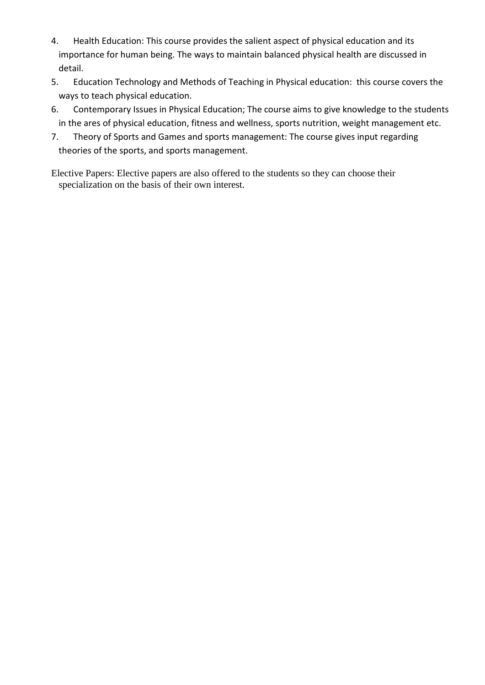- 4. Health Education: This course provides the salient aspect of physical education and its importance for human being. The ways to maintain balanced physical health are discussed in detail.
- 5. Education Technology and Methods of Teaching in Physical education: this course covers the ways to teach physical education.
- 6. Contemporary Issues in Physical Education; The course aims to give knowledge to the students in the ares of physical education, fitness and wellness, sports nutrition, weight management etc.
- 7. Theory of Sports and Games and sports management: The course gives input regarding theories of the sports, and sports management.

Elective Papers: Elective papers are also offered to the students so they can choose their specialization on the basis of their own interest.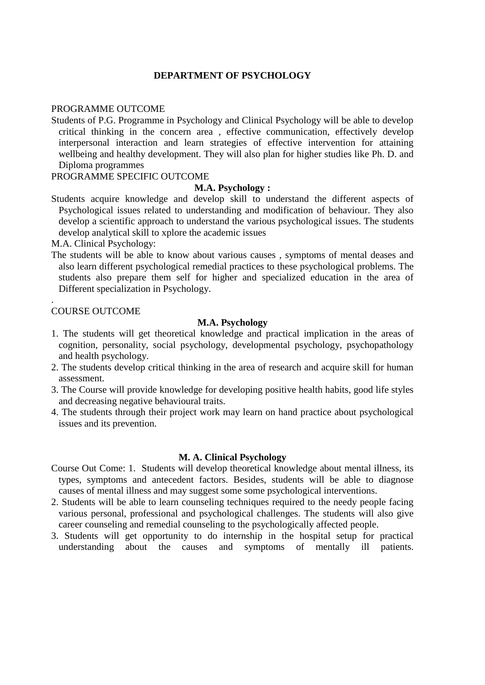### **DEPARTMENT OF PSYCHOLOGY**

#### PROGRAMME OUTCOME

Students of P.G. Programme in Psychology and Clinical Psychology will be able to develop critical thinking in the concern area , effective communication, effectively develop interpersonal interaction and learn strategies of effective intervention for attaining wellbeing and healthy development. They will also plan for higher studies like Ph. D. and Diploma programmes

### PROGRAMME SPECIFIC OUTCOME

#### **M.A. Psychology :**

Students acquire knowledge and develop skill to understand the different aspects of Psychological issues related to understanding and modification of behaviour. They also develop a scientific approach to understand the various psychological issues. The students develop analytical skill to xplore the academic issues

M.A. Clinical Psychology:

The students will be able to know about various causes , symptoms of mental deases and also learn different psychological remedial practices to these psychological problems. The students also prepare them self for higher and specialized education in the area of Different specialization in Psychology.

#### . COURSE OUTCOME

#### **M.A. Psychology**

- 1. The students will get theoretical knowledge and practical implication in the areas of cognition, personality, social psychology, developmental psychology, psychopathology and health psychology.
- 2. The students develop critical thinking in the area of research and acquire skill for human assessment.
- 3. The Course will provide knowledge for developing positive health habits, good life styles and decreasing negative behavioural traits.
- 4. The students through their project work may learn on hand practice about psychological issues and its prevention.

#### **M. A. Clinical Psychology**

- Course Out Come: 1. Students will develop theoretical knowledge about mental illness, its types, symptoms and antecedent factors. Besides, students will be able to diagnose causes of mental illness and may suggest some some psychological interventions.
- 2. Students will be able to learn counseling techniques required to the needy people facing various personal, professional and psychological challenges. The students will also give career counseling and remedial counseling to the psychologically affected people.
- 3. Students will get opportunity to do internship in the hospital setup for practical understanding about the causes and symptoms of mentally ill patients.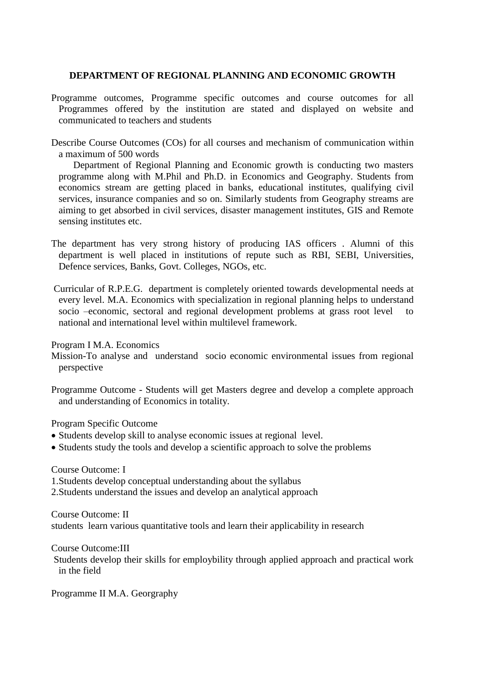#### **DEPARTMENT OF REGIONAL PLANNING AND ECONOMIC GROWTH**

- Programme outcomes, Programme specific outcomes and course outcomes for all Programmes offered by the institution are stated and displayed on website and communicated to teachers and students
- Describe Course Outcomes (COs) for all courses and mechanism of communication within a maximum of 500 words

 Department of Regional Planning and Economic growth is conducting two masters programme along with M.Phil and Ph.D. in Economics and Geography. Students from economics stream are getting placed in banks, educational institutes, qualifying civil services, insurance companies and so on. Similarly students from Geography streams are aiming to get absorbed in civil services, disaster management institutes, GIS and Remote sensing institutes etc.

- The department has very strong history of producing IAS officers . Alumni of this department is well placed in institutions of repute such as RBI, SEBI, Universities, Defence services, Banks, Govt. Colleges, NGOs, etc.
- Curricular of R.P.E.G. department is completely oriented towards developmental needs at every level. M.A. Economics with specialization in regional planning helps to understand socio –economic, sectoral and regional development problems at grass root level to national and international level within multilevel framework.

Program I M.A. Economics

- Mission-To analyse and understand socio economic environmental issues from regional perspective
- Programme Outcome Students will get Masters degree and develop a complete approach and understanding of Economics in totality.

Program Specific Outcome

- Students develop skill to analyse economic issues at regional level.
- Students study the tools and develop a scientific approach to solve the problems

Course Outcome: I

1.Students develop conceptual understanding about the syllabus 2.Students understand the issues and develop an analytical approach

Course Outcome: II students learn various quantitative tools and learn their applicability in research

Course Outcome:III

Students develop their skills for employbility through applied approach and practical work in the field

Programme II M.A. Georgraphy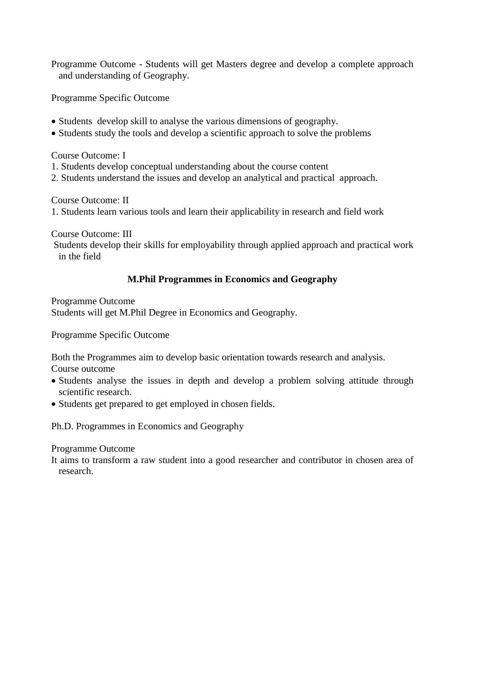Programme Outcome - Students will get Masters degree and develop a complete approach and understanding of Geography.

Programme Specific Outcome

- Students develop skill to analyse the various dimensions of geography.
- Students study the tools and develop a scientific approach to solve the problems

Course Outcome: I

- 1. Students develop conceptual understanding about the course content
- 2. Students understand the issues and develop an analytical and practical approach.

Course Outcome: II 1. Students learn various tools and learn their applicability in research and field work

Course Outcome: III Students develop their skills for employability through applied approach and practical work in the field

# **M.Phil Programmes in Economics and Geography**

Programme Outcome Students will get M.Phil Degree in Economics and Geography.

Programme Specific Outcome

Both the Programmes aim to develop basic orientation towards research and analysis. Course outcome

- Students analyse the issues in depth and develop a problem solving attitude through scientific research.
- Students get prepared to get employed in chosen fields.

Ph.D. Programmes in Economics and Geography

Programme Outcome

It aims to transform a raw student into a good researcher and contributor in chosen area of research.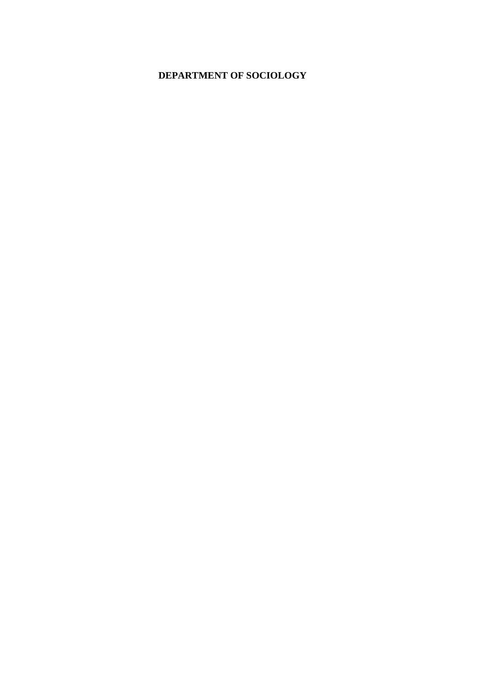# **DEPARTMENT OF SOCIOLOGY**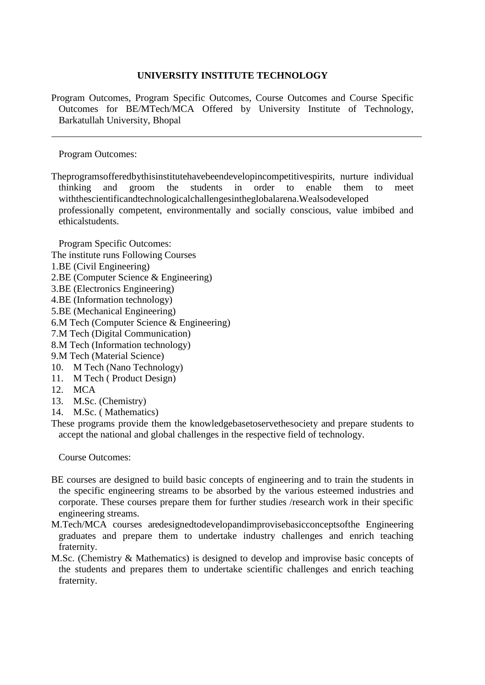## **UNIVERSITY INSTITUTE TECHNOLOGY**

Program Outcomes, Program Specific Outcomes, Course Outcomes and Course Specific Outcomes for BE/MTech/MCA Offered by University Institute of Technology, Barkatullah University, Bhopal

Program Outcomes:

Theprogramsofferedbythisinstitutehavebeendevelopincompetitivespirits, nurture individual thinking and groom the students in order to enable them to meet withthescientificandtechnologicalchallengesintheglobalarena.Wealsodeveloped professionally competent, environmentally and socially conscious, value imbibed and ethicalstudents.

Program Specific Outcomes:

- The institute runs Following Courses
- 1.BE (Civil Engineering)
- 2.BE (Computer Science & Engineering)
- 3.BE (Electronics Engineering)
- 4.BE (Information technology)
- 5.BE (Mechanical Engineering)
- 6.M Tech (Computer Science & Engineering)
- 7.M Tech (Digital Communication)
- 8.M Tech (Information technology)
- 9.M Tech (Material Science)
- 10. M Tech (Nano Technology)
- 11. M Tech ( Product Design)
- 12. MCA
- 13. M.Sc. (Chemistry)
- 14. M.Sc. ( Mathematics)

These programs provide them the knowledgebasetoservethesociety and prepare students to accept the national and global challenges in the respective field of technology.

Course Outcomes:

- BE courses are designed to build basic concepts of engineering and to train the students in the specific engineering streams to be absorbed by the various esteemed industries and corporate. These courses prepare them for further studies /research work in their specific engineering streams.
- M.Tech/MCA courses aredesignedtodevelopandimprovisebasicconceptsofthe Engineering graduates and prepare them to undertake industry challenges and enrich teaching fraternity.
- M.Sc. (Chemistry & Mathematics) is designed to develop and improvise basic concepts of the students and prepares them to undertake scientific challenges and enrich teaching fraternity.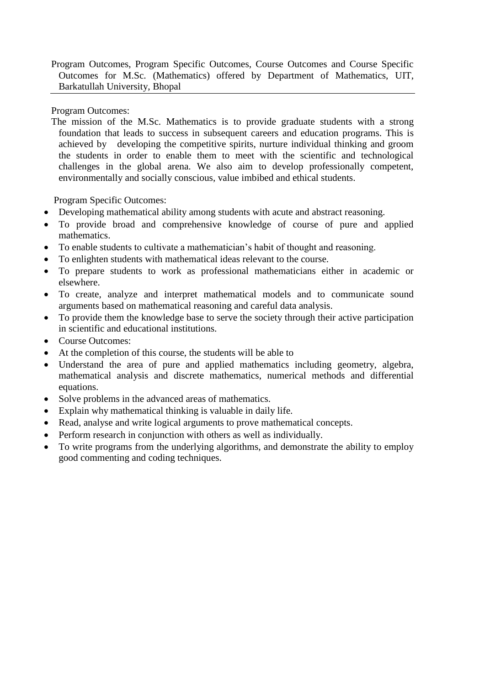Program Outcomes, Program Specific Outcomes, Course Outcomes and Course Specific Outcomes for M.Sc. (Mathematics) offered by Department of Mathematics, UIT, Barkatullah University, Bhopal

Program Outcomes:

The mission of the M.Sc. Mathematics is to provide graduate students with a strong foundation that leads to success in subsequent careers and education programs. This is achieved by developing the competitive spirits, nurture individual thinking and groom the students in order to enable them to meet with the scientific and technological challenges in the global arena. We also aim to develop professionally competent, environmentally and socially conscious, value imbibed and ethical students.

Program Specific Outcomes:

- Developing mathematical ability among students with acute and abstract reasoning.
- To provide broad and comprehensive knowledge of course of pure and applied mathematics.
- To enable students to cultivate a mathematician's habit of thought and reasoning.
- To enlighten students with mathematical ideas relevant to the course.
- To prepare students to work as professional mathematicians either in academic or elsewhere.
- To create, analyze and interpret mathematical models and to communicate sound arguments based on mathematical reasoning and careful data analysis.
- To provide them the knowledge base to serve the society through their active participation in scientific and educational institutions.
- Course Outcomes:
- At the completion of this course, the students will be able to
- Understand the area of pure and applied mathematics including geometry, algebra, mathematical analysis and discrete mathematics, numerical methods and differential equations.
- Solve problems in the advanced areas of mathematics.
- Explain why mathematical thinking is valuable in daily life.
- Read, analyse and write logical arguments to prove mathematical concepts.
- Perform research in conjunction with others as well as individually.
- To write programs from the underlying algorithms, and demonstrate the ability to employ good commenting and coding techniques.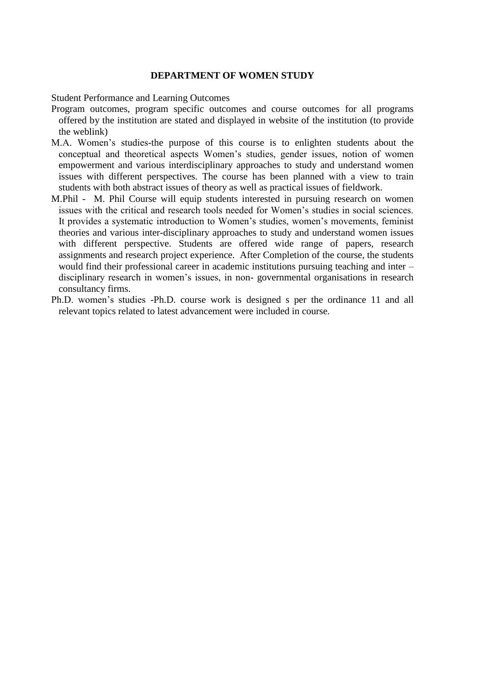#### **DEPARTMENT OF WOMEN STUDY**

Student Performance and Learning Outcomes

- Program outcomes, program specific outcomes and course outcomes for all programs offered by the institution are stated and displayed in website of the institution (to provide the weblink)
- M.A. Women's studies-the purpose of this course is to enlighten students about the conceptual and theoretical aspects Women's studies, gender issues, notion of women empowerment and various interdisciplinary approaches to study and understand women issues with different perspectives. The course has been planned with a view to train students with both abstract issues of theory as well as practical issues of fieldwork.
- M.Phil M. Phil Course will equip students interested in pursuing research on women issues with the critical and research tools needed for Women's studies in social sciences. It provides a systematic introduction to Women's studies, women's movements, feminist theories and various inter-disciplinary approaches to study and understand women issues with different perspective. Students are offered wide range of papers, research assignments and research project experience. After Completion of the course, the students would find their professional career in academic institutions pursuing teaching and inter – disciplinary research in women's issues, in non- governmental organisations in research consultancy firms.
- Ph.D. women's studies -Ph.D. course work is designed s per the ordinance 11 and all relevant topics related to latest advancement were included in course.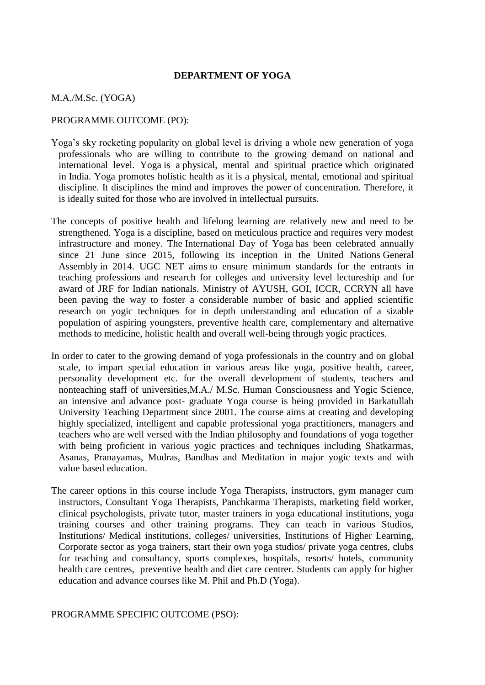#### **DEPARTMENT OF YOGA**

#### M.A./M.Sc. (YOGA)

#### PROGRAMME OUTCOME (PO):

- Yoga's sky rocketing popularity on global level is driving a whole new generation of yoga professionals who are willing to contribute to the growing demand on national and international level. Yoga is a physical, mental and spiritual practice which originated in India. Yoga promotes holistic health as it is a physical, mental, emotional and spiritual discipline. It disciplines the mind and improves the power of concentration. Therefore, it is ideally suited for those who are involved in intellectual pursuits.
- The concepts of positive health and lifelong learning are relatively new and need to be strengthened. Yoga is a discipline, based on meticulous practice and requires very modest infrastructure and money. The International Day of Yoga has been celebrated annually since 21 June since 2015, following its inception in the United Nations General Assembly in 2014. UGC NET aims to ensure minimum standards for the entrants in teaching professions and research for colleges and university level lectureship and for award of JRF for Indian nationals. Ministry of AYUSH, GOI, ICCR, CCRYN all have been paving the way to foster a considerable number of basic and applied scientific research on yogic techniques for in depth understanding and education of a sizable population of aspiring youngsters, preventive health care, complementary and alternative methods to medicine, holistic health and overall well-being through yogic practices.
- In order to cater to the growing demand of yoga professionals in the country and on global scale, to impart special education in various areas like yoga, positive health, career, personality development etc. for the overall development of students, teachers and nonteaching staff of universities,M.A./ M.Sc. Human Consciousness and Yogic Science, an intensive and advance post- graduate Yoga course is being provided in Barkatullah University Teaching Department since 2001. The course aims at creating and developing highly specialized, intelligent and capable professional yoga practitioners, managers and teachers who are well versed with the Indian philosophy and foundations of yoga together with being proficient in various yogic practices and techniques including Shatkarmas, Asanas, Pranayamas, Mudras, Bandhas and Meditation in major yogic texts and with value based education.
- The career options in this course include Yoga Therapists, instructors, gym manager cum instructors, Consultant Yoga Therapists, Panchkarma Therapists, marketing field worker, clinical psychologists, private tutor, master trainers in yoga educational institutions, yoga training courses and other training programs. They can teach in various Studios, Institutions/ Medical institutions, colleges/ universities, Institutions of Higher Learning, Corporate sector as yoga trainers, start their own yoga studios/ private yoga centres, clubs for teaching and consultancy, sports complexes, hospitals, resorts/ hotels, community health care centres, preventive health and diet care centrer. Students can apply for higher education and advance courses like M. Phil and Ph.D (Yoga).

#### PROGRAMME SPECIFIC OUTCOME (PSO):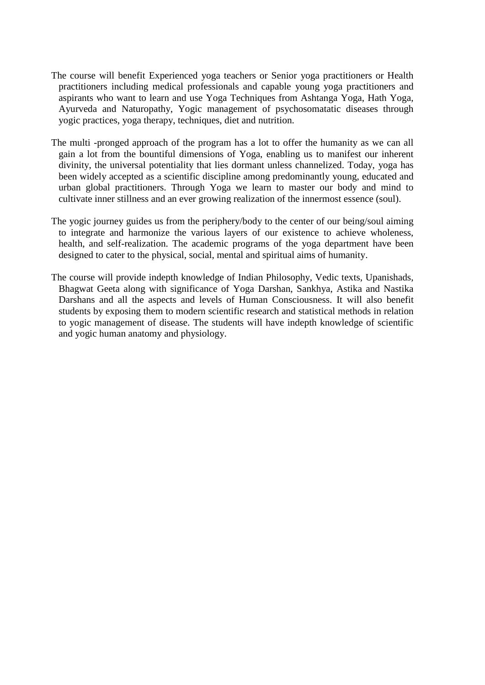- The course will benefit Experienced yoga teachers or Senior yoga practitioners or Health practitioners including medical professionals and capable young yoga practitioners and aspirants who want to learn and use Yoga Techniques from Ashtanga Yoga, Hath Yoga, Ayurveda and Naturopathy, Yogic management of psychosomatatic diseases through yogic practices, yoga therapy, techniques, diet and nutrition.
- The multi -pronged approach of the program has a lot to offer the humanity as we can all gain a lot from the bountiful dimensions of Yoga, enabling us to manifest our inherent divinity, the universal potentiality that lies dormant unless channelized. Today, yoga has been widely accepted as a scientific discipline among predominantly young, educated and urban global practitioners. Through Yoga we learn to master our body and mind to cultivate inner stillness and an ever growing realization of the innermost essence (soul).
- The yogic journey guides us from the periphery/body to the center of our being/soul aiming to integrate and harmonize the various layers of our existence to achieve wholeness, health, and self-realization. The academic programs of the yoga department have been designed to cater to the physical, social, mental and spiritual aims of humanity.
- The course will provide indepth knowledge of Indian Philosophy, Vedic texts, Upanishads, Bhagwat Geeta along with significance of Yoga Darshan, Sankhya, Astika and Nastika Darshans and all the aspects and levels of Human Consciousness. It will also benefit students by exposing them to modern scientific research and statistical methods in relation to yogic management of disease. The students will have indepth knowledge of scientific and yogic human anatomy and physiology.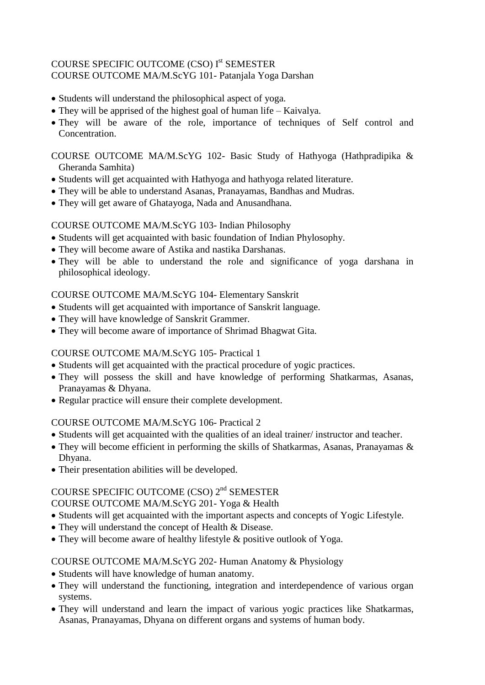## COURSE SPECIFIC OUTCOME (CSO) I<sup>st</sup> SEMESTER COURSE OUTCOME MA/M.ScYG 101- Patanjala Yoga Darshan

- Students will understand the philosophical aspect of yoga.
- They will be apprised of the highest goal of human life Kaivalya.
- They will be aware of the role, importance of techniques of Self control and Concentration.

## COURSE OUTCOME MA/M.ScYG 102- Basic Study of Hathyoga (Hathpradipika & Gheranda Samhita)

- Students will get acquainted with Hathyoga and hathyoga related literature.
- They will be able to understand Asanas, Pranayamas, Bandhas and Mudras.
- They will get aware of Ghatayoga, Nada and Anusandhana.

# COURSE OUTCOME MA/M.ScYG 103- Indian Philosophy

- Students will get acquainted with basic foundation of Indian Phylosophy.
- They will become aware of Astika and nastika Darshanas.
- They will be able to understand the role and significance of yoga darshana in philosophical ideology.

# COURSE OUTCOME MA/M.ScYG 104- Elementary Sanskrit

- Students will get acquainted with importance of Sanskrit language.
- They will have knowledge of Sanskrit Grammer.
- They will become aware of importance of Shrimad Bhagwat Gita.

# COURSE OUTCOME MA/M.ScYG 105- Practical 1

- Students will get acquainted with the practical procedure of yogic practices.
- They will possess the skill and have knowledge of performing Shatkarmas, Asanas, Pranayamas & Dhyana.
- Regular practice will ensure their complete development.

# COURSE OUTCOME MA/M.ScYG 106- Practical 2

- Students will get acquainted with the qualities of an ideal trainer/ instructor and teacher.
- They will become efficient in performing the skills of Shatkarmas, Asanas, Pranayamas & Dhyana.
- Their presentation abilities will be developed.

# COURSE SPECIFIC OUTCOME (CSO) 2<sup>nd</sup> SEMESTER

# COURSE OUTCOME MA/M.ScYG 201- Yoga & Health

- Students will get acquainted with the important aspects and concepts of Yogic Lifestyle.
- They will understand the concept of Health & Disease.
- They will become aware of healthy lifestyle & positive outlook of Yoga.

# COURSE OUTCOME MA/M.ScYG 202- Human Anatomy & Physiology

- Students will have knowledge of human anatomy.
- They will understand the functioning, integration and interdependence of various organ systems.
- They will understand and learn the impact of various yogic practices like Shatkarmas, Asanas, Pranayamas, Dhyana on different organs and systems of human body.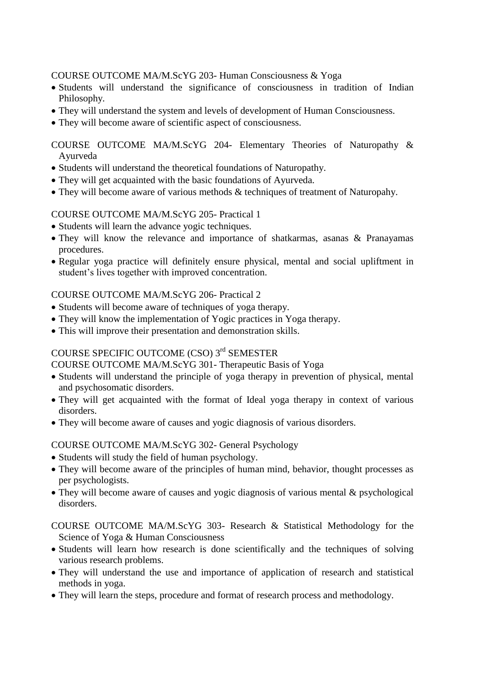COURSE OUTCOME MA/M.ScYG 203- Human Consciousness & Yoga

- Students will understand the significance of consciousness in tradition of Indian Philosophy.
- They will understand the system and levels of development of Human Consciousness.
- They will become aware of scientific aspect of consciousness.

COURSE OUTCOME MA/M.ScYG 204- Elementary Theories of Naturopathy & Ayurveda

- Students will understand the theoretical foundations of Naturopathy.
- They will get acquainted with the basic foundations of Ayurveda.
- They will become aware of various methods & techniques of treatment of Naturopahy.

## COURSE OUTCOME MA/M.ScYG 205- Practical 1

- Students will learn the advance yogic techniques.
- They will know the relevance and importance of shatkarmas, asanas & Pranayamas procedures.
- Regular yoga practice will definitely ensure physical, mental and social upliftment in student's lives together with improved concentration.

## COURSE OUTCOME MA/M.ScYG 206- Practical 2

- Students will become aware of techniques of yoga therapy.
- They will know the implementation of Yogic practices in Yoga therapy.
- This will improve their presentation and demonstration skills.

## COURSE SPECIFIC OUTCOME (CSO) 3<sup>rd</sup> SEMESTER

COURSE OUTCOME MA/M.ScYG 301- Therapeutic Basis of Yoga

- Students will understand the principle of yoga therapy in prevention of physical, mental and psychosomatic disorders.
- They will get acquainted with the format of Ideal yoga therapy in context of various disorders.
- They will become aware of causes and yogic diagnosis of various disorders.

## COURSE OUTCOME MA/M.ScYG 302- General Psychology

- Students will study the field of human psychology.
- They will become aware of the principles of human mind, behavior, thought processes as per psychologists.
- They will become aware of causes and yogic diagnosis of various mental & psychological disorders.
- COURSE OUTCOME MA/M.ScYG 303- Research & Statistical Methodology for the Science of Yoga & Human Consciousness
- Students will learn how research is done scientifically and the techniques of solving various research problems.
- They will understand the use and importance of application of research and statistical methods in yoga.
- They will learn the steps, procedure and format of research process and methodology.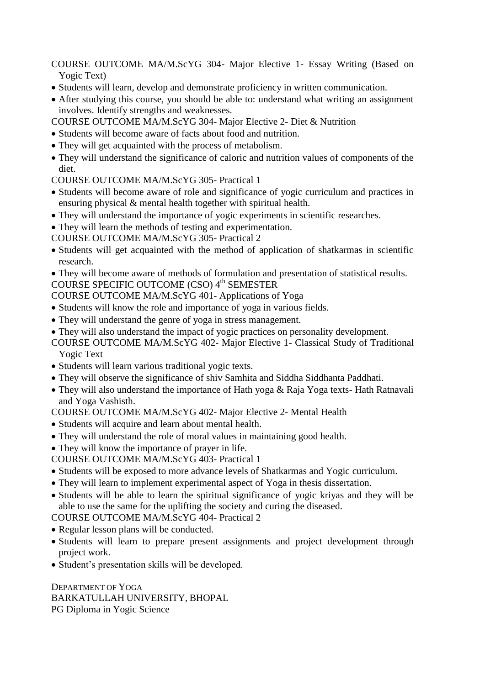COURSE OUTCOME MA/M.ScYG 304- Major Elective 1- Essay Writing (Based on Yogic Text)

- Students will learn, develop and demonstrate proficiency in written communication.
- After studying this course, you should be able to: understand what writing an assignment involves. Identify strengths and weaknesses.

COURSE OUTCOME MA/M.ScYG 304- Major Elective 2- Diet & Nutrition

- Students will become aware of facts about food and nutrition.
- They will get acquainted with the process of metabolism.
- They will understand the significance of caloric and nutrition values of components of the diet.

COURSE OUTCOME MA/M.ScYG 305- Practical 1

- Students will become aware of role and significance of yogic curriculum and practices in ensuring physical & mental health together with spiritual health.
- They will understand the importance of yogic experiments in scientific researches.
- They will learn the methods of testing and experimentation.

COURSE OUTCOME MA/M.ScYG 305- Practical 2

- Students will get acquainted with the method of application of shatkarmas in scientific research.
- They will become aware of methods of formulation and presentation of statistical results. COURSE SPECIFIC OUTCOME (CSO) 4<sup>th</sup> SEMESTER

- COURSE OUTCOME MA/M.ScYG 401- Applications of Yoga
- Students will know the role and importance of yoga in various fields.
- They will understand the genre of yoga in stress management.
- They will also understand the impact of yogic practices on personality development.
- COURSE OUTCOME MA/M.ScYG 402- Major Elective 1- Classical Study of Traditional Yogic Text
- Students will learn various traditional yogic texts.
- They will observe the significance of shiv Samhita and Siddha Siddhanta Paddhati.
- They will also understand the importance of Hath yoga & Raja Yoga texts- Hath Ratnavali and Yoga Vashisth.

COURSE OUTCOME MA/M.ScYG 402- Major Elective 2- Mental Health

- Students will acquire and learn about mental health.
- They will understand the role of moral values in maintaining good health.
- They will know the importance of prayer in life.

COURSE OUTCOME MA/M.ScYG 403- Practical 1

- Students will be exposed to more advance levels of Shatkarmas and Yogic curriculum.
- They will learn to implement experimental aspect of Yoga in thesis dissertation.
- Students will be able to learn the spiritual significance of yogic kriyas and they will be able to use the same for the uplifting the society and curing the diseased.

COURSE OUTCOME MA/M.ScYG 404- Practical 2

- Regular lesson plans will be conducted.
- Students will learn to prepare present assignments and project development through project work.
- Student's presentation skills will be developed.

DEPARTMENT OF YOGA BARKATULLAH UNIVERSITY, BHOPAL PG Diploma in Yogic Science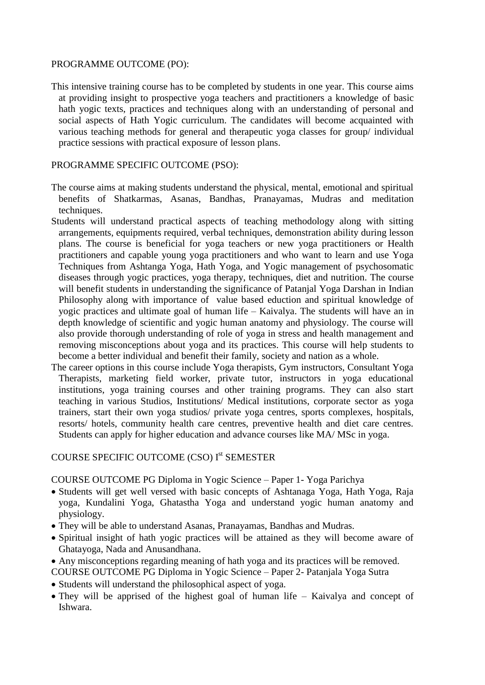### PROGRAMME OUTCOME (PO):

This intensive training course has to be completed by students in one year. This course aims at providing insight to prospective yoga teachers and practitioners a knowledge of basic hath yogic texts, practices and techniques along with an understanding of personal and social aspects of Hath Yogic curriculum. The candidates will become acquainted with various teaching methods for general and therapeutic yoga classes for group/ individual practice sessions with practical exposure of lesson plans.

### PROGRAMME SPECIFIC OUTCOME (PSO):

- The course aims at making students understand the physical, mental, emotional and spiritual benefits of Shatkarmas, Asanas, Bandhas, Pranayamas, Mudras and meditation techniques.
- Students will understand practical aspects of teaching methodology along with sitting arrangements, equipments required, verbal techniques, demonstration ability during lesson plans. The course is beneficial for yoga teachers or new yoga practitioners or Health practitioners and capable young yoga practitioners and who want to learn and use Yoga Techniques from Ashtanga Yoga, Hath Yoga, and Yogic management of psychosomatic diseases through yogic practices, yoga therapy, techniques, diet and nutrition. The course will benefit students in understanding the significance of Patanjal Yoga Darshan in Indian Philosophy along with importance of value based eduction and spiritual knowledge of yogic practices and ultimate goal of human life – Kaivalya. The students will have an in depth knowledge of scientific and yogic human anatomy and physiology. The course will also provide thorough understanding of role of yoga in stress and health management and removing misconceptions about yoga and its practices. This course will help students to become a better individual and benefit their family, society and nation as a whole.
- The career options in this course include Yoga therapists, Gym instructors, Consultant Yoga Therapists, marketing field worker, private tutor, instructors in yoga educational institutions, yoga training courses and other training programs. They can also start teaching in various Studios, Institutions/ Medical institutions, corporate sector as yoga trainers, start their own yoga studios/ private yoga centres, sports complexes, hospitals, resorts/ hotels, community health care centres, preventive health and diet care centres. Students can apply for higher education and advance courses like MA/ MSc in yoga.

# COURSE SPECIFIC OUTCOME (CSO) I<sup>st</sup> SEMESTER

COURSE OUTCOME PG Diploma in Yogic Science – Paper 1- Yoga Parichya

- Students will get well versed with basic concepts of Ashtanaga Yoga, Hath Yoga, Raja yoga, Kundalini Yoga, Ghatastha Yoga and understand yogic human anatomy and physiology.
- They will be able to understand Asanas, Pranayamas, Bandhas and Mudras.
- Spiritual insight of hath yogic practices will be attained as they will become aware of Ghatayoga, Nada and Anusandhana.
- Any misconceptions regarding meaning of hath yoga and its practices will be removed.
- COURSE OUTCOME PG Diploma in Yogic Science Paper 2- Patanjala Yoga Sutra
- Students will understand the philosophical aspect of yoga.
- They will be apprised of the highest goal of human life Kaivalya and concept of Ishwara.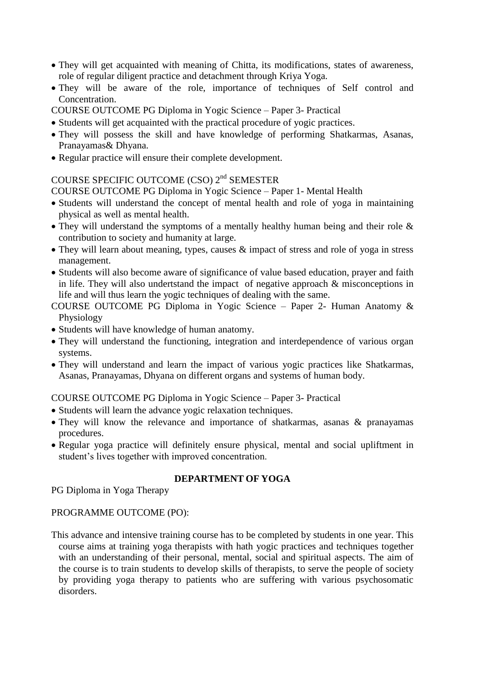- They will get acquainted with meaning of Chitta, its modifications, states of awareness, role of regular diligent practice and detachment through Kriya Yoga.
- They will be aware of the role, importance of techniques of Self control and Concentration.
- COURSE OUTCOME PG Diploma in Yogic Science Paper 3- Practical
- Students will get acquainted with the practical procedure of yogic practices.
- They will possess the skill and have knowledge of performing Shatkarmas, Asanas, Pranayamas& Dhyana.
- Regular practice will ensure their complete development.

## COURSE SPECIFIC OUTCOME (CSO) 2nd SEMESTER

COURSE OUTCOME PG Diploma in Yogic Science – Paper 1- Mental Health

- Students will understand the concept of mental health and role of yoga in maintaining physical as well as mental health.
- They will understand the symptoms of a mentally healthy human being and their role & contribution to society and humanity at large.
- They will learn about meaning, types, causes & impact of stress and role of yoga in stress management.
- Students will also become aware of significance of value based education, prayer and faith in life. They will also undertstand the impact of negative approach & misconceptions in life and will thus learn the yogic techniques of dealing with the same.
- COURSE OUTCOME PG Diploma in Yogic Science Paper 2- Human Anatomy & Physiology
- Students will have knowledge of human anatomy.
- They will understand the functioning, integration and interdependence of various organ systems.
- They will understand and learn the impact of various yogic practices like Shatkarmas, Asanas, Pranayamas, Dhyana on different organs and systems of human body.

COURSE OUTCOME PG Diploma in Yogic Science – Paper 3- Practical

- Students will learn the advance yogic relaxation techniques.
- They will know the relevance and importance of shatkarmas, asanas & pranayamas procedures.
- Regular yoga practice will definitely ensure physical, mental and social upliftment in student's lives together with improved concentration.

## **DEPARTMENT OF YOGA**

PG Diploma in Yoga Therapy

## PROGRAMME OUTCOME (PO):

This advance and intensive training course has to be completed by students in one year. This course aims at training yoga therapists with hath yogic practices and techniques together with an understanding of their personal, mental, social and spiritual aspects. The aim of the course is to train students to develop skills of therapists, to serve the people of society by providing yoga therapy to patients who are suffering with various psychosomatic disorders.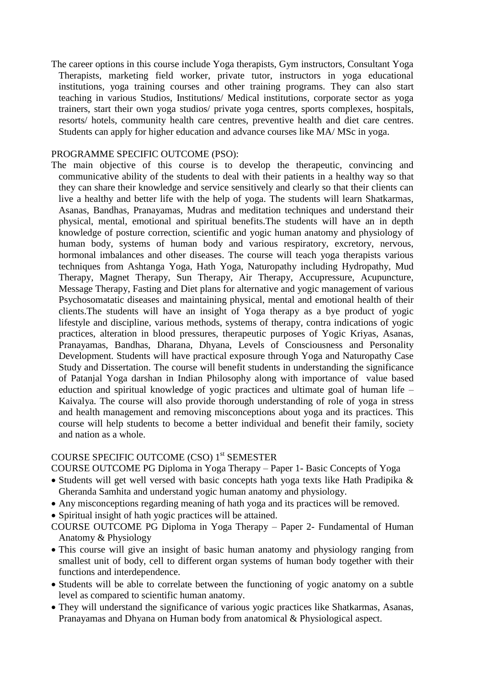The career options in this course include Yoga therapists, Gym instructors, Consultant Yoga Therapists, marketing field worker, private tutor, instructors in yoga educational institutions, yoga training courses and other training programs. They can also start teaching in various Studios, Institutions/ Medical institutions, corporate sector as yoga trainers, start their own yoga studios/ private yoga centres, sports complexes, hospitals, resorts/ hotels, community health care centres, preventive health and diet care centres. Students can apply for higher education and advance courses like MA/ MSc in yoga.

#### PROGRAMME SPECIFIC OUTCOME (PSO):

The main objective of this course is to develop the therapeutic, convincing and communicative ability of the students to deal with their patients in a healthy way so that they can share their knowledge and service sensitively and clearly so that their clients can live a healthy and better life with the help of yoga. The students will learn Shatkarmas, Asanas, Bandhas, Pranayamas, Mudras and meditation techniques and understand their physical, mental, emotional and spiritual benefits.The students will have an in depth knowledge of posture correction, scientific and yogic human anatomy and physiology of human body, systems of human body and various respiratory, excretory, nervous, hormonal imbalances and other diseases. The course will teach yoga therapists various techniques from Ashtanga Yoga, Hath Yoga, Naturopathy including Hydropathy, Mud Therapy, Magnet Therapy, Sun Therapy, Air Therapy, Accupressure, Acupuncture, Message Therapy, Fasting and Diet plans for alternative and yogic management of various Psychosomatatic diseases and maintaining physical, mental and emotional health of their clients.The students will have an insight of Yoga therapy as a bye product of yogic lifestyle and discipline, various methods, systems of therapy, contra indications of yogic practices, alteration in blood pressures, therapeutic purposes of Yogic Kriyas, Asanas, Pranayamas, Bandhas, Dharana, Dhyana, Levels of Consciousness and Personality Development. Students will have practical exposure through Yoga and Naturopathy Case Study and Dissertation. The course will benefit students in understanding the significance of Patanjal Yoga darshan in Indian Philosophy along with importance of value based eduction and spiritual knowledge of yogic practices and ultimate goal of human life – Kaivalya. The course will also provide thorough understanding of role of yoga in stress and health management and removing misconceptions about yoga and its practices. This course will help students to become a better individual and benefit their family, society and nation as a whole.

# COURSE SPECIFIC OUTCOME (CSO) 1<sup>st</sup> SEMESTER

COURSE OUTCOME PG Diploma in Yoga Therapy – Paper 1- Basic Concepts of Yoga

- Students will get well versed with basic concepts hath yoga texts like Hath Pradipika & Gheranda Samhita and understand yogic human anatomy and physiology.
- Any misconceptions regarding meaning of hath yoga and its practices will be removed.
- Spiritual insight of hath yogic practices will be attained.
- COURSE OUTCOME PG Diploma in Yoga Therapy Paper 2- Fundamental of Human Anatomy & Physiology
- This course will give an insight of basic human anatomy and physiology ranging from smallest unit of body, cell to different organ systems of human body together with their functions and interdependence.
- Students will be able to correlate between the functioning of yogic anatomy on a subtle level as compared to scientific human anatomy.
- They will understand the significance of various yogic practices like Shatkarmas, Asanas, Pranayamas and Dhyana on Human body from anatomical & Physiological aspect.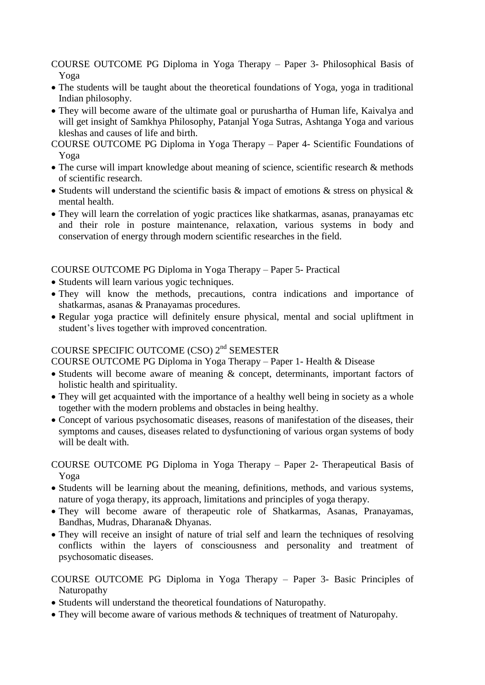COURSE OUTCOME PG Diploma in Yoga Therapy – Paper 3- Philosophical Basis of Yoga

- The students will be taught about the theoretical foundations of Yoga, yoga in traditional Indian philosophy.
- They will become aware of the ultimate goal or purushartha of Human life, Kaivalya and will get insight of Samkhya Philosophy, Patanjal Yoga Sutras, Ashtanga Yoga and various kleshas and causes of life and birth.
- COURSE OUTCOME PG Diploma in Yoga Therapy Paper 4- Scientific Foundations of Yoga
- The curse will impart knowledge about meaning of science, scientific research & methods of scientific research.
- Students will understand the scientific basis  $\&$  impact of emotions  $\&$  stress on physical  $\&$ mental health.
- They will learn the correlation of yogic practices like shatkarmas, asanas, pranayamas etc and their role in posture maintenance, relaxation, various systems in body and conservation of energy through modern scientific researches in the field.

COURSE OUTCOME PG Diploma in Yoga Therapy – Paper 5- Practical

- Students will learn various yogic techniques.
- They will know the methods, precautions, contra indications and importance of shatkarmas, asanas & Pranayamas procedures.
- Regular yoga practice will definitely ensure physical, mental and social upliftment in student's lives together with improved concentration.

# COURSE SPECIFIC OUTCOME (CSO) 2nd SEMESTER

COURSE OUTCOME PG Diploma in Yoga Therapy – Paper 1- Health & Disease

- Students will become aware of meaning & concept, determinants, important factors of holistic health and spirituality.
- They will get acquainted with the importance of a healthy well being in society as a whole together with the modern problems and obstacles in being healthy.
- Concept of various psychosomatic diseases, reasons of manifestation of the diseases, their symptoms and causes, diseases related to dysfunctioning of various organ systems of body will be dealt with.

COURSE OUTCOME PG Diploma in Yoga Therapy – Paper 2- Therapeutical Basis of Yoga

- Students will be learning about the meaning, definitions, methods, and various systems, nature of yoga therapy, its approach, limitations and principles of yoga therapy.
- They will become aware of therapeutic role of Shatkarmas, Asanas, Pranayamas, Bandhas, Mudras, Dharana& Dhyanas.
- They will receive an insight of nature of trial self and learn the techniques of resolving conflicts within the layers of consciousness and personality and treatment of psychosomatic diseases.

## COURSE OUTCOME PG Diploma in Yoga Therapy – Paper 3- Basic Principles of Naturopathy

- Students will understand the theoretical foundations of Naturopathy.
- They will become aware of various methods & techniques of treatment of Naturopahy.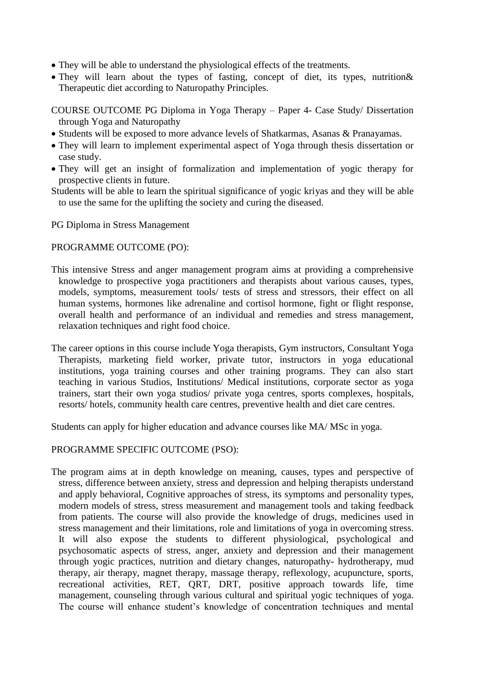- They will be able to understand the physiological effects of the treatments.
- They will learn about the types of fasting, concept of diet, its types, nutrition & Therapeutic diet according to Naturopathy Principles.

COURSE OUTCOME PG Diploma in Yoga Therapy – Paper 4- Case Study/ Dissertation through Yoga and Naturopathy

- Students will be exposed to more advance levels of Shatkarmas, Asanas & Pranayamas.
- They will learn to implement experimental aspect of Yoga through thesis dissertation or case study.
- They will get an insight of formalization and implementation of yogic therapy for prospective clients in future.
- Students will be able to learn the spiritual significance of yogic kriyas and they will be able to use the same for the uplifting the society and curing the diseased.

PG Diploma in Stress Management

### PROGRAMME OUTCOME (PO):

- This intensive Stress and anger management program aims at providing a comprehensive knowledge to prospective yoga practitioners and therapists about various causes, types, models, symptoms, measurement tools/ tests of stress and stressors, their effect on all human systems, hormones like adrenaline and cortisol hormone, fight or flight response, overall health and performance of an individual and remedies and stress management, relaxation techniques and right food choice.
- The career options in this course include Yoga therapists, Gym instructors, Consultant Yoga Therapists, marketing field worker, private tutor, instructors in yoga educational institutions, yoga training courses and other training programs. They can also start teaching in various Studios, Institutions/ Medical institutions, corporate sector as yoga trainers, start their own yoga studios/ private yoga centres, sports complexes, hospitals, resorts/ hotels, community health care centres, preventive health and diet care centres.

Students can apply for higher education and advance courses like MA/ MSc in yoga.

PROGRAMME SPECIFIC OUTCOME (PSO):

The program aims at in depth knowledge on meaning, causes, types and perspective of stress, difference between anxiety, stress and depression and helping therapists understand and apply behavioral, Cognitive approaches of stress, its symptoms and personality types, modern models of stress, stress measurement and management tools and taking feedback from patients. The course will also provide the knowledge of drugs, medicines used in stress management and their limitations, role and limitations of yoga in overcoming stress. It will also expose the students to different physiological, psychological and psychosomatic aspects of stress, anger, anxiety and depression and their management through yogic practices, nutrition and dietary changes, naturopathy- hydrotherapy, mud therapy, air therapy, magnet therapy, massage therapy, reflexology, acupuncture, sports, recreational activities, RET, QRT, DRT, positive approach towards life, time management, counseling through various cultural and spiritual yogic techniques of yoga. The course will enhance student's knowledge of concentration techniques and mental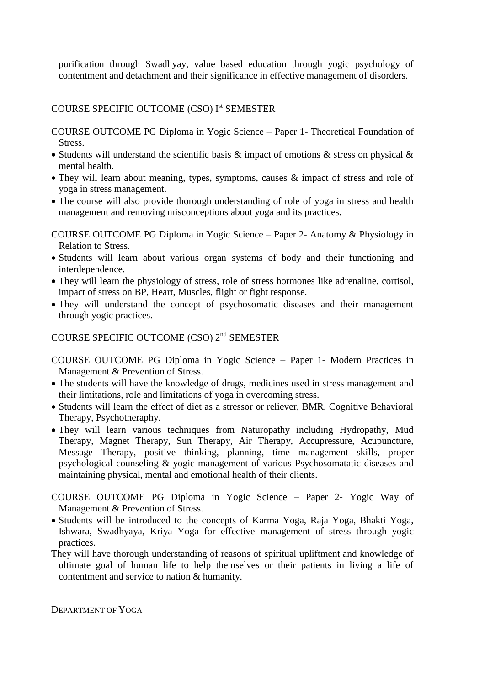purification through Swadhyay, value based education through yogic psychology of contentment and detachment and their significance in effective management of disorders.

# COURSE SPECIFIC OUTCOME (CSO) I<sup>st</sup> SEMESTER

COURSE OUTCOME PG Diploma in Yogic Science – Paper 1- Theoretical Foundation of Stress.

- Students will understand the scientific basis  $\&$  impact of emotions  $\&$  stress on physical  $\&$ mental health.
- They will learn about meaning, types, symptoms, causes & impact of stress and role of yoga in stress management.
- The course will also provide thorough understanding of role of yoga in stress and health management and removing misconceptions about yoga and its practices.

COURSE OUTCOME PG Diploma in Yogic Science – Paper 2- Anatomy & Physiology in Relation to Stress.

- Students will learn about various organ systems of body and their functioning and interdependence.
- They will learn the physiology of stress, role of stress hormones like adrenaline, cortisol, impact of stress on BP, Heart, Muscles, flight or fight response.
- They will understand the concept of psychosomatic diseases and their management through yogic practices.

# COURSE SPECIFIC OUTCOME (CSO) 2nd SEMESTER

- COURSE OUTCOME PG Diploma in Yogic Science Paper 1- Modern Practices in Management & Prevention of Stress.
- The students will have the knowledge of drugs, medicines used in stress management and their limitations, role and limitations of yoga in overcoming stress.
- Students will learn the effect of diet as a stressor or reliever, BMR, Cognitive Behavioral Therapy, Psychotheraphy.
- They will learn various techniques from Naturopathy including Hydropathy, Mud Therapy, Magnet Therapy, Sun Therapy, Air Therapy, Accupressure, Acupuncture, Message Therapy, positive thinking, planning, time management skills, proper psychological counseling & yogic management of various Psychosomatatic diseases and maintaining physical, mental and emotional health of their clients.
- COURSE OUTCOME PG Diploma in Yogic Science Paper 2- Yogic Way of Management & Prevention of Stress.
- Students will be introduced to the concepts of Karma Yoga, Raja Yoga, Bhakti Yoga, Ishwara, Swadhyaya, Kriya Yoga for effective management of stress through yogic practices.
- They will have thorough understanding of reasons of spiritual upliftment and knowledge of ultimate goal of human life to help themselves or their patients in living a life of contentment and service to nation & humanity.

DEPARTMENT OF YOGA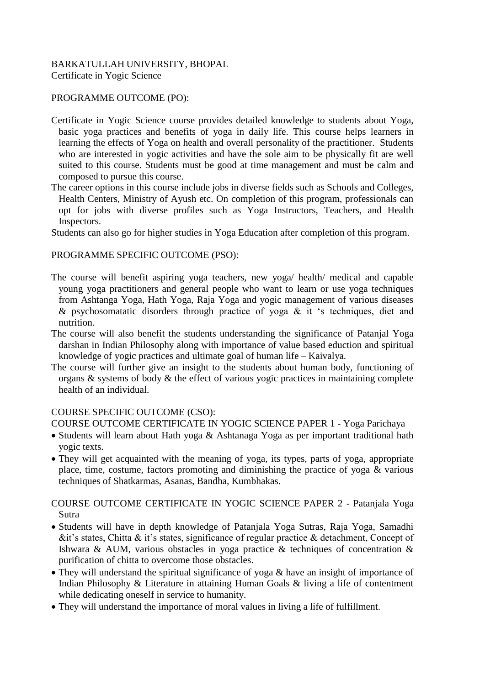## BARKATULLAH UNIVERSITY, BHOPAL Certificate in Yogic Science

## PROGRAMME OUTCOME (PO):

- Certificate in Yogic Science course provides detailed knowledge to students about Yoga, basic yoga practices and benefits of yoga in daily life. This course helps learners in learning the effects of Yoga on health and overall personality of the practitioner. Students who are interested in yogic activities and have the sole aim to be physically fit are well suited to this course. Students must be good at time management and must be calm and composed to pursue this course.
- The career options in this course include jobs in diverse fields such as Schools and Colleges, Health Centers, Ministry of Ayush etc. On completion of this program, professionals can opt for jobs with diverse profiles such as Yoga Instructors, Teachers, and Health Inspectors.

Students can also go for higher studies in Yoga Education after completion of this program.

## PROGRAMME SPECIFIC OUTCOME (PSO):

- The course will benefit aspiring yoga teachers, new yoga/ health/ medical and capable young yoga practitioners and general people who want to learn or use yoga techniques from Ashtanga Yoga, Hath Yoga, Raja Yoga and yogic management of various diseases & psychosomatatic disorders through practice of yoga  $\&$  it 's techniques, diet and nutrition.
- The course will also benefit the students understanding the significance of Patanjal Yoga darshan in Indian Philosophy along with importance of value based eduction and spiritual knowledge of yogic practices and ultimate goal of human life – Kaivalya.
- The course will further give an insight to the students about human body, functioning of organs & systems of body & the effect of various yogic practices in maintaining complete health of an individual.

## COURSE SPECIFIC OUTCOME (CSO):

COURSE OUTCOME CERTIFICATE IN YOGIC SCIENCE PAPER 1 - Yoga Parichaya

- Students will learn about Hath yoga & Ashtanaga Yoga as per important traditional hath yogic texts.
- They will get acquainted with the meaning of yoga, its types, parts of yoga, appropriate place, time, costume, factors promoting and diminishing the practice of yoga & various techniques of Shatkarmas, Asanas, Bandha, Kumbhakas.

## COURSE OUTCOME CERTIFICATE IN YOGIC SCIENCE PAPER 2 - Patanjala Yoga Sutra

- Students will have in depth knowledge of Patanjala Yoga Sutras, Raja Yoga, Samadhi &it's states, Chitta & it's states, significance of regular practice & detachment, Concept of Ishwara & AUM, various obstacles in yoga practice & techniques of concentration & purification of chitta to overcome those obstacles.
- They will understand the spiritual significance of yoga & have an insight of importance of Indian Philosophy & Literature in attaining Human Goals & living a life of contentment while dedicating oneself in service to humanity.
- They will understand the importance of moral values in living a life of fulfillment.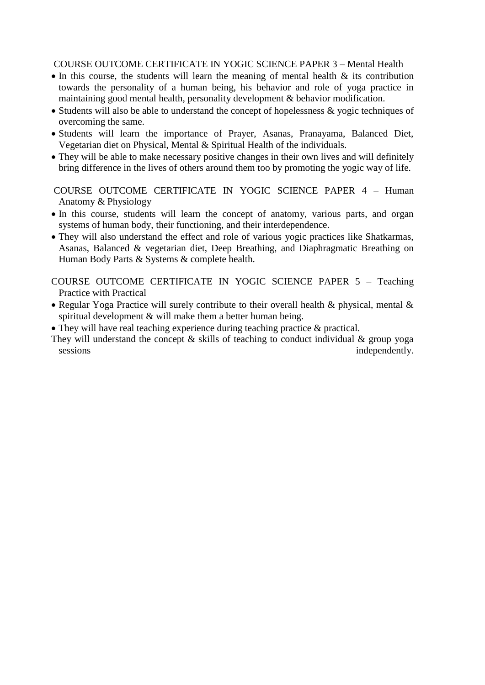## COURSE OUTCOME CERTIFICATE IN YOGIC SCIENCE PAPER 3 – Mental Health

- $\bullet$  In this course, the students will learn the meaning of mental health  $\&$  its contribution towards the personality of a human being, his behavior and role of yoga practice in maintaining good mental health, personality development & behavior modification.
- Students will also be able to understand the concept of hopelessness  $\&$  yogic techniques of overcoming the same.
- Students will learn the importance of Prayer, Asanas, Pranayama, Balanced Diet, Vegetarian diet on Physical, Mental & Spiritual Health of the individuals.
- They will be able to make necessary positive changes in their own lives and will definitely bring difference in the lives of others around them too by promoting the yogic way of life.

COURSE OUTCOME CERTIFICATE IN YOGIC SCIENCE PAPER 4 – Human Anatomy & Physiology

- In this course, students will learn the concept of anatomy, various parts, and organ systems of human body, their functioning, and their interdependence.
- They will also understand the effect and role of various yogic practices like Shatkarmas, Asanas, Balanced & vegetarian diet, Deep Breathing, and Diaphragmatic Breathing on Human Body Parts & Systems & complete health.

COURSE OUTCOME CERTIFICATE IN YOGIC SCIENCE PAPER 5 – Teaching Practice with Practical

- Regular Yoga Practice will surely contribute to their overall health  $\&$  physical, mental  $\&$ spiritual development & will make them a better human being.
- They will have real teaching experience during teaching practice & practical.
- They will understand the concept  $\&$  skills of teaching to conduct individual  $\&$  group yoga sessions independently.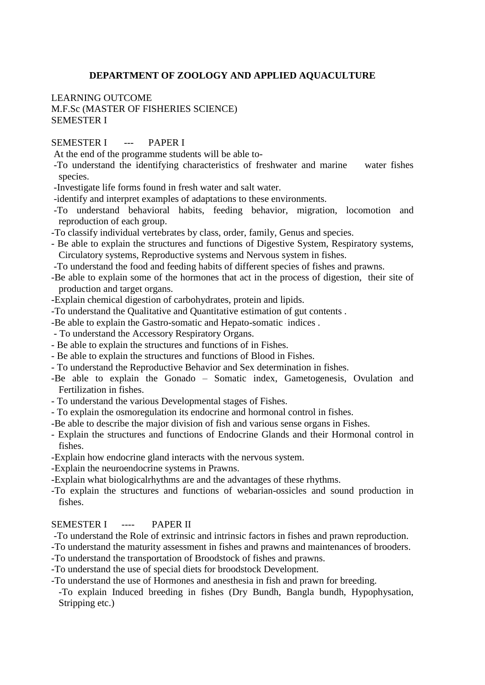### **DEPARTMENT OF ZOOLOGY AND APPLIED AQUACULTURE**

## LEARNING OUTCOME M.F.Sc (MASTER OF FISHERIES SCIENCE) SEMESTER I

## SEMESTER I --- PAPER I

- At the end of the programme students will be able to-
- -To understand the identifying characteristics of freshwater and marine water fishes species.
- -Investigate life forms found in fresh water and salt water.
- -identify and interpret examples of adaptations to these environments.
- -To understand behavioral habits, feeding behavior, migration, locomotion and reproduction of each group.
- -To classify individual vertebrates by class, order, family, Genus and species.
- Be able to explain the structures and functions of Digestive System, Respiratory systems, Circulatory systems, Reproductive systems and Nervous system in fishes.
- -To understand the food and feeding habits of different species of fishes and prawns.
- -Be able to explain some of the hormones that act in the process of digestion, their site of production and target organs.
- -Explain chemical digestion of carbohydrates, protein and lipids.
- -To understand the Qualitative and Quantitative estimation of gut contents .
- -Be able to explain the Gastro-somatic and Hepato-somatic indices .
- To understand the Accessory Respiratory Organs.
- Be able to explain the structures and functions of in Fishes.
- Be able to explain the structures and functions of Blood in Fishes.
- To understand the Reproductive Behavior and Sex determination in fishes.
- -Be able to explain the Gonado Somatic index, Gametogenesis, Ovulation and Fertilization in fishes.
- To understand the various Developmental stages of Fishes.
- To explain the osmoregulation its endocrine and hormonal control in fishes.
- -Be able to describe the major division of fish and various sense organs in Fishes.
- Explain the structures and functions of Endocrine Glands and their Hormonal control in fishes.
- -Explain how endocrine gland interacts with the nervous system.
- -Explain the neuroendocrine systems in Prawns.
- -Explain what biologicalrhythms are and the advantages of these rhythms.
- -To explain the structures and functions of webarian-ossicles and sound production in fishes.

## SEMESTER I ---- PAPER II

- -To understand the Role of extrinsic and intrinsic factors in fishes and prawn reproduction.
- -To understand the maturity assessment in fishes and prawns and maintenances of brooders.
- -To understand the transportation of Broodstock of fishes and prawns.
- -To understand the use of special diets for broodstock Development.
- -To understand the use of Hormones and anesthesia in fish and prawn for breeding.
- -To explain Induced breeding in fishes (Dry Bundh, Bangla bundh, Hypophysation, Stripping etc.)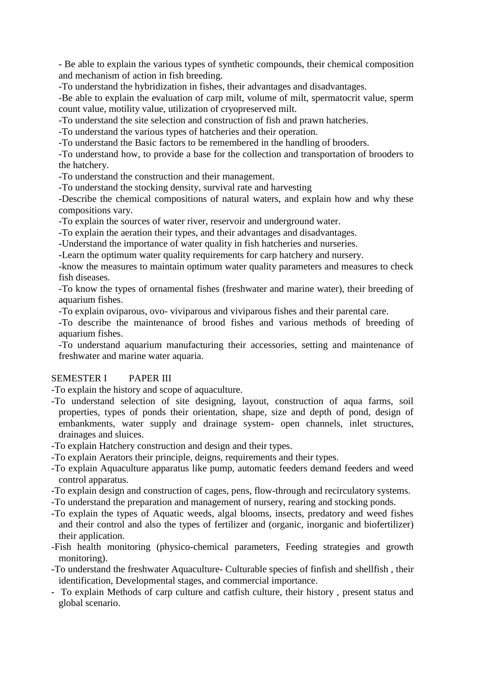- Be able to explain the various types of synthetic compounds, their chemical composition and mechanism of action in fish breeding.

-To understand the hybridization in fishes, their advantages and disadvantages.

-Be able to explain the evaluation of carp milt, volume of milt, spermatocrit value, sperm count value, motility value, utilization of cryopreserved milt.

-To understand the site selection and construction of fish and prawn hatcheries.

-To understand the various types of hatcheries and their operation.

-To understand the Basic factors to be remembered in the handling of brooders.

-To understand how, to provide a base for the collection and transportation of brooders to the hatchery.

-To understand the construction and their management.

-To understand the stocking density, survival rate and harvesting

-Describe the chemical compositions of natural waters, and explain how and why these compositions vary.

-To explain the sources of water river, reservoir and underground water.

-To explain the aeration their types, and their advantages and disadvantages.

-Understand the importance of water quality in fish hatcheries and nurseries.

-Learn the optimum water quality requirements for carp hatchery and nursery.

-know the measures to maintain optimum water quality parameters and measures to check fish diseases.

-To know the types of ornamental fishes (freshwater and marine water), their breeding of aquarium fishes.

-To explain oviparous, ovo- viviparous and viviparous fishes and their parental care.

-To describe the maintenance of brood fishes and various methods of breeding of aquarium fishes.

-To understand aquarium manufacturing their accessories, setting and maintenance of freshwater and marine water aquaria.

## SEMESTER I PAPER III

-To explain the history and scope of aquaculture.

- -To understand selection of site designing, layout, construction of aqua farms, soil properties, types of ponds their orientation, shape, size and depth of pond, design of embankments, water supply and drainage system- open channels, inlet structures, drainages and sluices.
- -To explain Hatchery construction and design and their types.
- -To explain Aerators their principle, deigns, requirements and their types.
- -To explain Aquaculture apparatus like pump, automatic feeders demand feeders and weed control apparatus.
- -To explain design and construction of cages, pens, flow-through and recirculatory systems.
- -To understand the preparation and management of nursery, rearing and stocking ponds.
- -To explain the types of Aquatic weeds, algal blooms, insects, predatory and weed fishes and their control and also the types of fertilizer and (organic, inorganic and biofertilizer) their application.
- -Fish health monitoring (physico-chemical parameters, Feeding strategies and growth monitoring).
- -To understand the freshwater Aquaculture- Culturable species of finfish and shellfish , their identification, Developmental stages, and commercial importance.
- To explain Methods of carp culture and catfish culture, their history , present status and global scenario.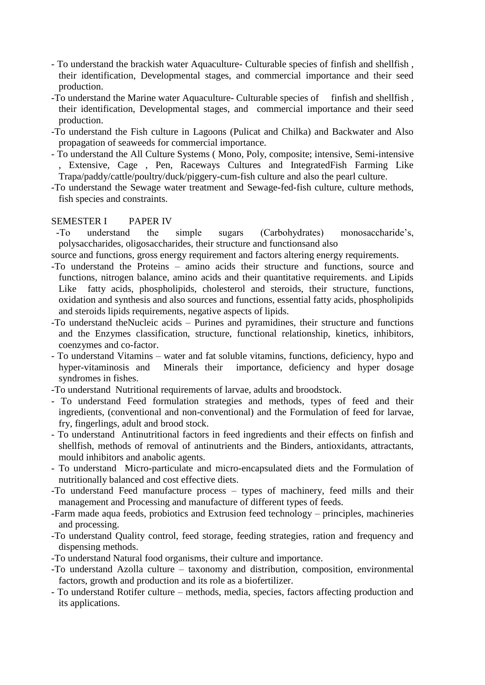- To understand the brackish water Aquaculture- Culturable species of finfish and shellfish , their identification, Developmental stages, and commercial importance and their seed production.
- -To understand the Marine water Aquaculture- Culturable species of finfish and shellfish, their identification, Developmental stages, and commercial importance and their seed production.
- -To understand the Fish culture in Lagoons (Pulicat and Chilka) and Backwater and Also propagation of seaweeds for commercial importance.
- To understand the All Culture Systems ( Mono, Poly, composite; intensive, Semi-intensive , Extensive, Cage , Pen, Raceways Cultures and IntegratedFish Farming Like Trapa/paddy/cattle/poultry/duck/piggery-cum-fish culture and also the pearl culture.
- -To understand the Sewage water treatment and Sewage-fed-fish culture, culture methods, fish species and constraints.

## SEMESTER I PAPER IV

 -To understand the simple sugars (Carbohydrates) monosaccharide's, polysaccharides, oligosaccharides, their structure and functionsand also

source and functions, gross energy requirement and factors altering energy requirements.

- -To understand the Proteins amino acids their structure and functions, source and functions, nitrogen balance, amino acids and their quantitative requirements. and Lipids Like fatty acids, phospholipids, cholesterol and steroids, their structure, functions, oxidation and synthesis and also sources and functions, essential fatty acids, phospholipids and steroids lipids requirements, negative aspects of lipids.
- -To understand theNucleic acids Purines and pyramidines, their structure and functions and the Enzymes classification, structure, functional relationship, kinetics, inhibitors, coenzymes and co-factor.
- To understand Vitamins water and fat soluble vitamins, functions, deficiency, hypo and hyper-vitaminosis and Minerals their importance, deficiency and hyper dosage syndromes in fishes.
- -To understand Nutritional requirements of larvae, adults and broodstock.
- To understand Feed formulation strategies and methods, types of feed and their ingredients, (conventional and non-conventional) and the Formulation of feed for larvae, fry, fingerlings, adult and brood stock.
- To understand Antinutritional factors in feed ingredients and their effects on finfish and shellfish, methods of removal of antinutrients and the Binders, antioxidants, attractants, mould inhibitors and anabolic agents.
- To understand Micro-particulate and micro-encapsulated diets and the Formulation of nutritionally balanced and cost effective diets.
- -To understand Feed manufacture process types of machinery, feed mills and their management and Processing and manufacture of different types of feeds.
- -Farm made aqua feeds, probiotics and Extrusion feed technology principles, machineries and processing.
- -To understand Quality control, feed storage, feeding strategies, ration and frequency and dispensing methods.
- -To understand Natural food organisms, their culture and importance.
- -To understand Azolla culture taxonomy and distribution, composition, environmental factors, growth and production and its role as a biofertilizer.
- To understand Rotifer culture methods, media, species, factors affecting production and its applications.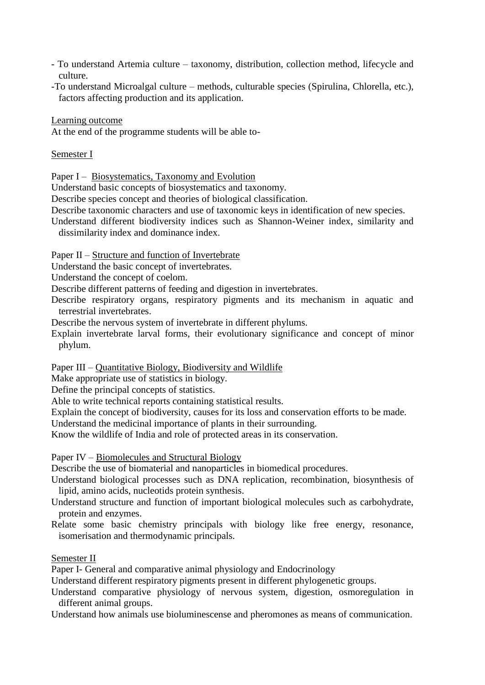- To understand Artemia culture taxonomy, distribution, collection method, lifecycle and culture.
- -To understand Microalgal culture methods, culturable species (Spirulina, Chlorella, etc.), factors affecting production and its application.

Learning outcome

At the end of the programme students will be able to-

Semester I

Paper I – Biosystematics, Taxonomy and Evolution

Understand basic concepts of biosystematics and taxonomy.

Describe species concept and theories of biological classification.

- Describe taxonomic characters and use of taxonomic keys in identification of new species.
- Understand different biodiversity indices such as Shannon-Weiner index, similarity and dissimilarity index and dominance index.

Paper II – Structure and function of Invertebrate

Understand the basic concept of invertebrates.

Understand the concept of coelom.

Describe different patterns of feeding and digestion in invertebrates.

Describe respiratory organs, respiratory pigments and its mechanism in aquatic and terrestrial invertebrates.

Describe the nervous system of invertebrate in different phylums.

Explain invertebrate larval forms, their evolutionary significance and concept of minor phylum.

Paper III – Quantitative Biology, Biodiversity and Wildlife

Make appropriate use of statistics in biology.

Define the principal concepts of statistics.

Able to write technical reports containing statistical results.

Explain the concept of biodiversity, causes for its loss and conservation efforts to be made. Understand the medicinal importance of plants in their surrounding.

Know the wildlife of India and role of protected areas in its conservation.

Paper IV – Biomolecules and Structural Biology

Describe the use of biomaterial and nanoparticles in biomedical procedures.

Understand biological processes such as DNA replication, recombination, biosynthesis of lipid, amino acids, nucleotids protein synthesis.

Understand structure and function of important biological molecules such as carbohydrate, protein and enzymes.

Relate some basic chemistry principals with biology like free energy, resonance, isomerisation and thermodynamic principals.

## Semester II

Paper I- General and comparative animal physiology and Endocrinology

Understand different respiratory pigments present in different phylogenetic groups.

Understand comparative physiology of nervous system, digestion, osmoregulation in different animal groups.

Understand how animals use bioluminescense and pheromones as means of communication.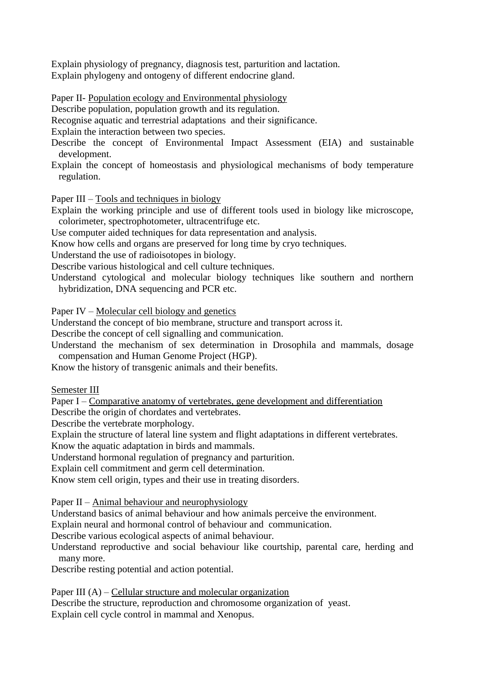Explain physiology of pregnancy, diagnosis test, parturition and lactation. Explain phylogeny and ontogeny of different endocrine gland.

Paper II- Population ecology and Environmental physiology

Describe population, population growth and its regulation.

Recognise aquatic and terrestrial adaptations and their significance.

Explain the interaction between two species.

Describe the concept of Environmental Impact Assessment (EIA) and sustainable development.

Explain the concept of homeostasis and physiological mechanisms of body temperature regulation.

Paper III – Tools and techniques in biology

Explain the working principle and use of different tools used in biology like microscope, colorimeter, spectrophotometer, ultracentrifuge etc.

Use computer aided techniques for data representation and analysis.

Know how cells and organs are preserved for long time by cryo techniques.

Understand the use of radioisotopes in biology.

Describe various histological and cell culture techniques.

Understand cytological and molecular biology techniques like southern and northern hybridization, DNA sequencing and PCR etc.

Paper IV – Molecular cell biology and genetics

Understand the concept of bio membrane, structure and transport across it.

Describe the concept of cell signalling and communication.

Understand the mechanism of sex determination in Drosophila and mammals, dosage compensation and Human Genome Project (HGP).

Know the history of transgenic animals and their benefits.

Semester III

Paper I – Comparative anatomy of vertebrates, gene development and differentiation

Describe the origin of chordates and vertebrates.

Describe the vertebrate morphology.

Explain the structure of lateral line system and flight adaptations in different vertebrates.

Know the aquatic adaptation in birds and mammals.

Understand hormonal regulation of pregnancy and parturition.

Explain cell commitment and germ cell determination.

Know stem cell origin, types and their use in treating disorders.

Paper II – Animal behaviour and neurophysiology

Understand basics of animal behaviour and how animals perceive the environment.

Explain neural and hormonal control of behaviour and communication.

Describe various ecological aspects of animal behaviour.

Understand reproductive and social behaviour like courtship, parental care, herding and many more.

Describe resting potential and action potential.

Paper III (A) – Cellular structure and molecular organization

Describe the structure, reproduction and chromosome organization of yeast. Explain cell cycle control in mammal and Xenopus.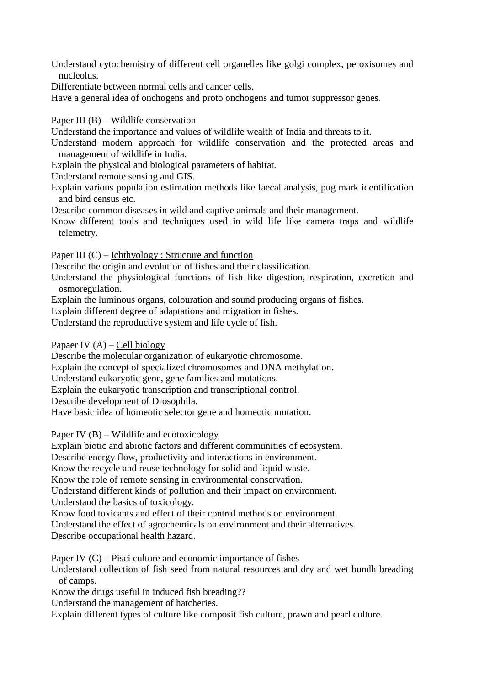Understand cytochemistry of different cell organelles like golgi complex, peroxisomes and nucleolus.

Differentiate between normal cells and cancer cells.

Have a general idea of onchogens and proto onchogens and tumor suppressor genes.

### Paper III (B) – Wildlife conservation

Understand the importance and values of wildlife wealth of India and threats to it.

- Understand modern approach for wildlife conservation and the protected areas and management of wildlife in India.
- Explain the physical and biological parameters of habitat.

Understand remote sensing and GIS.

Explain various population estimation methods like faecal analysis, pug mark identification and bird census etc.

Describe common diseases in wild and captive animals and their management.

Know different tools and techniques used in wild life like camera traps and wildlife telemetry.

Paper III (C) – Ichthyology : Structure and function

Describe the origin and evolution of fishes and their classification.

Understand the physiological functions of fish like digestion, respiration, excretion and osmoregulation.

Explain the luminous organs, colouration and sound producing organs of fishes.

Explain different degree of adaptations and migration in fishes.

Understand the reproductive system and life cycle of fish.

Papaer IV  $(A)$  – Cell biology

Describe the molecular organization of eukaryotic chromosome.

Explain the concept of specialized chromosomes and DNA methylation.

Understand eukaryotic gene, gene families and mutations.

Explain the eukaryotic transcription and transcriptional control.

Describe development of Drosophila.

Have basic idea of homeotic selector gene and homeotic mutation.

Paper IV  $(B)$  – Wildlife and ecotoxicology

Explain biotic and abiotic factors and different communities of ecosystem.

Describe energy flow, productivity and interactions in environment.

Know the recycle and reuse technology for solid and liquid waste.

Know the role of remote sensing in environmental conservation.

Understand different kinds of pollution and their impact on environment.

Understand the basics of toxicology.

Know food toxicants and effect of their control methods on environment.

Understand the effect of agrochemicals on environment and their alternatives.

Describe occupational health hazard.

Paper IV  $(C)$  – Pisci culture and economic importance of fishes

Understand collection of fish seed from natural resources and dry and wet bundh breading of camps.

Know the drugs useful in induced fish breading??

Understand the management of hatcheries.

Explain different types of culture like composit fish culture, prawn and pearl culture.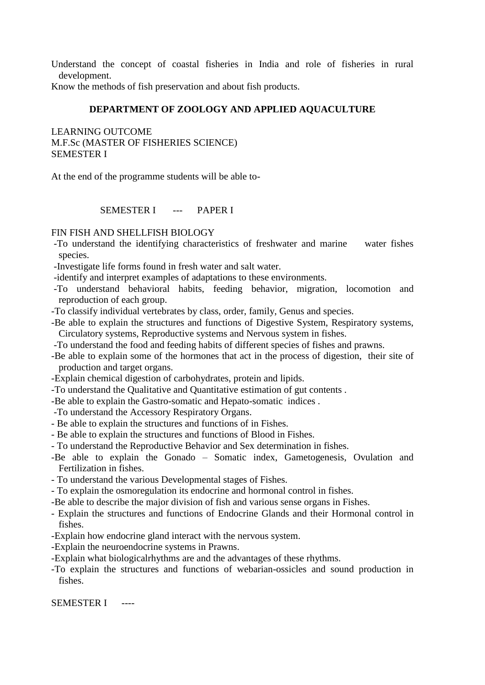Understand the concept of coastal fisheries in India and role of fisheries in rural development.

Know the methods of fish preservation and about fish products.

## **DEPARTMENT OF ZOOLOGY AND APPLIED AQUACULTURE**

LEARNING OUTCOME M.F.Sc (MASTER OF FISHERIES SCIENCE) SEMESTER I

At the end of the programme students will be able to-

SEMESTER I --- PAPER I

#### FIN FISH AND SHELLFISH BIOLOGY

- -To understand the identifying characteristics of freshwater and marine water fishes species.
- -Investigate life forms found in fresh water and salt water.
- -identify and interpret examples of adaptations to these environments.
- -To understand behavioral habits, feeding behavior, migration, locomotion and reproduction of each group.
- -To classify individual vertebrates by class, order, family, Genus and species.
- -Be able to explain the structures and functions of Digestive System, Respiratory systems, Circulatory systems, Reproductive systems and Nervous system in fishes.
- -To understand the food and feeding habits of different species of fishes and prawns.
- -Be able to explain some of the hormones that act in the process of digestion, their site of production and target organs.
- -Explain chemical digestion of carbohydrates, protein and lipids.
- -To understand the Qualitative and Quantitative estimation of gut contents .
- -Be able to explain the Gastro-somatic and Hepato-somatic indices .
- -To understand the Accessory Respiratory Organs.
- Be able to explain the structures and functions of in Fishes.
- Be able to explain the structures and functions of Blood in Fishes.
- To understand the Reproductive Behavior and Sex determination in fishes.
- -Be able to explain the Gonado Somatic index, Gametogenesis, Ovulation and Fertilization in fishes.
- To understand the various Developmental stages of Fishes.
- To explain the osmoregulation its endocrine and hormonal control in fishes.
- -Be able to describe the major division of fish and various sense organs in Fishes.
- Explain the structures and functions of Endocrine Glands and their Hormonal control in fishes.
- -Explain how endocrine gland interact with the nervous system.
- -Explain the neuroendocrine systems in Prawns.
- -Explain what biologicalrhythms are and the advantages of these rhythms.
- -To explain the structures and functions of webarian-ossicles and sound production in fishes.

SEMESTER I ----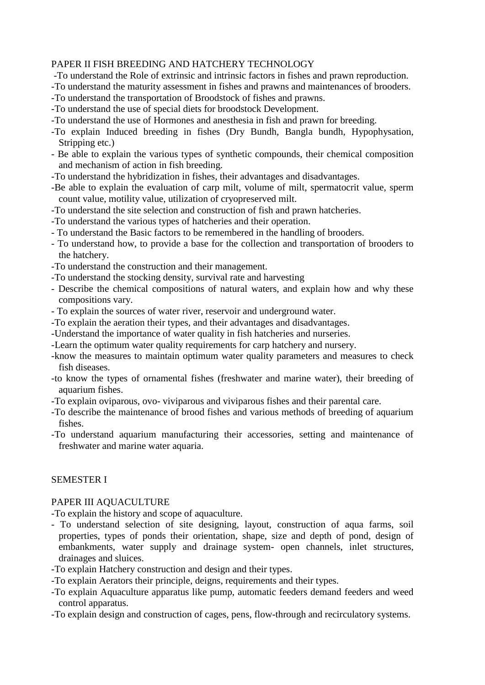#### PAPER II FISH BREEDING AND HATCHERY TECHNOLOGY

- -To understand the Role of extrinsic and intrinsic factors in fishes and prawn reproduction.
- -To understand the maturity assessment in fishes and prawns and maintenances of brooders.
- -To understand the transportation of Broodstock of fishes and prawns.
- -To understand the use of special diets for broodstock Development.
- -To understand the use of Hormones and anesthesia in fish and prawn for breeding.
- -To explain Induced breeding in fishes (Dry Bundh, Bangla bundh, Hypophysation, Stripping etc.)
- Be able to explain the various types of synthetic compounds, their chemical composition and mechanism of action in fish breeding.
- -To understand the hybridization in fishes, their advantages and disadvantages.
- -Be able to explain the evaluation of carp milt, volume of milt, spermatocrit value, sperm count value, motility value, utilization of cryopreserved milt.
- -To understand the site selection and construction of fish and prawn hatcheries.
- -To understand the various types of hatcheries and their operation.
- To understand the Basic factors to be remembered in the handling of brooders.
- To understand how, to provide a base for the collection and transportation of brooders to the hatchery.
- -To understand the construction and their management.
- -To understand the stocking density, survival rate and harvesting
- Describe the chemical compositions of natural waters, and explain how and why these compositions vary.
- To explain the sources of water river, reservoir and underground water.
- -To explain the aeration their types, and their advantages and disadvantages.
- -Understand the importance of water quality in fish hatcheries and nurseries.
- -Learn the optimum water quality requirements for carp hatchery and nursery.
- -know the measures to maintain optimum water quality parameters and measures to check fish diseases.
- -to know the types of ornamental fishes (freshwater and marine water), their breeding of aquarium fishes.
- -To explain oviparous, ovo- viviparous and viviparous fishes and their parental care.
- -To describe the maintenance of brood fishes and various methods of breeding of aquarium fishes.
- -To understand aquarium manufacturing their accessories, setting and maintenance of freshwater and marine water aquaria.

## SEMESTER I

#### PAPER III AQUACULTURE

-To explain the history and scope of aquaculture.

- To understand selection of site designing, layout, construction of aqua farms, soil properties, types of ponds their orientation, shape, size and depth of pond, design of embankments, water supply and drainage system- open channels, inlet structures, drainages and sluices.
- -To explain Hatchery construction and design and their types.
- -To explain Aerators their principle, deigns, requirements and their types.
- -To explain Aquaculture apparatus like pump, automatic feeders demand feeders and weed control apparatus.
- -To explain design and construction of cages, pens, flow-through and recirculatory systems.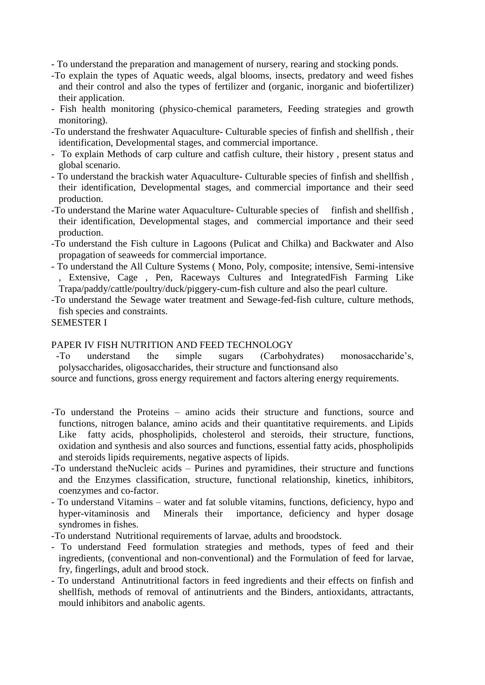- To understand the preparation and management of nursery, rearing and stocking ponds.

- -To explain the types of Aquatic weeds, algal blooms, insects, predatory and weed fishes and their control and also the types of fertilizer and (organic, inorganic and biofertilizer) their application.
- Fish health monitoring (physico-chemical parameters, Feeding strategies and growth monitoring).
- -To understand the freshwater Aquaculture- Culturable species of finfish and shellfish , their identification, Developmental stages, and commercial importance.
- To explain Methods of carp culture and catfish culture, their history , present status and global scenario.
- To understand the brackish water Aquaculture- Culturable species of finfish and shellfish , their identification, Developmental stages, and commercial importance and their seed production.
- -To understand the Marine water Aquaculture- Culturable species of finfish and shellfish, their identification, Developmental stages, and commercial importance and their seed production.
- -To understand the Fish culture in Lagoons (Pulicat and Chilka) and Backwater and Also propagation of seaweeds for commercial importance.
- To understand the All Culture Systems ( Mono, Poly, composite; intensive, Semi-intensive , Extensive, Cage , Pen, Raceways Cultures and IntegratedFish Farming Like Trapa/paddy/cattle/poultry/duck/piggery-cum-fish culture and also the pearl culture.
- -To understand the Sewage water treatment and Sewage-fed-fish culture, culture methods, fish species and constraints.

# SEMESTER I

# PAPER IV FISH NUTRITION AND FEED TECHNOLOGY<br>To understand the simple sugars (Carbohydrates)

 -To understand the simple sugars (Carbohydrates) monosaccharide's, polysaccharides, oligosaccharides, their structure and functionsand also

source and functions, gross energy requirement and factors altering energy requirements.

- -To understand the Proteins amino acids their structure and functions, source and functions, nitrogen balance, amino acids and their quantitative requirements. and Lipids Like fatty acids, phospholipids, cholesterol and steroids, their structure, functions, oxidation and synthesis and also sources and functions, essential fatty acids, phospholipids and steroids lipids requirements, negative aspects of lipids.
- -To understand theNucleic acids Purines and pyramidines, their structure and functions and the Enzymes classification, structure, functional relationship, kinetics, inhibitors, coenzymes and co-factor.
- To understand Vitamins water and fat soluble vitamins, functions, deficiency, hypo and hyper-vitaminosis and Minerals their importance, deficiency and hyper dosage syndromes in fishes.
- -To understand Nutritional requirements of larvae, adults and broodstock.
- To understand Feed formulation strategies and methods, types of feed and their ingredients, (conventional and non-conventional) and the Formulation of feed for larvae, fry, fingerlings, adult and brood stock.
- To understand Antinutritional factors in feed ingredients and their effects on finfish and shellfish, methods of removal of antinutrients and the Binders, antioxidants, attractants, mould inhibitors and anabolic agents.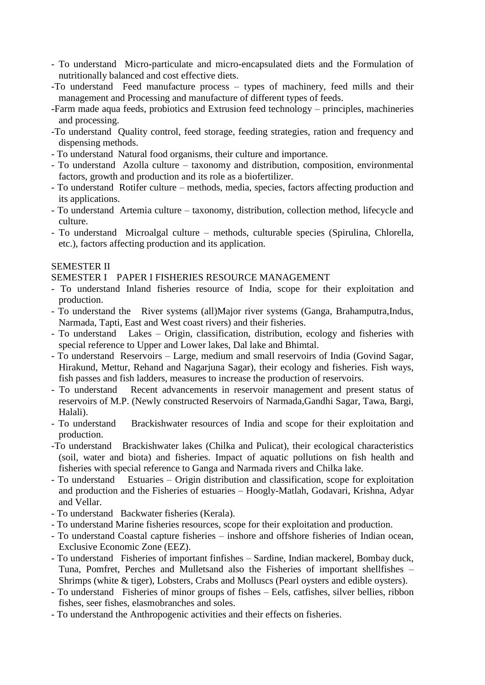- To understand Micro-particulate and micro-encapsulated diets and the Formulation of nutritionally balanced and cost effective diets.
- -To understand Feed manufacture process types of machinery, feed mills and their management and Processing and manufacture of different types of feeds.
- -Farm made aqua feeds, probiotics and Extrusion feed technology principles, machineries and processing.
- -To understand Quality control, feed storage, feeding strategies, ration and frequency and dispensing methods.
- To understand Natural food organisms, their culture and importance.
- To understand Azolla culture taxonomy and distribution, composition, environmental factors, growth and production and its role as a biofertilizer.
- To understand Rotifer culture methods, media, species, factors affecting production and its applications.
- To understand Artemia culture taxonomy, distribution, collection method, lifecycle and culture.
- To understand Microalgal culture methods, culturable species (Spirulina, Chlorella, etc.), factors affecting production and its application.

## SEMESTER II

SEMESTER I PAPER I FISHERIES RESOURCE MANAGEMENT

- To understand Inland fisheries resource of India, scope for their exploitation and production.
- To understand the River systems (all)Major river systems (Ganga, Brahamputra,Indus, Narmada, Tapti, East and West coast rivers) and their fisheries.
- To understand Lakes Origin, classification, distribution, ecology and fisheries with special reference to Upper and Lower lakes, Dal lake and Bhimtal.
- To understand Reservoirs Large, medium and small reservoirs of India (Govind Sagar, Hirakund, Mettur, Rehand and Nagarjuna Sagar), their ecology and fisheries. Fish ways, fish passes and fish ladders, measures to increase the production of reservoirs.
- To understand Recent advancements in reservoir management and present status of reservoirs of M.P. (Newly constructed Reservoirs of Narmada,Gandhi Sagar, Tawa, Bargi, Halali).
- To understand Brackishwater resources of India and scope for their exploitation and production.
- -To understand Brackishwater lakes (Chilka and Pulicat), their ecological characteristics (soil, water and biota) and fisheries. Impact of aquatic pollutions on fish health and fisheries with special reference to Ganga and Narmada rivers and Chilka lake.
- To understand Estuaries Origin distribution and classification, scope for exploitation and production and the Fisheries of estuaries – Hoogly-Matlah, Godavari, Krishna, Adyar and Vellar.
- To understand Backwater fisheries (Kerala).
- To understand Marine fisheries resources, scope for their exploitation and production.
- To understand Coastal capture fisheries inshore and offshore fisheries of Indian ocean, Exclusive Economic Zone (EEZ).
- To understand Fisheries of important finfishes Sardine, Indian mackerel, Bombay duck, Tuna, Pomfret, Perches and Mulletsand also the Fisheries of important shellfishes – Shrimps (white & tiger), Lobsters, Crabs and Molluscs (Pearl oysters and edible oysters).
- To understand Fisheries of minor groups of fishes Eels, catfishes, silver bellies, ribbon fishes, seer fishes, elasmobranches and soles.
- To understand the Anthropogenic activities and their effects on fisheries.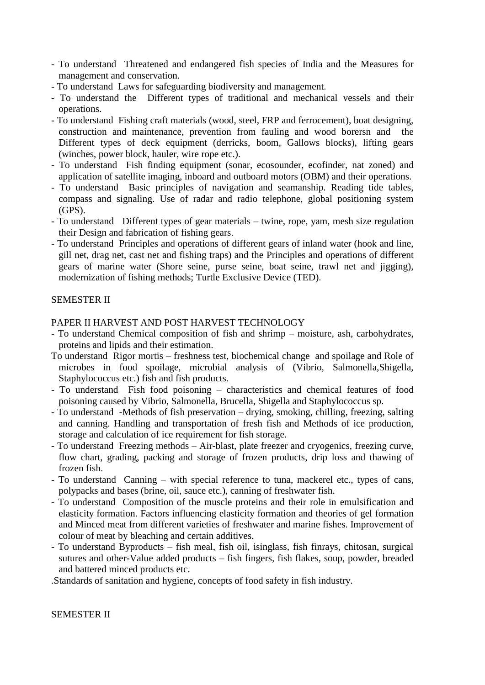- To understand Threatened and endangered fish species of India and the Measures for management and conservation.
- To understand Laws for safeguarding biodiversity and management.
- To understand the Different types of traditional and mechanical vessels and their operations.
- To understand Fishing craft materials (wood, steel, FRP and ferrocement), boat designing, construction and maintenance, prevention from fauling and wood borersn and the Different types of deck equipment (derricks, boom, Gallows blocks), lifting gears (winches, power block, hauler, wire rope etc.).
- To understand Fish finding equipment (sonar, ecosounder, ecofinder, nat zoned) and application of satellite imaging, inboard and outboard motors (OBM) and their operations.
- To understand Basic principles of navigation and seamanship. Reading tide tables, compass and signaling. Use of radar and radio telephone, global positioning system (GPS).
- To understand Different types of gear materials twine, rope, yam, mesh size regulation their Design and fabrication of fishing gears.
- To understand Principles and operations of different gears of inland water (hook and line, gill net, drag net, cast net and fishing traps) and the Principles and operations of different gears of marine water (Shore seine, purse seine, boat seine, trawl net and jigging), modernization of fishing methods; Turtle Exclusive Device (TED).

#### SEMESTER II

#### PAPER II HARVEST AND POST HARVEST TECHNOLOGY

- To understand Chemical composition of fish and shrimp moisture, ash, carbohydrates, proteins and lipids and their estimation.
- To understand Rigor mortis freshness test, biochemical change and spoilage and Role of microbes in food spoilage, microbial analysis of (Vibrio, Salmonella,Shigella, Staphylococcus etc.) fish and fish products.
- To understand Fish food poisoning characteristics and chemical features of food poisoning caused by Vibrio, Salmonella, Brucella, Shigella and Staphylococcus sp.
- To understand -Methods of fish preservation drying, smoking, chilling, freezing, salting and canning. Handling and transportation of fresh fish and Methods of ice production, storage and calculation of ice requirement for fish storage.
- To understand Freezing methods Air-blast, plate freezer and cryogenics, freezing curve, flow chart, grading, packing and storage of frozen products, drip loss and thawing of frozen fish.
- To understand Canning with special reference to tuna, mackerel etc., types of cans, polypacks and bases (brine, oil, sauce etc.), canning of freshwater fish.
- To understand Composition of the muscle proteins and their role in emulsification and elasticity formation. Factors influencing elasticity formation and theories of gel formation and Minced meat from different varieties of freshwater and marine fishes. Improvement of colour of meat by bleaching and certain additives.
- To understand Byproducts fish meal, fish oil, isinglass, fish finrays, chitosan, surgical sutures and other-Value added products – fish fingers, fish flakes, soup, powder, breaded and battered minced products etc.

.Standards of sanitation and hygiene, concepts of food safety in fish industry.

#### SEMESTER II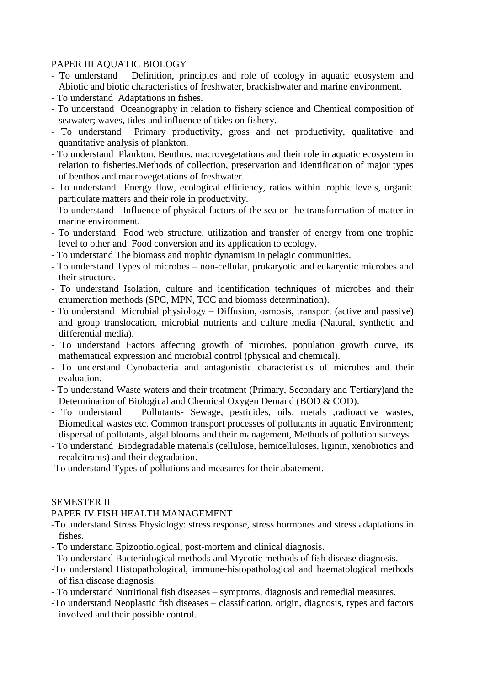#### PAPER III AQUATIC BIOLOGY

- To understand Definition, principles and role of ecology in aquatic ecosystem and Abiotic and biotic characteristics of freshwater, brackishwater and marine environment.
- To understand Adaptations in fishes.
- To understand Oceanography in relation to fishery science and Chemical composition of seawater; waves, tides and influence of tides on fishery.
- To understand Primary productivity, gross and net productivity, qualitative and quantitative analysis of plankton.
- To understand Plankton, Benthos, macrovegetations and their role in aquatic ecosystem in relation to fisheries.Methods of collection, preservation and identification of major types of benthos and macrovegetations of freshwater.
- To understand Energy flow, ecological efficiency, ratios within trophic levels, organic particulate matters and their role in productivity.
- To understand -Influence of physical factors of the sea on the transformation of matter in marine environment.
- To understand Food web structure, utilization and transfer of energy from one trophic level to other and Food conversion and its application to ecology.
- To understand The biomass and trophic dynamism in pelagic communities.
- To understand Types of microbes non-cellular, prokaryotic and eukaryotic microbes and their structure.
- To understand Isolation, culture and identification techniques of microbes and their enumeration methods (SPC, MPN, TCC and biomass determination).
- To understand Microbial physiology Diffusion, osmosis, transport (active and passive) and group translocation, microbial nutrients and culture media (Natural, synthetic and differential media).
- To understand Factors affecting growth of microbes, population growth curve, its mathematical expression and microbial control (physical and chemical).
- To understand Cynobacteria and antagonistic characteristics of microbes and their evaluation.
- To understand Waste waters and their treatment (Primary, Secondary and Tertiary)and the Determination of Biological and Chemical Oxygen Demand (BOD & COD).
- To understand Pollutants- Sewage, pesticides, oils, metals ,radioactive wastes, Biomedical wastes etc. Common transport processes of pollutants in aquatic Environment; dispersal of pollutants, algal blooms and their management, Methods of pollution surveys.
- To understand Biodegradable materials (cellulose, hemicelluloses, liginin, xenobiotics and recalcitrants) and their degradation.
- -To understand Types of pollutions and measures for their abatement.

## SEMESTER II

#### PAPER IV FISH HEALTH MANAGEMENT

- -To understand Stress Physiology: stress response, stress hormones and stress adaptations in fishes.
- To understand Epizootiological, post-mortem and clinical diagnosis.
- To understand Bacteriological methods and Mycotic methods of fish disease diagnosis.
- -To understand Histopathological, immune-histopathological and haematological methods of fish disease diagnosis.
- To understand Nutritional fish diseases symptoms, diagnosis and remedial measures.
- -To understand Neoplastic fish diseases classification, origin, diagnosis, types and factors involved and their possible control.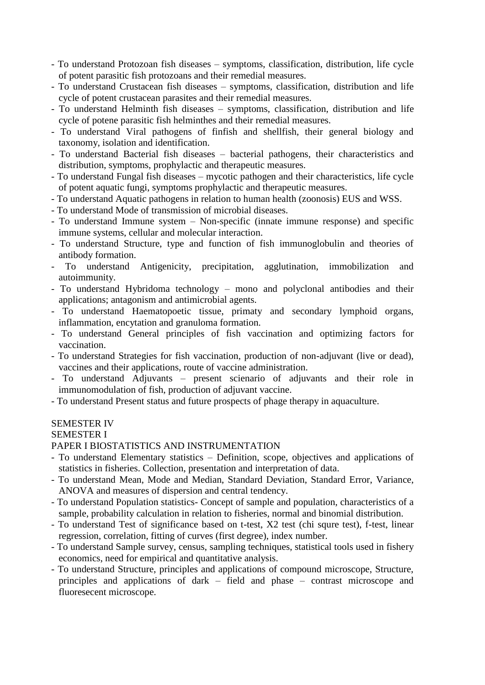- To understand Protozoan fish diseases symptoms, classification, distribution, life cycle of potent parasitic fish protozoans and their remedial measures.
- To understand Crustacean fish diseases symptoms, classification, distribution and life cycle of potent crustacean parasites and their remedial measures.
- To understand Helminth fish diseases symptoms, classification, distribution and life cycle of potene parasitic fish helminthes and their remedial measures.
- To understand Viral pathogens of finfish and shellfish, their general biology and taxonomy, isolation and identification.
- To understand Bacterial fish diseases bacterial pathogens, their characteristics and distribution, symptoms, prophylactic and therapeutic measures.
- To understand Fungal fish diseases mycotic pathogen and their characteristics, life cycle of potent aquatic fungi, symptoms prophylactic and therapeutic measures.
- To understand Aquatic pathogens in relation to human health (zoonosis) EUS and WSS.
- To understand Mode of transmission of microbial diseases.
- To understand Immune system Non-specific (innate immune response) and specific immune systems, cellular and molecular interaction.
- To understand Structure, type and function of fish immunoglobulin and theories of antibody formation.
- To understand Antigenicity, precipitation, agglutination, immobilization and autoimmunity.
- To understand Hybridoma technology mono and polyclonal antibodies and their applications; antagonism and antimicrobial agents.
- To understand Haematopoetic tissue, primaty and secondary lymphoid organs, inflammation, encytation and granuloma formation.
- To understand General principles of fish vaccination and optimizing factors for vaccination.
- To understand Strategies for fish vaccination, production of non-adjuvant (live or dead), vaccines and their applications, route of vaccine administration.
- To understand Adjuvants present scienario of adjuvants and their role in immunomodulation of fish, production of adjuvant vaccine.
- To understand Present status and future prospects of phage therapy in aquaculture.

# SEMESTER IV

## SEMESTER I

## PAPER I BIOSTATISTICS AND INSTRUMENTATION

- To understand Elementary statistics Definition, scope, objectives and applications of statistics in fisheries. Collection, presentation and interpretation of data.
- To understand Mean, Mode and Median, Standard Deviation, Standard Error, Variance, ANOVA and measures of dispersion and central tendency.
- To understand Population statistics- Concept of sample and population, characteristics of a sample, probability calculation in relation to fisheries, normal and binomial distribution.
- To understand Test of significance based on t-test, X2 test (chi squre test), f-test, linear regression, correlation, fitting of curves (first degree), index number.
- To understand Sample survey, census, sampling techniques, statistical tools used in fishery economics, need for empirical and quantitative analysis.
- To understand Structure, principles and applications of compound microscope, Structure, principles and applications of dark – field and phase – contrast microscope and fluoresecent microscope.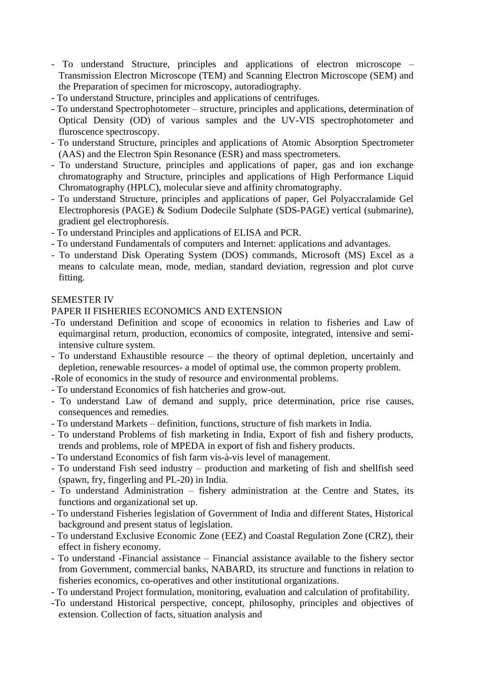- To understand Structure, principles and applications of electron microscope Transmission Electron Microscope (TEM) and Scanning Electron Microscope (SEM) and the Preparation of specimen for microscopy, autoradiography.
- To understand Structure, principles and applications of centrifuges.
- To understand Spectrophotometer structure, principles and applications, determination of Optical Density (OD) of various samples and the UV-VIS spectrophotometer and fluroscence spectroscopy.
- To understand Structure, principles and applications of Atomic Absorption Spectrometer (AAS) and the Electron Spin Resonance (ESR) and mass spectrometers.
- To understand Structure, principles and applications of paper, gas and ion exchange chromatography and Structure, principles and applications of High Performance Liquid Chromatography (HPLC), molecular sieve and affinity chromatography.
- To understand Structure, principles and applications of paper, Gel Polyaccralamide Gel Electrophoresis (PAGE) & Sodium Dodecile Sulphate (SDS-PAGE) vertical (submarine), gradient gel electrophoresis.
- To understand Principles and applications of ELISA and PCR.
- To understand Fundamentals of computers and Internet: applications and advantages.
- To understand Disk Operating System (DOS) commands, Microsoft (MS) Excel as a means to calculate mean, mode, median, standard deviation, regression and plot curve fitting.

## SEMESTER IV

#### PAPER II FISHERIES ECONOMICS AND EXTENSION

- -To understand Definition and scope of economics in relation to fisheries and Law of equimarginal return, production, economics of composite, integrated, intensive and semiintensive culture system.
- To understand Exhaustible resource the theory of optimal depletion, uncertainly and depletion, renewable resources- a model of optimal use, the common property problem.

-Role of economics in the study of resource and environmental problems.

- To understand Economics of fish hatcheries and grow-out.
- To understand Law of demand and supply, price determination, price rise causes, consequences and remedies.
- To understand Markets definition, functions, structure of fish markets in India.
- To understand Problems of fish marketing in India, Export of fish and fishery products, trends and problems, role of MPEDA in export of fish and fishery products.
- To understand Economics of fish farm vis-à-vis level of management.
- To understand Fish seed industry production and marketing of fish and shellfish seed (spawn, fry, fingerling and PL-20) in India.
- To understand Administration fishery administration at the Centre and States, its functions and organizational set up.
- To understand Fisheries legislation of Government of India and different States, Historical background and present status of legislation.
- To understand Exclusive Economic Zone (EEZ) and Coastal Regulation Zone (CRZ), their effect in fishery economy.
- To understand -Financial assistance Financial assistance available to the fishery sector from Government, commercial banks, NABARD, its structure and functions in relation to fisheries economics, co-operatives and other institutional organizations.
- To understand Project formulation, monitoring, evaluation and calculation of profitability.
- -To understand Historical perspective, concept, philosophy, principles and objectives of extension. Collection of facts, situation analysis and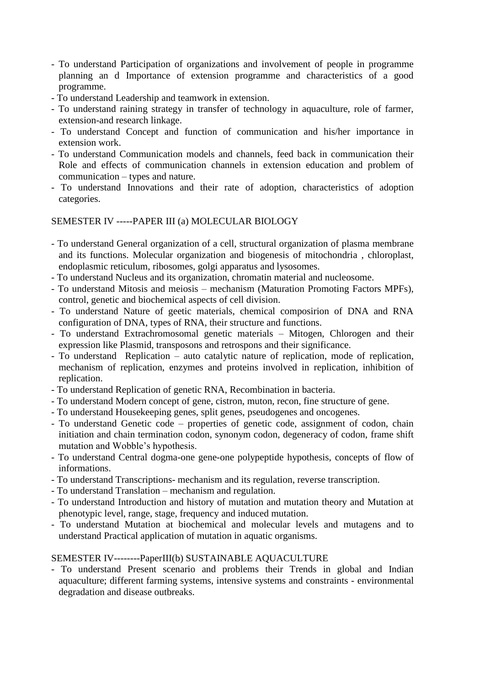- To understand Participation of organizations and involvement of people in programme planning an d Importance of extension programme and characteristics of a good programme.
- To understand Leadership and teamwork in extension.
- To understand raining strategy in transfer of technology in aquaculture, role of farmer, extension-and research linkage.
- To understand Concept and function of communication and his/her importance in extension work.
- To understand Communication models and channels, feed back in communication their Role and effects of communication channels in extension education and problem of communication – types and nature.
- To understand Innovations and their rate of adoption, characteristics of adoption categories.

## SEMESTER IV -----PAPER III (a) MOLECULAR BIOLOGY

- To understand General organization of a cell, structural organization of plasma membrane and its functions. Molecular organization and biogenesis of mitochondria , chloroplast, endoplasmic reticulum, ribosomes, golgi apparatus and lysosomes.
- To understand Nucleus and its organization, chromatin material and nucleosome.
- To understand Mitosis and meiosis mechanism (Maturation Promoting Factors MPFs), control, genetic and biochemical aspects of cell division.
- To understand Nature of geetic materials, chemical composirion of DNA and RNA configuration of DNA, types of RNA, their structure and functions.
- To understand Extrachromosomal genetic materials Mitogen, Chlorogen and their expression like Plasmid, transposons and retrospons and their significance.
- To understand Replication auto catalytic nature of replication, mode of replication, mechanism of replication, enzymes and proteins involved in replication, inhibition of replication.
- To understand Replication of genetic RNA, Recombination in bacteria.
- To understand Modern concept of gene, cistron, muton, recon, fine structure of gene.
- To understand Housekeeping genes, split genes, pseudogenes and oncogenes.
- To understand Genetic code properties of genetic code, assignment of codon, chain initiation and chain termination codon, synonym codon, degeneracy of codon, frame shift mutation and Wobble's hypothesis.
- To understand Central dogma-one gene-one polypeptide hypothesis, concepts of flow of informations.
- To understand Transcriptions- mechanism and its regulation, reverse transcription.
- To understand Translation mechanism and regulation.
- To understand Introduction and history of mutation and mutation theory and Mutation at phenotypic level, range, stage, frequency and induced mutation.
- To understand Mutation at biochemical and molecular levels and mutagens and to understand Practical application of mutation in aquatic organisms.

## SEMESTER IV--------PaperIII(b) SUSTAINABLE AQUACULTURE

- To understand Present scenario and problems their Trends in global and Indian aquaculture; different farming systems, intensive systems and constraints - environmental degradation and disease outbreaks.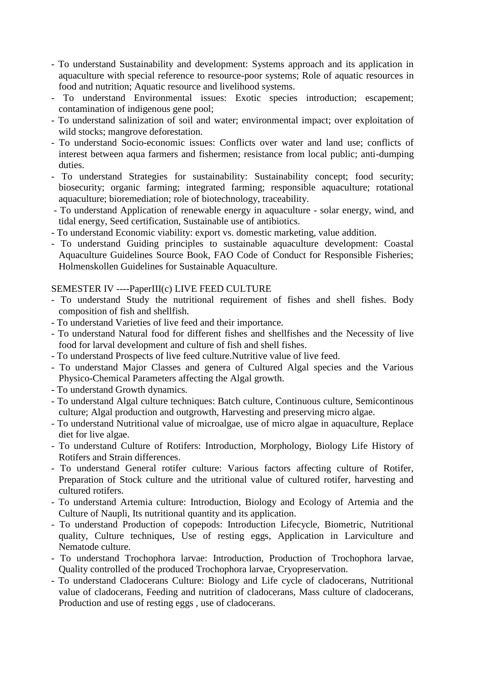- To understand Sustainability and development: Systems approach and its application in aquaculture with special reference to resource-poor systems; Role of aquatic resources in food and nutrition; Aquatic resource and livelihood systems.
- To understand Environmental issues: Exotic species introduction; escapement; contamination of indigenous gene pool;
- To understand salinization of soil and water; environmental impact; over exploitation of wild stocks; mangrove deforestation.
- To understand Socio-economic issues: Conflicts over water and land use; conflicts of interest between aqua farmers and fishermen; resistance from local public; anti-dumping duties.
- To understand Strategies for sustainability: Sustainability concept; food security; biosecurity; organic farming; integrated farming; responsible aquaculture; rotational aquaculture; bioremediation; role of biotechnology, traceability.
- To understand Application of renewable energy in aquaculture solar energy, wind, and tidal energy, Seed certification, Sustainable use of antibiotics.
- To understand Economic viability: export vs. domestic marketing, value addition.
- To understand Guiding principles to sustainable aquaculture development: Coastal Aquaculture Guidelines Source Book, FAO Code of Conduct for Responsible Fisheries; Holmenskollen Guidelines for Sustainable Aquaculture.

# SEMESTER IV ----PaperIII(c) LIVE FEED CULTURE

- To understand Study the nutritional requirement of fishes and shell fishes. Body composition of fish and shellfish.
- To understand Varieties of live feed and their importance.
- To understand Natural food for different fishes and shellfishes and the Necessity of live food for larval development and culture of fish and shell fishes.
- To understand Prospects of live feed culture.Nutritive value of live feed.
- To understand Major Classes and genera of Cultured Algal species and the Various Physico-Chemical Parameters affecting the Algal growth.
- To understand Growth dynamics.
- To understand Algal culture techniques: Batch culture, Continuous culture, Semicontinous culture; Algal production and outgrowth, Harvesting and preserving micro algae.
- To understand Nutritional value of microalgae, use of micro algae in aquaculture, Replace diet for live algae.
- To understand Culture of Rotifers: Introduction, Morphology, Biology Life History of Rotifers and Strain differences.
- To understand General rotifer culture: Various factors affecting culture of Rotifer, Preparation of Stock culture and the utritional value of cultured rotifer, harvesting and cultured rotifers.
- To understand Artemia culture: Introduction, Biology and Ecology of Artemia and the Culture of Naupli, Its nutritional quantity and its application.
- To understand Production of copepods: Introduction Lifecycle, Biometric, Nutritional quality, Culture techniques, Use of resting eggs, Application in Larviculture and Nematode culture.
- To understand Trochophora larvae: Introduction, Production of Trochophora larvae, Quality controlled of the produced Trochophora larvae, Cryopreservation.
- To understand Cladocerans Culture: Biology and Life cycle of cladocerans, Nutritional value of cladocerans, Feeding and nutrition of cladocerans, Mass culture of cladocerans, Production and use of resting eggs , use of cladocerans.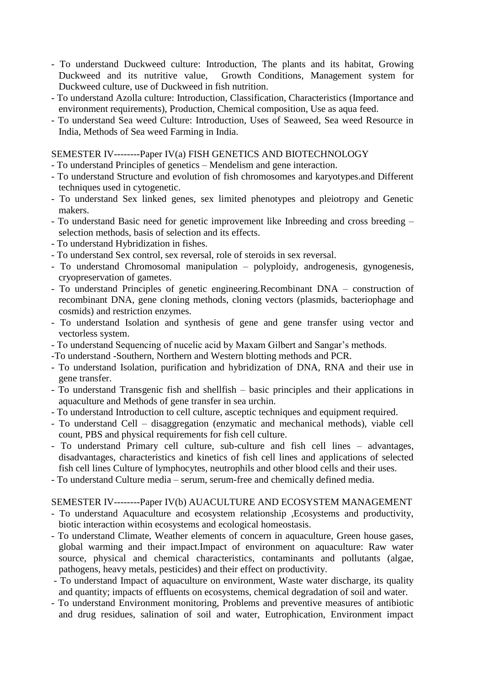- To understand Duckweed culture: Introduction, The plants and its habitat, Growing Duckweed and its nutritive value, Growth Conditions, Management system for Duckweed culture, use of Duckweed in fish nutrition.
- To understand Azolla culture: Introduction, Classification, Characteristics (Importance and environment requirements), Production, Chemical composition, Use as aqua feed.
- To understand Sea weed Culture: Introduction, Uses of Seaweed, Sea weed Resource in India, Methods of Sea weed Farming in India.

SEMESTER IV--------Paper IV(a) FISH GENETICS AND BIOTECHNOLOGY

- To understand Principles of genetics Mendelism and gene interaction.
- To understand Structure and evolution of fish chromosomes and karyotypes.and Different techniques used in cytogenetic.
- To understand Sex linked genes, sex limited phenotypes and pleiotropy and Genetic makers.
- To understand Basic need for genetic improvement like Inbreeding and cross breeding selection methods, basis of selection and its effects.
- To understand Hybridization in fishes.
- To understand Sex control, sex reversal, role of steroids in sex reversal.
- To understand Chromosomal manipulation polyploidy, androgenesis, gynogenesis, cryopreservation of gametes.
- To understand Principles of genetic engineering.Recombinant DNA construction of recombinant DNA, gene cloning methods, cloning vectors (plasmids, bacteriophage and cosmids) and restriction enzymes.
- To understand Isolation and synthesis of gene and gene transfer using vector and vectorless system.
- To understand Sequencing of nucelic acid by Maxam Gilbert and Sangar's methods.
- -To understand -Southern, Northern and Western blotting methods and PCR.
- To understand Isolation, purification and hybridization of DNA, RNA and their use in gene transfer.
- To understand Transgenic fish and shellfish basic principles and their applications in aquaculture and Methods of gene transfer in sea urchin.
- To understand Introduction to cell culture, asceptic techniques and equipment required.
- To understand Cell disaggregation (enzymatic and mechanical methods), viable cell count, PBS and physical requirements for fish cell culture.
- To understand Primary cell culture, sub-culture and fish cell lines advantages, disadvantages, characteristics and kinetics of fish cell lines and applications of selected fish cell lines Culture of lymphocytes, neutrophils and other blood cells and their uses.
- To understand Culture media serum, serum-free and chemically defined media.

#### SEMESTER IV--------Paper IV(b) AUACULTURE AND ECOSYSTEM MANAGEMENT

- To understand Aquaculture and ecosystem relationship ,Ecosystems and productivity, biotic interaction within ecosystems and ecological homeostasis.
- To understand Climate, Weather elements of concern in aquaculture, Green house gases, global warming and their impact.Impact of environment on aquaculture: Raw water source, physical and chemical characteristics, contaminants and pollutants (algae, pathogens, heavy metals, pesticides) and their effect on productivity.
- To understand Impact of aquaculture on environment, Waste water discharge, its quality and quantity; impacts of effluents on ecosystems, chemical degradation of soil and water.
- To understand Environment monitoring, Problems and preventive measures of antibiotic and drug residues, salination of soil and water, Eutrophication, Environment impact